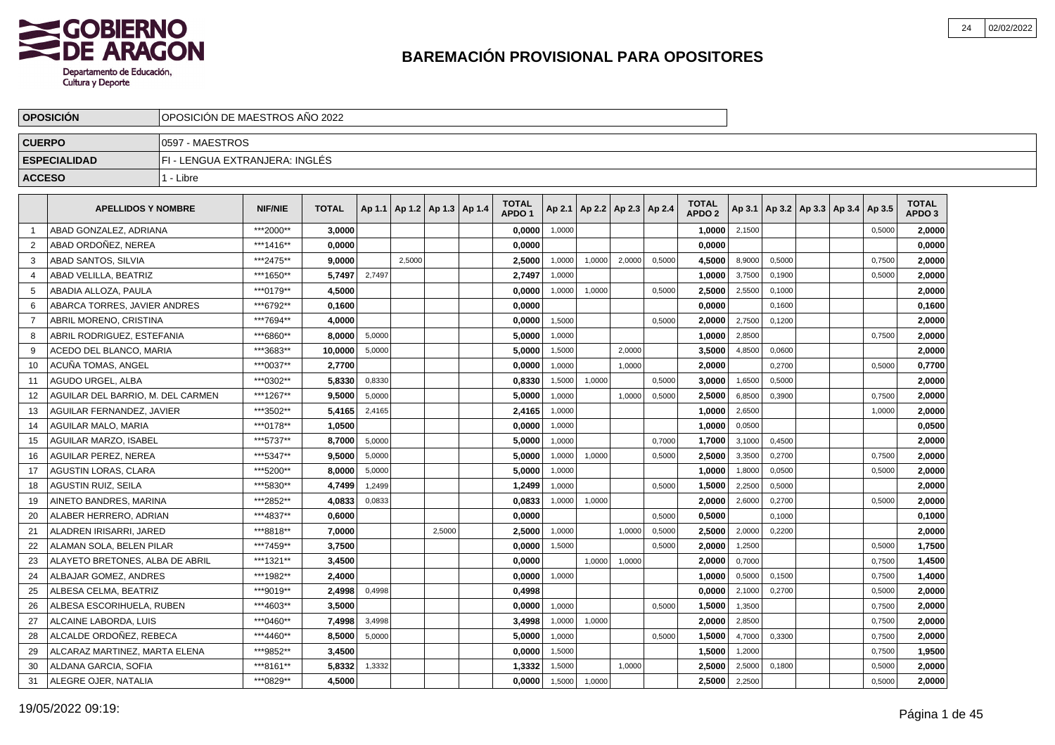

|                | <b>OPOSICION</b>                  | OPOSICION DE MAESTROS ANO 2022 |                |              |        |                                   |        |                                   |        |        |                          |        |                                   |        |        |                                   |        |                                   |  |
|----------------|-----------------------------------|--------------------------------|----------------|--------------|--------|-----------------------------------|--------|-----------------------------------|--------|--------|--------------------------|--------|-----------------------------------|--------|--------|-----------------------------------|--------|-----------------------------------|--|
| <b>CUERPO</b>  |                                   | 0597 - MAESTROS                |                |              |        |                                   |        |                                   |        |        |                          |        |                                   |        |        |                                   |        |                                   |  |
|                | <b>ESPECIALIDAD</b>               | FI - LENGUA EXTRANJERA: INGLÉS |                |              |        |                                   |        |                                   |        |        |                          |        |                                   |        |        |                                   |        |                                   |  |
| <b>ACCESO</b>  |                                   | 1 - Libre                      |                |              |        |                                   |        |                                   |        |        |                          |        |                                   |        |        |                                   |        |                                   |  |
|                | <b>APELLIDOS Y NOMBRE</b>         |                                | <b>NIF/NIE</b> | <b>TOTAL</b> |        | Ap 1.1   Ap 1.2   Ap 1.3   Ap 1.4 |        | <b>TOTAL</b><br>APDO <sub>1</sub> | Ap 2.1 |        | Ap 2.2   Ap 2.3   Ap 2.4 |        | <b>TOTAL</b><br>APDO <sub>2</sub> | Ap 3.1 |        | Ap 3.2   Ap 3.3   Ap 3.4   Ap 3.5 |        | <b>TOTAL</b><br>APDO <sub>3</sub> |  |
| -1             | ABAD GONZALEZ, ADRIANA            |                                | ***2000**      | 3.0000       |        |                                   |        | 0,0000                            | 1,0000 |        |                          |        | 1,0000                            | 2,1500 |        |                                   | 0,5000 | 2,0000                            |  |
| $\overline{2}$ | ABAD ORDOÑEZ. NEREA               |                                | ***1416**      | 0.0000       |        |                                   |        | 0,0000                            |        |        |                          |        | 0.0000                            |        |        |                                   |        | 0,0000                            |  |
| 3              | ABAD SANTOS, SILVIA               |                                | ***2475**      | 9,0000       |        | 2.5000                            |        | 2,5000                            | 1,0000 | 1,0000 | 2,0000                   | 0,5000 | 4,5000                            | 8,9000 | 0,5000 |                                   | 0,7500 | 2,0000                            |  |
| 4              | ABAD VELILLA, BEATRIZ             |                                | ***1650**      | 5,7497       | 2,7497 |                                   |        | 2,7497                            | 1,0000 |        |                          |        | 1,0000                            | 3,7500 | 0,1900 |                                   | 0,5000 | 2,0000                            |  |
| 5              | ABADIA ALLOZA, PAULA              |                                | ***0179**      | 4,5000       |        |                                   |        | 0,0000                            | 1,0000 | 1,0000 |                          | 0,5000 | 2,5000                            | 2,5500 | 0,1000 |                                   |        | 2,0000                            |  |
| -6             | ABARCA TORRES. JAVIER ANDRES      |                                | ***6792**      | 0.1600       |        |                                   |        | 0.0000                            |        |        |                          |        | 0.0000                            |        | 0,1600 |                                   |        | 0,1600                            |  |
| 7              | ABRIL MORENO, CRISTINA            |                                | ***7694**      | 4.0000       |        |                                   |        | 0,0000                            | 1,5000 |        |                          | 0,5000 | 2.0000                            | 2,7500 | 0,1200 |                                   |        | 2,0000                            |  |
| 8              | ABRIL RODRIGUEZ, ESTEFANIA        |                                | ***6860**      | 8,0000       | 5,0000 |                                   |        | 5,0000                            | 1,0000 |        |                          |        | 1,0000                            | 2,8500 |        |                                   | 0,7500 | 2,0000                            |  |
| 9              | ACEDO DEL BLANCO, MARIA           |                                | ***3683**      | 10,0000      | 5,0000 |                                   |        | 5,0000                            | 1,5000 |        | 2,0000                   |        | 3,5000                            | 4,8500 | 0,0600 |                                   |        | 2,0000                            |  |
| 10             | ACUÑA TOMAS, ANGEL                |                                | ***0037**      | 2,7700       |        |                                   |        | 0,0000                            | 1,0000 |        | 1,0000                   |        | 2,0000                            |        | 0,2700 |                                   | 0,5000 | 0,7700                            |  |
| 11             | AGUDO URGEL, ALBA                 |                                | ***0302**      | 5,8330       | 0,8330 |                                   |        | 0,8330                            | 1,5000 | 1,0000 |                          | 0,5000 | 3,0000                            | 1,6500 | 0,5000 |                                   |        | 2,0000                            |  |
| 12             | AGUILAR DEL BARRIO. M. DEL CARMEN |                                | ***1267**      | 9,5000       | 5,0000 |                                   |        | 5.0000                            | 1,0000 |        | 1,0000                   | 0,5000 | 2.5000                            | 6,8500 | 0,3900 |                                   | 0,7500 | 2,0000                            |  |
| 13             | AGUILAR FERNANDEZ, JAVIER         |                                | ***3502**      | 5,4165       | 2,4165 |                                   |        | 2,4165                            | 1,0000 |        |                          |        | 1,0000                            | 2,6500 |        |                                   | 1,0000 | 2,0000                            |  |
| 14             | <b>AGUILAR MALO, MARIA</b>        |                                | ***0178**      | 1.0500       |        |                                   |        | 0,0000                            | 1,0000 |        |                          |        | 1.0000                            | 0,0500 |        |                                   |        | 0,0500                            |  |
| 15             | AGUILAR MARZO, ISABEL             |                                | ***5737**      | 8,7000       | 5,0000 |                                   |        | 5,0000                            | 1,0000 |        |                          | 0,7000 | 1.7000                            | 3,1000 | 0,4500 |                                   |        | 2,0000                            |  |
| 16             | <b>AGUILAR PEREZ, NEREA</b>       |                                | ***5347**      | 9,5000       | 5,0000 |                                   |        | 5,0000                            | 1,0000 | 1,0000 |                          | 0,5000 | 2,5000                            | 3,3500 | 0,2700 |                                   | 0,7500 | 2,0000                            |  |
| 17             | <b>AGUSTIN LORAS, CLARA</b>       |                                | ***5200**      | 8,0000       | 5,0000 |                                   |        | 5,0000                            | 1,0000 |        |                          |        | 1,0000                            | 1,8000 | 0,0500 |                                   | 0,5000 | 2,0000                            |  |
| 18             | <b>AGUSTIN RUIZ, SEILA</b>        |                                | ***5830**      | 4.7499       | 1.2499 |                                   |        | 1,2499                            | 1.0000 |        |                          | 0,5000 | 1.5000                            | 2.2500 | 0.5000 |                                   |        | 2,0000                            |  |
| 19             | AINETO BANDRES, MARINA            |                                | ***2852**      | 4,0833       | 0,0833 |                                   |        | 0,0833                            | 1,0000 | 1,0000 |                          |        | 2.0000                            | 2,6000 | 0,2700 |                                   | 0,5000 | 2,0000                            |  |
| 20             | ALABER HERRERO, ADRIAN            |                                | ***4837**      | 0,6000       |        |                                   |        | 0,0000                            |        |        |                          | 0,5000 | 0,5000                            |        | 0,1000 |                                   |        | 0,1000                            |  |
| 21             | ALADREN IRISARRI, JARED           |                                | ***8818**      | 7,0000       |        |                                   | 2,5000 | 2,5000                            | 1,0000 |        | 1,0000                   | 0,5000 | 2.5000                            | 2,0000 | 0,2200 |                                   |        | 2,0000                            |  |
| 22             | ALAMAN SOLA, BELEN PILAR          |                                | ***7459**      | 3,7500       |        |                                   |        | 0,0000                            | 1,5000 |        |                          | 0,5000 | 2,0000                            | 1,2500 |        |                                   | 0,5000 | 1,7500                            |  |
| 23             | ALAYETO BRETONES, ALBA DE ABRIL   |                                | ***1321**      | 3,4500       |        |                                   |        | 0,0000                            |        | 1,0000 | 1,0000                   |        | 2,0000                            | 0,7000 |        |                                   | 0,7500 | 1,4500                            |  |
| 24             | ALBAJAR GOMEZ, ANDRES             |                                | ***1982**      | 2.4000       |        |                                   |        | 0.0000                            | 1,0000 |        |                          |        | 1.0000                            | 0,5000 | 0,1500 |                                   | 0,7500 | 1,4000                            |  |
| 25             | ALBESA CELMA, BEATRIZ             |                                | ***9019**      | 2.4998       | 0,4998 |                                   |        | 0,4998                            |        |        |                          |        | 0.0000                            | 2,1000 | 0,2700 |                                   | 0,5000 | 2,0000                            |  |
| 26             | ALBESA ESCORIHUELA, RUBEN         |                                | ***4603**      | 3,5000       |        |                                   |        | 0,0000                            | 1,0000 |        |                          | 0,5000 | 1,5000                            | 1,3500 |        |                                   | 0,7500 | 2,0000                            |  |
| 27             | ALCAINE LABORDA, LUIS             |                                | ***0460**      | 7,4998       | 3,4998 |                                   |        | 3,4998                            | 1,0000 | 1,0000 |                          |        | 2,0000                            | 2,8500 |        |                                   | 0,7500 | 2,0000                            |  |
| 28             | ALCALDE ORDOÑEZ. REBECA           |                                | ***4460**      | 8,5000       | 5,0000 |                                   |        | 5,0000                            | 1,0000 |        |                          | 0,5000 | 1,5000                            | 4,7000 | 0,3300 |                                   | 0,7500 | 2,0000                            |  |
| 29             | ALCARAZ MARTINEZ, MARTA ELENA     |                                | ***9852**      | 3,4500       |        |                                   |        | 0,0000                            | 1,5000 |        |                          |        | 1,5000                            | 1,2000 |        |                                   | 0,7500 | 1,9500                            |  |
| 30             | ALDANA GARCIA, SOFIA              |                                | ***8161**      | 5,8332       | 1,3332 |                                   |        | 1,3332                            | 1,5000 |        | 1,0000                   |        | 2.5000                            | 2,5000 | 0,1800 |                                   | 0,5000 | 2,0000                            |  |
| 31             | ALEGRE OJER, NATALIA              |                                | ***0829**      | 4,5000       |        |                                   |        | 0,0000                            | 1,5000 | 1,0000 |                          |        | 2,5000                            | 2,2500 |        |                                   | 0,5000 | 2,0000                            |  |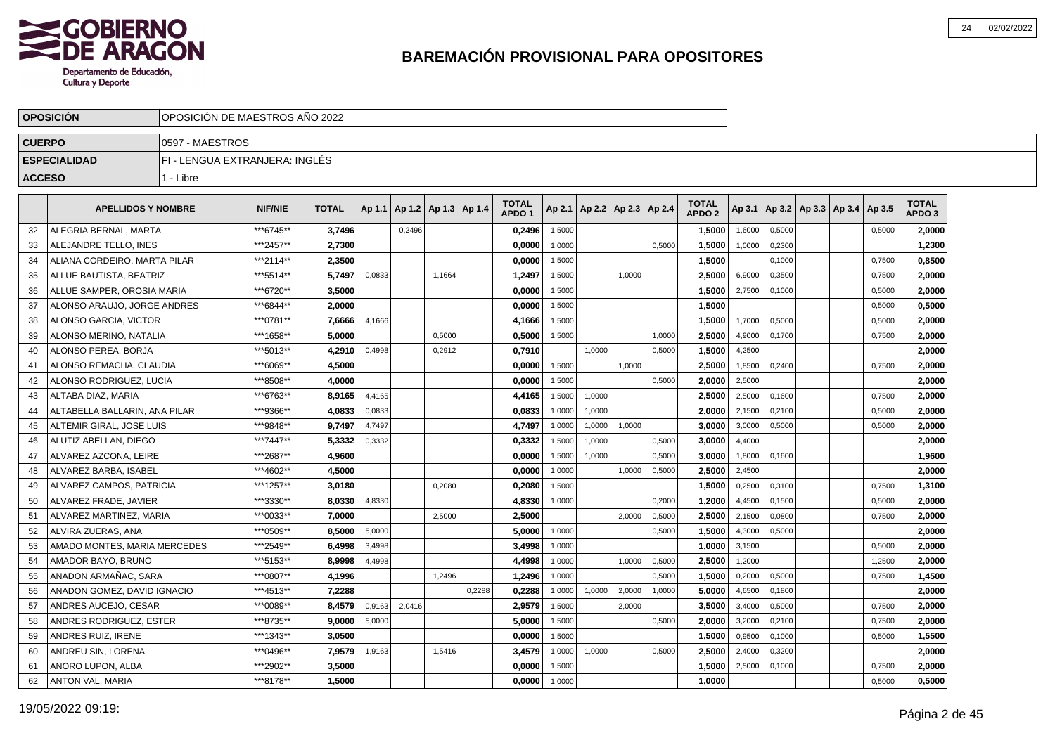

|               | <b>OPOSICION</b>              | OPOSICION DE MAESTROS ANO 2022 |                |              |        |        |                          |        |                                   |        |        |                          |        |                                   |        |        |                                   |        |                                   |  |
|---------------|-------------------------------|--------------------------------|----------------|--------------|--------|--------|--------------------------|--------|-----------------------------------|--------|--------|--------------------------|--------|-----------------------------------|--------|--------|-----------------------------------|--------|-----------------------------------|--|
| <b>CUERPO</b> |                               | 0597 - MAESTROS                |                |              |        |        |                          |        |                                   |        |        |                          |        |                                   |        |        |                                   |        |                                   |  |
|               | <b>ESPECIALIDAD</b>           | FI - LENGUA EXTRANJERA: INGLÉS |                |              |        |        |                          |        |                                   |        |        |                          |        |                                   |        |        |                                   |        |                                   |  |
| <b>ACCESO</b> |                               | 1 - Libre                      |                |              |        |        |                          |        |                                   |        |        |                          |        |                                   |        |        |                                   |        |                                   |  |
|               | <b>APELLIDOS Y NOMBRE</b>     |                                | <b>NIF/NIE</b> | <b>TOTAL</b> | Ap 1.1 |        | Ap 1.2   Ap 1.3   Ap 1.4 |        | <b>TOTAL</b><br>APDO <sub>1</sub> | Ap 2.1 |        | Ap 2.2   Ap 2.3   Ap 2.4 |        | <b>TOTAL</b><br>APDO <sub>2</sub> | Ap 3.1 |        | Ap 3.2   Ap 3.3   Ap 3.4   Ap 3.5 |        | <b>TOTAL</b><br>APDO <sub>3</sub> |  |
| 32            | ALEGRIA BERNAL, MARTA         |                                | ***6745**      | 3.7496       |        | 0.2496 |                          |        | 0,2496                            | 1,5000 |        |                          |        | 1,5000                            | 1,6000 | 0,5000 |                                   | 0,5000 | 2.0000                            |  |
| 33            | ALEJANDRE TELLO, INES         |                                | ***2457**      | 2,7300       |        |        |                          |        | 0,0000                            | 1,0000 |        |                          | 0.5000 | 1,5000                            | 1,0000 | 0,2300 |                                   |        | 1,2300                            |  |
| 34            | ALIANA CORDEIRO, MARTA PILAR  |                                | ***2114**      | 2,3500       |        |        |                          |        | 0,0000                            | 1,5000 |        |                          |        | 1,5000                            |        | 0,1000 |                                   | 0,7500 | 0,8500                            |  |
| 35            | ALLUE BAUTISTA, BEATRIZ       |                                | ***5514**      | 5,7497       | 0,0833 |        | 1,1664                   |        | 1,2497                            | 1,5000 |        | 1,0000                   |        | 2,5000                            | 6,9000 | 0,3500 |                                   | 0,7500 | 2,0000                            |  |
| 36            | ALLUE SAMPER, OROSIA MARIA    |                                | ***6720**      | 3,5000       |        |        |                          |        | 0,0000                            | 1,5000 |        |                          |        | 1,5000                            | 2,7500 | 0,1000 |                                   | 0,5000 | 2,0000                            |  |
| 37            | ALONSO ARAUJO. JORGE ANDRES   |                                | ***6844**      | 2.0000       |        |        |                          |        | 0.0000                            | 1,5000 |        |                          |        | 1.5000                            |        |        |                                   | 0,5000 | 0.5000                            |  |
| 38            | ALONSO GARCIA, VICTOR         |                                | ***0781**      | 7,6666       | 4,1666 |        |                          |        | 4,1666                            | 1,5000 |        |                          |        | 1,5000                            | 1,7000 | 0.5000 |                                   | 0,5000 | 2,0000                            |  |
| 39            | ALONSO MERINO, NATALIA        |                                | ***1658**      | 5,0000       |        |        | 0,5000                   |        | 0,5000                            | 1,5000 |        |                          | 1,0000 | 2,5000                            | 4,9000 | 0.1700 |                                   | 0,7500 | 2,0000                            |  |
| 40            | ALONSO PEREA, BORJA           |                                | ***5013**      | 4,2910       | 0,4998 |        | 0,2912                   |        | 0,7910                            |        | 1,0000 |                          | 0,5000 | 1,5000                            | 4,2500 |        |                                   |        | 2,0000                            |  |
| 41            | ALONSO REMACHA, CLAUDIA       |                                | ***6069**      | 4,5000       |        |        |                          |        | 0,0000                            | 1,5000 |        | 1,0000                   |        | 2,5000                            | 1,8500 | 0,2400 |                                   | 0,7500 | 2,0000                            |  |
| 42            | ALONSO RODRIGUEZ, LUCIA       |                                | ***8508**      | 4,0000       |        |        |                          |        | 0,0000                            | 1,5000 |        |                          | 0,5000 | 2,0000                            | 2,5000 |        |                                   |        | 2,0000                            |  |
| 43            | ALTABA DIAZ. MARIA            |                                | ***6763**      | 8,9165       | 4,4165 |        |                          |        | 4,4165                            | 1,5000 | 1,0000 |                          |        | 2,5000                            | 2,5000 | 0.1600 |                                   | 0,7500 | 2,0000                            |  |
| 44            | ALTABELLA BALLARIN. ANA PILAR |                                | ***9366**      | 4,0833       | 0,0833 |        |                          |        | 0,0833                            | 1,0000 | 1,0000 |                          |        | 2.0000                            | 2,1500 | 0,2100 |                                   | 0,5000 | 2,0000                            |  |
| 45            | ALTEMIR GIRAL, JOSE LUIS      |                                | ***9848**      | 9.7497       | 4,7497 |        |                          |        | 4,7497                            | 1,0000 | 1,0000 | 1,0000                   |        | 3,0000                            | 3,0000 | 0,5000 |                                   | 0,5000 | 2,0000                            |  |
| 46            | ALUTIZ ABELLAN, DIEGO         |                                | ***7447**      | 5,3332       | 0,3332 |        |                          |        | 0,3332                            | 1,5000 | 1,0000 |                          | 0,5000 | 3,0000                            | 4,4000 |        |                                   |        | 2,0000                            |  |
| 47            | ALVAREZ AZCONA. LEIRE         |                                | ***2687**      | 4,9600       |        |        |                          |        | 0,0000                            | 1,5000 | 1,0000 |                          | 0,5000 | 3.0000                            | 1,8000 | 0,1600 |                                   |        | 1,9600                            |  |
| 48            | ALVAREZ BARBA, ISABEL         |                                | ***4602**      | 4,5000       |        |        |                          |        | 0,0000                            | 1,0000 |        | 1,0000                   | 0,5000 | 2,5000                            | 2,4500 |        |                                   |        | 2,0000                            |  |
| 49            | ALVAREZ CAMPOS, PATRICIA      |                                | ***1257**      | 3.0180       |        |        | 0.2080                   |        | 0.2080                            | 1,5000 |        |                          |        | 1.5000                            | 0,2500 | 0.3100 |                                   | 0.7500 | 1,3100                            |  |
| 50            | ALVAREZ FRADE, JAVIER         |                                | ***3330**      | 8.0330       | 4,8330 |        |                          |        | 4,8330                            | 1,0000 |        |                          | 0,2000 | 1,2000                            | 4,4500 | 0,1500 |                                   | 0,5000 | 2,0000                            |  |
| 51            | ALVAREZ MARTINEZ, MARIA       |                                | ***0033**      | 7,0000       |        |        | 2,5000                   |        | 2,5000                            |        |        | 2.0000                   | 0,5000 | 2,5000                            | 2,1500 | 0,0800 |                                   | 0,7500 | 2,0000                            |  |
| 52            | ALVIRA ZUERAS, ANA            |                                | ***0509**      | 8,5000       | 5,0000 |        |                          |        | 5,0000                            | 1,0000 |        |                          | 0,5000 | 1,5000                            | 4,3000 | 0,5000 |                                   |        | 2.0000                            |  |
| 53            | AMADO MONTES, MARIA MERCEDES  |                                | ***2549**      | 6,4998       | 3,4998 |        |                          |        | 3,4998                            | 1,0000 |        |                          |        | 1,0000                            | 3,1500 |        |                                   | 0,5000 | 2,0000                            |  |
| 54            | AMADOR BAYO, BRUNO            |                                | ***5153**      | 8,9998       | 4,4998 |        |                          |        | 4,4998                            | 1,0000 |        | 1,0000                   | 0,5000 | 2,5000                            | 1,2000 |        |                                   | 1,2500 | 2,0000                            |  |
| 55            | ANADON ARMAÑAC, SARA          |                                | ***0807**      | 4,1996       |        |        | 1.2496                   |        | 1.2496                            | 1,0000 |        |                          | 0,5000 | 1.5000                            | 0,2000 | 0.5000 |                                   | 0,7500 | 1,4500                            |  |
| 56            | ANADON GOMEZ, DAVID IGNACIO   |                                | ***4513**      | 7.2288       |        |        |                          | 0,2288 | 0.2288                            | 1,0000 | 1,0000 | 2,0000                   | 1,0000 | 5.0000                            | 4,6500 | 0,1800 |                                   |        | 2.0000                            |  |
| 57            | ANDRES AUCEJO, CESAR          |                                | ***0089**      | 8.4579       | 0,9163 | 2,0416 |                          |        | 2,9579                            | 1,5000 |        | 2,0000                   |        | 3,5000                            | 3,4000 | 0,5000 |                                   | 0,7500 | 2,0000                            |  |
| 58            | ANDRES RODRIGUEZ, ESTER       |                                | ***8735**      | 9,0000       | 5,0000 |        |                          |        | 5,0000                            | 1,5000 |        |                          | 0,5000 | 2,0000                            | 3,2000 | 0,2100 |                                   | 0,7500 | 2,0000                            |  |
| 59            | ANDRES RUIZ, IRENE            |                                | ***1343**      | 3,0500       |        |        |                          |        | 0,0000                            | 1,5000 |        |                          |        | 1,5000                            | 0,9500 | 0,1000 |                                   | 0,5000 | 1,5500                            |  |
| 60            | ANDREU SIN, LORENA            |                                | ***0496**      | 7,9579       | 1,9163 |        | 1,5416                   |        | 3,4579                            | 1,0000 | 1,0000 |                          | 0,5000 | 2,5000                            | 2,4000 | 0,3200 |                                   |        | 2,0000                            |  |
| 61            | ANORO LUPON, ALBA             |                                | ***2902**      | 3,5000       |        |        |                          |        | 0.0000                            | 1,5000 |        |                          |        | 1,5000                            | 2,5000 | 0,1000 |                                   | 0,7500 | 2.0000                            |  |
| 62            | ANTON VAL, MARIA              |                                | ***8178**      | 1.5000       |        |        |                          |        | 0,0000                            | 1,0000 |        |                          |        | 1.0000                            |        |        |                                   | 0,5000 | 0,5000                            |  |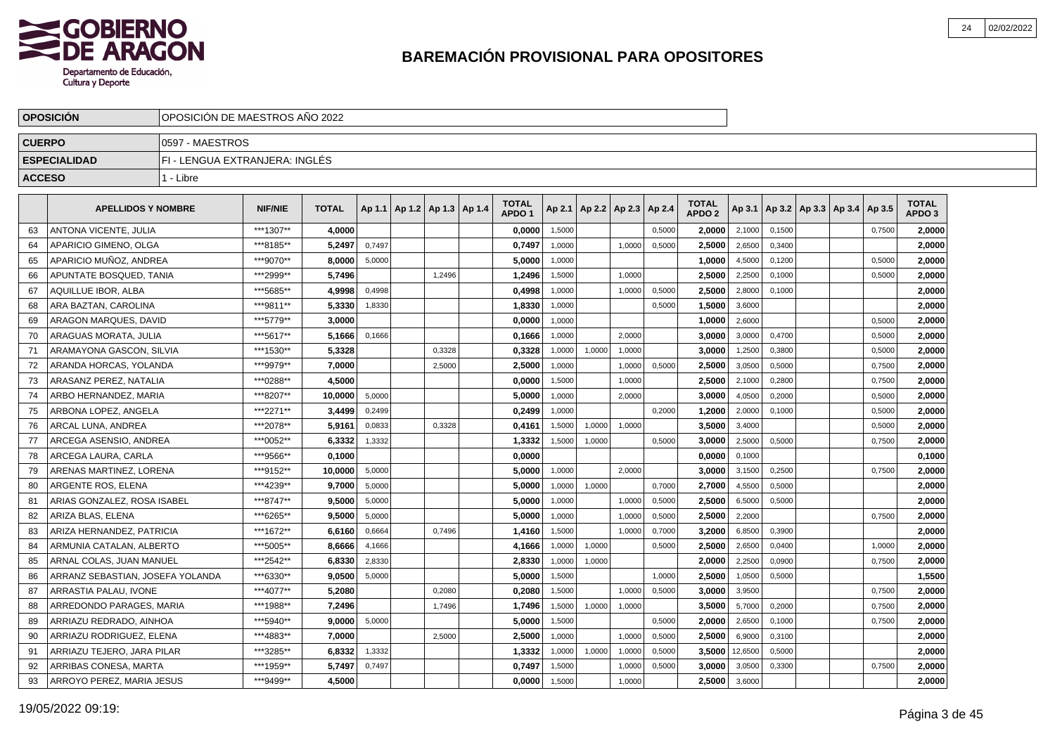

|               | <b>OPOSICION</b>                 | OPOSICION DE MAESTROS ANO 2022 |                |              |        |                                   |        |                                   |        |        |                          |        |                                   |               |        |                                   |        |                                   |  |
|---------------|----------------------------------|--------------------------------|----------------|--------------|--------|-----------------------------------|--------|-----------------------------------|--------|--------|--------------------------|--------|-----------------------------------|---------------|--------|-----------------------------------|--------|-----------------------------------|--|
| <b>CUERPO</b> |                                  | 0597 - MAESTROS                |                |              |        |                                   |        |                                   |        |        |                          |        |                                   |               |        |                                   |        |                                   |  |
|               | <b>ESPECIALIDAD</b>              | FI - LENGUA EXTRANJERA: INGLÉS |                |              |        |                                   |        |                                   |        |        |                          |        |                                   |               |        |                                   |        |                                   |  |
| <b>ACCESO</b> |                                  | 1 - Libre                      |                |              |        |                                   |        |                                   |        |        |                          |        |                                   |               |        |                                   |        |                                   |  |
|               | <b>APELLIDOS Y NOMBRE</b>        |                                | <b>NIF/NIE</b> | <b>TOTAL</b> |        | Ap 1.1   Ap 1.2   Ap 1.3   Ap 1.4 |        | <b>TOTAL</b><br>APDO <sub>1</sub> | Ap 2.1 |        | Ap 2.2   Ap 2.3   Ap 2.4 |        | <b>TOTAL</b><br>APDO <sub>2</sub> | Ap 3.1        |        | Ap 3.2   Ap 3.3   Ap 3.4   Ap 3.5 |        | <b>TOTAL</b><br>APDO <sub>3</sub> |  |
| 63            | <b>ANTONA VICENTE, JULIA</b>     |                                | ***1307**      | 4.0000       |        |                                   |        | 0,0000                            | 1,5000 |        |                          | 0,5000 | 2.0000                            | 2,1000        | 0,1500 |                                   | 0,7500 | 2,0000                            |  |
| 64            | APARICIO GIMENO, OLGA            |                                | ***8185**      | 5,2497       | 0,7497 |                                   |        | 0,7497                            | 1,0000 |        | 1,0000                   | 0,5000 | 2,5000                            | 2,6500        | 0,3400 |                                   |        | 2,0000                            |  |
| 65            | APARICIO MUNOZ, ANDREA           |                                | ***9070**      | 8,0000       | 5,0000 |                                   |        | 5,0000                            | 1,0000 |        |                          |        | 1,0000                            | 4,5000        | 0,1200 |                                   | 0,5000 | 2,0000                            |  |
| 66            | APUNTATE BOSQUED, TANIA          |                                | ***2999**      | 5.7496       |        |                                   | 1,2496 | 1,2496                            | 1,5000 |        | 1,0000                   |        | 2,5000                            | 2,2500        | 0,1000 |                                   | 0,5000 | 2,0000                            |  |
| 67            | AQUILLUE IBOR, ALBA              |                                | ***5685**      | 4,9998       | 0,4998 |                                   |        | 0,4998                            | 1,0000 |        | 1,0000                   | 0,5000 | 2,5000                            | 2,8000        | 0,1000 |                                   |        | 2,0000                            |  |
| 68            | ARA BAZTAN, CAROLINA             |                                | ***9811**      | 5.3330       | 1,8330 |                                   |        | 1,8330                            | 1,0000 |        |                          | 0,5000 | 1.5000                            | 3,6000        |        |                                   |        | 2,0000                            |  |
| 69            | ARAGON MARQUES, DAVID            |                                | ***5779**      | 3,0000       |        |                                   |        | 0,0000                            | 1,0000 |        |                          |        | 1,0000                            | 2,6000        |        |                                   | 0,5000 | 2,0000                            |  |
| 70            | ARAGUAS MORATA, JULIA            |                                | ***5617**      | 5,1666       | 0,1666 |                                   |        | 0,1666                            | 1,0000 |        | 2,0000                   |        | 3,0000                            | 3,0000        | 0,4700 |                                   | 0,5000 | 2,0000                            |  |
| 71            | ARAMAYONA GASCON, SILVIA         |                                | ***1530**      | 5,3328       |        |                                   | 0,3328 | 0,3328                            | 1,0000 | 1,0000 | 1,0000                   |        | 3,0000                            | 1,2500        | 0,3800 |                                   | 0,5000 | 2,0000                            |  |
| 72            | ARANDA HORCAS, YOLANDA           |                                | ***9979**      | 7,0000       |        |                                   | 2,5000 | 2,5000                            | 1,0000 |        | 1,0000                   | 0,5000 | 2,5000                            | 3,0500        | 0,5000 |                                   | 0,7500 | 2,0000                            |  |
| 73            | ARASANZ PEREZ, NATALIA           |                                | ***0288**      | 4,5000       |        |                                   |        | 0,0000                            | 1,5000 |        | 1,0000                   |        | 2,5000                            | 2,1000        | 0,2800 |                                   | 0,7500 | 2,0000                            |  |
| 74            | ARBO HERNANDEZ, MARIA            |                                | ***8207**      | 10,0000      | 5.0000 |                                   |        | 5,0000                            | 1.0000 |        | 2.0000                   |        | 3.0000                            | 4,0500        | 0,2000 |                                   | 0,5000 | 2,0000                            |  |
| 75            | ARBONA LOPEZ. ANGELA             |                                | ***2271**      | 3,4499       | 0,2499 |                                   |        | 0,2499                            | 1,0000 |        |                          | 0.2000 | 1.2000                            | 2,0000        | 0,1000 |                                   | 0,5000 | 2,0000                            |  |
| 76            | ARCAL LUNA. ANDREA               |                                | ***2078**      | 5,9161       | 0,0833 |                                   | 0,3328 | 0,4161                            | 1,5000 | 1,0000 | 1,0000                   |        | 3.5000                            | 3,4000        |        |                                   | 0,5000 | 2,0000                            |  |
| 77            | ARCEGA ASENSIO, ANDREA           |                                | ***0052**      | 6,3332       | 1,3332 |                                   |        | 1,3332                            | 1,5000 | 1,0000 |                          | 0,5000 | 3,0000                            | 2,5000        | 0,5000 |                                   | 0,7500 | 2,0000                            |  |
| 78            | ARCEGA LAURA, CARLA              |                                | ***9566**      | 0,1000       |        |                                   |        | 0,0000                            |        |        |                          |        | 0,0000                            | 0,1000        |        |                                   |        | 0,1000                            |  |
| 79            | ARENAS MARTINEZ. LORENA          |                                | ***9152**      | 10,0000      | 5,0000 |                                   |        | 5,0000                            | 1,0000 |        | 2,0000                   |        | 3,0000                            | 3,1500        | 0,2500 |                                   | 0,7500 | 2,0000                            |  |
| 80            | ARGENTE ROS. ELENA               |                                | ***4239**      | 9.7000       | 5.0000 |                                   |        | 5.0000                            | 1,0000 | 1,0000 |                          | 0,7000 | 2.7000                            | 4,5500        | 0.5000 |                                   |        | 2,0000                            |  |
| 81            | ARIAS GONZALEZ. ROSA ISABEL      |                                | ***8747**      | 9,5000       | 5,0000 |                                   |        | 5.0000                            | 1,0000 |        | 1,0000                   | 0,5000 | 2.5000                            | 6,5000        | 0,5000 |                                   |        | 2,0000                            |  |
| 82            | ARIZA BLAS, ELENA                |                                | ***6265**      | 9,5000       | 5,0000 |                                   |        | 5,0000                            | 1,0000 |        | 1,0000                   | 0,5000 | 2,5000                            | 2,2000        |        |                                   | 0,7500 | 2,0000                            |  |
| 83            | ARIZA HERNANDEZ, PATRICIA        |                                | ***1672**      | 6,6160       | 0,6664 |                                   | 0.7496 | 1,4160                            | 1,5000 |        | 1,0000                   | 0,7000 | 3,2000                            | 6,8500        | 0,3900 |                                   |        | 2,0000                            |  |
| 84            | ARMUNIA CATALAN, ALBERTO         |                                | ***5005**      | 8,6666       | 4,1666 |                                   |        | 4,1666                            | 1,0000 | 1,0000 |                          | 0,5000 | 2,5000                            | 2,6500        | 0,0400 |                                   | 1,0000 | 2,0000                            |  |
| 85            | ARNAL COLAS, JUAN MANUEL         |                                | ***2542**      | 6,8330       | 2,8330 |                                   |        | 2,8330                            | 1,0000 | 1,0000 |                          |        | 2,0000                            | 2,2500        | 0,0900 |                                   | 0,7500 | 2,0000                            |  |
| 86            | ARRANZ SEBASTIAN, JOSEFA YOLANDA |                                | ***6330**      | 9.0500       | 5,0000 |                                   |        | 5.0000                            | 1,5000 |        |                          | 1,0000 | 2.5000                            | 1,0500        | 0.5000 |                                   |        | 1,5500                            |  |
| 87            | ARRASTIA PALAU, IVONE            |                                | ***4077**      | 5.2080       |        |                                   | 0,2080 | 0,2080                            | 1,5000 |        | 1,0000                   | 0,5000 | 3.0000                            | 3,9500        |        |                                   | 0,7500 | 2,0000                            |  |
| 88            | ARREDONDO PARAGES, MARIA         |                                | ***1988**      | 7,2496       |        |                                   | 1,7496 | 1,7496                            | 1,5000 | 1,0000 | 1,0000                   |        | 3.5000                            | 5,7000        | 0,2000 |                                   | 0,7500 | 2,0000                            |  |
| 89            | ARRIAZU REDRADO, AINHOA          |                                | ***5940**      | 9,0000       | 5,0000 |                                   |        | 5,0000                            | 1,5000 |        |                          | 0,5000 | 2,0000                            | 2,6500        | 0,1000 |                                   | 0,7500 | 2,0000                            |  |
| 90            | ARRIAZU RODRIGUEZ, ELENA         |                                | ***4883**      | 7,0000       |        |                                   | 2,5000 | 2,5000                            | 1,0000 |        | 1,0000                   | 0,5000 | 2,5000                            | 6,9000        | 0,3100 |                                   |        | 2,0000                            |  |
| 91            | ARRIAZU TEJERO, JARA PILAR       |                                | ***3285**      | 6,8332       | 1,3332 |                                   |        | 1,3332                            | 1,0000 | 1,0000 | 1,0000                   | 0,5000 | 3,5000                            | 12,6500       | 0,5000 |                                   |        | 2,0000                            |  |
| 92            | ARRIBAS CONESA, MARTA            |                                | ***1959**      | 5,7497       | 0,7497 |                                   |        | 0.7497                            | 1,5000 |        | 1,0000                   | 0,5000 | 3.0000                            | 3,0500        | 0,3300 |                                   | 0,7500 | 2,0000                            |  |
| 93            | ARROYO PEREZ. MARIA JESUS        |                                | ***9499**      | 4,5000       |        |                                   |        | 0,0000                            | 1,5000 |        | 1,0000                   |        |                                   | 2,5000 3,6000 |        |                                   |        | 2,0000                            |  |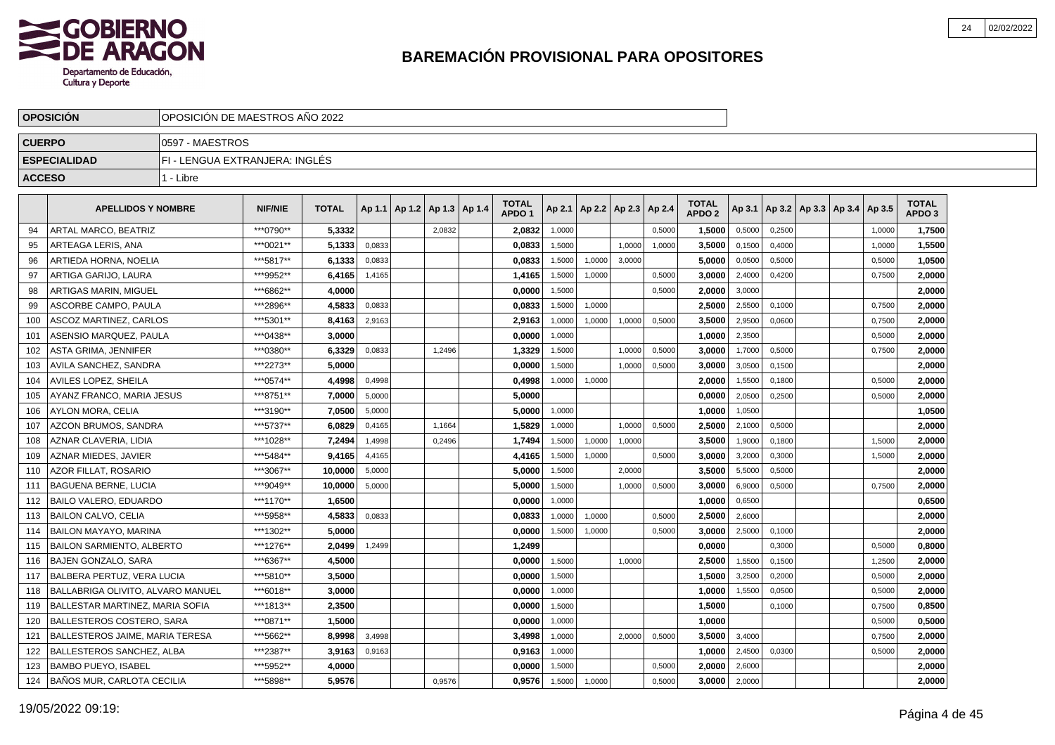

|               | <b>OPOSICION</b>                  | OPOSICION DE MAESTROS ANO 2022 |                |              |        |                                   |        |                                   |        |                          |        |        |                                   |                 |        |                                   |        |                                   |  |
|---------------|-----------------------------------|--------------------------------|----------------|--------------|--------|-----------------------------------|--------|-----------------------------------|--------|--------------------------|--------|--------|-----------------------------------|-----------------|--------|-----------------------------------|--------|-----------------------------------|--|
| <b>CUERPO</b> |                                   | 0597 - MAESTROS                |                |              |        |                                   |        |                                   |        |                          |        |        |                                   |                 |        |                                   |        |                                   |  |
|               | <b>ESPECIALIDAD</b>               | FI - LENGUA EXTRANJERA: INGLÉS |                |              |        |                                   |        |                                   |        |                          |        |        |                                   |                 |        |                                   |        |                                   |  |
| <b>ACCESO</b> |                                   | 1 - Libre                      |                |              |        |                                   |        |                                   |        |                          |        |        |                                   |                 |        |                                   |        |                                   |  |
|               | <b>APELLIDOS Y NOMBRE</b>         |                                | <b>NIF/NIE</b> | <b>TOTAL</b> |        | Ap 1.1   Ap 1.2   Ap 1.3   Ap 1.4 |        | <b>TOTAL</b><br>APDO <sub>1</sub> | Ap 2.1 | Ap 2.2   Ap 2.3   Ap 2.4 |        |        | <b>TOTAL</b><br>APDO <sub>2</sub> | Ap 3.1          |        | Ap 3.2   Ap 3.3   Ap 3.4   Ap 3.5 |        | <b>TOTAL</b><br>APDO <sub>3</sub> |  |
| 94            | ARTAL MARCO, BEATRIZ              |                                | ***0790**      | 5,3332       |        |                                   | 2,0832 | 2,0832                            | 1,0000 |                          |        | 0,5000 | 1,5000                            | 0,5000          | 0,2500 |                                   | 1,0000 | 1,7500                            |  |
| 95            | ARTEAGA LERIS, ANA                |                                | ***0021**      | 5,1333       | 0,0833 |                                   |        | 0,0833                            | 1,5000 |                          | 1.0000 | 1,0000 | 3,5000                            | 0,1500          | 0,4000 |                                   | 1,0000 | 1,5500                            |  |
| 96            | ARTIEDA HORNA, NOELIA             |                                | ***5817**      | 6,1333       | 0,0833 |                                   |        | 0,0833                            | 1,5000 | 1,0000                   | 3,0000 |        | 5.0000                            | 0,0500          | 0,5000 |                                   | 0,5000 | 1,0500                            |  |
| 97            | ARTIGA GARIJO, LAURA              |                                | ***9952**      | 6,4165       | 1,4165 |                                   |        | 1,4165                            | 1,5000 | 1,0000                   |        | 0,5000 | 3,0000                            | 2,4000          | 0,4200 |                                   | 0,7500 | 2,0000                            |  |
| 98            | ARTIGAS MARIN, MIGUEL             |                                | ***6862**      | 4,0000       |        |                                   |        | 0,0000                            | 1,5000 |                          |        | 0,5000 | 2,0000                            | 3,0000          |        |                                   |        | 2,0000                            |  |
| 99            | ASCORBE CAMPO, PAULA              |                                | ***2896**      | 4.5833       | 0,0833 |                                   |        | 0.0833                            | 1,5000 | 1,0000                   |        |        | 2.5000                            | 2,5500          | 0,1000 |                                   | 0,7500 | 2,0000                            |  |
| 100           | ASCOZ MARTINEZ, CARLOS            |                                | ***5301**      | 8,4163       | 2,9163 |                                   |        | 2,9163                            | 1,0000 | 1,0000                   | 1,0000 | 0,5000 | 3,5000                            | 2,9500          | 0,0600 |                                   | 0,7500 | 2,0000                            |  |
| 101           | ASENSIO MARQUEZ. PAULA            |                                | ***0438**      | 3,0000       |        |                                   |        | 0,0000                            | 1,0000 |                          |        |        | 1,0000                            | 2,3500          |        |                                   | 0,5000 | 2,0000                            |  |
| 102           | ASTA GRIMA, JENNIFER              |                                | ***0380**      | 6,3329       | 0,0833 |                                   | 1,2496 | 1,3329                            | 1,5000 |                          | 1,0000 | 0,5000 | 3,0000                            | 1,7000          | 0,5000 |                                   | 0,7500 | 2,0000                            |  |
| 103           | <b>AVILA SANCHEZ, SANDRA</b>      |                                | ***2273**      | 5,0000       |        |                                   |        | 0,0000                            | 1,5000 |                          | 1,0000 | 0,5000 | 3,0000                            | 3,0500          | 0,1500 |                                   |        | 2,0000                            |  |
| 104           | AVILES LOPEZ, SHEILA              |                                | ***0574**      | 4,4998       | 0,4998 |                                   |        | 0,4998                            | 1,0000 | 1,0000                   |        |        | 2,0000                            | 1,5500          | 0,1800 |                                   | 0,5000 | 2,0000                            |  |
| 105           | AYYANZ FRANCO. MARIA JESUS        |                                | ***8751**      | 7,0000       | 5,0000 |                                   |        | 5,0000                            |        |                          |        |        | 0,0000                            | 2,0500          | 0,2500 |                                   | 0,5000 | 2,0000                            |  |
| 106           | <b>AYLON MORA, CELIA</b>          |                                | ***3190**      | 7,0500       | 5,0000 |                                   |        | 5.0000                            | 1,0000 |                          |        |        | 1,0000                            | 1,0500          |        |                                   |        | 1,0500                            |  |
| 107           | AZCON BRUMOS. SANDRA              |                                | ***5737**      | 6,0829       | 0,4165 |                                   | 1,1664 | 1,5829                            | 1,0000 |                          | 1,0000 | 0,5000 | 2,5000                            | 2,1000          | 0,5000 |                                   |        | 2,0000                            |  |
| 108           | AZNAR CLAVERIA, LIDIA             |                                | ***1028**      | 7,2494       | 1,4998 |                                   | 0,2496 | 1,7494                            | 1,5000 | 1,0000                   | 1,0000 |        | 3,5000                            | 1,9000          | 0,1800 |                                   | 1,5000 | 2,0000                            |  |
| 109           | AZNAR MIEDES, JAVIER              |                                | ***5484**      | 9,4165       | 4,4165 |                                   |        | 4,4165                            | 1,5000 | 1,0000                   |        | 0,5000 | 3,0000                            | 3,2000          | 0,3000 |                                   | 1,5000 | 2,0000                            |  |
| 110           | AZOR FILLAT, ROSARIO              |                                | ***3067**      | 10,0000      | 5,0000 |                                   |        | 5,0000                            | 1,5000 |                          | 2,0000 |        | 3,5000                            | 5,5000          | 0,5000 |                                   |        | 2,0000                            |  |
| 111           | <b>BAGUENA BERNE, LUCIA</b>       |                                | ***9049**      | 10.0000      | 5,0000 |                                   |        | 5.0000                            | 1,5000 |                          | 1,0000 | 0,5000 | 3.0000                            | 6,9000          | 0.5000 |                                   | 0,7500 | 2,0000                            |  |
| 112           | <b>BAILO VALERO, EDUARDO</b>      |                                | ***1170**      | 1,6500       |        |                                   |        | 0,0000                            | 1,0000 |                          |        |        | 1.0000                            | 0,6500          |        |                                   |        | 0,6500                            |  |
| 113           | <b>BAILON CALVO, CELIA</b>        |                                | ***5958**      | 4,5833       | 0,0833 |                                   |        | 0,0833                            | 1,0000 | 1,0000                   |        | 0,5000 | 2,5000                            | 2,6000          |        |                                   |        | 2,0000                            |  |
| 114           | <b>BAILON MAYAYO, MARINA</b>      |                                | ***1302**      | 5,0000       |        |                                   |        | 0,0000                            | 1,5000 | 1,0000                   |        | 0,5000 | 3,0000                            | 2,5000          | 0,1000 |                                   |        | 2,0000                            |  |
| 115           | <b>BAILON SARMIENTO, ALBERTO</b>  |                                | ***1276**      | 2,0499       | 1,2499 |                                   |        | 1,2499                            |        |                          |        |        | 0,0000                            |                 | 0,3000 |                                   | 0,5000 | 0,8000                            |  |
| 116           | BAJEN GONZALO, SARA               |                                | ***6367**      | 4,5000       |        |                                   |        | 0,0000                            | 1,5000 |                          | 1,0000 |        | 2,5000                            | 1,5500          | 0,1500 |                                   | 1,2500 | 2,0000                            |  |
| 117           | BALBERA PERTUZ, VERA LUCIA        |                                | ***5810**      | 3.5000       |        |                                   |        | 0.0000                            | 1,5000 |                          |        |        | 1.5000                            | 3,2500          | 0,2000 |                                   | 0,5000 | 2,0000                            |  |
| 118           | BALLABRIGA OLIVITO, ALVARO MANUEL |                                | ***6018**      | 3.0000       |        |                                   |        | 0,0000                            | 1,0000 |                          |        |        | 1,0000                            | 1,5500          | 0,0500 |                                   | 0,5000 | 2,0000                            |  |
| 119           | BALLESTAR MARTINEZ, MARIA SOFIA   |                                | 2,3500         |              |        |                                   | 0,0000 | 1,5000                            |        |                          |        | 1,5000 |                                   | 0,1000          |        | 0,7500                            | 0,8500 |                                   |  |
| 120           | BALLESTEROS COSTERO, SARA         |                                | ***0871**      | 1,5000       |        |                                   |        | 0,0000                            | 1,0000 |                          |        |        | 1,0000                            |                 |        |                                   | 0,5000 | 0,5000                            |  |
| 121           | BALLESTEROS JAIME, MARIA TERESA   |                                | 8,9998         | 3,4998       |        |                                   | 3,4998 | 1,0000                            |        | 2,0000                   | 0,5000 | 3,5000 | 3,4000                            |                 |        | 0,7500                            | 2,0000 |                                   |  |
| 122           | BALLESTEROS SANCHEZ, ALBA         |                                | 3,9163         | 0,9163       |        |                                   | 0,9163 | 1,0000                            |        |                          |        | 1,0000 | 2,4500                            | 0,0300          |        | 0,5000                            | 2,0000 |                                   |  |
| 123           | BAMBO PUEYO. ISABEL               | 4,0000                         |                |              |        | 0.0000                            | 1,5000 |                                   |        | 0,5000                   | 2.0000 | 2,6000 |                                   |                 |        | 2,0000                            |        |                                   |  |
|               | 124   BAÑOS MUR, CARLOTA CECILIA  |                                | ***5898**      | 5,9576       |        |                                   | 0,9576 | 0,9576                            | 1,5000 | 1,0000                   |        | 0,5000 |                                   | $3,0000$ 2,0000 |        |                                   |        | 2,0000                            |  |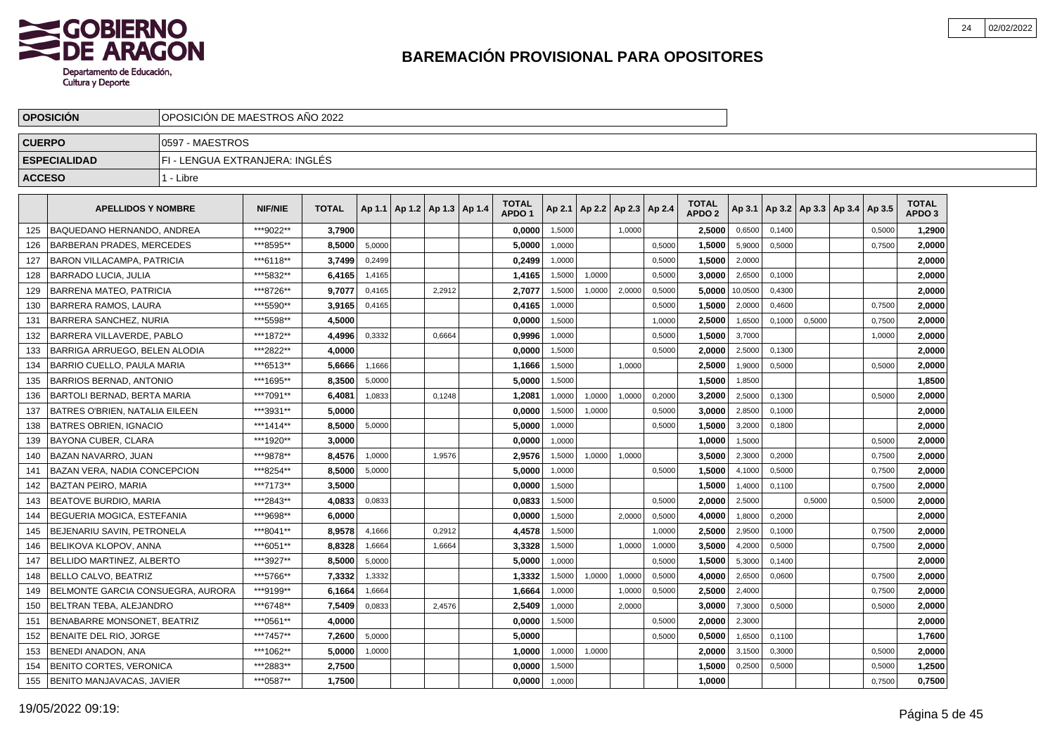

|               | <b>OPOSICION</b>                      | OPOSICION DE MAESTROS ANO 2022 |                |              |        |                                   |        |                                   |        |                          |        |        |                                   |         |        |        |                                   |        |                                   |  |
|---------------|---------------------------------------|--------------------------------|----------------|--------------|--------|-----------------------------------|--------|-----------------------------------|--------|--------------------------|--------|--------|-----------------------------------|---------|--------|--------|-----------------------------------|--------|-----------------------------------|--|
| <b>CUERPO</b> |                                       | 0597 - MAESTROS                |                |              |        |                                   |        |                                   |        |                          |        |        |                                   |         |        |        |                                   |        |                                   |  |
|               | <b>ESPECIALIDAD</b>                   | FI - LENGUA EXTRANJERA: INGLÉS |                |              |        |                                   |        |                                   |        |                          |        |        |                                   |         |        |        |                                   |        |                                   |  |
| <b>ACCESO</b> |                                       | 1 - Libre                      |                |              |        |                                   |        |                                   |        |                          |        |        |                                   |         |        |        |                                   |        |                                   |  |
|               | <b>APELLIDOS Y NOMBRE</b>             |                                | <b>NIF/NIE</b> | <b>TOTAL</b> |        | Ap 1.1   Ap 1.2   Ap 1.3   Ap 1.4 |        | <b>TOTAL</b><br>APDO <sub>1</sub> | Ap 2.1 | Ap 2.2   Ap 2.3   Ap 2.4 |        |        | <b>TOTAL</b><br>APDO <sub>2</sub> | Ap 3.1  |        |        | Ap 3.2   Ap 3.3   Ap 3.4   Ap 3.5 |        | <b>TOTAL</b><br>APDO <sub>3</sub> |  |
| 125           | BAQUEDANO HERNANDO. ANDREA            |                                | ***9022**      | 3.7900       |        |                                   |        | 0.0000                            | 1,5000 |                          | 1.0000 |        | 2.5000                            | 0,6500  | 0.1400 |        |                                   | 0,5000 | 1.2900                            |  |
| 126           | <b>BARBERAN PRADES, MERCEDES</b>      |                                | ***8595**      | 8.5000       | 5,0000 |                                   |        | 5.0000                            | 1,0000 |                          |        | 0.5000 | 1,5000                            | 5,9000  | 0.5000 |        |                                   | 0,7500 | 2,0000                            |  |
| 127           | <b>BARON VILLACAMPA, PATRICIA</b>     |                                | ***6118**      | 3,7499       | 0.2499 |                                   |        | 0,2499                            | 1.0000 |                          |        | 0,5000 | 1,5000                            | 2,0000  |        |        |                                   |        | 2,0000                            |  |
| 128           | <b>BARRADO LUCIA, JULIA</b>           |                                | ***5832**      | 6.4165       | 1,4165 |                                   |        | 1,4165                            | 1,5000 | 1,0000                   |        | 0,5000 | 3.0000                            | 2,6500  | 0,1000 |        |                                   |        | 2,0000                            |  |
| 129           | BARRENA MATEO, PATRICIA               |                                | ***8726**      | 9.7077       | 0,4165 |                                   | 2,2912 | 2,7077                            | 1,5000 | 1,0000                   | 2,0000 | 0,5000 | 5,0000                            | 10,0500 | 0,4300 |        |                                   |        | 2,0000                            |  |
| 130           | <b>BARRERA RAMOS, LAURA</b>           |                                | ***5590**      | 3,9165       | 0,4165 |                                   |        | 0,4165                            | 1,0000 |                          |        | 0,5000 | 1,5000                            | 2,0000  | 0,4600 |        |                                   | 0,7500 | 2,0000                            |  |
| 131           | BARRERA SANCHEZ, NURIA                |                                | ***5598**      | 4,5000       |        |                                   |        | 0,0000                            | 1,5000 |                          |        | 1,0000 | 2,5000                            | 1,6500  | 0,1000 | 0,5000 |                                   | 0,7500 | 2,0000                            |  |
| 132           | BARRERA VILLAVERDE, PABLO             |                                | ***1872**      | 4,4996       | 0.3332 |                                   | 0.6664 | 0.9996                            | 1.0000 |                          |        | 0,5000 | 1.5000                            | 3,7000  |        |        |                                   | 1.0000 | 2,0000                            |  |
| 133           | BARRIGA ARRUEGO. BELEN ALODIA         |                                | ***2822**      | 4,0000       |        |                                   |        | 0,0000                            | 1,5000 |                          |        | 0,5000 | 2.0000                            | 2,5000  | 0,1300 |        |                                   |        | 2,0000                            |  |
| 134           | BARRIO CUELLO. PAULA MARIA            |                                | ***6513**      | 5,6666       | 1,1666 |                                   |        | 1,1666                            | 1,5000 |                          | 1,0000 |        | 2,5000                            | 1,9000  | 0,5000 |        |                                   | 0,5000 | 2,0000                            |  |
| 135           | BARRIOS BERNAD, ANTONIO               |                                | ***1695**      | 8,3500       | 5,0000 |                                   |        | 5,0000                            | 1,5000 |                          |        |        | 1,5000                            | 1,8500  |        |        |                                   |        | 1,8500                            |  |
| 136           | BARTOLI BERNAD, BERTA MARIA           |                                | ***7091**      | 6,4081       | 1,0833 |                                   | 0,1248 | 1,2081                            | 1,0000 | 1,0000                   | 1,0000 | 0,2000 | 3,2000                            | 2,5000  | 0,1300 |        |                                   | 0,5000 | 2,0000                            |  |
| 137           | <b>BATRES O'BRIEN, NATALIA EILEEN</b> |                                | ***3931**      | 5,0000       |        |                                   |        | 0,0000                            | 1,5000 | 1,0000                   |        | 0,5000 | 3.0000                            | 2,8500  | 0,1000 |        |                                   |        | 2,0000                            |  |
| 138           | <b>BATRES OBRIEN, IGNACIO</b>         |                                | ***1414**      | 8,5000       | 5,0000 |                                   |        | 5,0000                            | 1,0000 |                          |        | 0,5000 | 1,5000                            | 3,2000  | 0,1800 |        |                                   |        | 2,0000                            |  |
| 139           | <b>BAYONA CUBER, CLARA</b>            |                                | ***1920**      | 3.0000       |        |                                   |        | 0.0000                            | 1.0000 |                          |        |        | 1.0000                            | 1,5000  |        |        |                                   | 0,5000 | 2.0000                            |  |
| 140           | <b>BAZAN NAVARRO, JUAN</b>            |                                | ***9878**      | 8.4576       | 1,0000 |                                   | 1,9576 | 2,9576                            | 1,5000 | 1,0000                   | 1.0000 |        | 3.5000                            | 2,3000  | 0.2000 |        |                                   | 0,7500 | 2,0000                            |  |
| 141           | <b>BAZAN VERA, NADIA CONCEPCION</b>   |                                | ***8254**      | 8,5000       | 5,0000 |                                   |        | 5,0000                            | 1.0000 |                          |        | 0,5000 | 1,5000                            | 4,1000  | 0.5000 |        |                                   | 0,7500 | 2,0000                            |  |
| 142           | <b>BAZTAN PEIRO, MARIA</b>            |                                | ***7173**      | 3,5000       |        |                                   |        | 0,0000                            | 1,5000 |                          |        |        | 1,5000                            | 1,4000  | 0,1100 |        |                                   | 0,7500 | 2,0000                            |  |
| 143           | <b>BEATOVE BURDIO, MARIA</b>          |                                | ***2843**      | 4,0833       | 0,0833 |                                   |        | 0,0833                            | 1,5000 |                          |        | 0,5000 | 2,0000                            | 2,5000  |        | 0,5000 |                                   | 0,5000 | 2,0000                            |  |
| 144           | BEGUERIA MOGICA, ESTEFANIA            |                                | ***9698**      | 6,0000       |        |                                   |        | 0,0000                            | 1,5000 |                          | 2,0000 | 0,5000 | 4,0000                            | 1,8000  | 0,2000 |        |                                   |        | 2,0000                            |  |
| 145           | BEJENARIU SAVIN, PETRONELA            |                                | ***8041**      | 8,9578       | 4,1666 |                                   | 0,2912 | 4,4578                            | 1,5000 |                          |        | 1,0000 | 2,5000                            | 2,9500  | 0,1000 |        |                                   | 0,7500 | 2,0000                            |  |
| 146           | BELIKOVA KLOPOV. ANNA                 |                                | ***6051**      | 8.8328       | 1.6664 |                                   | 1.6664 | 3.3328                            | 1.5000 |                          | 1.0000 | 1,0000 | 3.5000                            | 4,2000  | 0.5000 |        |                                   | 0,7500 | 2,0000                            |  |
| 147           | BELLIDO MARTINEZ, ALBERTO             |                                | ***3927**      | 8.5000       | 5,0000 |                                   |        | 5.0000                            | 1,0000 |                          |        | 0,5000 | 1.5000                            | 5,3000  | 0,1400 |        |                                   |        | 2,0000                            |  |
| 148           | BELLO CALVO. BEATRIZ                  |                                | ***5766**      | 7,3332       | 1,3332 |                                   |        | 1,3332                            | 1,5000 | 1,0000                   | 1,0000 | 0,5000 | 4,0000                            | 2,6500  | 0,0600 |        |                                   | 0,7500 | 2,0000                            |  |
| 149           | BELMONTE GARCIA CONSUEGRA, AURORA     |                                | ***9199**      | 6,1664       | 1,6664 |                                   |        | 1,6664                            | 1,0000 |                          | 1,0000 | 0,5000 | 2,5000                            | 2,4000  |        |        |                                   | 0,7500 | 2,0000                            |  |
| 150           | BELTRAN TEBA, ALEJANDRO               |                                | ***6748**      | 7,5409       | 0,0833 |                                   | 2,4576 | 2,5409                            | 1,0000 |                          | 2,0000 |        | 3,0000                            | 7,3000  | 0,5000 |        |                                   | 0,5000 | 2,0000                            |  |
| 151           | BENABARRE MONSONET, BEATRIZ           |                                | ***0561**      | 4,0000       |        |                                   |        | 0,0000                            | 1,5000 |                          |        | 0,5000 | 2,0000                            | 2,3000  |        |        |                                   |        | 2,0000                            |  |
| 152           | BENAITE DEL RIO, JORGE                |                                | ***7457**      | 7,2600       | 5,0000 |                                   |        | 5,0000                            |        |                          |        | 0,5000 | 0,5000                            | 1,6500  | 0,1100 |        |                                   |        | 1,7600                            |  |
| 153           | <b>BENEDI ANADON, ANA</b>             |                                | ***1062**      | 5,0000       | 1,0000 |                                   |        | 1.0000                            | 1,0000 | 1,0000                   |        |        | 2.0000                            | 3,1500  | 0,3000 |        |                                   | 0,5000 | 2,0000                            |  |
| 154           | <b>BENITO CORTES, VERONICA</b>        |                                | ***2883**      | 2,7500       |        |                                   |        | 0,0000                            | 1,5000 |                          |        |        | 1,5000                            | 0,2500  | 0,5000 |        |                                   | 0,5000 | 1,2500                            |  |
| 155           | BENITO MANJAVACAS, JAVIER             |                                | ***0587**      | 1.7500       |        |                                   |        | 0.0000                            | 1,0000 |                          |        |        | 1,0000                            |         |        |        |                                   | 0,7500 | 0,7500                            |  |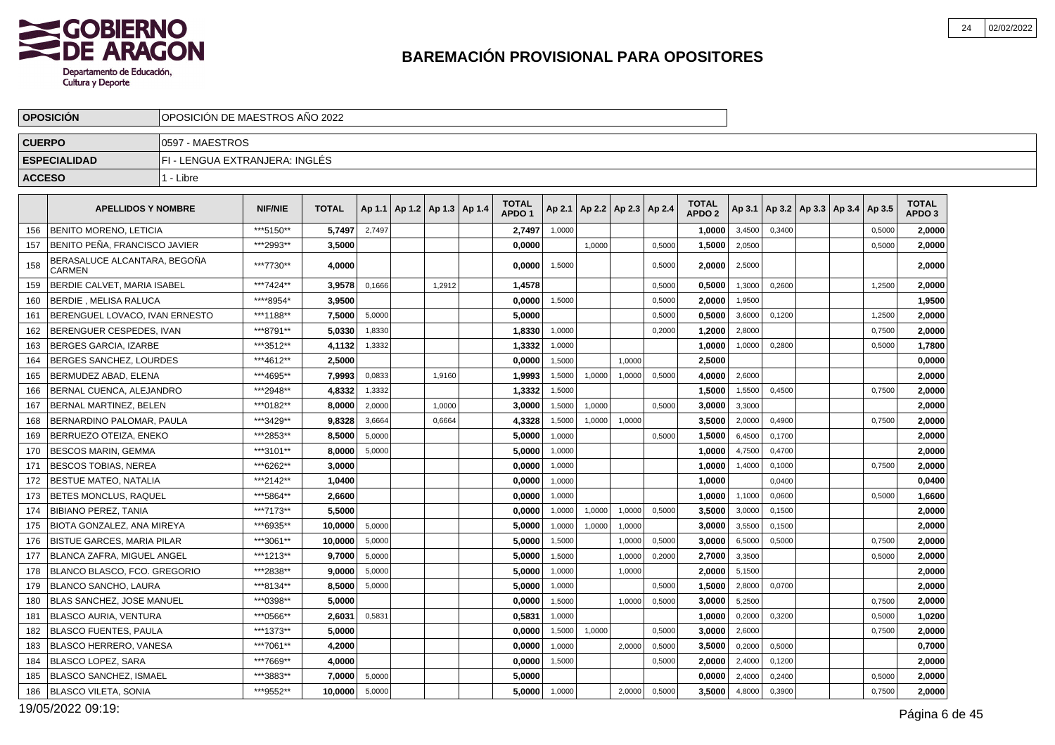

|               | <b>OPOSICION</b>                              | OPOSICION DE MAESTROS ANO 2022 |                |              |        |                                   |        |                                   |        |                                   |        |        |                                   |        |        |                                            |        |                                   |  |
|---------------|-----------------------------------------------|--------------------------------|----------------|--------------|--------|-----------------------------------|--------|-----------------------------------|--------|-----------------------------------|--------|--------|-----------------------------------|--------|--------|--------------------------------------------|--------|-----------------------------------|--|
| <b>CUERPO</b> |                                               | 0597 - MAESTROS                |                |              |        |                                   |        |                                   |        |                                   |        |        |                                   |        |        |                                            |        |                                   |  |
|               | <b>ESPECIALIDAD</b>                           | FI - LENGUA EXTRANJERA: INGLÉS |                |              |        |                                   |        |                                   |        |                                   |        |        |                                   |        |        |                                            |        |                                   |  |
| <b>ACCESO</b> |                                               | 1 - Libre                      |                |              |        |                                   |        |                                   |        |                                   |        |        |                                   |        |        |                                            |        |                                   |  |
|               | <b>APELLIDOS Y NOMBRE</b>                     |                                | <b>NIF/NIE</b> | <b>TOTAL</b> |        | Ap 1.1   Ap 1.2   Ap 1.3   Ap 1.4 |        | <b>TOTAL</b><br>APDO <sub>1</sub> |        | Ap 2.1   Ap 2.2   Ap 2.3   Ap 2.4 |        |        | <b>TOTAL</b><br>APDO <sub>2</sub> |        |        | Ap 3.1   Ap 3.2   Ap 3.3   Ap 3.4   Ap 3.5 |        | <b>TOTAL</b><br>APDO <sub>3</sub> |  |
| 156           | <b>BENITO MORENO, LETICIA</b>                 |                                | ***5150**      | 5,7497       | 2,7497 |                                   |        | 2,7497                            | 1,0000 |                                   |        |        | 1,0000                            | 3,4500 | 0,3400 |                                            | 0,5000 | 2,0000                            |  |
| 157           | BENITO PEÑA. FRANCISCO JAVIER                 |                                | ***2993**      | 3,5000       |        |                                   |        | 0,0000                            |        | 1,0000                            |        | 0,5000 | 1,5000                            | 2,0500 |        |                                            | 0,5000 | 2,0000                            |  |
| 158           | BERASALUCE ALCANTARA, BEGOÑA<br><b>CARMEN</b> |                                | ***7730**      | 4,0000       |        |                                   |        | 0,0000                            | 1,5000 |                                   |        | 0,5000 | 2,0000                            | 2,5000 |        |                                            |        | 2,0000                            |  |
| 159           | BERDIE CALVET, MARIA ISABEL                   |                                | ***7424**      | 3,9578       | 0,1666 |                                   | 1,2912 | 1,4578                            |        |                                   |        | 0,5000 | 0,5000                            | 1,3000 | 0,2600 |                                            | 1,2500 | 2,0000                            |  |
| 160           | BERDIE , MELISA RALUCA                        |                                | ****8954*      | 3,9500       |        |                                   |        | 0,0000                            | 1,5000 |                                   |        | 0,5000 | 2.0000                            | 1,9500 |        |                                            |        | 1,9500                            |  |
| 161           | BERENGUEL LOVACO, IVAN ERNESTO                |                                | ***1188**      | 7,5000       | 5.0000 |                                   |        | 5,0000                            |        |                                   |        | 0,5000 | 0,5000                            | 3,6000 | 0.1200 |                                            | 1,2500 | 2,0000                            |  |
| 162           | BERENGUER CESPEDES, IVAN                      |                                | ***8791**      | 5,0330       | 1,8330 |                                   |        | 1,8330                            | 1,0000 |                                   |        | 0,2000 | 1,2000                            | 2,8000 |        |                                            | 0,7500 | 2,0000                            |  |
| 163           | <b>BERGES GARCIA, IZARBE</b>                  |                                | ***3512**      | 4,1132       | 1,3332 |                                   |        | 1,3332                            | 1,0000 |                                   |        |        | 1,0000                            | 1,0000 | 0,2800 |                                            | 0,5000 | 1,7800                            |  |
| 164           | BERGES SANCHEZ, LOURDES                       |                                | ***4612**      | 2,5000       |        |                                   |        | 0,0000                            | 1,5000 |                                   | 1,0000 |        | 2,5000                            |        |        |                                            |        | 0,0000                            |  |
| 165           | BERMUDEZ ABAD, ELENA                          |                                | ***4695**      | 7,9993       | 0,0833 |                                   | 1,9160 | 1,9993                            | 1,5000 | 1,0000                            | 1,0000 | 0,5000 | 4.0000                            | 2,6000 |        |                                            |        | 2,0000                            |  |
| 166           | BERNAL CUENCA, ALEJANDRO                      |                                | ***2948**      | 4.8332       | 1,3332 |                                   |        | 1,3332                            | 1,5000 |                                   |        |        | 1.5000                            | 1,5500 | 0.4500 |                                            | 0.7500 | 2,0000                            |  |
| 167           | BERNAL MARTINEZ. BELEN                        |                                | ***0182**      | 8,0000       | 2,0000 |                                   | 1,0000 | 3,0000                            | 1,5000 | 1,0000                            |        | 0,5000 | 3,0000                            | 3,3000 |        |                                            |        | 2,0000                            |  |
| 168           | BERNARDINO PALOMAR, PAULA                     |                                | ***3429**      | 9,8328       | 3,6664 |                                   | 0,6664 | 4,3328                            | 1,5000 | 1,0000                            | 1,0000 |        | 3,5000                            | 2,0000 | 0,4900 |                                            | 0,7500 | 2,0000                            |  |
| 169           | BERRUEZO OTEIZA, ENEKO                        |                                | ***2853**      | 8,5000       | 5,0000 |                                   |        | 5,0000                            | 1,0000 |                                   |        | 0,5000 | 1,5000                            | 6,4500 | 0,1700 |                                            |        | 2,0000                            |  |
| 170           | <b>BESCOS MARIN, GEMMA</b>                    |                                | ***3101**      | 8.0000       | 5,0000 |                                   |        | 5.0000                            | 1,0000 |                                   |        |        | 1.0000                            | 4,7500 | 0,4700 |                                            |        | 2,0000                            |  |
| 171           | IBESCOS TOBIAS. NEREA                         |                                | ***6262**      | 3.0000       |        |                                   |        | 0,0000                            | 1,0000 |                                   |        |        | 1.0000                            | 1,4000 | 0,1000 |                                            | 0,7500 | 2,0000                            |  |
| 172           | <b>IBESTUE MATEO. NATALIA</b>                 |                                | ***2142**      | 1,0400       |        |                                   |        | 0,0000                            | 1,0000 |                                   |        |        | 1,0000                            |        | 0,0400 |                                            |        | 0,0400                            |  |
| 173           | <b>BETES MONCLUS, RAQUEL</b>                  |                                | ***5864**      | 2,6600       |        |                                   |        | 0.0000                            | 1,0000 |                                   |        |        | 1,0000                            | 1,1000 | 0,0600 |                                            | 0,5000 | 1,6600                            |  |
| 174           | <b>BIBIANO PEREZ. TANIA</b>                   |                                | ***7173**      | 5.5000       |        |                                   |        | 0.0000                            | 1,0000 | 1,0000                            | 1,0000 | 0.5000 | 3.5000                            | 3,0000 | 0,1500 |                                            |        | 2,0000                            |  |
| 175           | BIOTA GONZALEZ, ANA MIREYA                    |                                | ***6935**      | 10,0000      | 5,0000 |                                   |        | 5,0000                            | 1,0000 | 1,0000                            | 1,0000 |        | 3,0000                            | 3,5500 | 0,1500 |                                            |        | 2,0000                            |  |
| 176           | <b>BISTUE GARCES, MARIA PILAR</b>             |                                | ***3061**      | 10.0000      | 5,0000 |                                   |        | 5.0000                            | 1,5000 |                                   | 1,0000 | 0,5000 | 3.0000                            | 6,5000 | 0,5000 |                                            | 0,7500 | 2,0000                            |  |
| 177           | BLANCA ZAFRA, MIGUEL ANGEL                    |                                | ***1213**      | 9,7000       | 5,0000 |                                   |        | 5,0000                            | 1,5000 |                                   | 1,0000 | 0,2000 | 2,7000                            | 3,3500 |        |                                            | 0,5000 | 2,0000                            |  |
| 178           | BLANCO BLASCO, FCO. GREGORIO                  |                                | ***2838**      | 9,0000       | 5,0000 |                                   |        | 5,0000                            | 1,0000 |                                   | 1,0000 |        | 2,0000                            | 5,1500 |        |                                            |        | 2,0000                            |  |
| 179           | <b>BLANCO SANCHO, LAURA</b>                   |                                | ***8134**      | 8.5000       | 5,0000 |                                   |        | 5.0000                            | 1,0000 |                                   |        | 0,5000 | 1.5000                            | 2,8000 | 0,0700 |                                            |        | 2,0000                            |  |
| 180           | BLAS SANCHEZ, JOSE MANUEL                     |                                | ***0398**      | 5,0000       |        |                                   |        | 0,0000                            | 1,5000 |                                   | 1,0000 | 0,5000 | 3,0000                            | 5,2500 |        |                                            | 0,7500 | 2,0000                            |  |
| 181           | BLASCO AURIA, VENTURA                         |                                | ***0566**      | 2.6031       | 0,5831 |                                   |        | 0,5831                            | 1,0000 |                                   |        |        | 1.0000                            | 0,2000 | 0,3200 |                                            | 0,5000 | 1,0200                            |  |
| 182           | <b>BLASCO FUENTES, PAULA</b>                  |                                | ***1373**      | 5.0000       |        |                                   |        | 0.0000                            | 1,5000 | 1,0000                            |        | 0,5000 | 3.0000                            | 2,6000 |        |                                            | 0,7500 | 2,0000                            |  |
| 183           | BLASCO HERRERO, VANESA                        |                                | ***7061**      | 4,2000       |        |                                   |        | 0,0000                            | 1,0000 |                                   | 2,0000 | 0,5000 | 3,5000                            | 0,2000 | 0,5000 |                                            |        | 0,7000                            |  |
| 184           | <b>BLASCO LOPEZ, SARA</b>                     |                                | ***7669**      | 4,0000       |        |                                   |        | 0,0000                            | 1,5000 |                                   |        | 0,5000 | 2,0000                            | 2,4000 | 0,1200 |                                            |        | 2,0000                            |  |
| 185           | <b>BLASCO SANCHEZ, ISMAEL</b>                 |                                | ***3883**      | 7,0000       | 5,0000 |                                   |        | 5,0000                            |        |                                   |        |        | 0,0000                            | 2,4000 | 0,2400 |                                            | 0,5000 | 2,0000                            |  |
| 186           | <b>BLASCO VILETA, SONIA</b>                   |                                | ***9552**      | 10,0000      | 5,0000 |                                   |        | 5,0000                            | 1,0000 |                                   | 2,0000 | 0,5000 | 3,5000                            | 4,8000 | 0,3900 |                                            | 0,7500 | 2,0000                            |  |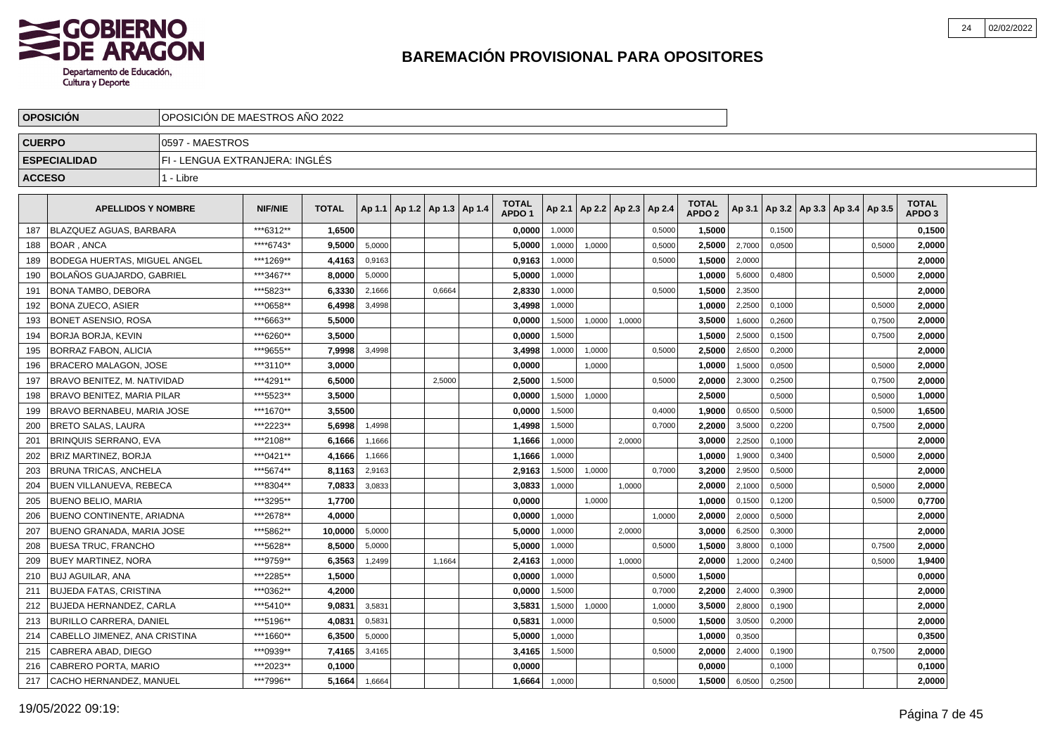

|               | <b>OPOSICION</b>                    |                                | OPOSICION DE MAESTROS ANO 2022 |              |        |                                   |        |  |                                   |        |        |                 |        |                                   |        |        |                                   |        |                                   |  |
|---------------|-------------------------------------|--------------------------------|--------------------------------|--------------|--------|-----------------------------------|--------|--|-----------------------------------|--------|--------|-----------------|--------|-----------------------------------|--------|--------|-----------------------------------|--------|-----------------------------------|--|
| <b>CUERPO</b> |                                     | 0597 - MAESTROS                |                                |              |        |                                   |        |  |                                   |        |        |                 |        |                                   |        |        |                                   |        |                                   |  |
|               | <b>ESPECIALIDAD</b>                 | FI - LENGUA EXTRANJERA: INGLÉS |                                |              |        |                                   |        |  |                                   |        |        |                 |        |                                   |        |        |                                   |        |                                   |  |
| <b>ACCESO</b> |                                     | 1 - Libre                      |                                |              |        |                                   |        |  |                                   |        |        |                 |        |                                   |        |        |                                   |        |                                   |  |
|               | <b>APELLIDOS Y NOMBRE</b>           |                                | <b>NIF/NIE</b>                 | <b>TOTAL</b> |        | Ap 1.1   Ap 1.2   Ap 1.3   Ap 1.4 |        |  | <b>TOTAL</b><br>APDO <sub>1</sub> | Ap 2.1 |        | Ap 2.2   Ap 2.3 | Ap 2.4 | <b>TOTAL</b><br>APDO <sub>2</sub> | Ap 3.1 |        | Ap 3.2   Ap 3.3   Ap 3.4   Ap 3.5 |        | <b>TOTAL</b><br>APDO <sub>3</sub> |  |
| 187           | BLAZQUEZ AGUAS, BARBARA             |                                | ***6312**                      | 1,6500       |        |                                   |        |  | 0,0000                            | 1,0000 |        |                 | 0,5000 | 1,5000                            |        | 0,1500 |                                   |        | 0,1500                            |  |
| 188           | <b>BOAR, ANCA</b>                   |                                | ****6743*                      | 9.5000       | 5,0000 |                                   |        |  | 5,0000                            | 1,0000 | 1,0000 |                 | 0,5000 | 2.5000                            | 2,7000 | 0.0500 |                                   | 0.5000 | 2.0000                            |  |
| 189           | <b>BODEGA HUERTAS, MIGUEL ANGEL</b> |                                | ***1269**                      | 4,4163       | 0,9163 |                                   |        |  | 0,9163                            | 1,0000 |        |                 | 0,5000 | 1,5000                            | 2,0000 |        |                                   |        | 2,0000                            |  |
| 190           | <b>BOLAÑOS GUAJARDO, GABRIEL</b>    |                                | ***3467**                      | 8.0000       | 5,0000 |                                   |        |  | 5,0000                            | 1,0000 |        |                 |        | 1,0000                            | 5,6000 | 0,4800 |                                   | 0,5000 | 2,0000                            |  |
| 191           | <b>BONA TAMBO, DEBORA</b>           |                                | ***5823**                      | 6,3330       | 2,1666 |                                   | 0,6664 |  | 2,8330                            | 1,0000 |        |                 | 0,5000 | 1,5000                            | 2,3500 |        |                                   |        | 2,0000                            |  |
| 192           | <b>BONA ZUECO, ASIER</b>            |                                | ***0658**                      | 6,4998       | 3,4998 |                                   |        |  | 3,4998                            | 1,0000 |        |                 |        | 1.0000                            | 2,2500 | 0,1000 |                                   | 0,5000 | 2.0000                            |  |
| 193           | BONET ASENSIO, ROSA                 |                                | ***6663**                      | 5,5000       |        |                                   |        |  | 0,0000                            | 1,5000 | 1,0000 | 1,0000          |        | 3,5000                            | 1,6000 | 0,2600 |                                   | 0,7500 | 2,0000                            |  |
| 194           | <b>BORJA BORJA. KEVIN</b>           |                                | ***6260**                      | 3,5000       |        |                                   |        |  | 0,0000                            | 1,5000 |        |                 |        | 1,5000                            | 2,5000 | 0,1500 |                                   | 0,7500 | 2,0000                            |  |
| 195           | <b>BORRAZ FABON, ALICIA</b>         |                                | ***9655**                      | 7,9998       | 3,4998 |                                   |        |  | 3,4998                            | 1,0000 | 1,0000 |                 | 0,5000 | 2,5000                            | 2,6500 | 0,2000 |                                   |        | 2,0000                            |  |
| 196           | <b>BRACERO MALAGON, JOSE</b>        |                                | ***3110**                      | 3,0000       |        |                                   |        |  | 0.0000                            |        | 1.0000 |                 |        | 1.0000                            | 1,5000 | 0.0500 |                                   | 0,5000 | 2,0000                            |  |
| 197           | I BRAVO BENITEZ. M. NATIVIDAD       |                                | ***4291**                      | 6,5000       |        |                                   | 2,5000 |  | 2,5000                            | 1,5000 |        |                 | 0,5000 | 2,0000                            | 2,3000 | 0,2500 |                                   | 0,7500 | 2,0000                            |  |
| 198           | <b>BRAVO BENITEZ, MARIA PILAR</b>   |                                | ***5523**                      | 3,5000       |        |                                   |        |  | 0,0000                            | 1,5000 | 1,0000 |                 |        | 2,5000                            |        | 0,5000 |                                   | 0,5000 | 1,0000                            |  |
| 199           | BRAVO BERNABEU, MARIA JOSE          |                                | ***1670**                      | 3,5500       |        |                                   |        |  | 0,0000                            | 1,5000 |        |                 | 0,4000 | 1,9000                            | 0,6500 | 0,5000 |                                   | 0,5000 | 1,6500                            |  |
| 200           | <b>BRETO SALAS, LAURA</b>           |                                | ***2223**                      | 5.6998       | 1,4998 |                                   |        |  | 1,4998                            | 1,5000 |        |                 | 0.7000 | 2,2000                            | 3,5000 | 0,2200 |                                   | 0,7500 | 2,0000                            |  |
| 201           | <b>BRINQUIS SERRANO. EVA</b>        |                                | ***2108**                      | 6,1666       | 1,1666 |                                   |        |  | 1,1666                            | 1,0000 |        | 2.0000          |        | 3,0000                            | 2,2500 | 0,1000 |                                   |        | 2,0000                            |  |
| 202           | <b>BRIZ MARTINEZ, BORJA</b>         |                                | ***0421**                      | 4,1666       | 1,1666 |                                   |        |  | 1,1666                            | 1,0000 |        |                 |        | 1,0000                            | 1,9000 | 0,3400 |                                   | 0,5000 | 2,0000                            |  |
| 203           | <b>BRUNA TRICAS, ANCHELA</b>        |                                | ***5674**                      | 8,1163       | 2,9163 |                                   |        |  | 2,9163                            | 1,5000 | 1,0000 |                 | 0,7000 | 3,2000                            | 2,9500 | 0,5000 |                                   |        | 2,0000                            |  |
| 204           | <b>BUEN VILLANUEVA, REBECA</b>      |                                | ***8304**                      | 7.0833       | 3,0833 |                                   |        |  | 3.0833                            | 1.0000 |        | 1.0000          |        | 2.0000                            | 2,1000 | 0,5000 |                                   | 0.5000 | 2.0000                            |  |
| 205           | <b>BUENO BELIO, MARIA</b>           |                                | ***3295**                      | 1,7700       |        |                                   |        |  | 0,0000                            |        | 1,0000 |                 |        | 1,0000                            | 0,1500 | 0.1200 |                                   | 0,5000 | 0,7700                            |  |
| 206           | <b>BUENO CONTINENTE, ARIADNA</b>    |                                | ***2678**                      | 4.0000       |        |                                   |        |  | 0.0000                            | 1,0000 |        |                 | 1,0000 | 2,0000                            | 2,0000 | 0,5000 |                                   |        | 2,0000                            |  |
| 207           | <b>BUENO GRANADA, MARIA JOSE</b>    |                                | ***5862**                      | 10,0000      | 5,0000 |                                   |        |  | 5,0000                            | 1,0000 |        | 2,0000          |        | 3,0000                            | 6,2500 | 0,3000 |                                   |        | 2,0000                            |  |
| 208           | <b>BUESA TRUC, FRANCHO</b>          |                                | ***5628**                      | 8.5000       | 5,0000 |                                   |        |  | 5.0000                            | 1,0000 |        |                 | 0,5000 | 1.5000                            | 3,8000 | 0,1000 |                                   | 0,7500 | 2.0000                            |  |
| 209           | <b>BUEY MARTINEZ, NORA</b>          |                                | ***9759**                      | 6,3563       | 1,2499 |                                   | 1,1664 |  | 2,4163                            | 1,0000 |        | 1,0000          |        | 2.0000                            | 1,2000 | 0,2400 |                                   | 0,5000 | 1,9400                            |  |
| 210           | BUJ AGUILAR, ANA                    |                                | ***2285**                      | 1,5000       |        |                                   |        |  | 0,0000                            | 1,0000 |        |                 | 0,5000 | 1,5000                            |        |        |                                   |        | 0,0000                            |  |
| 211           | <b>BUJEDA FATAS, CRISTINA</b>       |                                | ***0362**                      | 4,2000       |        |                                   |        |  | 0,0000                            | 1,5000 |        |                 | 0,7000 | 2,2000                            | 2,4000 | 0,3900 |                                   |        | 2,0000                            |  |
| 212           | <b>BUJEDA HERNANDEZ, CARLA</b>      |                                | ***5410**                      | 9,0831       | 3.5831 |                                   |        |  | 3,5831                            | 1,5000 | 1,0000 |                 | 1.0000 | 3,5000                            | 2,8000 | 0.1900 |                                   |        | 2,0000                            |  |
| 213           | BURILLO CARRERA, DANIEL             |                                | ***5196**                      | 4.0831       | 0,5831 |                                   |        |  | 0.5831                            | 1,0000 |        |                 | 0,5000 | 1,5000                            | 3,0500 | 0,2000 |                                   |        | 2,0000                            |  |
| 214           | CABELLO JIMENEZ, ANA CRISTINA       |                                | ***1660**                      | 6,3500       | 5,0000 |                                   |        |  | 5,0000                            | 1,0000 |        |                 |        | 1,0000                            | 0,3500 |        |                                   |        | 0,3500                            |  |
| 215           | CABRERA ABAD, DIEGO                 |                                | ***0939**                      | 7,4165       | 3,4165 |                                   |        |  | 3,4165                            | 1,5000 |        |                 | 0,5000 | 2,0000                            | 2,4000 | 0,1900 |                                   | 0,7500 | 2,0000                            |  |
| 216           | CABRERO PORTA, MARIO                |                                | ***2023**                      | 0,1000       |        |                                   |        |  | 0,0000                            |        |        |                 |        | 0,0000                            |        | 0,1000 |                                   |        | 0,1000                            |  |
| 217           | CACHO HERNANDEZ, MANUEL             |                                | ***7996**                      | 5.1664       | 1,6664 |                                   |        |  | 1,6664                            | 1,0000 |        |                 | 0,5000 | 1,5000                            | 6,0500 | 0,2500 |                                   |        | 2.0000                            |  |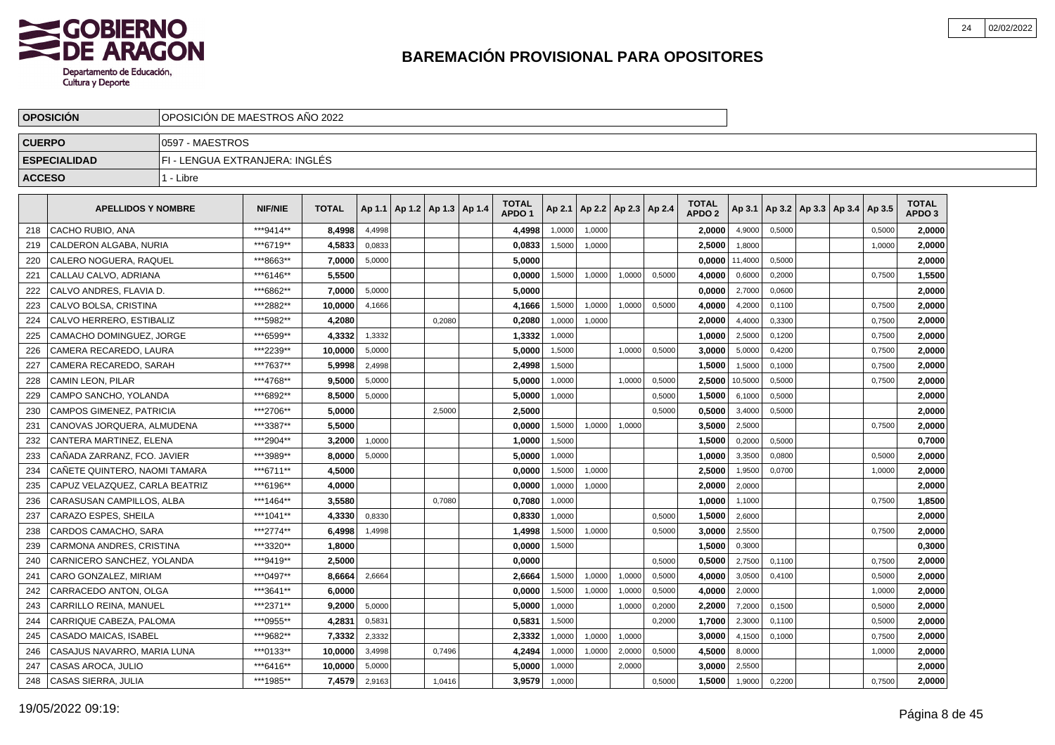

|               | <b>OPOSICION</b>                | OPOSICION DE MAESTROS ANO 2022 |                |              |        |                              |        |                                   |        |        |                          |        |                                   |                  |        |                                   |        |                                   |  |
|---------------|---------------------------------|--------------------------------|----------------|--------------|--------|------------------------------|--------|-----------------------------------|--------|--------|--------------------------|--------|-----------------------------------|------------------|--------|-----------------------------------|--------|-----------------------------------|--|
| <b>CUERPO</b> |                                 | 0597 - MAESTROS                |                |              |        |                              |        |                                   |        |        |                          |        |                                   |                  |        |                                   |        |                                   |  |
|               | <b>ESPECIALIDAD</b>             | FI - LENGUA EXTRANJERA: INGLÉS |                |              |        |                              |        |                                   |        |        |                          |        |                                   |                  |        |                                   |        |                                   |  |
| <b>ACCESO</b> |                                 | 1 - Libre                      |                |              |        |                              |        |                                   |        |        |                          |        |                                   |                  |        |                                   |        |                                   |  |
|               | <b>APELLIDOS Y NOMBRE</b>       |                                | <b>NIF/NIE</b> | <b>TOTAL</b> | Ap 1.1 | $ $ Ap 1.2   Ap 1.3   Ap 1.4 |        | <b>TOTAL</b><br>APDO <sub>1</sub> | Ap 2.1 |        | Ap 2.2   Ap 2.3   Ap 2.4 |        | <b>TOTAL</b><br>APDO <sub>2</sub> | Ap 3.1           |        | Ap 3.2   Ap 3.3   Ap 3.4   Ap 3.5 |        | <b>TOTAL</b><br>APDO <sub>3</sub> |  |
| 218           | CACHO RUBIO, ANA                |                                | ***9414**      | 8.4998       | 4,4998 |                              |        | 4,4998                            | 1,0000 | 1,0000 |                          |        | 2.00001                           | 4,9000           | 0,5000 |                                   | 0,5000 | 2,0000                            |  |
| 219           | CALDERON ALGABA, NURIA          |                                | ***6719**      | 4,5833       | 0,0833 |                              |        | 0,0833                            | 1,5000 | 1,0000 |                          |        | 2,5000                            | 1,8000           |        |                                   | 1,0000 | 2,0000                            |  |
| 220           | CALERO NOGUERA, RAQUEL          |                                | ***8663**      | 7,0000       | 5,0000 |                              |        | 5.0000                            |        |        |                          |        |                                   | $0,0000$ 11,4000 | 0,5000 |                                   |        | 2,0000                            |  |
| 221           | CALLAU CALVO, ADRIANA           |                                | ***6146**      | 5.5500       |        |                              |        | 0,0000                            | 1,5000 | 1,0000 | 1,0000                   | 0,5000 | 4,0000                            | 0,6000           | 0,2000 |                                   | 0,7500 | 1,5500                            |  |
| 222           | CALVO ANDRES, FLAVIA D.         |                                | ***6862**      | 7,0000       | 5,0000 |                              |        | 5,0000                            |        |        |                          |        | 0,0000                            | 2,7000           | 0,0600 |                                   |        | 2,0000                            |  |
| 223           | CALVO BOLSA, CRISTINA           |                                | ***2882**      | 10.0000      | 4,1666 |                              |        | 4,1666                            | 1,5000 | 1,0000 | 1,0000                   | 0,5000 | 4.0000                            | 4,2000           | 0,1100 |                                   | 0,7500 | 2,0000                            |  |
| 224           | CALVO HERRERO, ESTIBALIZ        |                                | ***5982**      | 4,2080       |        |                              | 0.2080 | 0,2080                            | 1,0000 | 1,0000 |                          |        | 2,0000                            | 4,4000           | 0,3300 |                                   | 0,7500 | 2,0000                            |  |
| 225           | CAMACHO DOMINGUEZ, JORGE        |                                | ***6599**      | 4,3332       | 1,3332 |                              |        | 1,3332                            | 1,0000 |        |                          |        | 1,0000                            | 2,5000           | 0,1200 |                                   | 0,7500 | 2,0000                            |  |
| 226           | CAMERA RECAREDO. LAURA          |                                | ***2239**      | 10,0000      | 5,0000 |                              |        | 5,0000                            | 1,5000 |        | 1,0000                   | 0,5000 | 3,0000                            | 5,0000           | 0,4200 |                                   | 0,7500 | 2,0000                            |  |
| 227           | CAMERA RECAREDO, SARAH          |                                | ***7637**      | 5,9998       | 2,4998 |                              |        | 2,4998                            | 1,5000 |        |                          |        | 1,5000                            | 1,5000           | 0,1000 |                                   | 0,7500 | 2,0000                            |  |
| 228           | CAMIN LEON, PILAR               |                                | ***4768**      | 9,5000       | 5,0000 |                              |        | 5,0000                            | 1,0000 |        | 1,0000                   | 0,5000 | 2,5000                            | 10,5000          | 0,5000 |                                   | 0,7500 | 2,0000                            |  |
| 229           | CAMPO SANCHO, YOLANDA           |                                | ***6892**      | 8,5000       | 5,0000 |                              |        | 5,0000                            | 1.0000 |        |                          | 0.5000 | 1,5000                            | 6,1000           | 0,5000 |                                   |        | 2,0000                            |  |
| 230           | <b>CAMPOS GIMENEZ, PATRICIA</b> |                                | ***2706**      | 5,0000       |        |                              | 2,5000 | 2.5000                            |        |        |                          | 0.5000 | 0.50001                           | 3,4000           | 0,5000 |                                   |        | 2,0000                            |  |
| 231           | CANOVAS JORQUERA, ALMUDENA      |                                | ***3387**      | 5.5000       |        |                              |        | 0.0000                            | 1,5000 | 1,0000 | 1,0000                   |        | 3.5000                            | 2,5000           |        |                                   | 0,7500 | 2,0000                            |  |
| 232           | CANTERA MARTINEZ, ELENA         |                                | ***2904**      | 3,2000       | 1,0000 |                              |        | 1,0000                            | 1,5000 |        |                          |        | 1,5000                            | 0,2000           | 0,5000 |                                   |        | 0,7000                            |  |
| 233           | CAÑADA ZARRANZ, FCO. JAVIER     |                                | ***3989**      | 8,0000       | 5,0000 |                              |        | 5,0000                            | 1,0000 |        |                          |        | 1,0000                            | 3,3500           | 0,0800 |                                   | 0,5000 | 2,0000                            |  |
| 234           | CAÑETE QUINTERO, NAOMI TAMARA   |                                | ***6711**      | 4,5000       |        |                              |        | 0,0000                            | 1,5000 | 1,0000 |                          |        | 2,5000                            | 1,9500           | 0,0700 |                                   | 1,0000 | 2,0000                            |  |
| 235           | CAPUZ VELAZQUEZ, CARLA BEATRIZ  |                                | ***6196**      | 4.0000       |        |                              |        | 0.0000                            | 1.0000 | 1,0000 |                          |        | 2.0000                            | 2,0000           |        |                                   |        | 2,0000                            |  |
| 236           | CARASUSAN CAMPILLOS, ALBA       |                                | ***1464**      | 3.5580       |        |                              | 0,7080 | 0,7080                            | 1,0000 |        |                          |        | 1.0000                            | 1,1000           |        |                                   | 0,7500 | 1,8500                            |  |
| 237           | CARAZO ESPES, SHEILA            |                                | ***1041**      | 4,3330       | 0,8330 |                              |        | 0,8330                            | 1,0000 |        |                          | 0,5000 | 1,5000                            | 2,6000           |        |                                   |        | 2,0000                            |  |
| 238           | CARDOS CAMACHO, SARA            |                                | ***2774**      | 6,4998       | 1,4998 |                              |        | 1,4998                            | 1,5000 | 1,0000 |                          | 0,5000 | 3,0000                            | 2,5500           |        |                                   | 0,7500 | 2,0000                            |  |
| 239           | CARMONA ANDRES, CRISTINA        |                                | ***3320**      | 1,8000       |        |                              |        | 0,0000                            | 1,5000 |        |                          |        | 1,5000                            | 0,3000           |        |                                   |        | 0,3000                            |  |
| 240           | CARNICERO SANCHEZ, YOLANDA      |                                | ***9419**      | 2,5000       |        |                              |        | 0,0000                            |        |        |                          | 0,5000 | 0,5000                            | 2,7500           | 0,1100 |                                   | 0,7500 | 2,0000                            |  |
| 241           | CARO GONZALEZ, MIRIAM           |                                | ***0497**      | 8.6664       | 2,6664 |                              |        | 2.6664                            | 1,5000 | 1,0000 | 1,0000                   | 0,5000 | 4.0000                            | 3,0500           | 0.4100 |                                   | 0,5000 | 2,0000                            |  |
| 242           | CARRACEDO ANTON, OLGA           |                                | ***3641**      | 6.0000       |        |                              |        | 0,0000                            | 1,5000 | 1,0000 | 1,0000                   | 0,5000 | 4.0000                            | 2,0000           |        |                                   | 1,0000 | 2,0000                            |  |
| 243           | CARRILLO REINA, MANUEL          |                                | ***2371**      | 9.2000       | 5,0000 |                              |        | 5,0000                            | 1,0000 |        | 1,0000                   | 0,2000 | 2,2000                            | 7,2000           | 0,1500 |                                   | 0,5000 | 2,0000                            |  |
| 244           | CARRIQUE CABEZA, PALOMA         |                                | ***0955**      | 4,2831       | 0,5831 |                              |        | 0,5831                            | 1,5000 |        |                          | 0,2000 | 1,7000                            | 2,3000           | 0,1100 |                                   | 0,5000 | 2,0000                            |  |
| 245           | CASADO MAICAS, ISABEL           |                                | ***9682**      | 7,3332       | 2,3332 |                              |        | 2,3332                            | 1,0000 | 1,0000 | 1,0000                   |        | 3,0000                            | 4,1500           | 0,1000 |                                   | 0,7500 | 2,0000                            |  |
| 246           | CASAJUS NAVARRO, MARIA LUNA     |                                | ***0133**      | 10,0000      | 3,4998 |                              | 0,7496 | 4,2494                            | 1,0000 | 1,0000 | 2,0000                   | 0,5000 | 4,5000                            | 8,0000           |        |                                   | 1,0000 | 2,0000                            |  |
| 247           | CASAS AROCA, JULIO              |                                | ***6416**      | 10,0000      | 5,0000 |                              |        | 5.0000                            | 1,0000 |        | 2,0000                   |        | 3.0000                            | 2,5500           |        |                                   |        | 2,0000                            |  |
| 248           | <b>CASAS SIERRA, JULIA</b>      |                                | ***1985**      | 7,4579       | 2,9163 |                              | 1,0416 | 3,9579                            | 1,0000 |        |                          | 0,5000 | 1,5000                            | 1,9000           | 0,2200 |                                   | 0,7500 | 2,0000                            |  |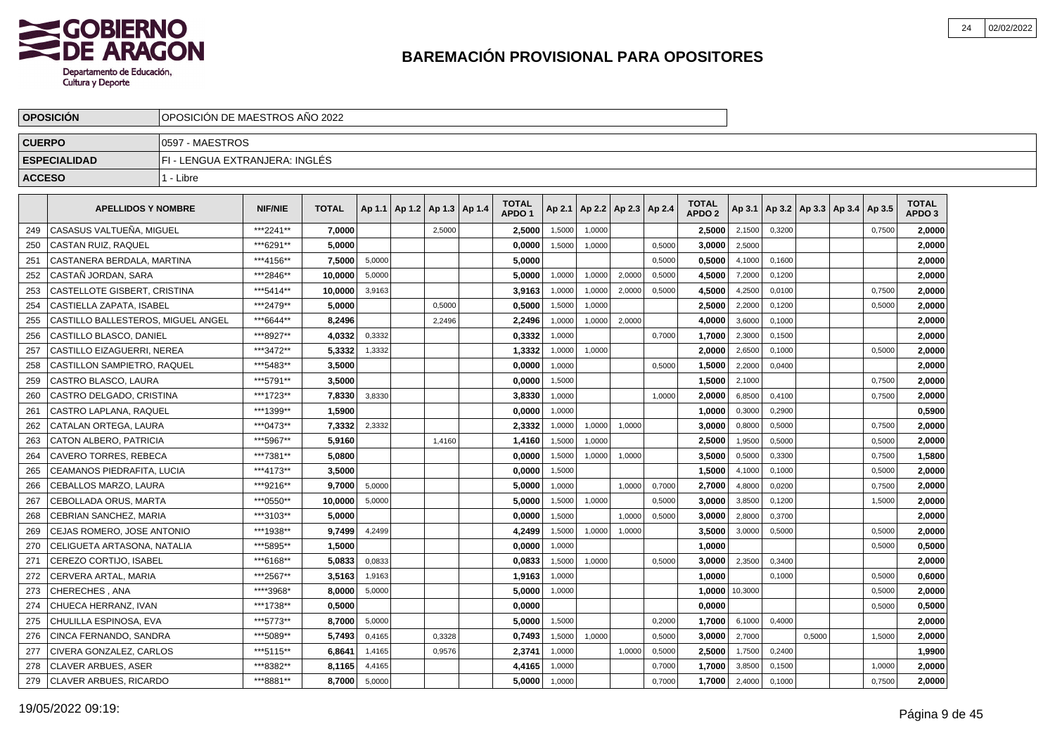

|               | <b>OPOSICION</b>                   | OPOSICION DE MAESTROS ANO 2022 |                |              |        |                          |        |                                   |        |        |                          |        |                                   |         |        |        |                                   |        |                                   |  |
|---------------|------------------------------------|--------------------------------|----------------|--------------|--------|--------------------------|--------|-----------------------------------|--------|--------|--------------------------|--------|-----------------------------------|---------|--------|--------|-----------------------------------|--------|-----------------------------------|--|
| <b>CUERPO</b> |                                    | 0597 - MAESTROS                |                |              |        |                          |        |                                   |        |        |                          |        |                                   |         |        |        |                                   |        |                                   |  |
|               | <b>ESPECIALIDAD</b>                | FI - LENGUA EXTRANJERA: INGLÉS |                |              |        |                          |        |                                   |        |        |                          |        |                                   |         |        |        |                                   |        |                                   |  |
| <b>ACCESO</b> |                                    | 1 - Libre                      |                |              |        |                          |        |                                   |        |        |                          |        |                                   |         |        |        |                                   |        |                                   |  |
|               | <b>APELLIDOS Y NOMBRE</b>          |                                | <b>NIF/NIE</b> | <b>TOTAL</b> | Ap 1.1 | Ap 1.2   Ap 1.3   Ap 1.4 |        | <b>TOTAL</b><br>APDO <sub>1</sub> | Ap 2.1 |        | Ap 2.2   Ap 2.3   Ap 2.4 |        | <b>TOTAL</b><br>APDO <sub>2</sub> | Ap 3.1  |        |        | Ap 3.2   Ap 3.3   Ap 3.4   Ap 3.5 |        | <b>TOTAL</b><br>APDO <sub>3</sub> |  |
| 249           | CASASUS VALTUEÑA, MIGUEL           |                                | ***2241**      | 7,0000       |        |                          | 2,5000 | 2,5000                            | 1,5000 | 1,0000 |                          |        | 2,5000                            | 2,1500  | 0,3200 |        |                                   | 0,7500 | 2,0000                            |  |
| 250           | CASTAN RUIZ, RAQUEL                |                                | ***6291**      | 5,0000       |        |                          |        | 0,0000                            | 1,5000 | 1,0000 |                          | 0,5000 | 3,0000                            | 2,5000  |        |        |                                   |        | 2,0000                            |  |
| 251           | CASTANERA BERDALA, MARTINA         |                                | ***4156**      | 7.5000       | 5.0000 |                          |        | 5.0000                            |        |        |                          | 0.5000 | 0.5000                            | 4,1000  | 0.1600 |        |                                   |        | 2,0000                            |  |
| 252           | CASTAÑ JORDAN, SARA                |                                | ***2846**      | 10.0000      | 5,0000 |                          |        | 5.0000                            | 1,0000 | 1,0000 | 2,0000                   | 0,5000 | 4.5000                            | 7,2000  | 0,1200 |        |                                   |        | 2.0000                            |  |
| 253           | CASTELLOTE GISBERT, CRISTINA       |                                | ***5414**      | 10.0000      | 3,9163 |                          |        | 3,9163                            | 1,0000 | 1,0000 | 2,0000                   | 0,5000 | 4.5000                            | 4,2500  | 0,0100 |        |                                   | 0,7500 | 2,0000                            |  |
| 254           | <b>CASTIELLA ZAPATA. ISABEL</b>    |                                | ***2479**      | 5.0000       |        |                          | 0,5000 | 0,5000                            | 1,5000 | 1,0000 |                          |        | 2,5000                            | 2,2000  | 0,1200 |        |                                   | 0,5000 | 2,0000                            |  |
| 255           | CASTILLO BALLESTEROS. MIGUEL ANGEL |                                | ***6644**      | 8,2496       |        |                          | 2,2496 | 2,2496                            | 1,0000 | 1,0000 | 2,0000                   |        | 4,0000                            | 3,6000  | 0,1000 |        |                                   |        | 2,0000                            |  |
| 256           | CASTILLO BLASCO, DANIEL            |                                | ***8927**      | 4,0332       | 0,3332 |                          |        | 0,3332                            | 1,0000 |        |                          | 0,7000 | 1,7000                            | 2,3000  | 0,1500 |        |                                   |        | 2,0000                            |  |
| 257           | CASTILLO EIZAGUERRI, NEREA         |                                | ***3472**      | 5,3332       | 1,3332 |                          |        | 1,3332                            | 1,0000 | 1,0000 |                          |        | 2,0000                            | 2,6500  | 0,1000 |        |                                   | 0,5000 | 2,0000                            |  |
| 258           | <b>CASTILLON SAMPIETRO, RAQUEL</b> |                                | ***5483**      | 3,5000       |        |                          |        | 0,0000                            | 1,0000 |        |                          | 0,5000 | 1,5000                            | 2,2000  | 0,0400 |        |                                   |        | 2,0000                            |  |
| 259           | CASTRO BLASCO. LAURA               |                                | ***5791**      | 3,5000       |        |                          |        | 0.0000                            | 1.5000 |        |                          |        | 1.5000                            | 2,1000  |        |        |                                   | 0,7500 | 2,0000                            |  |
| 260           | CASTRO DELGADO, CRISTINA           |                                | ***1723**      | 7,8330       | 3.8330 |                          |        | 3,8330                            | 1,0000 |        |                          | 1.0000 | 2.0000                            | 6,8500  | 0.4100 |        |                                   | 0,7500 | 2,0000                            |  |
| 261           | CASTRO LAPLANA, RAQUEL             |                                | ***1399**      | 1.5900       |        |                          |        | 0.0000                            | 1,0000 |        |                          |        | 1.0000                            | 0,3000  | 0,2900 |        |                                   |        | 0,5900                            |  |
| 262           | CATALAN ORTEGA, LAURA              |                                | ***0473**      | 7,3332       | 2,3332 |                          |        | 2.3332                            | 1,0000 | 1,0000 | 1,0000                   |        | 3.0000                            | 0,8000  | 0,5000 |        |                                   | 0,7500 | 2,0000                            |  |
| 263           | <b>CATON ALBERO, PATRICIA</b>      |                                | ***5967**      | 5.9160       |        |                          | 1,4160 | 1,4160                            | 1,5000 | 1,0000 |                          |        | 2,5000                            | 1,9500  | 0,5000 |        |                                   | 0,5000 | 2,0000                            |  |
| 264           | <b>CAVERO TORRES, REBECA</b>       |                                | ***7381**      | 5,0800       |        |                          |        | 0.0000                            | 1,5000 | 1,0000 | 1,0000                   |        | 3,5000                            | 0,5000  | 0,3300 |        |                                   | 0,7500 | 1,5800                            |  |
| 265           | CEAMANOS PIEDRAFITA, LUCIA         |                                | ***4173**      | 3,5000       |        |                          |        | 0,0000                            | 1,5000 |        |                          |        | 1,5000                            | 4,1000  | 0,1000 |        |                                   | 0,5000 | 2,0000                            |  |
| 266           | CEBALLOS MARZO, LAURA              |                                | ***9216**      | 9,7000       | 5,0000 |                          |        | 5,0000                            | 1,0000 |        | 1,0000                   | 0,7000 | 2,7000                            | 4,8000  | 0,0200 |        |                                   | 0,7500 | 2,0000                            |  |
| 267           | CEBOLLADA ORUS, MARTA              |                                | ***0550**      | 10,0000      | 5,0000 |                          |        | 5,0000                            | 1,5000 | 1,0000 |                          | 0,5000 | 3,0000                            | 3,8500  | 0,1200 |        |                                   | 1,5000 | 2,0000                            |  |
| 268           | CEBRIAN SANCHEZ, MARIA             |                                | ***3103**      | 5.0000       |        |                          |        | 0.0000                            | 1.5000 |        | 1.0000                   | 0,5000 | 3.0000                            | 2,8000  | 0,3700 |        |                                   |        | 2,0000                            |  |
| 269           | CEJAS ROMERO, JOSE ANTONIO         |                                | ***1938**      | 9.7499       | 4,2499 |                          |        | 4.2499                            | 1,5000 | 1,0000 | 1,0000                   |        | 3.5000                            | 3,0000  | 0.5000 |        |                                   | 0,5000 | 2,0000                            |  |
| 270           | CELIGUETA ARTASONA, NATALIA        |                                | ***5895**      | 1.5000       |        |                          |        | 0.0000                            | 1,0000 |        |                          |        | 1.0000                            |         |        |        |                                   | 0,5000 | 0,5000                            |  |
| 271           | CEREZO CORTIJO, ISABEL             |                                | ***6168**      | 5.0833       | 0,0833 |                          |        | 0,0833                            | 1,5000 | 1,0000 |                          | 0,5000 | 3,0000                            | 2,3500  | 0,3400 |        |                                   |        | 2,0000                            |  |
| 272           | CERVERA ARTAL, MARIA               |                                | ***2567**      | 3,5163       | 1,9163 |                          |        | 1,9163                            | 1,0000 |        |                          |        | 1.0000                            |         | 0,1000 |        |                                   | 0,5000 | 0,6000                            |  |
| 273           | CHERECHES, ANA                     |                                | ****3968*      | 8,0000       | 5,0000 |                          |        | 5,0000                            | 1,0000 |        |                          |        | 1,0000                            | 10,3000 |        |        |                                   | 0,5000 | 2,0000                            |  |
| 274           | CHUECA HERRANZ, IVAN               |                                | ***1738**      | 0,5000       |        |                          |        | 0,0000                            |        |        |                          |        | 0,0000                            |         |        |        |                                   | 0,5000 | 0,5000                            |  |
| 275           | CHULILLA ESPINOSA, EVA             |                                | ***5773**      | 8,7000       | 5,0000 |                          |        | 5,0000                            | 1,5000 |        |                          | 0,2000 | 1,7000                            | 6,1000  | 0,4000 |        |                                   |        | 2,0000                            |  |
| 276           | CINCA FERNANDO, SANDRA             |                                | ***5089**      | 5.7493       | 0,4165 |                          | 0,3328 | 0.7493                            | 1,5000 | 1.0000 |                          | 0.5000 | 3.0000                            | 2,7000  |        | 0.5000 |                                   | 1.5000 | 2,0000                            |  |
| 277           | CIVERA GONZALEZ, CARLOS            |                                | ***5115**      | 6,8641       | 1,4165 |                          | 0,9576 | 2,3741                            | 1,0000 |        | 1,0000                   | 0,5000 | 2,5000                            | 1,7500  | 0,2400 |        |                                   |        | 1,9900                            |  |
| 278           | <b>CLAVER ARBUES, ASER</b>         |                                | ***8382**      | 8.1165       | 4,4165 |                          |        | 4,4165                            | 1,0000 |        |                          | 0,7000 | 1.7000                            | 3,8500  | 0,1500 |        |                                   | 1,0000 | 2,0000                            |  |
| 279           | <b>CLAVER ARBUES, RICARDO</b>      |                                | ***8881**      | 8.7000       | 5,0000 |                          |        | 5.0000                            | 1,0000 |        |                          | 0,7000 | 1.7000                            | 2,4000  | 0,1000 |        |                                   | 0,7500 | 2,0000                            |  |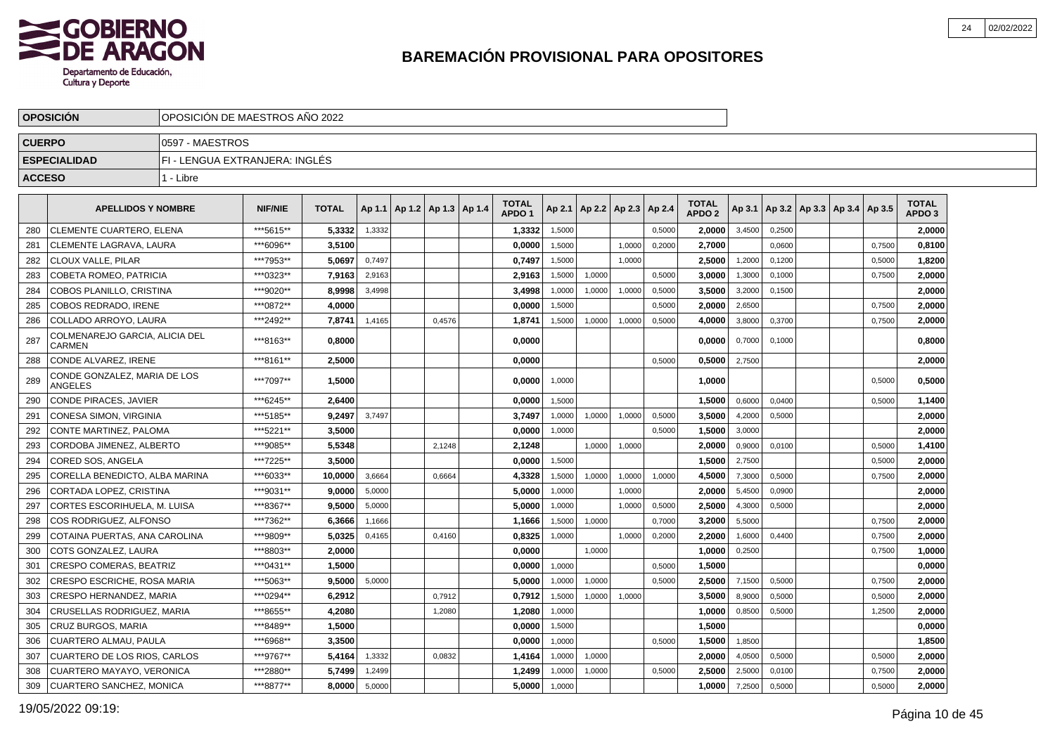

|               | <b>OPOSICION</b>                         | OPOSICION DE MAESTROS ANO 2022 |                |              |        |                                   |        |                                   |        |                          |        |        |                                   |        |        |                                   |        |                                   |  |
|---------------|------------------------------------------|--------------------------------|----------------|--------------|--------|-----------------------------------|--------|-----------------------------------|--------|--------------------------|--------|--------|-----------------------------------|--------|--------|-----------------------------------|--------|-----------------------------------|--|
| <b>CUERPO</b> |                                          | 0597 - MAESTROS                |                |              |        |                                   |        |                                   |        |                          |        |        |                                   |        |        |                                   |        |                                   |  |
|               | <b>ESPECIALIDAD</b>                      | FI - LENGUA EXTRANJERA: INGLÉS |                |              |        |                                   |        |                                   |        |                          |        |        |                                   |        |        |                                   |        |                                   |  |
| <b>ACCESO</b> |                                          | 1 - Libre                      |                |              |        |                                   |        |                                   |        |                          |        |        |                                   |        |        |                                   |        |                                   |  |
|               | <b>APELLIDOS Y NOMBRE</b>                |                                | <b>NIF/NIE</b> | <b>TOTAL</b> |        | Ap 1.1   Ap 1.2   Ap 1.3   Ap 1.4 |        | <b>TOTAL</b><br>APDO <sub>1</sub> | Ap 2.1 | Ap 2.2   Ap 2.3   Ap 2.4 |        |        | <b>TOTAL</b><br>APDO <sub>2</sub> | Ap 3.1 |        | Ap 3.2   Ap 3.3   Ap 3.4   Ap 3.5 |        | <b>TOTAL</b><br>APDO <sub>3</sub> |  |
| 280           | <b>CLEMENTE CUARTERO, ELENA</b>          |                                | ***5615**      | 5,3332       | 1,3332 |                                   |        | 1,3332                            | 1,5000 |                          |        | 0,5000 | 2,0000                            | 3,4500 | 0,2500 |                                   |        | 2,0000                            |  |
| 281           | <b>CLEMENTE LAGRAVA, LAURA</b>           |                                | ***6096**      | 3.5100       |        |                                   |        | 0.0000                            | 1,5000 |                          | 1,0000 | 0,2000 | 2.7000                            |        | 0,0600 |                                   | 0,7500 | 0,8100                            |  |
| 282           | <b>CLOUX VALLE, PILAR</b>                |                                | ***7953**      | 5.0697       | 0.7497 |                                   |        | 0.7497                            | 1,5000 |                          | 1.0000 |        | 2.5000                            | 1,2000 | 0,1200 |                                   | 0,5000 | 1.8200                            |  |
| 283           | <b>COBETA ROMEO, PATRICIA</b>            |                                | ***0323**      | 7,9163       | 2,9163 |                                   |        | 2,9163                            | 1,5000 | 1,0000                   |        | 0,5000 | 3,0000                            | 1,3000 | 0,1000 |                                   | 0,7500 | 2,0000                            |  |
| 284           | COBOS PLANILLO, CRISTINA                 |                                | ***9020**      | 8,9998       | 3,4998 |                                   |        | 3,4998                            | 1,0000 | 1,0000                   | 1,0000 | 0,5000 | 3,5000                            | 3,2000 | 0,1500 |                                   |        | 2,0000                            |  |
| 285           | <b>COBOS REDRADO, IRENE</b>              |                                | ***0872**      | 4,0000       |        |                                   |        | 0,0000                            | 1,5000 |                          |        | 0,5000 | 2,0000                            | 2,6500 |        |                                   | 0,7500 | 2,0000                            |  |
| 286           | COLLADO ARROYO, LAURA                    |                                | ***2492**      | 7,8741       | 1,4165 |                                   | 0,4576 | 1,8741                            | 1,5000 | 1,0000                   | 1,0000 | 0,5000 | 4,0000                            | 3,8000 | 0,3700 |                                   | 0,7500 | 2,0000                            |  |
| 287           | COLMENAREJO GARCIA, ALICIA DEL<br>CARMEN |                                | ***8163**      | 0.8000       |        |                                   |        | 0,0000                            |        |                          |        |        | 0.0000                            | 0,7000 | 0,1000 |                                   |        | 0,8000                            |  |
| 288           | CONDE ALVAREZ, IRENE                     |                                | ***8161**      | 2,5000       |        |                                   |        | 0,0000                            |        |                          |        | 0,5000 | 0,5000                            | 2,7500 |        |                                   |        | 2,0000                            |  |
| 289           | CONDE GONZALEZ, MARIA DE LOS<br>ANGELES  |                                | ***7097**      | 1,5000       |        |                                   |        | 0,0000                            | 1,0000 |                          |        |        | 1,0000                            |        |        |                                   | 0,5000 | 0,5000                            |  |
| 290           | <b>CONDE PIRACES, JAVIER</b>             |                                | ***6245**      | 2,6400       |        |                                   |        | 0,0000                            | 1,5000 |                          |        |        | 1,5000                            | 0,6000 | 0,0400 |                                   | 0,5000 | 1,1400                            |  |
| 291           | CONESA SIMON, VIRGINIA                   |                                | ***5185**      | 9,2497       | 3,7497 |                                   |        | 3,7497                            | 1,0000 | 1,0000                   | 1,0000 | 0,5000 | 3,5000                            | 4,2000 | 0,5000 |                                   |        | 2,0000                            |  |
| 292           | CONTE MARTINEZ, PALOMA                   |                                | ***5221**      | 3,5000       |        |                                   |        | 0,0000                            | 1,0000 |                          |        | 0,5000 | 1,5000                            | 3,0000 |        |                                   |        | 2,0000                            |  |
| 293           | CORDOBA JIMENEZ, ALBERTO                 |                                | ***9085**      | 5,5348       |        |                                   | 2,1248 | 2,1248                            |        | 1,0000                   | 1,0000 |        | 2,0000                            | 0,9000 | 0,0100 |                                   | 0,5000 | 1,4100                            |  |
| 294           | <b>CORED SOS, ANGELA</b>                 |                                | ***7225**      | 3,5000       |        |                                   |        | 0,0000                            | 1,5000 |                          |        |        | 1,5000                            | 2,7500 |        |                                   | 0,5000 | 2,0000                            |  |
| 295           | CORELLA BENEDICTO, ALBA MARINA           |                                | ***6033**      | 10,0000      | 3,6664 |                                   | 0,6664 | 4,3328                            | 1,5000 | 1,0000                   | 1,0000 | 1,0000 | 4,5000                            | 7,3000 | 0,5000 |                                   | 0,7500 | 2,0000                            |  |
| 296           | CORTADA LOPEZ, CRISTINA                  |                                | ***9031**      | 9.0000       | 5,0000 |                                   |        | 5,0000                            | 1,0000 |                          | 1,0000 |        | 2,0000                            | 5,4500 | 0,0900 |                                   |        | 2,0000                            |  |
| 297           | CORTES ESCORIHUELA, M. LUISA             |                                | ***8367**      | 9.5000       | 5,0000 |                                   |        | 5.0000                            | 1,0000 |                          | 1,0000 | 0,5000 | 2.5000                            | 4,3000 | 0,5000 |                                   |        | 2,0000                            |  |
| 298           | COS RODRIGUEZ, ALFONSO                   |                                | ***7362**      | 6.3666       | 1,1666 |                                   |        | 1,1666                            | 1,5000 | 1,0000                   |        | 0,7000 | 3.2000                            | 5,5000 |        |                                   | 0,7500 | 2,0000                            |  |
| 299           | COTAINA PUERTAS, ANA CAROLINA            |                                | ***9809**      | 5.0325       | 0.4165 |                                   | 0.4160 | 0,8325                            | 1.0000 |                          | 1,0000 | 0,2000 | 2.2000                            | 1,6000 | 0.4400 |                                   | 0.7500 | 2,0000                            |  |
| 300           | COTS GONZALEZ, LAURA                     |                                | ***8803**      | 2.0000       |        |                                   |        | 0.0000                            |        | 1,0000                   |        |        | 1.0000                            | 0,2500 |        |                                   | 0.7500 | 1,0000                            |  |
| 301           | <b>CRESPO COMERAS, BEATRIZ</b>           |                                | ***0431**      | 1.5000       |        |                                   |        | 0.0000                            | 1,0000 |                          |        | 0.5000 | 1.5000                            |        |        |                                   |        | 0.0000                            |  |
| 302           | <b>CRESPO ESCRICHE, ROSA MARIA</b>       |                                | ***5063**      | 9,5000       | 5,0000 |                                   |        | 5,0000                            | 1,0000 | 1,0000                   |        | 0,5000 | 2,5000                            | 7,1500 | 0,5000 |                                   | 0,7500 | 2,0000                            |  |
| 303           | CRESPO HERNANDEZ, MARIA                  |                                | ***0294**      | 6,2912       |        |                                   | 0,7912 | 0,7912                            | 1,5000 | 1,0000                   | 1,0000 |        | 3,5000                            | 8,9000 | 0,5000 |                                   | 0,5000 | 2,0000                            |  |
| 304           | CRUSELLAS RODRIGUEZ, MARIA               |                                | ***8655**      | 4,2080       |        |                                   | 1,2080 | 1,2080                            | 1,0000 |                          |        |        | 1,0000                            | 0,8500 | 0,5000 |                                   | 1,2500 | 2,0000                            |  |
| 305           | CRUZ BURGOS, MARIA                       |                                | ***8489**      | 1,5000       |        |                                   |        | 0,0000                            | 1,5000 |                          |        |        | 1,5000                            |        |        |                                   |        | 0,0000                            |  |
| 306           | <b>CUARTERO ALMAU, PAULA</b>             |                                | ***6968**      | 3,3500       |        |                                   |        | 0,0000                            | 1,0000 |                          |        | 0,5000 | 1,5000                            | 1,8500 |        |                                   |        | 1,8500                            |  |
| 307           | CUARTERO DE LOS RIOS, CARLOS             |                                | ***9767**      | 5,4164       | 1,3332 |                                   | 0,0832 | 1,4164                            | 1,0000 | 1,0000                   |        |        | 2,0000                            | 4,0500 | 0,5000 |                                   | 0,5000 | 2,0000                            |  |
| 308           | CUARTERO MAYAYO, VERONICA                |                                | ***2880**      | 5,7499       | 1,2499 |                                   |        | 1,2499                            | 1,0000 | 1,0000                   |        | 0,5000 | 2,5000                            | 2,5000 | 0,0100 |                                   | 0,7500 | 2,0000                            |  |
| 309           | <b>CUARTERO SANCHEZ, MONICA</b>          |                                | ***8877**      | 8.0000       | 5,0000 |                                   |        | 5.0000                            | 1,0000 |                          |        |        | 1,0000                            | 7,2500 | 0,5000 |                                   | 0,5000 | 2,0000                            |  |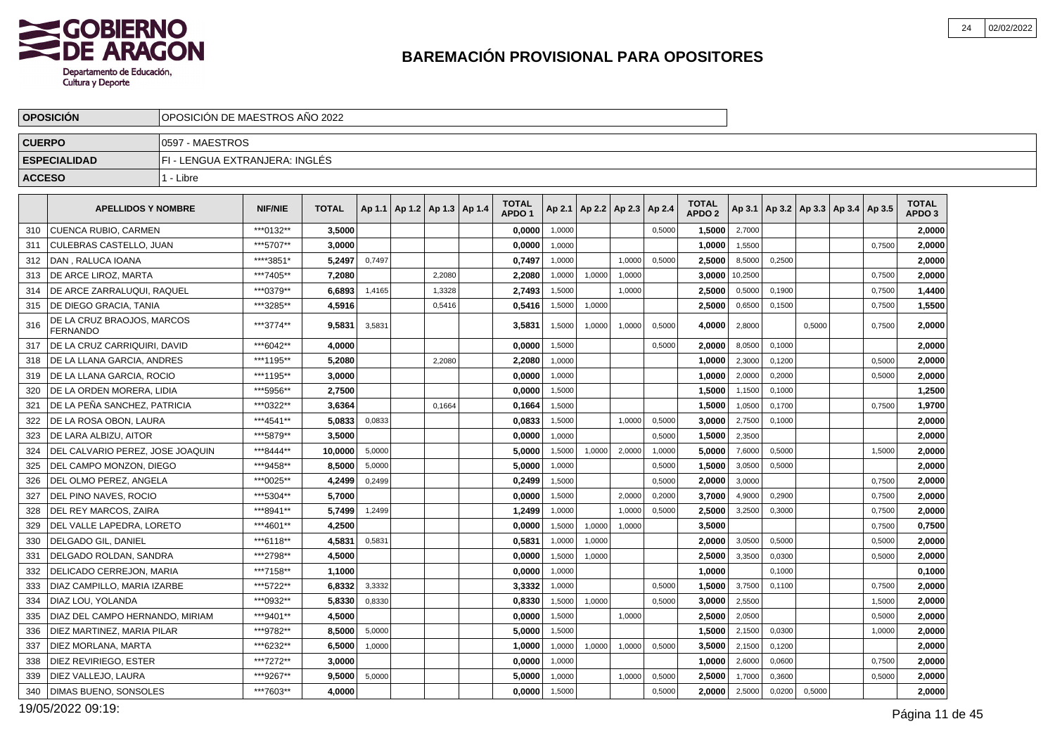

|               | <b>OPOSICION</b>                       | OPOSICION DE MAESTROS ANO 2022 |                |              |        |                                   |        |                                   |        |                          |        |        |                                   |         |        |        |                                            |        |                                   |  |
|---------------|----------------------------------------|--------------------------------|----------------|--------------|--------|-----------------------------------|--------|-----------------------------------|--------|--------------------------|--------|--------|-----------------------------------|---------|--------|--------|--------------------------------------------|--------|-----------------------------------|--|
| <b>CUERPO</b> |                                        | I0597 - MAESTROS               |                |              |        |                                   |        |                                   |        |                          |        |        |                                   |         |        |        |                                            |        |                                   |  |
|               | <b>ESPECIALIDAD</b>                    | FI - LENGUA EXTRANJERA: INGLES |                |              |        |                                   |        |                                   |        |                          |        |        |                                   |         |        |        |                                            |        |                                   |  |
| <b>ACCESO</b> |                                        | 1 - Libre                      |                |              |        |                                   |        |                                   |        |                          |        |        |                                   |         |        |        |                                            |        |                                   |  |
|               | <b>APELLIDOS Y NOMBRE</b>              |                                | <b>NIF/NIE</b> | <b>TOTAL</b> |        | Ap 1.1   Ap 1.2   Ap 1.3   Ap 1.4 |        | <b>TOTAL</b><br>APDO <sub>1</sub> | Ap 2.1 | Ap 2.2   Ap 2.3   Ap 2.4 |        |        | <b>TOTAL</b><br>APDO <sub>2</sub> |         |        |        | Ap 3.1   Ap 3.2   Ap 3.3   Ap 3.4   Ap 3.5 |        | <b>TOTAL</b><br>APDO <sub>3</sub> |  |
| 310           | <b>I CUENCA RUBIO. CARMEN</b>          |                                | ***0132**      | 3.5000       |        |                                   |        | 0.0000                            | 1,0000 |                          |        | 0,5000 | 1.5000                            | 2,7000  |        |        |                                            |        | 2.0000                            |  |
| 311           | CULEBRAS CASTELLO, JUAN                |                                | ***5707**      | 3,0000       |        |                                   |        | 0,0000                            | 1,0000 |                          |        |        | 1,0000                            | 1,5500  |        |        |                                            | 0,7500 | 2,0000                            |  |
| 312           | I DAN . RALUCA IOANA                   |                                | ****3851*      | 5,2497       | 0,7497 |                                   |        | 0,7497                            | 1,0000 |                          | 1,0000 | 0,5000 | 2,5000                            | 8,5000  | 0.2500 |        |                                            |        | 2,0000                            |  |
| 313           | DE ARCE LIROZ, MARTA                   |                                | ***7405**      | 7,2080       |        |                                   | 2,2080 | 2,2080                            | 1,0000 | 1,0000                   | 1,0000 |        | 3,0000                            | 10,2500 |        |        |                                            | 0,7500 | 2,0000                            |  |
| 314           | I DE ARCE ZARRALUQUI. RAQUEL           |                                | ***0379**      | 6,6893       | 1,4165 |                                   | 1,3328 | 2,7493                            | 1,5000 |                          | 1,0000 |        | 2,5000                            | 0,5000  | 0,1900 |        |                                            | 0,7500 | 1,4400                            |  |
| 315           | I DE DIEGO GRACIA. TANIA               |                                | ***3285**      | 4.5916       |        |                                   | 0,5416 | 0.5416                            | 1,5000 | 1,0000                   |        |        | 2.5000                            | 0,6500  | 0,1500 |        |                                            | 0,7500 | 1,5500                            |  |
| 316           | DE LA CRUZ BRAOJOS, MARCOS<br>FERNANDO |                                | ***3774**      | 9.5831       | 3,5831 |                                   |        | 3,5831                            | 1,5000 | 1,0000                   | 1.0000 | 0,5000 | 4.0000                            | 2,8000  |        | 0.5000 |                                            | 0.7500 | 2,0000                            |  |
| 317           | DE LA CRUZ CARRIQUIRI, DAVID           |                                | ***6042**      | 4,0000       |        |                                   |        | 0,0000                            | 1,5000 |                          |        | 0,5000 | 2,0000                            | 8,0500  | 0,1000 |        |                                            |        | 2,0000                            |  |
| 318           | I DE LA LLANA GARCIA. ANDRES           |                                | ***1195**      | 5.2080       |        |                                   | 2,2080 | 2,2080                            | 1,0000 |                          |        |        | 1.0000                            | 2,3000  | 0,1200 |        |                                            | 0,5000 | 2.0000                            |  |
| 319           | DE LA LLANA GARCIA, ROCIO              |                                | ***1195**      | 3,0000       |        |                                   |        | 0,0000                            | 1,0000 |                          |        |        | 1,0000                            | 2,0000  | 0,2000 |        |                                            | 0,5000 | 2,0000                            |  |
| 320           | DE LA ORDEN MORERA. LIDIA              |                                | ***5956**      | 2,7500       |        |                                   |        | 0,0000                            | 1,5000 |                          |        |        | 1,5000                            | 1,1500  | 0.1000 |        |                                            |        | 1,2500                            |  |
| 321           | I DE LA PEÑA SANCHEZ. PATRICIA         |                                | ***0322**      | 3.6364       |        |                                   | 0,1664 | 0,1664                            | 1,5000 |                          |        |        | 1.5000                            | 1,0500  | 0,1700 |        |                                            | 0,7500 | 1,9700                            |  |
| 322           | DE LA ROSA OBON, LAURA                 |                                | ***4541**      | 5,0833       | 0,0833 |                                   |        | 0,0833                            | 1,5000 |                          | 1,0000 | 0,5000 | 3,0000                            | 2,7500  | 0,1000 |        |                                            |        | 2,0000                            |  |
| 323           | DE LARA ALBIZU, AITOR                  |                                | ***5879**      | 3.5000       |        |                                   |        | 0,0000                            | 1.0000 |                          |        | 0,5000 | 1,5000                            | 2,3500  |        |        |                                            |        | 2,0000                            |  |
| 324           | I DEL CALVARIO PEREZ. JOSE JOAQUIN     |                                | ***8444**      | 10.0000      | 5,0000 |                                   |        | 5.0000                            | 1,5000 | 1,0000                   | 2,0000 | 1,0000 | 5.0000                            | 7,6000  | 0,5000 |        |                                            | 1,5000 | 2.0000                            |  |
| 325           | DEL CAMPO MONZON, DIEGO                |                                | ***9458**      | 8,5000       | 5,0000 |                                   |        | 5,0000                            | 1,0000 |                          |        | 0,5000 | 1,5000                            | 3,0500  | 0,5000 |        |                                            |        | 2,0000                            |  |
| 326           | DEL OLMO PEREZ. ANGELA                 |                                | ***0025**      | 4,2499       | 0,2499 |                                   |        | 0,2499                            | 1,5000 |                          |        | 0,5000 | 2,0000                            | 3,0000  |        |        |                                            | 0,7500 | 2,0000                            |  |
| 327           | <b>IDEL PINO NAVES. ROCIO</b>          |                                | ***5304**      | 5.7000       |        |                                   |        | 0.0000                            | 1,5000 |                          | 2,0000 | 0,2000 | 3.7000                            | 4,9000  | 0,2900 |        |                                            | 0,7500 | 2.0000                            |  |
| 328           | DEL REY MARCOS, ZAIRA                  |                                | ***8941**      | 5,7499       | 1,2499 |                                   |        | 1,2499                            | 1,0000 |                          | 1,0000 | 0,5000 | 2,5000                            | 3,2500  | 0,3000 |        |                                            | 0,7500 | 2,0000                            |  |
| 329           | DEL VALLE LAPEDRA. LORETO              |                                | ***4601**      | 4,2500       |        |                                   |        | 0,0000                            | 1,5000 | 1,0000                   | 1,0000 |        | 3,5000                            |         |        |        |                                            | 0,7500 | 0,7500                            |  |
| 330           | <b>DELGADO GIL, DANIEL</b>             |                                | ***6118**      | 4.5831       | 0.5831 |                                   |        | 0.5831                            | 1,0000 | 1,0000                   |        |        | 2.0000                            | 3,0500  | 0,5000 |        |                                            | 0,5000 | 2.0000                            |  |
| 331           | DELGADO ROLDAN, SANDRA                 |                                | ***2798**      | 4,5000       |        |                                   |        | 0,0000                            | 1,5000 | 1,0000                   |        |        | 2,5000                            | 3,3500  | 0,0300 |        |                                            | 0,5000 | 2,0000                            |  |
| 332           | DELICADO CERREJON, MARIA               |                                | ***7158**      | 1,1000       |        |                                   |        | 0,0000                            | 1.0000 |                          |        |        | 1.0000                            |         | 0.1000 |        |                                            |        | 0,1000                            |  |
| 333           | DIAZ CAMPILLO, MARIA IZARBE            |                                | ***5722**      | 6,8332       | 3,3332 |                                   |        | 3,3332                            | 1.0000 |                          |        | 0.5000 | 1,5000                            | 3,7500  | 0.1100 |        |                                            | 0.7500 | 2,0000                            |  |
| 334           | DIAZ LOU, YOLANDA                      |                                | ***0932**      | 5,8330       | 0,8330 |                                   |        | 0,8330                            | 1,5000 | 1,0000                   |        | 0,5000 | 3.0000                            | 2,5500  |        |        |                                            | 1,5000 | 2.0000                            |  |
| 335           | DIAZ DEL CAMPO HERNANDO, MIRIAM        |                                | ***9401**      | 4.5000       |        |                                   |        | 0.0000                            | 1,5000 |                          | 1,0000 |        | 2.5000                            | 2,0500  |        |        |                                            | 0,5000 | 2.0000                            |  |
| 336           | DIEZ MARTINEZ, MARIA PILAR             |                                | ***9782**      | 8,5000       | 5,0000 |                                   |        | 5,0000                            | 1,5000 |                          |        |        | 1,5000                            | 2,1500  | 0,0300 |        |                                            | 1,0000 | 2,0000                            |  |
| 337           | DIEZ MORLANA, MARTA                    |                                | ***6232**      | 6,5000       | 1,0000 |                                   |        | 1,0000                            | 1,0000 | 1,0000                   | 1,0000 | 0,5000 | 3,5000                            | 2,1500  | 0,1200 |        |                                            |        | 2,0000                            |  |
| 338           | DIEZ REVIRIEGO. ESTER                  |                                | ***7272**      | 3.0000       |        |                                   |        | 0,0000                            | 1,0000 |                          |        |        | 1.0000                            | 2,6000  | 0,0600 |        |                                            | 0,7500 | 2,0000                            |  |
| 339           | DIEZ VALLEJO, LAURA                    |                                | ***9267**      | 9,5000       | 5,0000 |                                   |        | 5,0000                            | 1,0000 |                          | 1,0000 | 0,5000 | 2,5000                            | 1,7000  | 0,3600 |        |                                            | 0,5000 | 2,0000                            |  |
| 340           | <b>IDIMAS BUENO. SONSOLES</b>          |                                | ***7603**      | 4.0000       |        |                                   |        | 0,0000                            | 1,5000 |                          |        | 0,5000 | 2.0000                            | 2,5000  | 0,0200 | 0,5000 |                                            |        | 2,0000                            |  |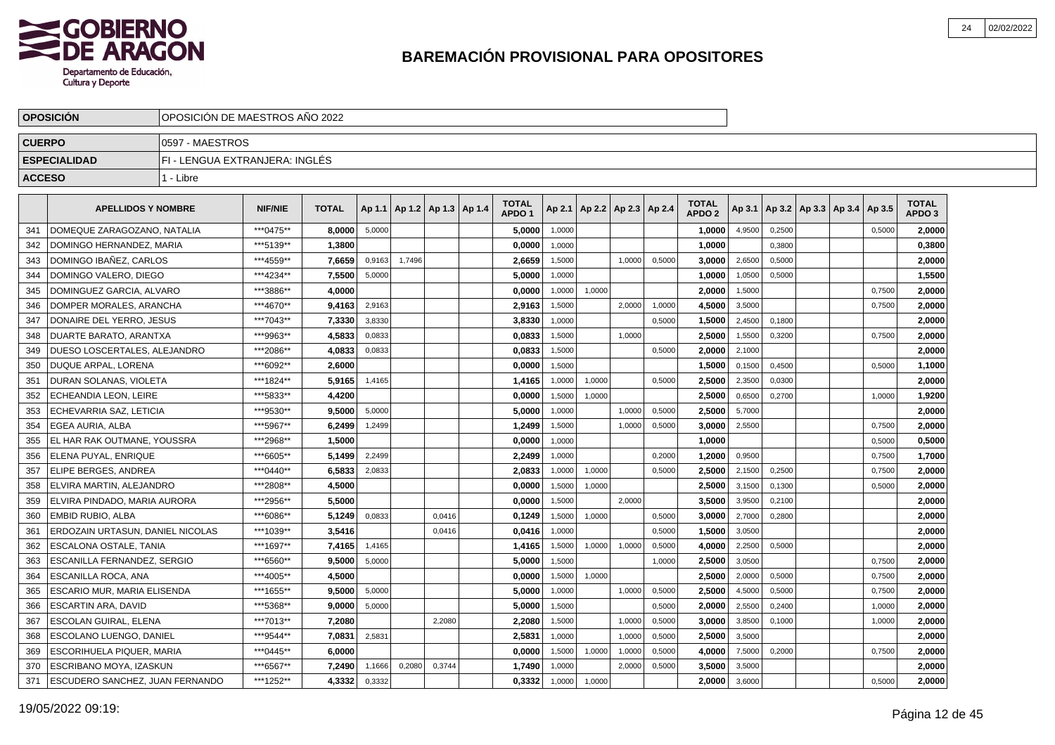

|               | <b>OPOSICION</b>                 | OPOSICION DE MAESTROS ANO 2022 |                |              |        |                          |        |                                   |        |                          |        |        |                                   |        |        |                                   |        |                                   |  |
|---------------|----------------------------------|--------------------------------|----------------|--------------|--------|--------------------------|--------|-----------------------------------|--------|--------------------------|--------|--------|-----------------------------------|--------|--------|-----------------------------------|--------|-----------------------------------|--|
| <b>CUERPO</b> |                                  | 0597 - MAESTROS                |                |              |        |                          |        |                                   |        |                          |        |        |                                   |        |        |                                   |        |                                   |  |
|               | <b>ESPECIALIDAD</b>              | FI - LENGUA EXTRANJERA: INGLÉS |                |              |        |                          |        |                                   |        |                          |        |        |                                   |        |        |                                   |        |                                   |  |
| <b>ACCESO</b> |                                  | 1 - Libre                      |                |              |        |                          |        |                                   |        |                          |        |        |                                   |        |        |                                   |        |                                   |  |
|               | <b>APELLIDOS Y NOMBRE</b>        |                                | <b>NIF/NIE</b> | <b>TOTAL</b> | Ap 1.1 | Ap 1.2   Ap 1.3   Ap 1.4 |        | <b>TOTAL</b><br>APDO <sub>1</sub> | Ap 2.1 | Ap 2.2   Ap 2.3   Ap 2.4 |        |        | <b>TOTAL</b><br>APDO <sub>2</sub> | Ap 3.1 |        | Ap 3.2   Ap 3.3   Ap 3.4   Ap 3.5 |        | <b>TOTAL</b><br>APDO <sub>3</sub> |  |
| 341           | DOMEQUE ZARAGOZANO, NATALIA      |                                | ***0475**      | 8,0000       | 5,0000 |                          |        | 5,0000                            | 1,0000 |                          |        |        | 1,0000                            | 4,9500 | 0,2500 |                                   | 0,5000 | 2,0000                            |  |
| 342           | DOMINGO HERNANDEZ, MARIA         |                                | ***5139**      | 1,3800       |        |                          |        | 0,0000                            | 1,0000 |                          |        |        | 1,0000                            |        | 0,3800 |                                   |        | 0,3800                            |  |
| 343           | DOMINGO IBAÑEZ, CARLOS           |                                | ***4559**      | 7.6659       | 0,9163 | 1,7496                   |        | 2.6659                            | 1,5000 |                          | 1.0000 | 0.5000 | 3.0000                            | 2,6500 | 0.5000 |                                   |        | 2.0000                            |  |
| 344           | DOMINGO VALERO, DIEGO            |                                | ***4234**      | 7.5500       | 5,0000 |                          |        | 5.0000                            | 1,0000 |                          |        |        | 1.0000                            | 1,0500 | 0,5000 |                                   |        | 1,5500                            |  |
| 345           | DOMINGUEZ GARCIA, ALVARO         |                                | ***3886**      | 4.0000       |        |                          |        | 0.0000                            | 1,0000 | 1,0000                   |        |        | 2.0000                            | 1,5000 |        |                                   | 0,7500 | 2,0000                            |  |
| 346           | DOMPER MORALES, ARANCHA          |                                | ***4670**      | 9,4163       | 2,9163 |                          |        | 2,9163                            | 1,5000 |                          | 2,0000 | 1,0000 | 4,5000                            | 3,5000 |        |                                   | 0,7500 | 2,0000                            |  |
| 347           | DONAIRE DEL YERRO, JESUS         |                                | ***7043**      | 7,3330       | 3,8330 |                          |        | 3,8330                            | 1,0000 |                          |        | 0,5000 | 1,5000                            | 2,4500 | 0,1800 |                                   |        | 2,0000                            |  |
| 348           | <b>DUARTE BARATO, ARANTXA</b>    |                                | ***9963**      | 4,5833       | 0,0833 |                          |        | 0,0833                            | 1,5000 |                          | 1,0000 |        | 2,5000                            | 1,5500 | 0,3200 |                                   | 0,7500 | 2,0000                            |  |
| 349           | DUESO LOSCERTALES, ALEJANDRO     |                                | ***2086**      | 4,0833       | 0,0833 |                          |        | 0,0833                            | 1,5000 |                          |        | 0,5000 | 2,0000                            | 2,1000 |        |                                   |        | 2,0000                            |  |
| 350           | DUQUE ARPAL, LORENA              |                                | ***6092**      | 2,6000       |        |                          |        | 0,0000                            | 1,5000 |                          |        |        | 1,5000                            | 0,1500 | 0,4500 |                                   | 0,5000 | 1,1000                            |  |
| 351           | DURAN SOLANAS, VIOLETA           |                                | ***1824**      | 5,9165       | 1.4165 |                          |        | 1,4165                            | 1.0000 | 1.0000                   |        | 0.5000 | 2,5000                            | 2,3500 | 0.0300 |                                   |        | 2,0000                            |  |
| 352           | <b>ECHEANDIA LEON, LEIRE</b>     |                                | ***5833**      | 4,4200       |        |                          |        | 0.0000                            | 1,5000 | 1.0000                   |        |        | 2.5000                            | 0,6500 | 0.2700 |                                   | 1.0000 | 1,9200                            |  |
| 353           | ECHEVARRIA SAZ. LETICIA          |                                | ***9530**      | 9.5000       | 5,0000 |                          |        | 5.0000                            | 1,0000 |                          | 1,0000 | 0,5000 | 2.5000                            | 5,7000 |        |                                   |        | 2,0000                            |  |
| 354           | EGEA AURIA, ALBA                 |                                | ***5967**      | 6,2499       | 1,2499 |                          |        | 1,2499                            | 1,5000 |                          | 1,0000 | 0,5000 | 3.0000                            | 2,5500 |        |                                   | 0,7500 | 2,0000                            |  |
| 355           | EL HAR RAK OUTMANE. YOUSSRA      |                                | ***2968**      | 1,5000       |        |                          |        | 0,0000                            | 1,0000 |                          |        |        | 1,0000                            |        |        |                                   | 0,5000 | 0,5000                            |  |
| 356           | ELENA PUYAL, ENRIQUE             |                                | ***6605**      | 5,1499       | 2,2499 |                          |        | 2,2499                            | 1,0000 |                          |        | 0,2000 | 1,2000                            | 0,9500 |        |                                   | 0,7500 | 1,7000                            |  |
| 357           | ELIPE BERGES, ANDREA             |                                | ***0440**      | 6,5833       | 2,0833 |                          |        | 2,0833                            | 1,0000 | 1,0000                   |        | 0,5000 | 2,5000                            | 2,1500 | 0,2500 |                                   | 0,7500 | 2,0000                            |  |
| 358           | ELVIRA MARTIN, ALEJANDRO         |                                | ***2808**      | 4,5000       |        |                          |        | 0,0000                            | 1,5000 | 1,0000                   |        |        | 2,5000                            | 3,1500 | 0,1300 |                                   | 0,5000 | 2,0000                            |  |
| 359           | ELVIRA PINDADO, MARIA AURORA     |                                | ***2956**      | 5,5000       |        |                          |        | 0,0000                            | 1,5000 |                          | 2,0000 |        | 3,5000                            | 3,9500 | 0,2100 |                                   |        | 2,0000                            |  |
| 360           | EMBID RUBIO, ALBA                |                                | ***6086**      | 5.1249       | 0.0833 |                          | 0.0416 | 0,1249                            | 1,5000 | 1,0000                   |        | 0.5000 | 3.0000                            | 2,7000 | 0.2800 |                                   |        | 2,0000                            |  |
| 361           | ERDOZAIN URTASUN. DANIEL NICOLAS |                                | ***1039**      | 3,5416       |        |                          | 0.0416 | 0.0416                            | 1,0000 |                          |        | 0,5000 | 1.5000                            | 3,0500 |        |                                   |        | 2.0000                            |  |
| 362           | ESCALONA OSTALE, TANIA           |                                | ***1697**      | 7.4165       | 1,4165 |                          |        | 1.4165                            | 1,5000 | 1,0000                   | 1,0000 | 0,5000 | 4,0000                            | 2,2500 | 0,5000 |                                   |        | 2,0000                            |  |
| 363           | ESCANILLA FERNANDEZ, SERGIO      |                                | ***6560**      | 9,5000       | 5,0000 |                          |        | 5,0000                            | 1,5000 |                          |        | 1,0000 | 2,5000                            | 3,0500 |        |                                   | 0,7500 | 2,0000                            |  |
| 364           | ESCANILLA ROCA, ANA              |                                | ***4005**      | 4,5000       |        |                          |        | 0,0000                            | 1,5000 | 1,0000                   |        |        | 2,5000                            | 2,0000 | 0,5000 |                                   | 0,7500 | 2,0000                            |  |
| 365           | ESCARIO MUR, MARIA ELISENDA      |                                | ***1655**      | 9,5000       | 5,0000 |                          |        | 5,0000                            | 1,0000 |                          | 1,0000 | 0,5000 | 2,5000                            | 4,5000 | 0,5000 |                                   | 0,7500 | 2,0000                            |  |
| 366           | <b>ESCARTIN ARA, DAVID</b>       |                                | ***5368**      | 9,0000       | 5,0000 |                          |        | 5,0000                            | 1,5000 |                          |        | 0,5000 | 2,0000                            | 2,5500 | 0,2400 |                                   | 1,0000 | 2,0000                            |  |
| 367           | <b>ESCOLAN GUIRAL, ELENA</b>     |                                | ***7013**      | 7,2080       |        |                          | 2,2080 | 2,2080                            | 1,5000 |                          | 1,0000 | 0,5000 | 3,0000                            | 3,8500 | 0,1000 |                                   | 1,0000 | 2,0000                            |  |
| 368           | ESCOLANO LUENGO. DANIEL          |                                | ***9544**      | 7,0831       | 2,5831 |                          |        | 2.5831                            | 1.0000 |                          | 1.0000 | 0,5000 | 2,5000                            | 3,5000 |        |                                   |        | 2,0000                            |  |
| 369           | ESCORIHUELA PIQUER, MARIA        |                                | *** 0445**     | 6,0000       |        |                          |        | 0,0000                            | 1,5000 | 1,0000                   | 1,0000 | 0,5000 | 4,0000                            | 7,5000 | 0,2000 |                                   | 0,7500 | 2,0000                            |  |
| 370           | ESCRIBANO MOYA. IZASKUN          |                                | ***6567**      | 7,2490       | 1,1666 | 0,2080                   | 0,3744 | 1,7490                            | 1,0000 |                          | 2,0000 | 0,5000 | 3.5000                            | 3,5000 |        |                                   |        | 2,0000                            |  |
| 371           | ESCUDERO SANCHEZ. JUAN FERNANDO  |                                | ***1252**      | 4,3332       | 0,3332 |                          |        | 0.3332                            | 1,0000 | 1,0000                   |        |        | 2,0000                            | 3,6000 |        |                                   | 0,5000 | 2,0000                            |  |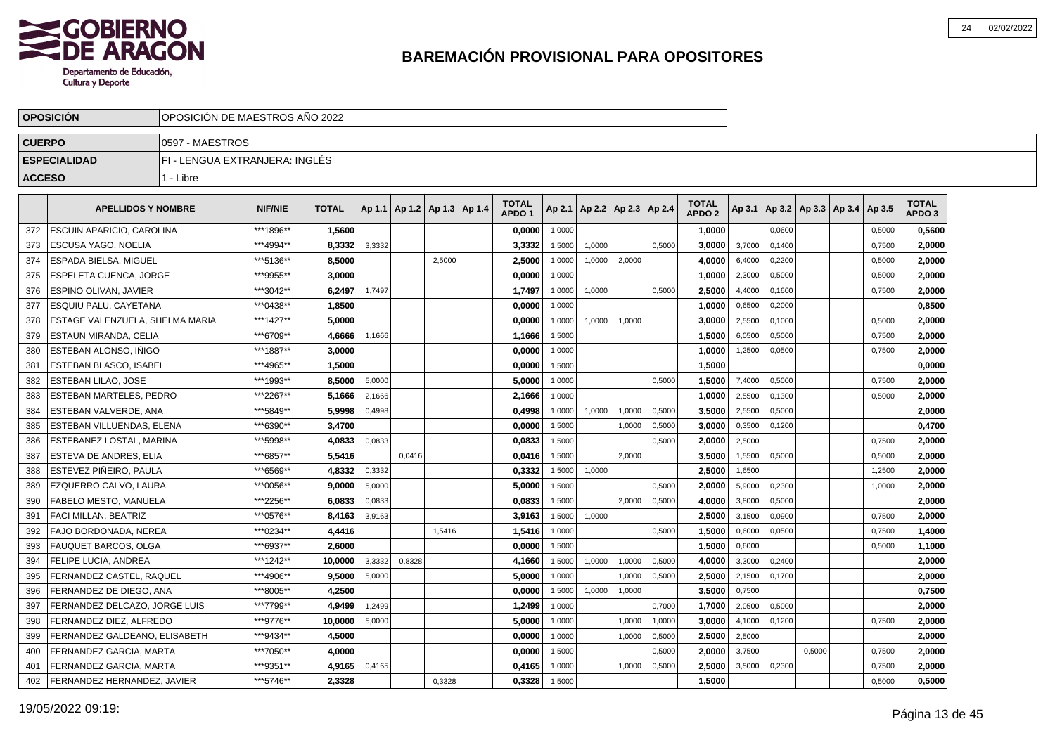

|               | <b>OPOSICION</b>                | OPOSICIÓN DE MAESTROS AÑO 2022 |                |              |        |                                   |        |                                   |        |        |                          |        |                                   |        |        |        |                                   |        |                                   |  |
|---------------|---------------------------------|--------------------------------|----------------|--------------|--------|-----------------------------------|--------|-----------------------------------|--------|--------|--------------------------|--------|-----------------------------------|--------|--------|--------|-----------------------------------|--------|-----------------------------------|--|
| <b>CUERPO</b> |                                 | 0597 - MAESTROS                |                |              |        |                                   |        |                                   |        |        |                          |        |                                   |        |        |        |                                   |        |                                   |  |
|               | <b>ESPECIALIDAD</b>             | FI - LENGUA EXTRANJERA: INGLÉS |                |              |        |                                   |        |                                   |        |        |                          |        |                                   |        |        |        |                                   |        |                                   |  |
| <b>ACCESO</b> |                                 | 1 - Libre                      |                |              |        |                                   |        |                                   |        |        |                          |        |                                   |        |        |        |                                   |        |                                   |  |
|               |                                 |                                |                |              |        |                                   |        |                                   |        |        |                          |        |                                   |        |        |        |                                   |        |                                   |  |
|               | <b>APELLIDOS Y NOMBRE</b>       |                                | <b>NIF/NIE</b> | <b>TOTAL</b> |        | Ap 1.1   Ap 1.2   Ap 1.3   Ap 1.4 |        | <b>TOTAL</b><br>APDO <sub>1</sub> | Ap 2.1 |        | Ap 2.2   Ap 2.3   Ap 2.4 |        | <b>TOTAL</b><br>APDO <sub>2</sub> | Ap 3.1 |        |        | Ap 3.2   Ap 3.3   Ap 3.4   Ap 3.5 |        | <b>TOTAL</b><br>APDO <sub>3</sub> |  |
| 372           | ESCUIN APARICIO, CAROLINA       |                                | ***1896**      | 1.5600       |        |                                   |        | 0.0000                            | 1,0000 |        |                          |        | 1.0000                            |        | 0,0600 |        |                                   | 0,5000 | 0.5600                            |  |
| 373           | ESCUSA YAGO, NOELIA             |                                | ***4994**      | 8,3332       | 3,3332 |                                   |        | 3,3332                            | 1,5000 | 1,0000 |                          | 0.5000 | 3,0000                            | 3,7000 | 0.1400 |        |                                   | 0,7500 | 2,0000                            |  |
| 374           | ESPADA BIELSA, MIGUEL           |                                | ***5136**      | 8.5000       |        |                                   | 2.5000 | 2,5000                            | 1,0000 | 1,0000 | 2,0000                   |        | 4.0000                            | 6,4000 | 0.2200 |        |                                   | 0,5000 | 2,0000                            |  |
| 375           | ESPELETA CUENCA, JORGE          |                                | ***9955**      | 3.0000       |        |                                   |        | 0.0000                            | 1,0000 |        |                          |        | 1,0000                            | 2,3000 | 0,5000 |        |                                   | 0,5000 | 2,0000                            |  |
| 376           | ESPINO OLIVAN, JAVIER           |                                | ***3042**      | 6,2497       | 1,7497 |                                   |        | 1,7497                            | 1,0000 | 1,0000 |                          | 0,5000 | 2,5000                            | 4,4000 | 0,1600 |        |                                   | 0,7500 | 2,0000                            |  |
| 377           | ESQUIU PALU, CAYETANA           |                                | ***0438**      | 1,8500       |        |                                   |        | 0,0000                            | 1,0000 |        |                          |        | 1,0000                            | 0,6500 | 0,2000 |        |                                   |        | 0,8500                            |  |
| 378           | ESTAGE VALENZUELA, SHELMA MARIA |                                | ***1427**      | 5,0000       |        |                                   |        | 0,0000                            | 1,0000 | 1,0000 | 1,0000                   |        | 3,0000                            | 2,5500 | 0,1000 |        |                                   | 0,5000 | 2,0000                            |  |
| 379           | <b>ESTAUN MIRANDA, CELIA</b>    |                                | ***6709**      | 4.6666       | 1,1666 |                                   |        | 1,1666                            | 1,5000 |        |                          |        | 1,5000                            | 6,0500 | 0,5000 |        |                                   | 0,7500 | 2,0000                            |  |
| 380           | ESTEBAN ALONSO. IÑIGO           |                                | ***1887**      | 3.0000       |        |                                   |        | 0.0000                            | 1,0000 |        |                          |        | 1,0000                            | 1,2500 | 0,0500 |        |                                   | 0,7500 | 2,0000                            |  |
| 381           | ESTEBAN BLASCO, ISABEL          |                                | ***4965**      | 1,5000       |        |                                   |        | 0,0000                            | 1,5000 |        |                          |        | 1,5000                            |        |        |        |                                   |        | 0,0000                            |  |
| 382           | ESTEBAN LILAO, JOSE             |                                | ***1993**      | 8,5000       | 5,0000 |                                   |        | 5,0000                            | 1,0000 |        |                          | 0,5000 | 1,5000                            | 7,4000 | 0,5000 |        |                                   | 0,7500 | 2,0000                            |  |
| 383           | <b>ESTEBAN MARTELES, PEDRO</b>  |                                | ***2267**      | 5,1666       | 2,1666 |                                   |        | 2,1666                            | 1,0000 |        |                          |        | 1,0000                            | 2,5500 | 0,1300 |        |                                   | 0,5000 | 2,0000                            |  |
| 384           | ESTEBAN VALVERDE, ANA           |                                | ***5849**      | 5,9998       | 0,4998 |                                   |        | 0,4998                            | 1,0000 | 1,0000 | 1,0000                   | 0,5000 | 3,5000                            | 2,5500 | 0,5000 |        |                                   |        | 2,0000                            |  |
| 385           | ESTEBAN VILLUENDAS, ELENA       |                                | ***6390**      | 3,4700       |        |                                   |        | 0,0000                            | 1,5000 |        | 1,0000                   | 0,5000 | 3,0000                            | 0,3500 | 0,1200 |        |                                   |        | 0,4700                            |  |
| 386           | ESTEBANEZ LOSTAL, MARINA        |                                | ***5998**      | 4.0833       | 0.0833 |                                   |        | 0.0833                            | 1,5000 |        |                          | 0,5000 | 2.0000                            | 2.5000 |        |        |                                   | 0.7500 | 2.0000                            |  |
| 387           | ESTEVA DE ANDRES. ELIA          |                                | ***6857**      | 5.5416       |        | 0.0416                            |        | 0.0416                            | 1.5000 |        | 2.0000                   |        | 3.5000                            | 1,5500 | 0,5000 |        |                                   | 0.5000 | 2,0000                            |  |
| 388           | ESTEVEZ PIÑEIRO. PAULA          |                                | ***6569**      | 4.8332       | 0,3332 |                                   |        | 0,3332                            | 1,5000 | 1,0000 |                          |        | 2,5000                            | 1,6500 |        |        |                                   | 1,2500 | 2,0000                            |  |
| 389           | EZQUERRO CALVO. LAURA           |                                | ***0056**      | 9.0000       | 5,0000 |                                   |        | 5.0000                            | 1,5000 |        |                          | 0,5000 | 2.0000                            | 5,9000 | 0,2300 |        |                                   | 1,0000 | 2,0000                            |  |
| 390           | FABELO MESTO, MANUELA           |                                | ***2256**      | 6,0833       | 0,0833 |                                   |        | 0,0833                            | 1,5000 |        | 2,0000                   | 0,5000 | 4,0000                            | 3,8000 | 0,5000 |        |                                   |        | 2,0000                            |  |
| 391           | FACI MILLAN, BEATRIZ            |                                | ***0576**      | 8,4163       | 3,9163 |                                   |        | 3,9163                            | 1,5000 | 1,0000 |                          |        | 2,5000                            | 3,1500 | 0,0900 |        |                                   | 0,7500 | 2,0000                            |  |
| 392           | FAJO BORDONADA, NEREA           |                                | ***0234**      | 4,4416       |        |                                   | 1,5416 | 1,5416                            | 1,0000 |        |                          | 0,5000 | 1,5000                            | 0,6000 | 0,0500 |        |                                   | 0,7500 | 1,4000                            |  |
| 393           | <b>FAUQUET BARCOS, OLGA</b>     |                                | ***6937**      | 2.6000       |        |                                   |        | 0.0000                            | 1,5000 |        |                          |        | 1.5000                            | 0,6000 |        |        |                                   | 0,5000 | 1,1000                            |  |
| 394           | <b>FELIPE LUCIA, ANDREA</b>     |                                | ***1242**      | 10.0000      | 3,3332 | 0,8328                            |        | 4.1660                            | 1,5000 | 1,0000 | 1,0000                   | 0,5000 | 4.0000                            | 3,3000 | 0,2400 |        |                                   |        | 2,0000                            |  |
| 395           | FERNANDEZ CASTEL, RAQUEL        |                                | ***4906**      | 9,5000       | 5,0000 |                                   |        | 5,0000                            | 1,0000 |        | 1,0000                   | 0,5000 | 2,5000                            | 2,1500 | 0,1700 |        |                                   |        | 2,0000                            |  |
| 396           | FERNANDEZ DE DIEGO, ANA         |                                | ***8005**      | 4,2500       |        |                                   |        | 0,0000                            | 1,5000 | 1,0000 | 1,0000                   |        | 3,5000                            | 0,7500 |        |        |                                   |        | 0,7500                            |  |
| 397           | FERNANDEZ DELCAZO, JORGE LUIS   |                                | ***7799**      | 4,9499       | 1,2499 |                                   |        | 1,2499                            | 1,0000 |        |                          | 0,7000 | 1,7000                            | 2,0500 | 0,5000 |        |                                   |        | 2,0000                            |  |
| 398           | FERNANDEZ DIEZ, ALFREDO         |                                | ***9776**      | 10,0000      | 5,0000 |                                   |        | 5,0000                            | 1,0000 |        | 1,0000                   | 1,0000 | 3,0000                            | 4,1000 | 0,1200 |        |                                   | 0,7500 | 2,0000                            |  |
| 399           | FERNANDEZ GALDEANO, ELISABETH   |                                | ***9434**      | 4,5000       |        |                                   |        | 0,0000                            | 1,0000 |        | 1,0000                   | 0,5000 | 2,5000                            | 2,5000 |        |        |                                   |        | 2,0000                            |  |
| 400           | FERNANDEZ GARCIA, MARTA         |                                | ***7050**      | 4.0000       |        |                                   |        | 0.0000                            | 1,5000 |        |                          | 0,5000 | 2.0000                            | 3,7500 |        | 0.5000 |                                   | 0,7500 | 2,0000                            |  |
| 401           | FERNANDEZ GARCIA, MARTA         |                                | ***9351**      | 4,9165       | 0,4165 |                                   |        | 0,4165                            | 1,0000 |        | 1.0000                   | 0,5000 | 2,5000                            | 3,5000 | 0,2300 |        |                                   | 0.7500 | 2,0000                            |  |
| 402           | FERNANDEZ HERNANDEZ, JAVIER     |                                | ***5746**      | 2.3328       |        |                                   | 0,3328 | 0,3328                            | 1,5000 |        |                          |        | 1,5000                            |        |        |        |                                   | 0,5000 | 0,5000                            |  |
|               |                                 |                                |                |              |        |                                   |        |                                   |        |        |                          |        |                                   |        |        |        |                                   |        |                                   |  |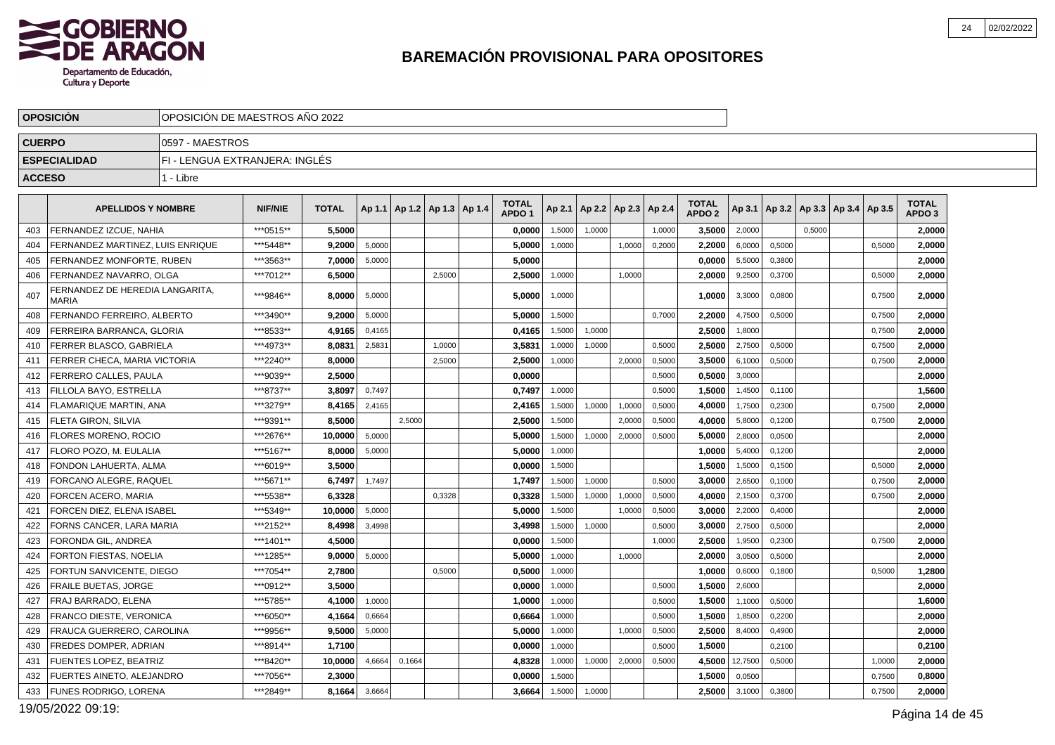

|               | <b>OPOSICION</b>                         |                                | OPOSICION DE MAESTROS ANO 2022 |              |        |                                   |        |  |                                   |        |                          |        |        |                                   |         |        |                                            |        |                                   |  |
|---------------|------------------------------------------|--------------------------------|--------------------------------|--------------|--------|-----------------------------------|--------|--|-----------------------------------|--------|--------------------------|--------|--------|-----------------------------------|---------|--------|--------------------------------------------|--------|-----------------------------------|--|
| <b>CUERPO</b> |                                          | 10597 - MAESTROS               |                                |              |        |                                   |        |  |                                   |        |                          |        |        |                                   |         |        |                                            |        |                                   |  |
|               | <b>ESPECIALIDAD</b>                      | FI - LENGUA EXTRANJERA: INGLÉS |                                |              |        |                                   |        |  |                                   |        |                          |        |        |                                   |         |        |                                            |        |                                   |  |
| <b>ACCESO</b> |                                          | 1 - Libre                      |                                |              |        |                                   |        |  |                                   |        |                          |        |        |                                   |         |        |                                            |        |                                   |  |
|               | <b>APELLIDOS Y NOMBRE</b>                |                                | <b>NIF/NIE</b>                 | <b>TOTAL</b> |        | Ap 1.1   Ap 1.2   Ap 1.3   Ap 1.4 |        |  | <b>TOTAL</b><br>APDO <sub>1</sub> | Ap 2.1 | Ap 2.2   Ap 2.3   Ap 2.4 |        |        | <b>TOTAL</b><br>APDO <sub>2</sub> |         |        | Ap 3.1   Ap 3.2   Ap 3.3   Ap 3.4   Ap 3.5 |        | <b>TOTAL</b><br>APDO <sub>3</sub> |  |
| 403           | FERNANDEZ IZCUE, NAHIA                   |                                | ***0515**                      | 5,5000       |        |                                   |        |  | 0,0000                            | 1,5000 | 1,0000                   |        | 1,0000 | 3,5000                            | 2,0000  |        | 0,5000                                     |        | 2,0000                            |  |
| 404           | FERNANDEZ MARTINEZ. LUIS ENRIQUE         |                                | *** 5448**                     | 9.2000       | 5,0000 |                                   |        |  | 5,0000                            | 1,0000 |                          | 1,0000 | 0,2000 | 2.2000                            | 6,0000  | 0,5000 |                                            | 0,5000 | 2,0000                            |  |
| 405           | FERNANDEZ MONFORTE, RUBEN                |                                | ***3563**                      | 7.0000       | 5,0000 |                                   |        |  | 5.0000                            |        |                          |        |        | 0.0000                            | 5,5000  | 0.3800 |                                            |        | 2.0000                            |  |
| 406           | FERNANDEZ NAVARRO, OLGA                  |                                | ***7012**                      | 6,5000       |        |                                   | 2,5000 |  | 2,5000                            | 1,0000 |                          | 1,0000 |        | 2,0000                            | 9,2500  | 0,3700 |                                            | 0,5000 | 2,0000                            |  |
| 407           | FERNANDEZ DE HEREDIA LANGARITA.<br>MARIA |                                | ***9846**                      | 8,0000       | 5,0000 |                                   |        |  | 5,0000                            | 1,0000 |                          |        |        | 1,0000                            | 3,3000  | 0,0800 |                                            | 0,7500 | 2,0000                            |  |
| 408           | FERNANDO FERREIRO, ALBERTO               |                                | ***3490**                      | 9,2000       | 5,0000 |                                   |        |  | 5,0000                            | 1.5000 |                          |        | 0,7000 | 2,2000                            | 4,7500  | 0.5000 |                                            | 0,7500 | 2,0000                            |  |
| 409           | FERREIRA BARRANCA, GLORIA                |                                | ***8533**                      | 4,9165       | 0,4165 |                                   |        |  | 0,4165                            | 1,5000 | 1,0000                   |        |        | 2,5000                            | 1,8000  |        |                                            | 0,7500 | 2,0000                            |  |
| 410           | FERRER BLASCO, GABRIELA                  |                                | ***4973**                      | 8,0831       | 2,5831 |                                   | 1.0000 |  | 3,5831                            | 1,0000 | 1.0000                   |        | 0.5000 | 2,5000                            | 2,7500  | 0,5000 |                                            | 0,7500 | 2,0000                            |  |
| 411           | FERRER CHECA, MARIA VICTORIA             |                                | ***2240**                      | 8,0000       |        |                                   | 2,5000 |  | 2,5000                            | 1,0000 |                          | 2,0000 | 0,5000 | 3,5000                            | 6,1000  | 0,5000 |                                            | 0,7500 | 2,0000                            |  |
| 412           | <b>FERRERO CALLES, PAULA</b>             |                                | ***9039**                      | 2.5000       |        |                                   |        |  | 0,0000                            |        |                          |        | 0,5000 | 0.5000                            | 3,0000  |        |                                            |        | 2,0000                            |  |
| 413           | FILLOLA BAYO. ESTRELLA                   |                                | ***8737**                      | 3.8097       | 0.7497 |                                   |        |  | 0.7497                            | 1.0000 |                          |        | 0,5000 | 1.5000                            | 1,4500  | 0.1100 |                                            |        | 1,5600                            |  |
| 414           | <b>FLAMARIQUE MARTIN, ANA</b>            |                                | ***3279**                      | 8,4165       | 2,4165 |                                   |        |  | 2,4165                            | 1,5000 | 1,0000                   | 1,0000 | 0,5000 | 4.0000                            | 1,7500  | 0,2300 |                                            | 0,7500 | 2,0000                            |  |
| 415           | <b>FLETA GIRON, SILVIA</b>               |                                | ***9391**                      | 8.5000       |        | 2,5000                            |        |  | 2.5000                            | 1,5000 |                          | 2,0000 | 0,5000 | 4.0000                            | 5,8000  | 0,1200 |                                            | 0,7500 | 2.0000                            |  |
| 416           | <b>FLORES MORENO, ROCIO</b>              |                                | ***2676**                      | 10,0000      | 5,0000 |                                   |        |  | 5,0000                            | 1,5000 | 1,0000                   | 2,0000 | 0,5000 | 5,0000                            | 2,8000  | 0,0500 |                                            |        | 2,0000                            |  |
| 417           | <b>FLORO POZO, M. EULALIA</b>            |                                | ***5167**                      | 8.0000       | 5,0000 |                                   |        |  | 5.0000                            | 1,0000 |                          |        |        | 1,0000                            | 5,4000  | 0,1200 |                                            |        | 2,0000                            |  |
| 418           | FONDON LAHUERTA, ALMA                    |                                | ***6019**                      | 3.5000       |        |                                   |        |  | 0.0000                            | 1,5000 |                          |        |        | 1.5000                            | 1,5000  | 0,1500 |                                            | 0,5000 | 2,0000                            |  |
| 419           | FORCANO ALEGRE, RAQUEL                   |                                | ***5671**                      | 6,7497       | 1,7497 |                                   |        |  | 1,7497                            | 1,5000 | 1,0000                   |        | 0,5000 | 3,0000                            | 2,6500  | 0,1000 |                                            | 0,7500 | 2,0000                            |  |
| 420           | <b>FORCEN ACERO, MARIA</b>               |                                | ***5538**                      | 6,3328       |        |                                   | 0,3328 |  | 0,3328                            | 1,5000 | 1,0000                   | 1,0000 | 0,5000 | 4.0000                            | 2,1500  | 0,3700 |                                            | 0,7500 | 2,0000                            |  |
| 421           | <b>FORCEN DIEZ. ELENA ISABEL</b>         |                                | ***5349**                      | 10.0000      | 5,0000 |                                   |        |  | 5.0000                            | 1.5000 |                          | 1,0000 | 0,5000 | 3.0000                            | 2,2000  | 0.4000 |                                            |        | 2,0000                            |  |
| 422           | FORNS CANCER, LARA MARIA                 |                                | ***2152**                      | 8,4998       | 3,4998 |                                   |        |  | 3,4998                            | 1,5000 | 1,0000                   |        | 0,5000 | 3,0000                            | 2,7500  | 0,5000 |                                            |        | 2,0000                            |  |
| 423           | FORONDA GIL. ANDREA                      |                                | ***1401**                      | 4.5000       |        |                                   |        |  | 0.0000                            | 1,5000 |                          |        | 1,0000 | 2.5000                            | 1,9500  | 0,2300 |                                            | 0,7500 | 2,0000                            |  |
| 424           | FORTON FIESTAS, NOELIA                   |                                | ***1285**                      | 9,0000       | 5,0000 |                                   |        |  | 5,0000                            | 1,0000 |                          | 1,0000 |        | 2,0000                            | 3,0500  | 0,5000 |                                            |        | 2,0000                            |  |
| 425           | FORTUN SANVICENTE, DIEGO                 |                                | ***7054**                      | 2,7800       |        |                                   | 0,5000 |  | 0,5000                            | 1,0000 |                          |        |        | 1,0000                            | 0,6000  | 0,1800 |                                            | 0,5000 | 1,2800                            |  |
| 426           | <b>FRAILE BUETAS, JORGE</b>              |                                | ***0912**                      | 3.5000       |        |                                   |        |  | 0.0000                            | 1,0000 |                          |        | 0,5000 | 1,5000                            | 2,6000  |        |                                            |        | 2,0000                            |  |
| 427           | FRAJ BARRADO, ELENA                      |                                | ***5785**                      | 4,1000       | 1,0000 |                                   |        |  | 1,0000                            | 1,0000 |                          |        | 0,5000 | 1,5000                            | 1,1000  | 0,5000 |                                            |        | 1,6000                            |  |
| 428           | FRANCO DIESTE. VERONICA                  |                                | ***6050**                      | 4,1664       | 0,6664 |                                   |        |  | 0.6664                            | 1,0000 |                          |        | 0,5000 | 1.5000                            | 1,8500  | 0,2200 |                                            |        | 2,0000                            |  |
| 429           | FRAUCA GUERRERO, CAROLINA                |                                | ***9956**                      | 9.5000       | 5,0000 |                                   |        |  | 5.0000                            | 1,0000 |                          | 1,0000 | 0,5000 | 2.5000                            | 8,4000  | 0.4900 |                                            |        | 2.0000                            |  |
| 430           | FREDES DOMPER, ADRIAN                    |                                | ***8914**                      | 1,7100       |        |                                   |        |  | 0,0000                            | 1,0000 |                          |        | 0,5000 | 1,5000                            |         | 0,2100 |                                            |        | 0,2100                            |  |
| 431           | <b>FUENTES LOPEZ, BEATRIZ</b>            |                                | ***8420**                      | 10,0000      | 4,6664 | 0,1664                            |        |  | 4,8328                            | 1,0000 | 1,0000                   | 2,0000 | 0,5000 | 4,5000                            | 12,7500 | 0,5000 |                                            | 1,0000 | 2,0000                            |  |
| 432           | FUERTES AINETO, ALEJANDRO                |                                | ***7056**                      | 2,3000       |        |                                   |        |  | 0,0000                            | 1,5000 |                          |        |        | 1,5000                            | 0,0500  |        |                                            | 0,7500 | 0,8000                            |  |
| 433           | <b>FUNES RODRIGO, LORENA</b>             |                                | ***2849**                      | 8,1664       | 3,6664 |                                   |        |  | 3,6664                            | 1,5000 | 1,0000                   |        |        | 2,5000                            | 3,1000  | 0,3800 |                                            | 0,7500 | 2,0000                            |  |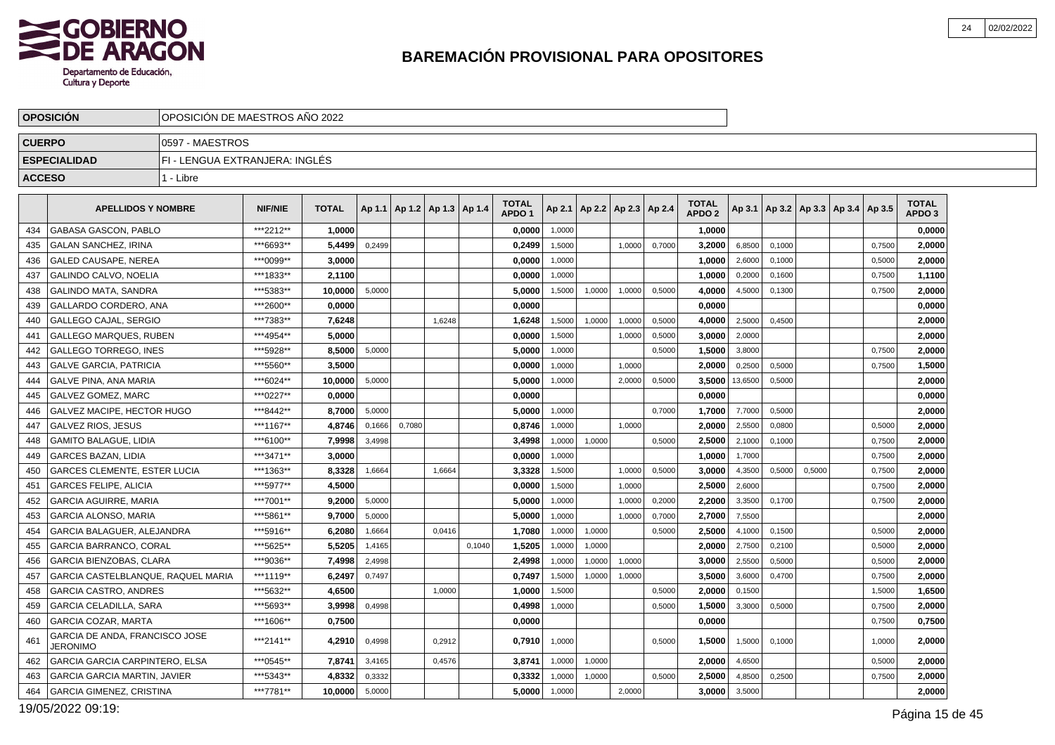

|               | <b>OPOSICION</b>                           | OPOSICIÓN DE MAESTROS AÑO 2022 |                |              |        |                                   |        |        |                                   |        |                                   |        |        |                                   |         |        |        |                                            |        |                                   |  |
|---------------|--------------------------------------------|--------------------------------|----------------|--------------|--------|-----------------------------------|--------|--------|-----------------------------------|--------|-----------------------------------|--------|--------|-----------------------------------|---------|--------|--------|--------------------------------------------|--------|-----------------------------------|--|
| <b>CUERPO</b> |                                            | 10597 - MAESTROS               |                |              |        |                                   |        |        |                                   |        |                                   |        |        |                                   |         |        |        |                                            |        |                                   |  |
|               | <b>ESPECIALIDAD</b>                        | FI - LENGUA EXTRANJERA: INGLES |                |              |        |                                   |        |        |                                   |        |                                   |        |        |                                   |         |        |        |                                            |        |                                   |  |
| <b>ACCESO</b> |                                            | 1 - Libre                      |                |              |        |                                   |        |        |                                   |        |                                   |        |        |                                   |         |        |        |                                            |        |                                   |  |
|               | <b>APELLIDOS Y NOMBRE</b>                  |                                | <b>NIF/NIE</b> | <b>TOTAL</b> |        | Ap 1.1   Ap 1.2   Ap 1.3   Ap 1.4 |        |        | <b>TOTAL</b><br>APDO <sub>1</sub> |        | Ap 2.1   Ap 2.2   Ap 2.3   Ap 2.4 |        |        | <b>TOTAL</b><br>APDO <sub>2</sub> |         |        |        | Ap 3.1   Ap 3.2   Ap 3.3   Ap 3.4   Ap 3.5 |        | <b>TOTAL</b><br>APDO <sub>3</sub> |  |
| 434           | <b>GABASA GASCON, PABLO</b>                |                                | ***2212**      | 1.0000       |        |                                   |        |        | 0.0000                            | 1,0000 |                                   |        |        | 1.0000                            |         |        |        |                                            |        | 0.0000                            |  |
| 435           | <b>GALAN SANCHEZ, IRINA</b>                |                                | ***6693**      | 5,4499       | 0,2499 |                                   |        |        | 0,2499                            | 1,5000 |                                   | 1,0000 | 0,7000 | 3,2000                            | 6,8500  | 0,1000 |        |                                            | 0,7500 | 2,0000                            |  |
| 436           | <b>GALED CAUSAPE, NEREA</b>                |                                | ***0099**      | 3,0000       |        |                                   |        |        | 0,0000                            | 1,0000 |                                   |        |        | 1.0000                            | 2,6000  | 0,1000 |        |                                            | 0,5000 | 2,0000                            |  |
| 437           | GALINDO CALVO, NOELIA                      |                                | ***1833**      | 2,1100       |        |                                   |        |        | 0,0000                            | 1,0000 |                                   |        |        | 1,0000                            | 0,2000  | 0,1600 |        |                                            | 0,7500 | 1,1100                            |  |
| 438           | <b>GALINDO MATA, SANDRA</b>                |                                | ***5383**      | 10,0000      | 5,0000 |                                   |        |        | 5,0000                            | 1,5000 | 1,0000                            | 1,0000 | 0,5000 | 4,0000                            | 4,5000  | 0,1300 |        |                                            | 0,7500 | 2,0000                            |  |
| 439           | GALLARDO CORDERO. ANA                      |                                | ***2600**      | 0.0000       |        |                                   |        |        | 0.0000                            |        |                                   |        |        | 0.0000                            |         |        |        |                                            |        | 0,0000                            |  |
| 440           | <b>GALLEGO CAJAL, SERGIO</b>               |                                | ***7383**      | 7,6248       |        |                                   | 1,6248 |        | 1,6248                            | 1,5000 | 1,0000                            | 1,0000 | 0,5000 | 4.0000                            | 2,5000  | 0,4500 |        |                                            |        | 2,0000                            |  |
| 441           | <b>GALLEGO MARQUES, RUBEN</b>              |                                | ***4954**      | 5,0000       |        |                                   |        |        | 0,0000                            | 1,5000 |                                   | 1,0000 | 0,5000 | 3.0000                            | 2,0000  |        |        |                                            |        | 2,0000                            |  |
| 442           | <b>GALLEGO TORREGO. INES</b>               |                                | ***5928**      | 8.5000       | 5,0000 |                                   |        |        | 5.0000                            | 1,0000 |                                   |        | 0,5000 | 1.5000                            | 3,8000  |        |        |                                            | 0,7500 | 2,0000                            |  |
| 443           | <b>GALVE GARCIA, PATRICIA</b>              |                                | ***5560**      | 3,5000       |        |                                   |        |        | 0,0000                            | 1,0000 |                                   | 1,0000 |        | 2,0000                            | 0,2500  | 0,5000 |        |                                            | 0,7500 | 1,5000                            |  |
| 444           | <b>GALVE PINA, ANA MARIA</b>               |                                | ***6024**      | 10,0000      | 5,0000 |                                   |        |        | 5,0000                            | 1,0000 |                                   | 2,0000 | 0,5000 | 3,5000                            | 13,6500 | 0,5000 |        |                                            |        | 2,0000                            |  |
| 445           | GALVEZ GOMEZ. MARC                         |                                | ***0227**      | 0.0000       |        |                                   |        |        | 0.0000                            |        |                                   |        |        | 0.0000                            |         |        |        |                                            |        | 0,0000                            |  |
| 446           | GALVEZ MACIPE, HECTOR HUGO                 |                                | ***8442**      | 8,7000       | 5,0000 |                                   |        |        | 5,0000                            | 1,0000 |                                   |        | 0,7000 | 1,7000                            | 7,7000  | 0,5000 |        |                                            |        | 2,0000                            |  |
| 447           | <b>GALVEZ RIOS, JESUS</b>                  |                                | ***1167**      | 4,8746       | 0,1666 | 0,7080                            |        |        | 0,8746                            | 1,0000 |                                   | 1,0000 |        | 2,0000                            | 2,5500  | 0,0800 |        |                                            | 0,5000 | 2,0000                            |  |
| 448           | <b>GAMITO BALAGUE, LIDIA</b>               |                                | ***6100**      | 7,9998       | 3,4998 |                                   |        |        | 3.4998                            | 1,0000 | 1,0000                            |        | 0,5000 | 2.5000                            | 2,1000  | 0,1000 |        |                                            | 0,7500 | 2,0000                            |  |
| 449           | <b>GARCES BAZAN, LIDIA</b>                 |                                | ***3471**      | 3,0000       |        |                                   |        |        | 0,0000                            | 1,0000 |                                   |        |        | 1,0000                            | 1,7000  |        |        |                                            | 0,7500 | 2,0000                            |  |
| 450           | <b>GARCES CLEMENTE, ESTER LUCIA</b>        |                                | ***1363**      | 8,3328       | 1,6664 |                                   | 1.6664 |        | 3,3328                            | 1,5000 |                                   | 1,0000 | 0,5000 | 3.0000                            | 4,3500  | 0,5000 | 0,5000 |                                            | 0,7500 | 2,0000                            |  |
| 451           | <b>GARCES FELIPE, ALICIA</b>               |                                | ***5977**      | 4,5000       |        |                                   |        |        | 0,0000                            | 1,5000 |                                   | 1,0000 |        | 2,5000                            | 2,6000  |        |        |                                            | 0,7500 | 2,0000                            |  |
| 452           | <b>GARCIA AGUIRRE, MARIA</b>               |                                | ***7001**      | 9,2000       | 5,0000 |                                   |        |        | 5,0000                            | 1,0000 |                                   | 1,0000 | 0,2000 | 2,2000                            | 3,3500  | 0,1700 |        |                                            | 0,7500 | 2,0000                            |  |
| 453           | GARCIA ALONSO. MARIA                       |                                | ***5861**      | 9.7000       | 5,0000 |                                   |        |        | 5.0000                            | 1,0000 |                                   | 1.0000 | 0,7000 | 2,7000                            | 7,5500  |        |        |                                            |        | 2,0000                            |  |
| 454           | GARCIA BALAGUER, ALEJANDRA                 |                                | ***5916**      | 6,2080       | 1,6664 |                                   | 0,0416 |        | 1,7080                            | 1,0000 | 1,0000                            |        | 0,5000 | 2,5000                            | 4,1000  | 0,1500 |        |                                            | 0,5000 | 2,0000                            |  |
| 455           | <b>GARCIA BARRANCO, CORAL</b>              |                                | ***5625**      | 5,5205       | 1,4165 |                                   |        | 0,1040 | 1,5205                            | 1,0000 | 1,0000                            |        |        | 2,0000                            | 2,7500  | 0,2100 |        |                                            | 0,5000 | 2,0000                            |  |
| 456           | <b>GARCIA BIENZOBAS, CLARA</b>             |                                | ***9036**      | 7.4998       | 2,4998 |                                   |        |        | 2.4998                            | 1,0000 | 1,0000                            | 1,0000 |        | 3.0000                            | 2,5500  | 0,5000 |        |                                            | 0,5000 | 2,0000                            |  |
| 457           | GARCIA CASTELBLANQUE, RAQUEL MARIA         |                                | ***1119**      | 6,2497       | 0,7497 |                                   |        |        | 0,7497                            | 1,5000 | 1,0000                            | 1,0000 |        | 3,5000                            | 3,6000  | 0,4700 |        |                                            | 0,7500 | 2,0000                            |  |
| 458           | <b>GARCIA CASTRO, ANDRES</b>               |                                | ***5632**      | 4,6500       |        |                                   | 1,0000 |        | 1,0000                            | 1,5000 |                                   |        | 0,5000 | 2.0000                            | 0,1500  |        |        |                                            | 1,5000 | 1,6500                            |  |
| 459           | <b>GARCIA CELADILLA, SARA</b>              |                                | ***5693**      | 3,9998       | 0,4998 |                                   |        |        | 0,4998                            | 1,0000 |                                   |        | 0,5000 | 1,5000                            | 3,3000  | 0.5000 |        |                                            | 0,7500 | 2,0000                            |  |
| 460           | <b>GARCIA COZAR, MARTA</b>                 |                                | ***1606**      | 0,7500       |        |                                   |        |        | 0,0000                            |        |                                   |        |        | 0,0000                            |         |        |        |                                            | 0,7500 | 0,7500                            |  |
| 461           | GARCIA DE ANDA, FRANCISCO JOSE<br>JERONIMO |                                | ***2141**      | 4,2910       | 0,4998 |                                   | 0.2912 |        | 0,7910                            | 1,0000 |                                   |        | 0,5000 | 1,5000                            | 1,5000  | 0.1000 |        |                                            | 1,0000 | 2,0000                            |  |
| 462           | GARCIA GARCIA CARPINTERO. ELSA             |                                | *** 0545**     | 7,8741       | 3,4165 |                                   | 0,4576 |        | 3,8741                            | 1,0000 | 1,0000                            |        |        | 2,0000                            | 4,6500  |        |        |                                            | 0,5000 | 2,0000                            |  |
| 463           | <b>GARCIA GARCIA MARTIN, JAVIER</b>        |                                | ***5343**      | 4,8332       | 0,3332 |                                   |        |        | 0,3332                            | 1,0000 | 1,0000                            |        | 0,5000 | 2,5000                            | 4,8500  | 0,2500 |        |                                            | 0,7500 | 2,0000                            |  |
| 464           | <b>GARCIA GIMENEZ, CRISTINA</b>            |                                | ***7781**      | 10,0000      | 5,0000 |                                   |        |        | 5,0000                            | 1,0000 |                                   | 2,0000 |        | 3,0000                            | 3,5000  |        |        |                                            |        | 2,0000                            |  |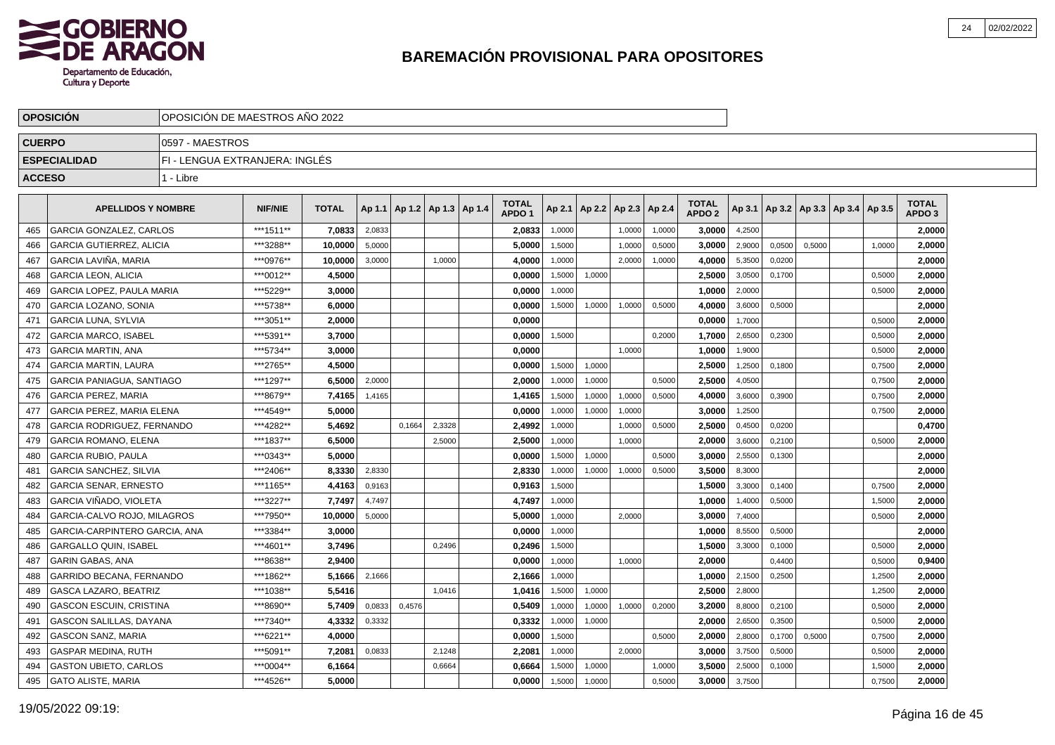

|               | <b>OPOSICION</b>                  |                                | OPOSICION DE MAESTROS ANO 2022 |              |        |        |                                   |  |                                   |        |                 |        |        |                                   |        |        |                                   |        |                                   |  |
|---------------|-----------------------------------|--------------------------------|--------------------------------|--------------|--------|--------|-----------------------------------|--|-----------------------------------|--------|-----------------|--------|--------|-----------------------------------|--------|--------|-----------------------------------|--------|-----------------------------------|--|
| <b>CUERPO</b> |                                   | 0597 - MAESTROS                |                                |              |        |        |                                   |  |                                   |        |                 |        |        |                                   |        |        |                                   |        |                                   |  |
|               | <b>ESPECIALIDAD</b>               | FI - LENGUA EXTRANJERA: INGLÉS |                                |              |        |        |                                   |  |                                   |        |                 |        |        |                                   |        |        |                                   |        |                                   |  |
| <b>ACCESO</b> |                                   | 1 - Libre                      |                                |              |        |        |                                   |  |                                   |        |                 |        |        |                                   |        |        |                                   |        |                                   |  |
|               | <b>APELLIDOS Y NOMBRE</b>         |                                | <b>NIF/NIE</b>                 | <b>TOTAL</b> |        |        | Ap 1.1   Ap 1.2   Ap 1.3   Ap 1.4 |  | <b>TOTAL</b><br>APDO <sub>1</sub> | Ap 2.1 | Ap 2.2   Ap 2.3 |        | Ap 2.4 | <b>TOTAL</b><br>APDO <sub>2</sub> | Ap 3.1 |        | Ap 3.2   Ap 3.3   Ap 3.4   Ap 3.5 |        | <b>TOTAL</b><br>APDO <sub>3</sub> |  |
| 465           | <b>GARCIA GONZALEZ, CARLOS</b>    |                                | ***1511**                      | 7.0833       | 2,0833 |        |                                   |  | 2,0833                            | 1,0000 |                 | 1,0000 | 1,0000 | 3,0000                            | 4,2500 |        |                                   |        | 2.0000                            |  |
| 466           | <b>GARCIA GUTIERREZ, ALICIA</b>   |                                | ***3288**                      | 10.0000      | 5,0000 |        |                                   |  | 5,0000                            | 1,5000 |                 | 1.0000 | 0,5000 | 3.0000                            | 2,9000 | 0.0500 | 0.5000                            | 1.0000 | 2,0000                            |  |
| 467           | GARCIA LAVINA. MARIA              |                                | ***0976**                      | 10.0000      | 3,0000 |        | 1,0000                            |  | 4,0000                            | 1,0000 |                 | 2.0000 | 1,0000 | 4,0000                            | 5,3500 | 0.0200 |                                   |        | 2.0000                            |  |
| 468           | <b>GARCIA LEON, ALICIA</b>        |                                | ***0012**                      | 4,5000       |        |        |                                   |  | 0,0000                            | 1,5000 | 1,0000          |        |        | 2,5000                            | 3,0500 | 0,1700 |                                   | 0,5000 | 2,0000                            |  |
| 469           | GARCIA LOPEZ, PAULA MARIA         |                                | ***5229**                      | 3,0000       |        |        |                                   |  | 0,0000                            | 1,0000 |                 |        |        | 1,0000                            | 2,0000 |        |                                   | 0,5000 | 2,0000                            |  |
| 470           | <b>GARCIA LOZANO, SONIA</b>       |                                | ***5738**                      | 6.0000       |        |        |                                   |  | 0.0000                            | 1,5000 | 1,0000          | 1,0000 | 0,5000 | 4.0000                            | 3,6000 | 0.5000 |                                   |        | 2.0000                            |  |
| 471           | <b>GARCIA LUNA, SYLVIA</b>        |                                | ***3051**                      | 2.0000       |        |        |                                   |  | 0,0000                            |        |                 |        |        | 0.0000                            | 1,7000 |        |                                   | 0.5000 | 2,0000                            |  |
| 472           | <b>GARCIA MARCO, ISABEL</b>       |                                | ***5391**                      | 3,7000       |        |        |                                   |  | 0,0000                            | 1,5000 |                 |        | 0,2000 | 1,7000                            | 2,6500 | 0.2300 |                                   | 0,5000 | 2,0000                            |  |
| 473           | <b>GARCIA MARTIN, ANA</b>         |                                | ***5734**                      | 3.0000       |        |        |                                   |  | 0.0000                            |        |                 | 1,0000 |        | 1,0000                            | 1,9000 |        |                                   | 0,5000 | 2,0000                            |  |
| 474           | <b>GARCIA MARTIN, LAURA</b>       |                                | ***2765**                      | 4,5000       |        |        |                                   |  | 0,0000                            | 1,5000 | 1,0000          |        |        | 2,5000                            | 1,2500 | 0,1800 |                                   | 0,7500 | 2,0000                            |  |
| 475           | <b>GARCIA PANIAGUA, SANTIAGO</b>  |                                | ***1297**                      | 6,5000       | 2,0000 |        |                                   |  | 2,0000                            | 1,0000 | 1,0000          |        | 0,5000 | 2,5000                            | 4,0500 |        |                                   | 0,7500 | 2,0000                            |  |
| 476           | <b>GARCIA PEREZ. MARIA</b>        |                                | ***8679**                      | 7,4165       | 1,4165 |        |                                   |  | 1,4165                            | 1,5000 | 1,0000          | 1,0000 | 0,5000 | 4.0000                            | 3,6000 | 0.3900 |                                   | 0,7500 | 2,0000                            |  |
| 477           | <b>GARCIA PEREZ. MARIA ELENA</b>  |                                | ***4549**                      | 5.0000       |        |        |                                   |  | 0.0000                            | 1,0000 | 1,0000          | 1,0000 |        | 3,0000                            | 1,2500 |        |                                   | 0,7500 | 2,0000                            |  |
| 478           | <b>GARCIA RODRIGUEZ, FERNANDO</b> |                                | ***4282**                      | 5.4692       |        | 0.1664 | 2,3328                            |  | 2,4992                            | 1,0000 |                 | 1,0000 | 0,5000 | 2,5000                            | 0,4500 | 0,0200 |                                   |        | 0,4700                            |  |
| 479           | <b>GARCIA ROMANO, ELENA</b>       |                                | ***1837**                      | 6,5000       |        |        | 2,5000                            |  | 2,5000                            | 1,0000 |                 | 1,0000 |        | 2,0000                            | 3,6000 | 0,2100 |                                   | 0,5000 | 2,0000                            |  |
| 480           | <b>GARCIA RUBIO, PAULA</b>        |                                | ***0343**                      | 5,0000       |        |        |                                   |  | 0,0000                            | 1,5000 | 1,0000          |        | 0,5000 | 3.0000                            | 2,5500 | 0,1300 |                                   |        | 2,0000                            |  |
| 481           | <b>GARCIA SANCHEZ, SILVIA</b>     |                                | ***2406**                      | 8,3330       | 2,8330 |        |                                   |  | 2,8330                            | 1,0000 | 1,0000          | 1,0000 | 0,5000 | 3,5000                            | 8,3000 |        |                                   |        | 2,0000                            |  |
| 482           | <b>GARCIA SENAR, ERNESTO</b>      |                                | ***1165**                      | 4,4163       | 0,9163 |        |                                   |  | 0.9163                            | 1,5000 |                 |        |        | 1,5000                            | 3,3000 | 0.1400 |                                   | 0.7500 | 2.0000                            |  |
| 483           | GARCIA VIÑADO. VIOLETA            |                                | ***3227**                      | 7,7497       | 4,7497 |        |                                   |  | 4,7497                            | 1,0000 |                 |        |        | 1.0000                            | 1,4000 | 0,5000 |                                   | 1,5000 | 2.0000                            |  |
| 484           | GARCIA-CALVO ROJO, MILAGROS       |                                | ***7950**                      | 10,0000      | 5,0000 |        |                                   |  | 5,0000                            | 1,0000 |                 | 2.0000 |        | 3,0000                            | 7,4000 |        |                                   | 0,5000 | 2,0000                            |  |
| 485           | GARCIA-CARPINTERO GARCIA, ANA     |                                | ***3384**                      | 3.0000       |        |        |                                   |  | 0,0000                            | 1,0000 |                 |        |        | 1.0000                            | 8,5500 | 0,5000 |                                   |        | 2.0000                            |  |
| 486           | <b>GARGALLO QUIN, ISABEL</b>      |                                | ***4601**                      | 3,7496       |        |        | 0,2496                            |  | 0,2496                            | 1,5000 |                 |        |        | 1,5000                            | 3,3000 | 0,1000 |                                   | 0,5000 | 2,0000                            |  |
| 487           | <b>GARIN GABAS, ANA</b>           |                                | ***8638**                      | 2.9400       |        |        |                                   |  | 0,0000                            | 1,0000 |                 | 1,0000 |        | 2,0000                            |        | 0,4400 |                                   | 0,5000 | 0,9400                            |  |
| 488           | GARRIDO BECANA, FERNANDO          |                                | ***1862**                      | 5.1666       | 2,1666 |        |                                   |  | 2,1666                            | 1,0000 |                 |        |        | 1.0000                            | 2,1500 | 0.2500 |                                   | 1,2500 | 2.0000                            |  |
| 489           | <b>GASCA LAZARO, BEATRIZ</b>      |                                | ***1038**                      | 5.5416       |        |        | 1,0416                            |  | 1.0416                            | 1,5000 | 1,0000          |        |        | 2.5000                            | 2,8000 |        |                                   | 1,2500 | 2.0000                            |  |
| 490           | <b>GASCON ESCUIN, CRISTINA</b>    |                                | ***8690**                      | 5.7409       | 0,0833 | 0,4576 |                                   |  | 0,5409                            | 1,0000 | 1,0000          | 1,0000 | 0,2000 | 3.2000                            | 8,8000 | 0,2100 |                                   | 0,5000 | 2,0000                            |  |
| 491           | GASCON SALILLAS, DAYANA           |                                | ***7340**                      | 4,3332       | 0,3332 |        |                                   |  | 0,3332                            | 1,0000 | 1,0000          |        |        | 2,0000                            | 2,6500 | 0,3500 |                                   | 0,5000 | 2,0000                            |  |
| 492           | <b>GASCON SANZ, MARIA</b>         |                                | ***6221**                      | 4,0000       |        |        |                                   |  | 0,0000                            | 1,5000 |                 |        | 0,5000 | 2,0000                            | 2,8000 | 0,1700 | 0,5000                            | 0,7500 | 2,0000                            |  |
| 493           | <b>GASPAR MEDINA, RUTH</b>        |                                | ***5091**                      | 7,2081       | 0,0833 |        | 2,1248                            |  | 2,2081                            | 1,0000 |                 | 2,0000 |        | 3,0000                            | 3,7500 | 0,5000 |                                   | 0,5000 | 2,0000                            |  |
| 494           | <b>GASTON UBIETO, CARLOS</b>      |                                | ***0004**                      | 6,1664       |        |        | 0,6664                            |  | 0.6664                            | 1,5000 | 1,0000          |        | 1,0000 | 3.5000                            | 2,5000 | 0,1000 |                                   | 1,5000 | 2.0000                            |  |
| 495           | <b>GATO ALISTE, MARIA</b>         |                                | ***4526**                      | 5.0000       |        |        |                                   |  | 0,0000                            | 1,5000 | 1,0000          |        | 0,5000 | 3,0000                            | 3,7500 |        |                                   | 0,7500 | 2,0000                            |  |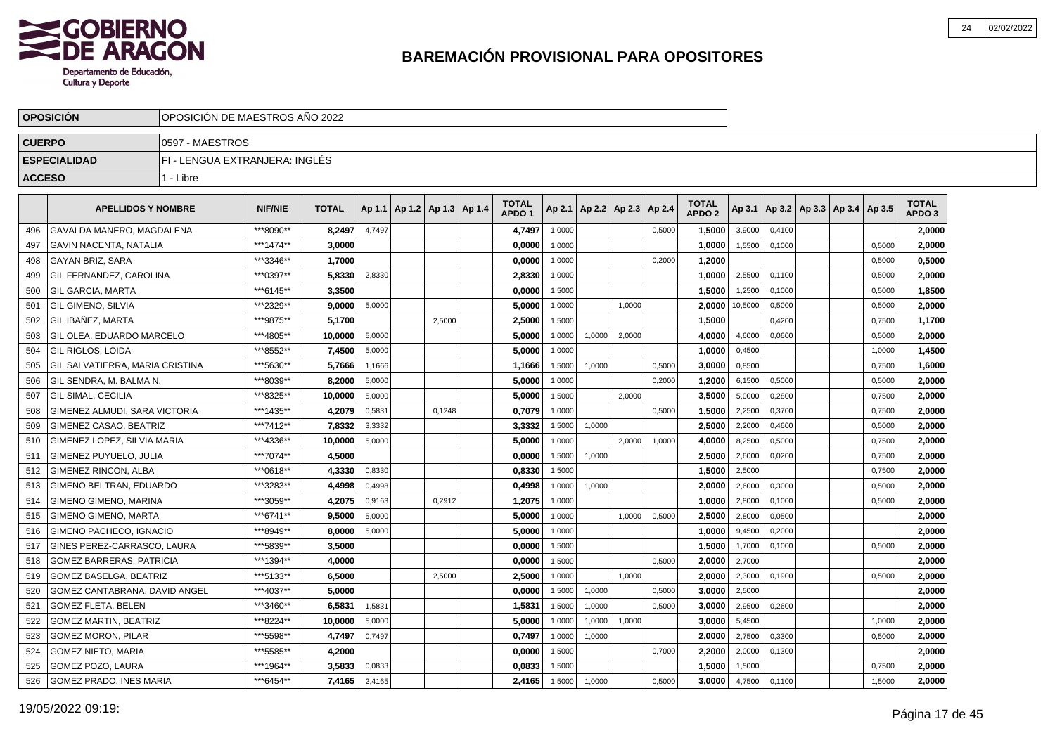

|               | <b>OPOSICION</b>                     |                                | OPOSICION DE MAESTROS ANO 2022 |              |        |                                   |        |  |                                   |        |                          |        |        |                                   |         |        |                                   |        |                                   |  |
|---------------|--------------------------------------|--------------------------------|--------------------------------|--------------|--------|-----------------------------------|--------|--|-----------------------------------|--------|--------------------------|--------|--------|-----------------------------------|---------|--------|-----------------------------------|--------|-----------------------------------|--|
| <b>CUERPO</b> |                                      | 0597 - MAESTROS                |                                |              |        |                                   |        |  |                                   |        |                          |        |        |                                   |         |        |                                   |        |                                   |  |
|               | <b>ESPECIALIDAD</b>                  | FI - LENGUA EXTRANJERA: INGLÉS |                                |              |        |                                   |        |  |                                   |        |                          |        |        |                                   |         |        |                                   |        |                                   |  |
| <b>ACCESO</b> |                                      | 1 - Libre                      |                                |              |        |                                   |        |  |                                   |        |                          |        |        |                                   |         |        |                                   |        |                                   |  |
|               | <b>APELLIDOS Y NOMBRE</b>            |                                | <b>NIF/NIE</b>                 | <b>TOTAL</b> |        | Ap 1.1   Ap 1.2   Ap 1.3   Ap 1.4 |        |  | <b>TOTAL</b><br>APDO <sub>1</sub> | Ap 2.1 | Ap 2.2   Ap 2.3   Ap 2.4 |        |        | <b>TOTAL</b><br>APDO <sub>2</sub> | Ap 3.1  |        | Ap 3.2   Ap 3.3   Ap 3.4   Ap 3.5 |        | <b>TOTAL</b><br>APDO <sub>3</sub> |  |
| 496           | <b>GAVALDA MANERO, MAGDALENA</b>     |                                | ***8090**                      | 8,2497       | 4,7497 |                                   |        |  | 4,7497                            | 1,0000 |                          |        | 0,5000 | 1.5000                            | 3,9000  | 0.4100 |                                   |        | 2.0000                            |  |
| 497           | GAVIN NACENTA. NATALIA               |                                | ***1474**                      | 3,0000       |        |                                   |        |  | 0,0000                            | 1,0000 |                          |        |        | 1,0000                            | 1,5500  | 0,1000 |                                   | 0,5000 | 2.0000                            |  |
| 498           | <b>GAYAN BRIZ, SARA</b>              |                                | ***3346**                      | 1,7000       |        |                                   |        |  | 0,0000                            | 1,0000 |                          |        | 0,2000 | 1,2000                            |         |        |                                   | 0,5000 | 0,5000                            |  |
| 499           | GIL FERNANDEZ, CAROLINA              |                                | ***0397**                      | 5,8330       | 2,8330 |                                   |        |  | 2,8330                            | 1,0000 |                          |        |        | 1,0000                            | 2,5500  | 0,1100 |                                   | 0,5000 | 2,0000                            |  |
| 500           | GIL GARCIA, MARTA                    |                                | ***6145**                      | 3,3500       |        |                                   |        |  | 0,0000                            | 1,5000 |                          |        |        | 1,5000                            | 1,2500  | 0,1000 |                                   | 0,5000 | 1,8500                            |  |
| 501           | l GIL GIMENO. SILVIA                 |                                | ***2329**                      | 9.0000       | 5,0000 |                                   |        |  | 5.0000                            | 1,0000 |                          | 1.0000 |        | 2.0000                            | 10,5000 | 0.5000 |                                   | 0,5000 | 2.0000                            |  |
| 502           | <b>GIL IBAÑEZ, MARTA</b>             |                                | ***9875**                      | 5.1700       |        |                                   | 2,5000 |  | 2,5000                            | 1,5000 |                          |        |        | 1.5000                            |         | 0,4200 |                                   | 0,7500 | 1,1700                            |  |
| 503           | l GIL OLEA. EDUARDO MARCELO          |                                | ***4805**                      | 10,0000      | 5,0000 |                                   |        |  | 5,0000                            | 1,0000 | 1,0000                   | 2,0000 |        | 4,0000                            | 4,6000  | 0,0600 |                                   | 0,5000 | 2,0000                            |  |
| 504           | GIL RIGLOS. LOIDA                    |                                | ***8552**                      | 7,4500       | 5,0000 |                                   |        |  | 5,0000                            | 1,0000 |                          |        |        | 1,0000                            | 0,4500  |        |                                   | 1,0000 | 1,4500                            |  |
| 505           | GIL SALVATIERRA, MARIA CRISTINA      |                                | ***5630**                      | 5,7666       | 1,1666 |                                   |        |  | 1,1666                            | 1,5000 | 1,0000                   |        | 0,5000 | 3,0000                            | 0,8500  |        |                                   | 0,7500 | 1,6000                            |  |
| 506           | GIL SENDRA, M. BALMA N.              |                                | ***8039**                      | 8,2000       | 5,0000 |                                   |        |  | 5,0000                            | 1,0000 |                          |        | 0,2000 | 1,2000                            | 6,1500  | 0,5000 |                                   | 0,5000 | 2,0000                            |  |
| 507           | I GIL SIMAL. CECILIA                 |                                | ***8325**                      | 10,0000      | 5,0000 |                                   |        |  | 5,0000                            | 1,5000 |                          | 2.0000 |        | 3,5000                            | 5,0000  | 0,2800 |                                   | 0,7500 | 2,0000                            |  |
| 508           | <b>GIMENEZ ALMUDI, SARA VICTORIA</b> |                                | ***1435**                      | 4,2079       | 0,5831 |                                   | 0.1248 |  | 0,7079                            | 1.0000 |                          |        | 0.5000 | 1,5000                            | 2,2500  | 0,3700 |                                   | 0,7500 | 2,0000                            |  |
| 509           | GIMENEZ CASAO. BEATRIZ               |                                | ***7412**                      | 7,8332       | 3,3332 |                                   |        |  | 3,3332                            | 1,5000 | 1,0000                   |        |        | 2,5000                            | 2,2000  | 0,4600 |                                   | 0,5000 | 2,0000                            |  |
| 510           | GIMENEZ LOPEZ. SILVIA MARIA          |                                | ***4336**                      | 10,0000      | 5,0000 |                                   |        |  | 5,0000                            | 1,0000 |                          | 2,0000 | 1,0000 | 4,0000                            | 8,2500  | 0,5000 |                                   | 0,7500 | 2,0000                            |  |
| 511           | GIMENEZ PUYUELO, JULIA               |                                | ***7074**                      | 4,5000       |        |                                   |        |  | 0,0000                            | 1,5000 | 1,0000                   |        |        | 2,5000                            | 2,6000  | 0,0200 |                                   | 0,7500 | 2,0000                            |  |
| 512           | GIMENEZ RINCON, ALBA                 |                                | ***0618**                      | 4,3330       | 0,8330 |                                   |        |  | 0,8330                            | 1,5000 |                          |        |        | 1,5000                            | 2,5000  |        |                                   | 0,7500 | 2,0000                            |  |
| 513           | GIMENO BELTRAN, EDUARDO              |                                | ***3283**                      | 4,4998       | 0,4998 |                                   |        |  | 0.4998                            | 1.0000 | 1,0000                   |        |        | 2.0000                            | 2,6000  | 0.3000 |                                   | 0.5000 | 2.0000                            |  |
| 514           | <b>GIMENO GIMENO, MARINA</b>         |                                | ***3059**                      | 4,2075       | 0,9163 |                                   | 0,2912 |  | 1,2075                            | 1,0000 |                          |        |        | 1.0000                            | 2,8000  | 0,1000 |                                   | 0,5000 | 2,0000                            |  |
| 515           | <b>GIMENO GIMENO, MARTA</b>          |                                | ***6741**                      | 9,5000       | 5,0000 |                                   |        |  | 5,0000                            | 1,0000 |                          | 1,0000 | 0,5000 | 2,5000                            | 2,8000  | 0,0500 |                                   |        | 2,0000                            |  |
| 516           | GIMENO PACHECO, IGNACIO              |                                | ***8949**                      | 8,0000       | 5,0000 |                                   |        |  | 5,0000                            | 1,0000 |                          |        |        | 1,0000                            | 9,4500  | 0,2000 |                                   |        | 2,0000                            |  |
| 517           | GINES PEREZ-CARRASCO, LAURA          |                                | ***5839**                      | 3,5000       |        |                                   |        |  | 0,0000                            | 1,5000 |                          |        |        | 1,5000                            | 1,7000  | 0,1000 |                                   | 0,5000 | 2,0000                            |  |
| 518           | <b>GOMEZ BARRERAS, PATRICIA</b>      |                                | ***1394**                      | 4,0000       |        |                                   |        |  | 0,0000                            | 1,5000 |                          |        | 0,5000 | 2,0000                            | 2,7000  |        |                                   |        | 2,0000                            |  |
| 519           | <b>GOMEZ BASELGA, BEATRIZ</b>        |                                | ***5133**                      | 6.5000       |        |                                   | 2.5000 |  | 2.5000                            | 1,0000 |                          | 1.0000 |        | 2.0000                            | 2,3000  | 0,1900 |                                   | 0,5000 | 2.0000                            |  |
| 520           | GOMEZ CANTABRANA, DAVID ANGEL        |                                | ***4037**                      | 5.0000       |        |                                   |        |  | 0.0000                            | 1,5000 | 1,0000                   |        | 0,5000 | 3.0000                            | 2,5000  |        |                                   |        | 2,0000                            |  |
| 521           | <b>GOMEZ FLETA, BELEN</b>            |                                | ***3460**                      | 6,5831       | 1,5831 |                                   |        |  | 1,5831                            | 1,5000 | 1,0000                   |        | 0,5000 | 3.0000                            | 2,9500  | 0,2600 |                                   |        | 2,0000                            |  |
| 522           | <b>GOMEZ MARTIN, BEATRIZ</b>         |                                | ***8224**                      | 10,0000      | 5,0000 |                                   |        |  | 5,0000                            | 1,0000 | 1,0000                   | 1,0000 |        | 3,0000                            | 5,4500  |        |                                   | 1,0000 | 2,0000                            |  |
| 523           | <b>GOMEZ MORON, PILAR</b>            |                                | ***5598**                      | 4,7497       | 0,7497 |                                   |        |  | 0,7497                            | 1,0000 | 1,0000                   |        |        | 2,0000                            | 2,7500  | 0,3300 |                                   | 0,5000 | 2,0000                            |  |
| 524           | <b>GOMEZ NIETO, MARIA</b>            |                                | ***5585**                      | 4,2000       |        |                                   |        |  | 0,0000                            | 1,5000 |                          |        | 0,7000 | 2,2000                            | 2,0000  | 0,1300 |                                   |        | 2,0000                            |  |
| 525           | <b>GOMEZ POZO, LAURA</b>             |                                | ***1964**                      | 3,5833       | 0,0833 |                                   |        |  | 0.0833                            | 1,5000 |                          |        |        | 1.5000                            | 1,5000  |        |                                   | 0,7500 | 2.0000                            |  |
| 526           | GOMEZ PRADO, INES MARIA              |                                | ***6454**                      | 7,4165       | 2,4165 |                                   |        |  | 2,4165                            | 1,5000 | 1,0000                   |        | 0,5000 | 3.0000                            | 4,7500  | 0,1100 |                                   | 1,5000 | 2,0000                            |  |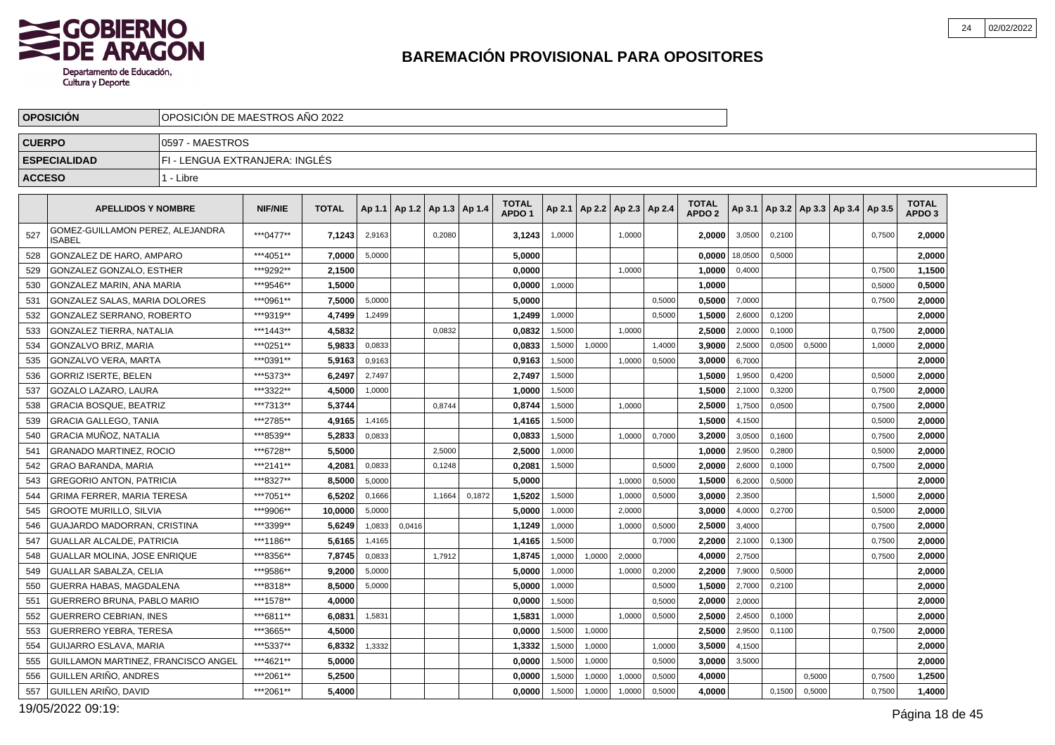

|               | <b>OPOSICION</b>                                  | OPOSICION DE MAESTROS ANO 2022 |                |              |        |                                   |        |        |                                   |        |        |                          |        |                                   |         |                                            |        |        |                                   |  |
|---------------|---------------------------------------------------|--------------------------------|----------------|--------------|--------|-----------------------------------|--------|--------|-----------------------------------|--------|--------|--------------------------|--------|-----------------------------------|---------|--------------------------------------------|--------|--------|-----------------------------------|--|
| <b>CUERPO</b> |                                                   | 0597 - MAESTROS                |                |              |        |                                   |        |        |                                   |        |        |                          |        |                                   |         |                                            |        |        |                                   |  |
|               | <b>ESPECIALIDAD</b>                               | FI - LENGUA EXTRANJERA: INGLÉS |                |              |        |                                   |        |        |                                   |        |        |                          |        |                                   |         |                                            |        |        |                                   |  |
| <b>ACCESO</b> |                                                   | 1 - Libre                      |                |              |        |                                   |        |        |                                   |        |        |                          |        |                                   |         |                                            |        |        |                                   |  |
|               | <b>APELLIDOS Y NOMBRE</b>                         |                                | <b>NIF/NIE</b> | <b>TOTAL</b> |        | Ap 1.1   Ap 1.2   Ap 1.3   Ap 1.4 |        |        | <b>TOTAL</b><br>APDO <sub>1</sub> | Ap 2.1 |        | Ap 2.2   Ap 2.3   Ap 2.4 |        | <b>TOTAL</b><br>APDO <sub>2</sub> |         | Ap 3.1   Ap 3.2   Ap 3.3   Ap 3.4   Ap 3.5 |        |        | <b>TOTAL</b><br>APDO <sub>3</sub> |  |
| 527           | GOMEZ-GUILLAMON PEREZ, ALEJANDRA<br><b>ISABEL</b> |                                | ***0477**      | 7,1243       | 2,9163 |                                   | 0,2080 |        | 3,1243                            | 1,0000 |        | 1,0000                   |        | 2.0000                            | 3,0500  | 0,2100                                     |        | 0,7500 | 2,0000                            |  |
| 528           | <b>GONZALEZ DE HARO, AMPARO</b>                   |                                | ***4051**      | 7.0000       | 5,0000 |                                   |        |        | 5,0000                            |        |        |                          |        | 0.0000                            | 18,0500 | 0,5000                                     |        |        | 2,0000                            |  |
| 529           | GONZALEZ GONZALO, ESTHER                          |                                | ***9292**      | 2,1500       |        |                                   |        |        | 0.0000                            |        |        | 1,0000                   |        | 1,0000                            | 0,4000  |                                            |        | 0,7500 | 1,1500                            |  |
| 530           | GONZALEZ MARIN, ANA MARIA                         |                                | ***9546**      | 1.5000       |        |                                   |        |        | 0,0000                            | 1,0000 |        |                          |        | 1,0000                            |         |                                            |        | 0,5000 | 0,5000                            |  |
| 531           | GONZALEZ SALAS, MARIA DOLORES                     |                                | ***0961**      | 7.5000       | 5.0000 |                                   |        |        | 5.0000                            |        |        |                          | 0.5000 | 0.5000                            | 7,0000  |                                            |        | 0,7500 | 2,0000                            |  |
| 532           | <b>GONZALEZ SERRANO, ROBERTO</b>                  |                                | ***9319**      | 4,7499       | 1,2499 |                                   |        |        | 1,2499                            | 1,0000 |        |                          | 0,5000 | 1,5000                            | 2,6000  | 0,1200                                     |        |        | 2,0000                            |  |
| 533           | GONZALEZ TIERRA, NATALIA                          |                                | ***1443**      | 4,5832       |        |                                   | 0,0832 |        | 0,0832                            | 1,5000 |        | 1,0000                   |        | 2.5000                            | 2,0000  | 0,1000                                     |        | 0,7500 | 2,0000                            |  |
| 534           | GONZALVO BRIZ, MARIA                              |                                | ***0251**      | 5,9833       | 0,0833 |                                   |        |        | 0,0833                            | 1,5000 | 1,0000 |                          | 1,4000 | 3,9000                            | 2,5000  | 0,0500                                     | 0,5000 | 1,0000 | 2,0000                            |  |
| 535           | GONZALVO VERA, MARTA                              |                                | ***0391**      | 5,9163       | 0,9163 |                                   |        |        | 0,9163                            | 1,5000 |        | 1,0000                   | 0,5000 | 3.0000                            | 6,7000  |                                            |        |        | 2,0000                            |  |
| 536           | <b>GORRIZ ISERTE, BELEN</b>                       |                                | ***5373**      | 6.2497       | 2.7497 |                                   |        |        | 2.7497                            | 1,5000 |        |                          |        | 1.5000                            | 1,9500  | 0.4200                                     |        | 0.5000 | 2,0000                            |  |
| 537           | GOZALO LAZARO, LAURA                              |                                | ***3322**      | 4,5000       | 1,0000 |                                   |        |        | 1,0000                            | 1,5000 |        |                          |        | 1,5000                            | 2,1000  | 0,3200                                     |        | 0,7500 | 2,0000                            |  |
| 538           | <b>GRACIA BOSQUE. BEATRIZ</b>                     |                                | ***7313**      | 5.3744       |        |                                   | 0,8744 |        | 0,8744                            | 1,5000 |        | 1,0000                   |        | 2.5000                            | 1,7500  | 0,0500                                     |        | 0,7500 | 2,0000                            |  |
| 539           | <b>GRACIA GALLEGO, TANIA</b>                      |                                | ***2785**      | 4,9165       | 1,4165 |                                   |        |        | 1,4165                            | 1,5000 |        |                          |        | 1,5000                            | 4,1500  |                                            |        | 0,5000 | 2,0000                            |  |
| 540           | <b>GRACIA MUÑOZ, NATALIA</b>                      |                                | ***8539**      | 5,2833       | 0,0833 |                                   |        |        | 0,0833                            | 1,5000 |        | 1.0000                   | 0,7000 | 3,2000                            | 3,0500  | 0.1600                                     |        | 0,7500 | 2,0000                            |  |
| 541           | <b>GRANADO MARTINEZ, ROCIO</b>                    |                                | ***6728**      | 5.5000       |        |                                   | 2.5000 |        | 2.5000                            | 1,0000 |        |                          |        | 1.0000                            | 2,9500  | 0.2800                                     |        | 0,5000 | 2.0000                            |  |
| 542           | <b>GRAO BARANDA, MARIA</b>                        |                                | ***2141**      | 4,2081       | 0,0833 |                                   | 0,1248 |        | 0,2081                            | 1,5000 |        |                          | 0,5000 | 2,0000                            | 2,6000  | 0,1000                                     |        | 0,7500 | 2,0000                            |  |
| 543           | <b>GREGORIO ANTON, PATRICIA</b>                   |                                | ***8327**      | 8,5000       | 5,0000 |                                   |        |        | 5.0000                            |        |        | 1,0000                   | 0,5000 | 1,5000                            | 6,2000  | 0,5000                                     |        |        | 2,0000                            |  |
| 544           | <b>GRIMA FERRER, MARIA TERESA</b>                 |                                | ***7051**      | 6,5202       | 0,1666 |                                   | 1,1664 | 0,1872 | 1,5202                            | 1,5000 |        | 1,0000                   | 0,5000 | 3,0000                            | 2,3500  |                                            |        | 1,5000 | 2,0000                            |  |
| 545           | <b>GROOTE MURILLO, SILVIA</b>                     |                                | ***9906**      | 10,0000      | 5,0000 |                                   |        |        | 5,0000                            | 1,0000 |        | 2,0000                   |        | 3,0000                            | 4,0000  | 0,2700                                     |        | 0,5000 | 2,0000                            |  |
| 546           | GUAJARDO MADORRAN, CRISTINA                       |                                | ***3399**      | 5,6249       | 1,0833 | 0,0416                            |        |        | 1,1249                            | 1,0000 |        | 1.0000                   | 0,5000 | 2,5000                            | 3,4000  |                                            |        | 0,7500 | 2,0000                            |  |
| 547           | <b>GUALLAR ALCALDE, PATRICIA</b>                  |                                | ***1186**      | 5,6165       | 1,4165 |                                   |        |        | 1,4165                            | 1,5000 |        |                          | 0,7000 | 2,2000                            | 2,1000  | 0,1300                                     |        | 0,7500 | 2,0000                            |  |
| 548           | <b>GUALLAR MOLINA. JOSE ENRIQUE</b>               |                                | ***8356**      | 7.8745       | 0,0833 |                                   | 1.7912 |        | 1,8745                            | 1,0000 | 1,0000 | 2,0000                   |        | 4.0000                            | 2,7500  |                                            |        | 0,7500 | 2,0000                            |  |
| 549           | <b>GUALLAR SABALZA, CELIA</b>                     |                                | ***9586**      | 9,2000       | 5,0000 |                                   |        |        | 5,0000                            | 1,0000 |        | 1,0000                   | 0,2000 | 2,2000                            | 7,9000  | 0,5000                                     |        |        | 2,0000                            |  |
| 550           | GUERRA HABAS, MAGDALENA                           |                                | ***8318**      | 8,5000       | 5,0000 |                                   |        |        | 5,0000                            | 1,0000 |        |                          | 0,5000 | 1,5000                            | 2,7000  | 0,2100                                     |        |        | 2,0000                            |  |
| 551           | GUERRERO BRUNA, PABLO MARIO                       |                                | ***1578**      | 4,0000       |        |                                   |        |        | 0,0000                            | 1.5000 |        |                          | 0.5000 | 2,0000                            | 2,0000  |                                            |        |        | 2,0000                            |  |
| 552           | <b>GUERRERO CEBRIAN, INES</b>                     |                                | ***6811**      | 6.0831       | 1,5831 |                                   |        |        | 1,5831                            | 1,0000 |        | 1,0000                   | 0,5000 | 2.5000                            | 2,4500  | 0,1000                                     |        |        | 2,0000                            |  |
| 553           | <b>GUERRERO YEBRA, TERESA</b>                     |                                | ***3665**      | 4.5000       |        |                                   |        |        | 0.0000                            | 1,5000 | 1,0000 |                          |        | 2.5000                            | 2,9500  | 0,1100                                     |        | 0,7500 | 2,0000                            |  |
| 554           | <b>GUIJARRO ESLAVA, MARIA</b>                     |                                | ***5337**      | 6,8332       | 1,3332 |                                   |        |        | 1,3332                            | 1,5000 | 1,0000 |                          | 1,0000 | 3,5000                            | 4,1500  |                                            |        |        | 2,0000                            |  |
| 555           | GUILLAMON MARTINEZ, FRANCISCO ANGEL               |                                | ***4621**      | 5,0000       |        |                                   |        |        | 0,0000                            | 1,5000 | 1,0000 |                          | 0,5000 | 3,0000                            | 3,5000  |                                            |        |        | 2,0000                            |  |
| 556           | <b>GUILLEN ARIÑO, ANDRES</b>                      |                                | ***2061**      | 5,2500       |        |                                   |        |        | 0,0000                            | 1,5000 | 1,0000 | 1.0000                   | 0,5000 | 4,0000                            |         |                                            | 0.5000 | 0.7500 | 1,2500                            |  |
| 557           | <b>GUILLEN ARIÑO, DAVID</b>                       |                                | ***2061**      | 5,4000       |        |                                   |        |        | 0,0000                            | 1,5000 | 1,0000 | 1,0000                   | 0,5000 | 4,0000                            |         | 0,1500                                     | 0,5000 | 0,7500 | 1,4000                            |  |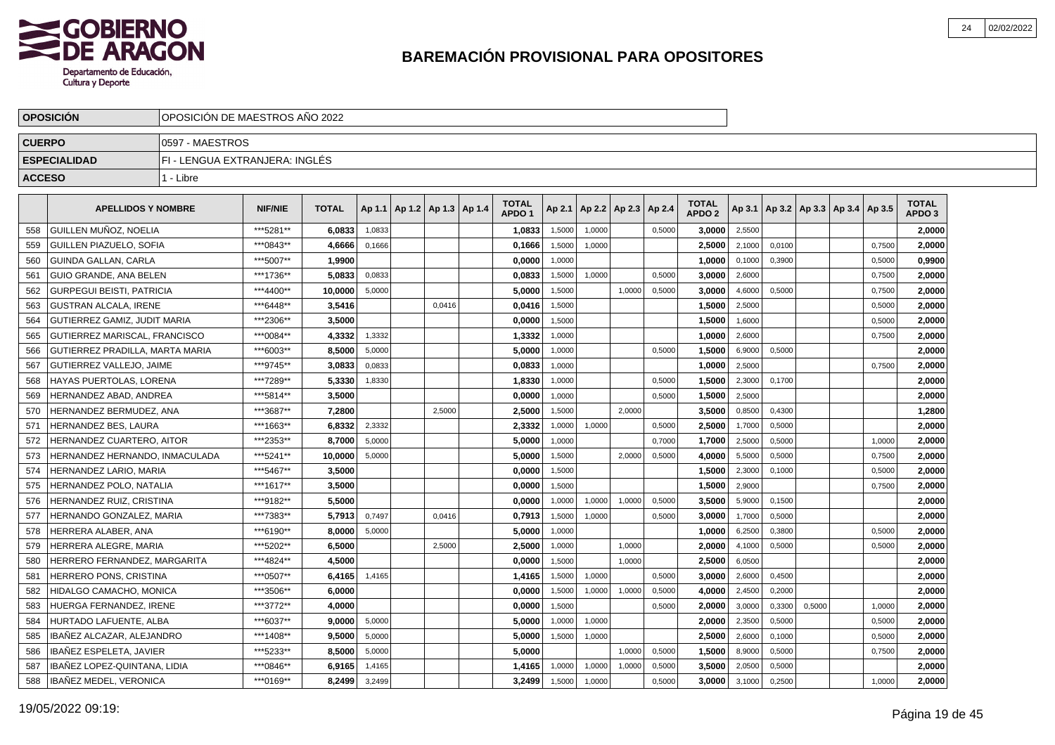

|               | <b>OPOSICION</b>                     |                                | OPOSICION DE MAESTROS ANO 2022 |              |        |                          |        |  |                                   |        |                          |        |        |                                   |        |        |                                   |        |                                   |  |
|---------------|--------------------------------------|--------------------------------|--------------------------------|--------------|--------|--------------------------|--------|--|-----------------------------------|--------|--------------------------|--------|--------|-----------------------------------|--------|--------|-----------------------------------|--------|-----------------------------------|--|
| <b>CUERPO</b> |                                      | 0597 - MAESTROS                |                                |              |        |                          |        |  |                                   |        |                          |        |        |                                   |        |        |                                   |        |                                   |  |
|               | <b>ESPECIALIDAD</b>                  | FI - LENGUA EXTRANJERA: INGLÉS |                                |              |        |                          |        |  |                                   |        |                          |        |        |                                   |        |        |                                   |        |                                   |  |
| <b>ACCESO</b> |                                      | 1 - Libre                      |                                |              |        |                          |        |  |                                   |        |                          |        |        |                                   |        |        |                                   |        |                                   |  |
|               | <b>APELLIDOS Y NOMBRE</b>            |                                | <b>NIF/NIE</b>                 | <b>TOTAL</b> | Ap 1.1 | Ap 1.2   Ap 1.3   Ap 1.4 |        |  | <b>TOTAL</b><br>APDO <sub>1</sub> | Ap 2.1 | Ap 2.2   Ap 2.3   Ap 2.4 |        |        | <b>TOTAL</b><br>APDO <sub>2</sub> | Ap 3.1 |        | Ap 3.2   Ap 3.3   Ap 3.4   Ap 3.5 |        | <b>TOTAL</b><br>APDO <sub>3</sub> |  |
| 558           | GUILLEN MUÑOZ, NOELIA                |                                | ***5281**                      | 6.0833       | 1,0833 |                          |        |  | 1,0833                            | 1,5000 | 1,0000                   |        | 0,5000 | 3.0000                            | 2,5500 |        |                                   |        | 2.0000                            |  |
| 559           | GUILLEN PIAZUELO, SOFIA              |                                | ***0843**                      | 4,6666       | 0,1666 |                          |        |  | 0,1666                            | 1,5000 | 1,0000                   |        |        | 2,5000                            | 2,1000 | 0,0100 |                                   | 0,7500 | 2,0000                            |  |
| 560           | GUINDA GALLAN, CARLA                 |                                | ***5007**                      | 1,9900       |        |                          |        |  | 0,0000                            | 1,0000 |                          |        |        | 1,0000                            | 0,1000 | 0,3900 |                                   | 0,5000 | 0,9900                            |  |
| 561           | GUIO GRANDE, ANA BELEN               |                                | ***1736**                      | 5.0833       | 0,0833 |                          |        |  | 0,0833                            | 1,5000 | 1,0000                   |        | 0,5000 | 3,0000                            | 2,6000 |        |                                   | 0,7500 | 2,0000                            |  |
| 562           | <b>GURPEGUI BEISTI, PATRICIA</b>     |                                | ***4400**                      | 10,0000      | 5,0000 |                          |        |  | 5,0000                            | 1,5000 |                          | 1,0000 | 0,5000 | 3,0000                            | 4,6000 | 0,5000 |                                   | 0,7500 | 2,0000                            |  |
| 563           | <b>GUSTRAN ALCALA. IRENE</b>         |                                | ***6448**                      | 3.5416       |        |                          | 0.0416 |  | 0.0416                            | 1,5000 |                          |        |        | 1.5000                            | 2,5000 |        |                                   | 0,5000 | 2,0000                            |  |
| 564           | <b>GUTIERREZ GAMIZ, JUDIT MARIA</b>  |                                | ***2306**                      | 3,5000       |        |                          |        |  | 0,0000                            | 1,5000 |                          |        |        | 1,5000                            | 1,6000 |        |                                   | 0,5000 | 2,0000                            |  |
| 565           | <b>GUTIERREZ MARISCAL, FRANCISCO</b> |                                | ***0084**                      | 4,3332       | 1,3332 |                          |        |  | 1,3332                            | 1,0000 |                          |        |        | 1,0000                            | 2,6000 |        |                                   | 0,7500 | 2,0000                            |  |
| 566           | GUTIERREZ PRADILLA, MARTA MARIA      |                                | ***6003**                      | 8,5000       | 5,0000 |                          |        |  | 5,0000                            | 1,0000 |                          |        | 0,5000 | 1,5000                            | 6,9000 | 0,5000 |                                   |        | 2,0000                            |  |
| 567           | <b>GUTIERREZ VALLEJO, JAIME</b>      |                                | ***9745**                      | 3,0833       | 0,0833 |                          |        |  | 0,0833                            | 1,0000 |                          |        |        | 1,0000                            | 2,5000 |        |                                   | 0,7500 | 2,0000                            |  |
| 568           | HAYAS PUERTOLAS, LORENA              |                                | ***7289**                      | 5,3330       | 1,8330 |                          |        |  | 1,8330                            | 1,0000 |                          |        | 0,5000 | 1,5000                            | 2,3000 | 0,1700 |                                   |        | 2,0000                            |  |
| 569           | HERNANDEZ ABAD. ANDREA               |                                | ***5814**                      | 3,5000       |        |                          |        |  | 0,0000                            | 1.0000 |                          |        | 0.5000 | 1,5000                            | 2,5000 |        |                                   |        | 2,0000                            |  |
| 570           | HERNANDEZ BERMUDEZ, ANA              |                                | ***3687**                      | 7,2800       |        |                          | 2.5000 |  | 2.5000                            | 1,5000 |                          | 2.0000 |        | 3.5000                            | 0,8500 | 0,4300 |                                   |        | 1,2800                            |  |
| 571           | <b>HERNANDEZ BES, LAURA</b>          |                                | ***1663**                      | 6,8332       | 2,3332 |                          |        |  | 2,3332                            | 1,0000 | 1,0000                   |        | 0,5000 | 2,5000                            | 1,7000 | 0,5000 |                                   |        | 2,0000                            |  |
| 572           | <b>HERNANDEZ CUARTERO, AITOR</b>     |                                | ***2353**                      | 8,7000       | 5,0000 |                          |        |  | 5,0000                            | 1,0000 |                          |        | 0,7000 | 1,7000                            | 2,5000 | 0,5000 |                                   | 1,0000 | 2,0000                            |  |
| 573           | HERNANDEZ HERNANDO, INMACULADA       |                                | ***5241**                      | 10,0000      | 5,0000 |                          |        |  | 5,0000                            | 1,5000 |                          | 2,0000 | 0,5000 | 4,0000                            | 5,5000 | 0,5000 |                                   | 0,7500 | 2,0000                            |  |
| 574           | HERNANDEZ LARIO, MARIA               |                                | ***5467**                      | 3,5000       |        |                          |        |  | 0,0000                            | 1,5000 |                          |        |        | 1,5000                            | 2,3000 | 0,1000 |                                   | 0,5000 | 2,0000                            |  |
| 575           | HERNANDEZ POLO, NATALIA              |                                | ***1617**                      | 3.5000       |        |                          |        |  | 0.0000                            | 1,5000 |                          |        |        | 1.5000                            | 2,9000 |        |                                   | 0,7500 | 2.0000                            |  |
| 576           | HERNANDEZ RUIZ, CRISTINA             |                                | ***9182**                      | 5.5000       |        |                          |        |  | 0.0000                            | 1,0000 | 1,0000                   | 1.0000 | 0,5000 | 3,5000                            | 5,9000 | 0,1500 |                                   |        | 2,0000                            |  |
| 577           | HERNANDO GONZALEZ, MARIA             |                                | ***7383**                      | 5.7913       | 0,7497 |                          | 0,0416 |  | 0,7913                            | 1,5000 | 1,0000                   |        | 0,5000 | 3,0000                            | 1,7000 | 0,5000 |                                   |        | 2,0000                            |  |
| 578           | HERRERA ALABER, ANA                  |                                | ***6190**                      | 8,0000       | 5,0000 |                          |        |  | 5,0000                            | 1,0000 |                          |        |        | 1,0000                            | 6,2500 | 0,3800 |                                   | 0,5000 | 2.0000                            |  |
| 579           | HERRERA ALEGRE, MARIA                |                                | ***5202**                      | 6,5000       |        |                          | 2,5000 |  | 2,5000                            | 1,0000 |                          | 1,0000 |        | 2,0000                            | 4,1000 | 0,5000 |                                   | 0,5000 | 2,0000                            |  |
| 580           | HERRERO FERNANDEZ, MARGARITA         |                                | ***4824**                      | 4,5000       |        |                          |        |  | 0,0000                            | 1,5000 |                          | 1,0000 |        | 2,5000                            | 6,0500 |        |                                   |        | 2,0000                            |  |
| 581           | HERRERO PONS, CRISTINA               |                                | ***0507**                      | 6.4165       | 1,4165 |                          |        |  | 1.4165                            | 1,5000 | 1,0000                   |        | 0,5000 | 3.0000                            | 2,6000 | 0,4500 |                                   |        | 2,0000                            |  |
| 582           | HIDALGO CAMACHO, MONICA              |                                | ***3506**                      | 6.0000       |        |                          |        |  | 0.0000                            | 1,5000 | 1,0000                   | 1,0000 | 0,5000 | 4.0000                            | 2,4500 | 0,2000 |                                   |        | 2,0000                            |  |
| 583           | HUERGA FERNANDEZ. IRENE              |                                | ***3772**                      | 4.0000       |        |                          |        |  | 0,0000                            | 1,5000 |                          |        | 0,5000 | 2,0000                            | 3,0000 | 0,3300 | 0,5000                            | 1,0000 | 2,0000                            |  |
| 584           | HURTADO LAFUENTE, ALBA               |                                | ***6037**                      | 9,0000       | 5,0000 |                          |        |  | 5,0000                            | 1,0000 | 1,0000                   |        |        | 2,0000                            | 2,3500 | 0,5000 |                                   | 0,5000 | 2,0000                            |  |
| 585           | IBAÑEZ ALCAZAR, ALEJANDRO            |                                | ***1408**                      | 9,5000       | 5,0000 |                          |        |  | 5,0000                            | 1,5000 | 1,0000                   |        |        | 2,5000                            | 2,6000 | 0,1000 |                                   | 0,5000 | 2,0000                            |  |
| 586           | IBAÑEZ ESPELETA, JAVIER              |                                | ***5233**                      | 8,5000       | 5,0000 |                          |        |  | 5,0000                            |        |                          | 1,0000 | 0,5000 | 1,5000                            | 8,9000 | 0,5000 |                                   | 0,7500 | 2,0000                            |  |
| 587           | IBAÑEZ LOPEZ-QUINTANA. LIDIA         |                                | ***0846**                      | 6,9165       | 1,4165 |                          |        |  | 1,4165                            | 1,0000 | 1,0000                   | 1,0000 | 0,5000 | 3,5000                            | 2,0500 | 0,5000 |                                   |        | 2.0000                            |  |
| 588           | IBAÑEZ MEDEL, VERONICA               |                                | ***0169**                      | 8,2499       | 3,2499 |                          |        |  | 3,2499                            | 1,5000 | 1,0000                   |        | 0,5000 | 3,0000                            | 3,1000 | 0,2500 |                                   | 1,0000 | 2,0000                            |  |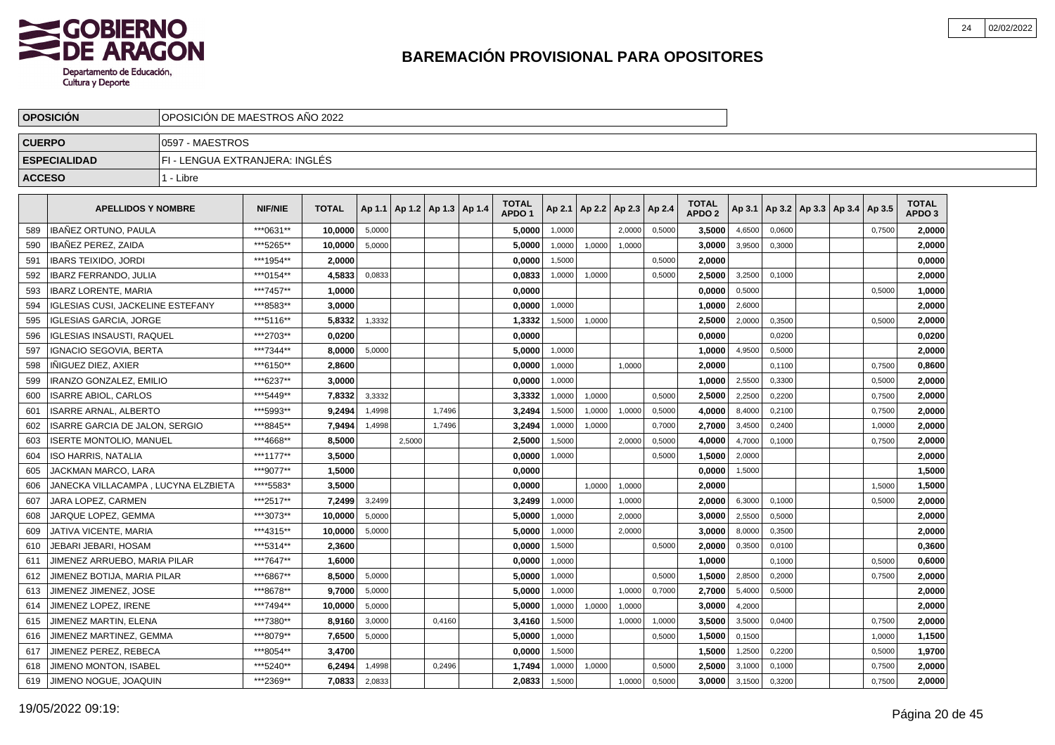

|               | <b>OPOSICION</b>                         |                                | OPOSICION DE MAESTROS ANO 2022 |              |        |                          |        |  |                                   |        |                          |        |        |                                   |        |        |                                   |        |                            |  |
|---------------|------------------------------------------|--------------------------------|--------------------------------|--------------|--------|--------------------------|--------|--|-----------------------------------|--------|--------------------------|--------|--------|-----------------------------------|--------|--------|-----------------------------------|--------|----------------------------|--|
| <b>CUERPO</b> |                                          | 0597 - MAESTROS                |                                |              |        |                          |        |  |                                   |        |                          |        |        |                                   |        |        |                                   |        |                            |  |
|               | <b>ESPECIALIDAD</b>                      | FI - LENGUA EXTRANJERA: INGLÉS |                                |              |        |                          |        |  |                                   |        |                          |        |        |                                   |        |        |                                   |        |                            |  |
| <b>ACCESO</b> |                                          | 1 - Libre                      |                                |              |        |                          |        |  |                                   |        |                          |        |        |                                   |        |        |                                   |        |                            |  |
|               | <b>APELLIDOS Y NOMBRE</b>                |                                | <b>NIF/NIE</b>                 | <b>TOTAL</b> | Ap 1.1 | Ap 1.2   Ap 1.3   Ap 1.4 |        |  | <b>TOTAL</b><br>APDO <sub>1</sub> | Ap 2.1 | Ap 2.2   Ap 2.3   Ap 2.4 |        |        | <b>TOTAL</b><br>APDO <sub>2</sub> | Ap 3.1 |        | Ap 3.2   Ap 3.3   Ap 3.4   Ap 3.5 |        | TOTAL<br>APDO <sub>3</sub> |  |
| 589           | <b>IBAÑEZ ORTUNO, PAULA</b>              |                                | ***0631**                      | 10.0000      | 5,0000 |                          |        |  | 5.0000                            | 1.0000 |                          | 2.0000 | 0,5000 | 3.5000                            | 4,6500 | 0.0600 |                                   | 0,7500 | 2.0000                     |  |
| 590           | IBAÑEZ PEREZ, ZAIDA                      |                                | ***5265**                      | 10,0000      | 5.0000 |                          |        |  | 5.0000                            | 1.0000 | 1.0000                   | 1.0000 |        | 3.0000                            | 3,9500 | 0,3000 |                                   |        | 2,0000                     |  |
| 591           | <b>IBARS TEIXIDO, JORDI</b>              |                                | ***1954**                      | 2.0000       |        |                          |        |  | 0.0000                            | 1,5000 |                          |        | 0,5000 | 2.0000                            |        |        |                                   |        | 0,0000                     |  |
| 592           | <b>IBARZ FERRANDO, JULIA</b>             |                                | ***0154**                      | 4.5833       | 0,0833 |                          |        |  | 0,0833                            | 1,0000 | 1,0000                   |        | 0,5000 | 2,5000                            | 3,2500 | 0,1000 |                                   |        | 2,0000                     |  |
| 593           | <b>IBARZ LORENTE, MARIA</b>              |                                | ***7457**                      | 1,0000       |        |                          |        |  | 0,0000                            |        |                          |        |        | 0,0000                            | 0,5000 |        |                                   | 0,5000 | 1,0000                     |  |
| 594           | <b>IGLESIAS CUSI, JACKELINE ESTEFANY</b> |                                | ***8583**                      | 3,0000       |        |                          |        |  | 0,0000                            | 1,0000 |                          |        |        | 1,0000                            | 2,6000 |        |                                   |        | 2,0000                     |  |
| 595           | <b>IGLESIAS GARCIA, JORGE</b>            |                                | ***5116**                      | 5,8332       | 1,3332 |                          |        |  | 1,3332                            | 1,5000 | 1,0000                   |        |        | 2,5000                            | 2,0000 | 0,3500 |                                   | 0,5000 | 2,0000                     |  |
| 596           | <b>IGLESIAS INSAUSTI. RAQUEL</b>         |                                | ***2703**                      | 0.0200       |        |                          |        |  | 0.0000                            |        |                          |        |        | 0.0000                            |        | 0.0200 |                                   |        | 0,0200                     |  |
| 597           | <b>IGNACIO SEGOVIA, BERTA</b>            |                                | ***7344**                      | 8,0000       | 5,0000 |                          |        |  | 5.0000                            | 1,0000 |                          |        |        | 1,0000                            | 4,9500 | 0,5000 |                                   |        | 2,0000                     |  |
| 598           | INIGUEZ DIEZ. AXIER                      |                                | ***6150**                      | 2,8600       |        |                          |        |  | 0,0000                            | 1,0000 |                          | 1.0000 |        | 2,0000                            |        | 0,1100 |                                   | 0,7500 | 0,8600                     |  |
| 599           | <b>IRANZO GONZALEZ, EMILIO</b>           |                                | ***6237**                      | 3,0000       |        |                          |        |  | 0,0000                            | 1,0000 |                          |        |        | 1,0000                            | 2,5500 | 0,3300 |                                   | 0,5000 | 2,0000                     |  |
| 600           | <b>ISARRE ABIOL, CARLOS</b>              |                                | *** 5449**                     | 7,8332       | 3,3332 |                          |        |  | 3,3332                            | 1,0000 | 1,0000                   |        | 0,5000 | 2,5000                            | 2,2500 | 0,2200 |                                   | 0,7500 | 2,0000                     |  |
| 601           | <b>ISARRE ARNAL, ALBERTO</b>             |                                | ***5993**                      | 9,2494       | 1,4998 |                          | 1,7496 |  | 3,2494                            | 1,5000 | 1,0000                   | 1,0000 | 0,5000 | 4,0000                            | 8,4000 | 0,2100 |                                   | 0,7500 | 2,0000                     |  |
| 602           | ISARRE GARCIA DE JALON, SERGIO           |                                | ***8845**                      | 7,9494       | 1,4998 |                          | 1,7496 |  | 3,2494                            | 1,0000 | 1,0000                   |        | 0,7000 | 2,7000                            | 3,4500 | 0,2400 |                                   | 1,0000 | 2,0000                     |  |
| 603           | <b>ISERTE MONTOLIO, MANUEL</b>           |                                | ***4668**                      | 8.5000       |        | 2,5000                   |        |  | 2.5000                            | 1,5000 |                          | 2.0000 | 0,5000 | 4.0000                            | 4,7000 | 0.1000 |                                   | 0,7500 | 2.0000                     |  |
| 604           | ISO HARRIS. NATALIA                      |                                | ***1177**                      | 3,5000       |        |                          |        |  | 0.0000                            | 1,0000 |                          |        | 0,5000 | 1.5000                            | 2,0000 |        |                                   |        | 2,0000                     |  |
| 605           | JACKMAN MARCO. LARA                      |                                | ***9077**                      | 1,5000       |        |                          |        |  | 0,0000                            |        |                          |        |        | 0.0000                            | 1,5000 |        |                                   |        | 1,5000                     |  |
| 606           | JANECKA VILLACAMPA , LUCYNA ELZBIETA     |                                | ****5583*                      | 3,5000       |        |                          |        |  | 0.0000                            |        | 1.0000                   | 1,0000 |        | 2,0000                            |        |        |                                   | 1,5000 | 1,5000                     |  |
| 607           | JARA LOPEZ, CARMEN                       |                                | ***2517**                      | 7,2499       | 3,2499 |                          |        |  | 3,2499                            | 1,0000 |                          | 1,0000 |        | 2,0000                            | 6,3000 | 0,1000 |                                   | 0,5000 | 2,0000                     |  |
| 608           | JARQUE LOPEZ, GEMMA                      |                                | ***3073**                      | 10,0000      | 5,0000 |                          |        |  | 5,0000                            | 1,0000 |                          | 2,0000 |        | 3,0000                            | 2,5500 | 0,5000 |                                   |        | 2,0000                     |  |
| 609           | JATIVA VICENTE, MARIA                    |                                | ***4315**                      | 10,0000      | 5,0000 |                          |        |  | 5,0000                            | 1,0000 |                          | 2,0000 |        | 3,0000                            | 8,0000 | 0,3500 |                                   |        | 2,0000                     |  |
| 610           | JEBARI JEBARI. HOSAM                     |                                | ***5314**                      | 2,3600       |        |                          |        |  | 0.0000                            | 1,5000 |                          |        | 0.5000 | 2,0000                            | 0,3500 | 0.0100 |                                   |        | 0,3600                     |  |
| 611           | JIMENEZ ARRUEBO. MARIA PILAR             |                                | ***7647**                      | 1.6000       |        |                          |        |  | 0.0000                            | 1,0000 |                          |        |        | 1.0000                            |        | 0,1000 |                                   | 0,5000 | 0,6000                     |  |
| 612           | JIMENEZ BOTIJA, MARIA PILAR              |                                | ***6867**                      | 8.5000       | 5,0000 |                          |        |  | 5.0000                            | 1,0000 |                          |        | 0,5000 | 1.5000                            | 2,8500 | 0,2000 |                                   | 0,7500 | 2,0000                     |  |
| 613           | JIMENEZ JIMENEZ, JOSE                    |                                | ***8678**                      | 9,7000       | 5,0000 |                          |        |  | 5,0000                            | 1,0000 |                          | 1,0000 | 0,7000 | 2,7000                            | 5,4000 | 0,5000 |                                   |        | 2,0000                     |  |
| 614           | JIMENEZ LOPEZ, IRENE                     |                                | ***7494**                      | 10,0000      | 5,0000 |                          |        |  | 5,0000                            | 1,0000 | 1,0000                   | 1,0000 |        | 3,0000                            | 4,2000 |        |                                   |        | 2,0000                     |  |
| 615           | JIMENEZ MARTIN, ELENA                    |                                | ***7380**                      | 8,9160       | 3,0000 |                          | 0,4160 |  | 3,4160                            | 1,5000 |                          | 1,0000 | 1,0000 | 3,5000                            | 3,5000 | 0,0400 |                                   | 0,7500 | 2,0000                     |  |
| 616           | JIMENEZ MARTINEZ, GEMMA                  |                                | ***8079**                      | 7,6500       | 5,0000 |                          |        |  | 5,0000                            | 1,0000 |                          |        | 0,5000 | 1,5000                            | 0,1500 |        |                                   | 1,0000 | 1,1500                     |  |
| 617           | JIMENEZ PEREZ. REBECA                    |                                | ***8054**                      | 3,4700       |        |                          |        |  | 0.0000                            | 1,5000 |                          |        |        | 1.5000                            | 1,2500 | 0,2200 |                                   | 0,5000 | 1,9700                     |  |
| 618           | JIMENO MONTON, ISABEL                    |                                | ***5240**                      | 6,2494       | 1,4998 |                          | 0.2496 |  | 1,7494                            | 1,0000 | 1,0000                   |        | 0,5000 | 2,5000                            | 3,1000 | 0,1000 |                                   | 0,7500 | 2,0000                     |  |
| 619           | JIMENO NOGUE, JOAQUIN                    |                                | ***2369**                      | 7,0833       | 2,0833 |                          |        |  | 2,0833                            | 1,5000 |                          | 1,0000 | 0,5000 | 3.0000                            | 3,1500 | 0,3200 |                                   | 0,7500 | 2,0000                     |  |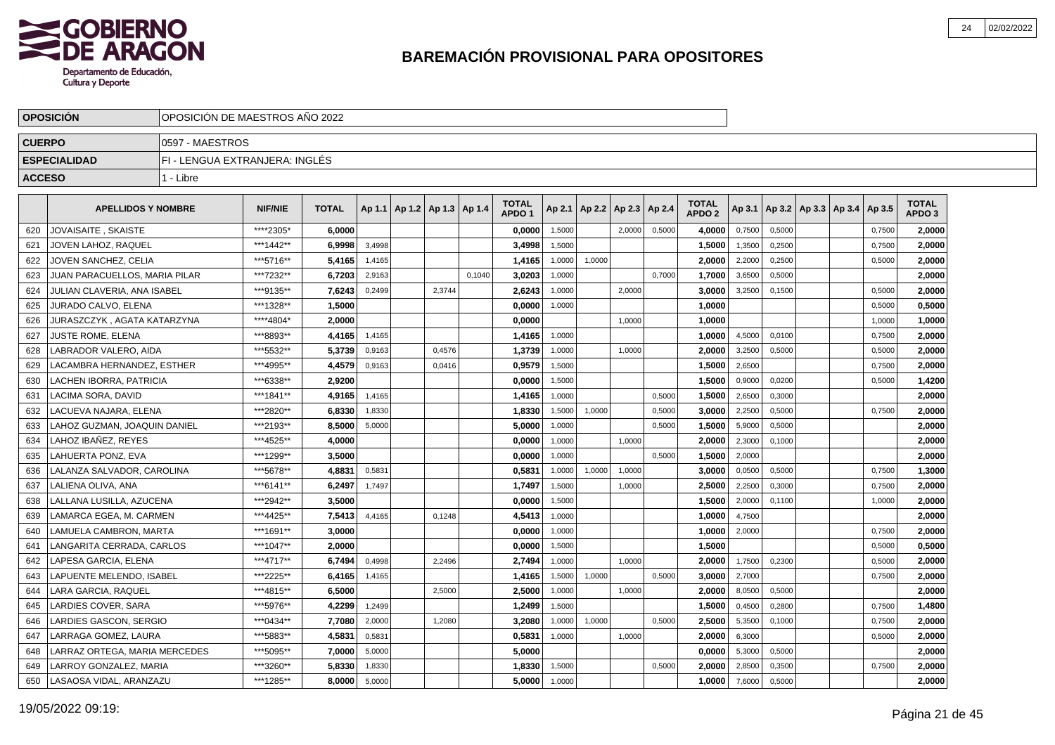

|               | <b>OPOSICION</b>              |                                | OPOSICION DE MAESTROS ANO 2022 |              |        |  |                                   |        |                                   |        |        |                          |        |                                   |        |        |                          |        |                            |  |
|---------------|-------------------------------|--------------------------------|--------------------------------|--------------|--------|--|-----------------------------------|--------|-----------------------------------|--------|--------|--------------------------|--------|-----------------------------------|--------|--------|--------------------------|--------|----------------------------|--|
| <b>CUERPO</b> |                               | 0597 - MAESTROS                |                                |              |        |  |                                   |        |                                   |        |        |                          |        |                                   |        |        |                          |        |                            |  |
|               | <b>ESPECIALIDAD</b>           | FI - LENGUA EXTRANJERA: INGLÉS |                                |              |        |  |                                   |        |                                   |        |        |                          |        |                                   |        |        |                          |        |                            |  |
| <b>ACCESO</b> |                               | 1 - Libre                      |                                |              |        |  |                                   |        |                                   |        |        |                          |        |                                   |        |        |                          |        |                            |  |
|               | <b>APELLIDOS Y NOMBRE</b>     |                                | <b>NIF/NIE</b>                 | <b>TOTAL</b> |        |  | Ap 1.1   Ap 1.2   Ap 1.3   Ap 1.4 |        | <b>TOTAL</b><br>APDO <sub>1</sub> | Ap 2.1 |        | Ap 2.2   Ap 2.3   Ap 2.4 |        | <b>TOTAL</b><br>APDO <sub>2</sub> | Ap 3.1 |        | Ap 3.2   Ap 3.3   Ap 3.4 | Ap 3.5 | TOTAL<br>APDO <sub>3</sub> |  |
| 620           | JOVAISAITE . SKAISTE          |                                | *****2305*                     | 6.0000       |        |  |                                   |        | 0.0000                            | 1,5000 |        | 2.0000                   | 0,5000 | 4.0000                            | 0,7500 | 0,5000 |                          | 0,7500 | 2.0000                     |  |
| 621           | JOVEN LAHOZ, RAQUEL           |                                | ***1442**                      | 6.9998       | 3.4998 |  |                                   |        | 3,4998                            | 1.5000 |        |                          |        | 1,5000                            | 1,3500 | 0.2500 |                          | 0,7500 | 2.0000                     |  |
| 622           | JOVEN SANCHEZ. CELIA          |                                | ***5716**                      | 5.4165       | 1,4165 |  |                                   |        | 1.4165                            | 1,0000 | 1,0000 |                          |        | 2.0000                            | 2,2000 | 0.2500 |                          | 0,5000 | 2,0000                     |  |
| 623           | JUAN PARACUELLOS. MARIA PILAR |                                | ***7232**                      | 6.7203       | 2,9163 |  |                                   | 0,1040 | 3,0203                            | 1,0000 |        |                          | 0,7000 | 1,7000                            | 3,6500 | 0,5000 |                          |        | 2.0000                     |  |
| 624           | JULIAN CLAVERIA, ANA ISABEL   |                                | ***9135**                      | 7,6243       | 0,2499 |  | 2,3744                            |        | 2,6243                            | 1,0000 |        | 2,0000                   |        | 3,0000                            | 3,2500 | 0,1500 |                          | 0,5000 | 2,0000                     |  |
| 625           | JURADO CALVO, ELENA           |                                | ***1328**                      | 1,5000       |        |  |                                   |        | 0,0000                            | 1,0000 |        |                          |        | 1,0000                            |        |        |                          | 0,5000 | 0,5000                     |  |
| 626           | JURASZCZYK , AGATA KATARZYNA  |                                | ****4804*                      | 2,0000       |        |  |                                   |        | 0,0000                            |        |        | 1,0000                   |        | 1,0000                            |        |        |                          | 1,0000 | 1,0000                     |  |
| 627           | <b>JUSTE ROME, ELENA</b>      |                                | ***8893**                      | 4.4165       | 1,4165 |  |                                   |        | 1,4165                            | 1,0000 |        |                          |        | 1.0000                            | 4,5000 | 0.0100 |                          | 0,7500 | 2.0000                     |  |
| 628           | LABRADOR VALERO, AIDA         |                                | ***5532**                      | 5,3739       | 0,9163 |  | 0,4576                            |        | 1,3739                            | 1,0000 |        | 1,0000                   |        | 2,0000                            | 3,2500 | 0,5000 |                          | 0,5000 | 2,0000                     |  |
| 629           | LACAMBRA HERNANDEZ, ESTHER    |                                | ***4995**                      | 4,4579       | 0,9163 |  | 0,0416                            |        | 0,9579                            | 1,5000 |        |                          |        | 1,5000                            | 2,6500 |        |                          | 0,7500 | 2,0000                     |  |
| 630           | LACHEN IBORRA, PATRICIA       |                                | ***6338**                      | 2,9200       |        |  |                                   |        | 0,0000                            | 1,5000 |        |                          |        | 1,5000                            | 0,9000 | 0,0200 |                          | 0,5000 | 1,4200                     |  |
| 631           | <b>LACIMA SORA, DAVID</b>     |                                | ***1841**                      | 4,9165       | 1,4165 |  |                                   |        | 1,4165                            | 1,0000 |        |                          | 0,5000 | 1,5000                            | 2,6500 | 0,3000 |                          |        | 2,0000                     |  |
| 632           | LACUEVA NAJARA, ELENA         |                                | ***2820**                      | 6,8330       | 1,8330 |  |                                   |        | 1,8330                            | 1,5000 | 1,0000 |                          | 0,5000 | 3,0000                            | 2,2500 | 0,5000 |                          | 0,7500 | 2,0000                     |  |
| 633           | LAHOZ GUZMAN, JOAQUIN DANIEL  |                                | ***2193**                      | 8,5000       | 5,0000 |  |                                   |        | 5,0000                            | 1,0000 |        |                          | 0,5000 | 1,5000                            | 5,9000 | 0,5000 |                          |        | 2,0000                     |  |
| 634           | LAHOZ IBAÑEZ. REYES           |                                | ***4525**                      | 4.0000       |        |  |                                   |        | 0.0000                            | 1,0000 |        | 1.0000                   |        | 2.0000                            | 2,3000 | 0.1000 |                          |        | 2.0000                     |  |
| 635           | LAHUERTA PONZ. EVA            |                                | ***1299**                      | 3,5000       |        |  |                                   |        | 0.0000                            | 1.0000 |        |                          | 0.5000 | 1.5000                            | 2,0000 |        |                          |        | 2.0000                     |  |
| 636           | LALANZA SALVADOR, CAROLINA    |                                | ***5678**                      | 4.8831       | 0,5831 |  |                                   |        | 0,5831                            | 1,0000 | 1,0000 | 1,0000                   |        | 3,0000                            | 0,0500 | 0,5000 |                          | 0,7500 | 1,3000                     |  |
| 637           | LALIENA OLIVA. ANA            |                                | ***6141**                      | 6,2497       | 1,7497 |  |                                   |        | 1,7497                            | 1,5000 |        | 1,0000                   |        | 2,5000                            | 2,2500 | 0,3000 |                          | 0,7500 | 2,0000                     |  |
| 638           | LALLANA LUSILLA, AZUCENA      |                                | ***2942**                      | 3,5000       |        |  |                                   |        | 0,0000                            | 1,5000 |        |                          |        | 1,5000                            | 2,0000 | 0,1100 |                          | 1,0000 | 2,0000                     |  |
| 639           | LAMARCA EGEA, M. CARMEN       |                                | ***4425**                      | 7,5413       | 4,4165 |  | 0,1248                            |        | 4,5413                            | 1,0000 |        |                          |        | 1.0000                            | 4,7500 |        |                          |        | 2,0000                     |  |
| 640           | LAMUELA CAMBRON, MARTA        |                                | ***1691**                      | 3,0000       |        |  |                                   |        | 0,0000                            | 1,0000 |        |                          |        | 1,0000                            | 2,0000 |        |                          | 0,7500 | 2,0000                     |  |
| 641           | LANGARITA CERRADA, CARLOS     |                                | ***1047**                      | 2.0000       |        |  |                                   |        | 0.0000                            | 1,5000 |        |                          |        | 1.5000                            |        |        |                          | 0,5000 | 0.5000                     |  |
| 642           | LAPESA GARCIA. ELENA          |                                | ***4717**                      | 6.7494       | 0,4998 |  | 2.2496                            |        | 2,7494                            | 1,0000 |        | 1.0000                   |        | 2.0000                            | 1,7500 | 0.2300 |                          | 0,5000 | 2,0000                     |  |
| 643           | LAPUENTE MELENDO. ISABEL      |                                | ***2225**                      | 6,4165       | 1,4165 |  |                                   |        | 1,4165                            | 1,5000 | 1,0000 |                          | 0,5000 | 3.0000                            | 2,7000 |        |                          | 0,7500 | 2,0000                     |  |
| 644           | LARA GARCIA, RAQUEL           |                                | ***4815**                      | 6,5000       |        |  | 2,5000                            |        | 2,5000                            | 1,0000 |        | 1,0000                   |        | 2.0000                            | 8,0500 | 0,5000 |                          |        | 2,0000                     |  |
| 645           | LARDIES COVER, SARA           |                                | ***5976**                      | 4,2299       | 1,2499 |  |                                   |        | 1,2499                            | 1,5000 |        |                          |        | 1,5000                            | 0,4500 | 0,2800 |                          | 0,7500 | 1,4800                     |  |
| 646           | LARDIES GASCON, SERGIO        |                                | ***0434**                      | 7,7080       | 2,0000 |  | 1,2080                            |        | 3,2080                            | 1,0000 | 1,0000 |                          | 0,5000 | 2,5000                            | 5,3500 | 0,1000 |                          | 0,7500 | 2,0000                     |  |
| 647           | LARRAGA GOMEZ, LAURA          |                                | ***5883**                      | 4,5831       | 0,5831 |  |                                   |        | 0,5831                            | 1,0000 |        | 1,0000                   |        | 2,0000                            | 6,3000 |        |                          | 0,5000 | 2,0000                     |  |
| 648           | LARRAZ ORTEGA, MARIA MERCEDES |                                | ***5095**                      | 7.0000       | 5,0000 |  |                                   |        | 5.0000                            |        |        |                          |        | 0.0000                            | 5,3000 | 0,5000 |                          |        | 2.0000                     |  |
| 649           | LARROY GONZALEZ, MARIA        |                                | ***3260**                      | 5,8330       | 1,8330 |  |                                   |        | 1,8330                            | 1,5000 |        |                          | 0,5000 | 2.0000                            | 2,8500 | 0,3500 |                          | 0,7500 | 2,0000                     |  |
| 650           | LASAOSA VIDAL, ARANZAZU       |                                | ***1285**                      | 8.0000       | 5,0000 |  |                                   |        | 5,0000                            | 1,0000 |        |                          |        | 1.0000                            | 7,6000 | 0,5000 |                          |        | 2.0000                     |  |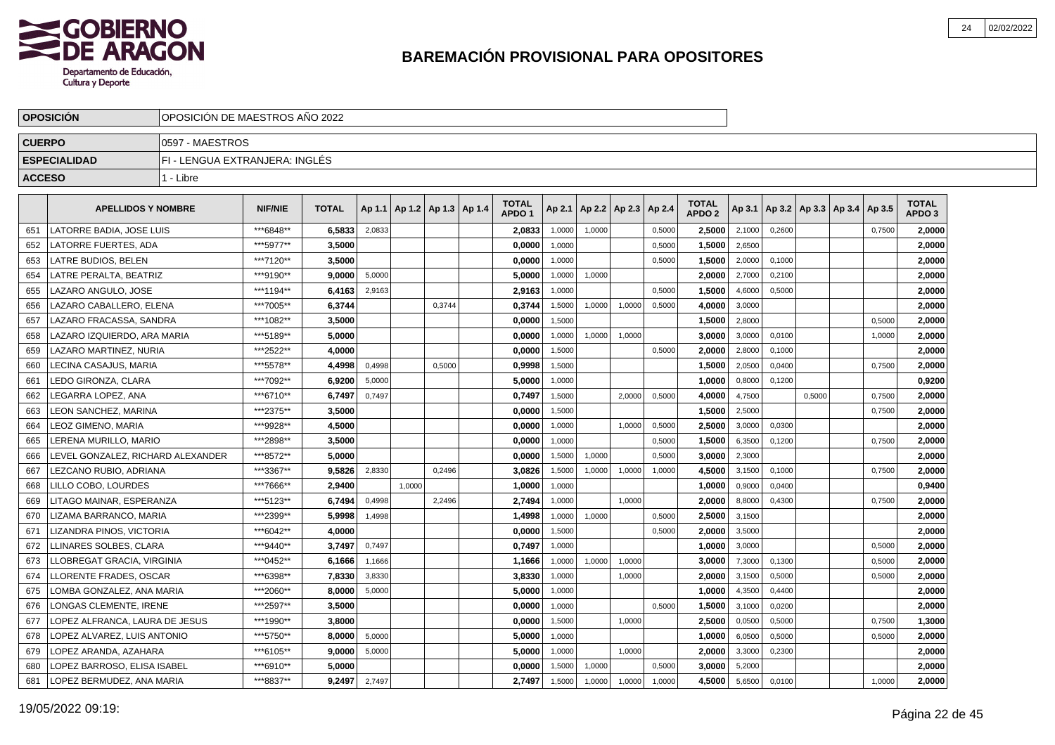

|               | <b>OPOSICION</b>                  |                                | OPOSICION DE MAESTROS ANO 2022 |              |        |        |                          |  |                                   |        |                          |        |        |                                   |        |        |        |                                   |        |                                   |  |
|---------------|-----------------------------------|--------------------------------|--------------------------------|--------------|--------|--------|--------------------------|--|-----------------------------------|--------|--------------------------|--------|--------|-----------------------------------|--------|--------|--------|-----------------------------------|--------|-----------------------------------|--|
| <b>CUERPO</b> |                                   | 10597 - MAESTROS               |                                |              |        |        |                          |  |                                   |        |                          |        |        |                                   |        |        |        |                                   |        |                                   |  |
|               | <b>ESPECIALIDAD</b>               | FI - LENGUA EXTRANJERA: INGLÉS |                                |              |        |        |                          |  |                                   |        |                          |        |        |                                   |        |        |        |                                   |        |                                   |  |
| <b>ACCESO</b> |                                   | 1 - Libre                      |                                |              |        |        |                          |  |                                   |        |                          |        |        |                                   |        |        |        |                                   |        |                                   |  |
|               | <b>APELLIDOS Y NOMBRE</b>         |                                | <b>NIF/NIE</b>                 | <b>TOTAL</b> | Ap 1.1 |        | Ap 1.2   Ap 1.3   Ap 1.4 |  | <b>TOTAL</b><br>APDO <sub>1</sub> | Ap 2.1 | Ap 2.2   Ap 2.3   Ap 2.4 |        |        | <b>TOTAL</b><br>APDO <sub>2</sub> | Ap 3.1 |        |        | Ap 3.2   Ap 3.3   Ap 3.4   Ap 3.5 |        | <b>TOTAL</b><br>APDO <sub>3</sub> |  |
| 651           | LATORRE BADIA, JOSE LUIS          |                                | ***6848**                      | 6,5833       | 2,0833 |        |                          |  | 2,0833                            | 1,0000 | 1,0000                   |        | 0,5000 | 2.5000                            | 2,1000 | 0.2600 |        |                                   | 0,7500 | 2.0000                            |  |
| 652           | LATORRE FUERTES, ADA              |                                | ***5977**                      | 3,5000       |        |        |                          |  | 0,0000                            | 1,0000 |                          |        | 0,5000 | 1,5000                            | 2,6500 |        |        |                                   |        | 2,0000                            |  |
| 653           | LATRE BUDIOS, BELEN               |                                | ***7120**                      | 3,5000       |        |        |                          |  | 0,0000                            | 1,0000 |                          |        | 0,5000 | 1,5000                            | 2,0000 | 0,1000 |        |                                   |        | 2,0000                            |  |
| 654           | LATRE PERALTA, BEATRIZ            |                                | ***9190**                      | 9.0000       | 5,0000 |        |                          |  | 5,0000                            | 1,0000 | 1,0000                   |        |        | 2,0000                            | 2,7000 | 0,2100 |        |                                   |        | 2,0000                            |  |
| 655           | LAZARO ANGULO, JOSE               |                                | ***1194**                      | 6,4163       | 2,9163 |        |                          |  | 2,9163                            | 1,0000 |                          |        | 0,5000 | 1,5000                            | 4,6000 | 0,5000 |        |                                   |        | 2,0000                            |  |
| 656           | LAZARO CABALLERO, ELENA           |                                | ***7005**                      | 6.3744       |        |        | 0.3744                   |  | 0,3744                            | 1,5000 | 1,0000                   | 1,0000 | 0,5000 | 4.0000                            | 3,0000 |        |        |                                   |        | 2.0000                            |  |
| 657           | LAZARO FRACASSA, SANDRA           |                                | ***1082**                      | 3,5000       |        |        |                          |  | 0,0000                            | 1.5000 |                          |        |        | 1,5000                            | 2,8000 |        |        |                                   | 0,5000 | 2,0000                            |  |
| 658           | LAZARO IZQUIERDO. ARA MARIA       |                                | ***5189**                      | 5,0000       |        |        |                          |  | 0,0000                            | 1,0000 | 1,0000                   | 1,0000 |        | 3,0000                            | 3,0000 | 0,0100 |        |                                   | 1,0000 | 2,0000                            |  |
| 659           | LAZARO MARTINEZ. NURIA            |                                | ***2522**                      | 4,0000       |        |        |                          |  | 0,0000                            | 1,5000 |                          |        | 0,5000 | 2,0000                            | 2,8000 | 0,1000 |        |                                   |        | 2,0000                            |  |
| 660           | LECINA CASAJUS, MARIA             |                                | ***5578**                      | 4,4998       | 0,4998 |        | 0,5000                   |  | 0,9998                            | 1,5000 |                          |        |        | 1,5000                            | 2,0500 | 0,0400 |        |                                   | 0,7500 | 2,0000                            |  |
| 661           | LEDO GIRONZA, CLARA               |                                | ***7092**                      | 6,9200       | 5,0000 |        |                          |  | 5,0000                            | 1,0000 |                          |        |        | 1,0000                            | 0,8000 | 0,1200 |        |                                   |        | 0,9200                            |  |
| 662           | LEGARRA LOPEZ. ANA                |                                | ***6710**                      | 6,7497       | 0,7497 |        |                          |  | 0,7497                            | 1,5000 |                          | 2.0000 | 0,5000 | 4,0000                            | 4,7500 |        | 0,5000 |                                   | 0,7500 | 2,0000                            |  |
| 663           | <b>LEON SANCHEZ, MARINA</b>       |                                | ***2375**                      | 3,5000       |        |        |                          |  | 0,0000                            | 1,5000 |                          |        |        | 1,5000                            | 2,5000 |        |        |                                   | 0,7500 | 2,0000                            |  |
| 664           | LEOZ GIMENO. MARIA                |                                | ***9928**                      | 4,5000       |        |        |                          |  | 0,0000                            | 1,0000 |                          | 1,0000 | 0,5000 | 2,5000                            | 3,0000 | 0,0300 |        |                                   |        | 2,0000                            |  |
| 665           | LERENA MURILLO, MARIO             |                                | ***2898**                      | 3,5000       |        |        |                          |  | 0,0000                            | 1,0000 |                          |        | 0,5000 | 1,5000                            | 6,3500 | 0,1200 |        |                                   | 0,7500 | 2,0000                            |  |
| 666           | LEVEL GONZALEZ. RICHARD ALEXANDER |                                | ***8572**                      | 5,0000       |        |        |                          |  | 0,0000                            | 1,5000 | 1,0000                   |        | 0,5000 | 3,0000                            | 2,3000 |        |        |                                   |        | 2,0000                            |  |
| 667           | LEZCANO RUBIO, ADRIANA            |                                | ***3367**                      | 9,5826       | 2,8330 |        | 0,2496                   |  | 3,0826                            | 1,5000 | 1,0000                   | 1,0000 | 1,0000 | 4,5000                            | 3,1500 | 0,1000 |        |                                   | 0,7500 | 2,0000                            |  |
| 668           | LILLO COBO. LOURDES               |                                | ***7666**                      | 2.9400       |        | 1.0000 |                          |  | 1.0000                            | 1,0000 |                          |        |        | 1.0000                            | 0,9000 | 0.0400 |        |                                   |        | 0,9400                            |  |
| 669           | LITAGO MAINAR. ESPERANZA          |                                | ***5123**                      | 6.7494       | 0,4998 |        | 2,2496                   |  | 2,7494                            | 1,0000 |                          | 1.0000 |        | 2.0000                            | 8,8000 | 0,4300 |        |                                   | 0,7500 | 2,0000                            |  |
| 670           | LIZAMA BARRANCO, MARIA            |                                | ***2399**                      | 5,9998       | 1,4998 |        |                          |  | 1,4998                            | 1,0000 | 1,0000                   |        | 0,5000 | 2,5000                            | 3,1500 |        |        |                                   |        | 2,0000                            |  |
| 671           | LIZANDRA PINOS, VICTORIA          |                                | ***6042**                      | 4,0000       |        |        |                          |  | 0,0000                            | 1,5000 |                          |        | 0,5000 | 2.0000                            | 3,5000 |        |        |                                   |        | 2,0000                            |  |
| 672           | LLINARES SOLBES, CLARA            |                                | ***9440**                      | 3,7497       | 0,7497 |        |                          |  | 0,7497                            | 1,0000 |                          |        |        | 1,0000                            | 3,0000 |        |        |                                   | 0,5000 | 2,0000                            |  |
| 673           | LLOBREGAT GRACIA, VIRGINIA        |                                | ***0452**                      | 6,1666       | 1,1666 |        |                          |  | 1,1666                            | 1,0000 | 1,0000                   | 1,0000 |        | 3,0000                            | 7,3000 | 0,1300 |        |                                   | 0,5000 | 2,0000                            |  |
| 674           | LLORENTE FRADES, OSCAR            |                                | ***6398**                      | 7,8330       | 3,8330 |        |                          |  | 3,8330                            | 1,0000 |                          | 1,0000 |        | 2.0000                            | 3,1500 | 0,5000 |        |                                   | 0,5000 | 2,0000                            |  |
| 675           | LOMBA GONZALEZ, ANA MARIA         |                                | ***2060**                      | 8.0000       | 5,0000 |        |                          |  | 5.0000                            | 1,0000 |                          |        |        | 1.0000                            | 4,3500 | 0,4400 |        |                                   |        | 2,0000                            |  |
| 676           | LONGAS CLEMENTE. IRENE            |                                | ***2597**                      | 3,5000       |        |        |                          |  | 0,0000                            | 1,0000 |                          |        | 0,5000 | 1,5000                            | 3,1000 | 0,0200 |        |                                   |        | 2,0000                            |  |
| 677           | LOPEZ ALFRANCA, LAURA DE JESUS    |                                | ***1990**                      | 3,8000       |        |        |                          |  | 0,0000                            | 1,5000 |                          | 1,0000 |        | 2,5000                            | 0,0500 | 0,5000 |        |                                   | 0,7500 | 1,3000                            |  |
| 678           | LOPEZ ALVAREZ, LUIS ANTONIO       |                                | ***5750**                      | 8,0000       | 5,0000 |        |                          |  | 5,0000                            | 1,0000 |                          |        |        | 1,0000                            | 6,0500 | 0,5000 |        |                                   | 0,5000 | 2,0000                            |  |
| 679           | LOPEZ ARANDA, AZAHARA             |                                | ***6105**                      | 9,0000       | 5,0000 |        |                          |  | 5,0000                            | 1,0000 |                          | 1,0000 |        | 2,0000                            | 3,3000 | 0,2300 |        |                                   |        | 2,0000                            |  |
| 680           | LOPEZ BARROSO. ELISA ISABEL       |                                | ***6910**                      | 5.0000       |        |        |                          |  | 0.0000                            | 1,5000 | 1,0000                   |        | 0,5000 | 3.0000                            | 5,2000 |        |        |                                   |        | 2.0000                            |  |
| 681           | LOPEZ BERMUDEZ, ANA MARIA         |                                | ***8837**                      | 9,2497       | 2,7497 |        |                          |  | 2,7497                            | 1,5000 | 1,0000                   | 1,0000 | 1,0000 | 4,5000                            | 5,6500 | 0,0100 |        |                                   | 1,0000 | 2,0000                            |  |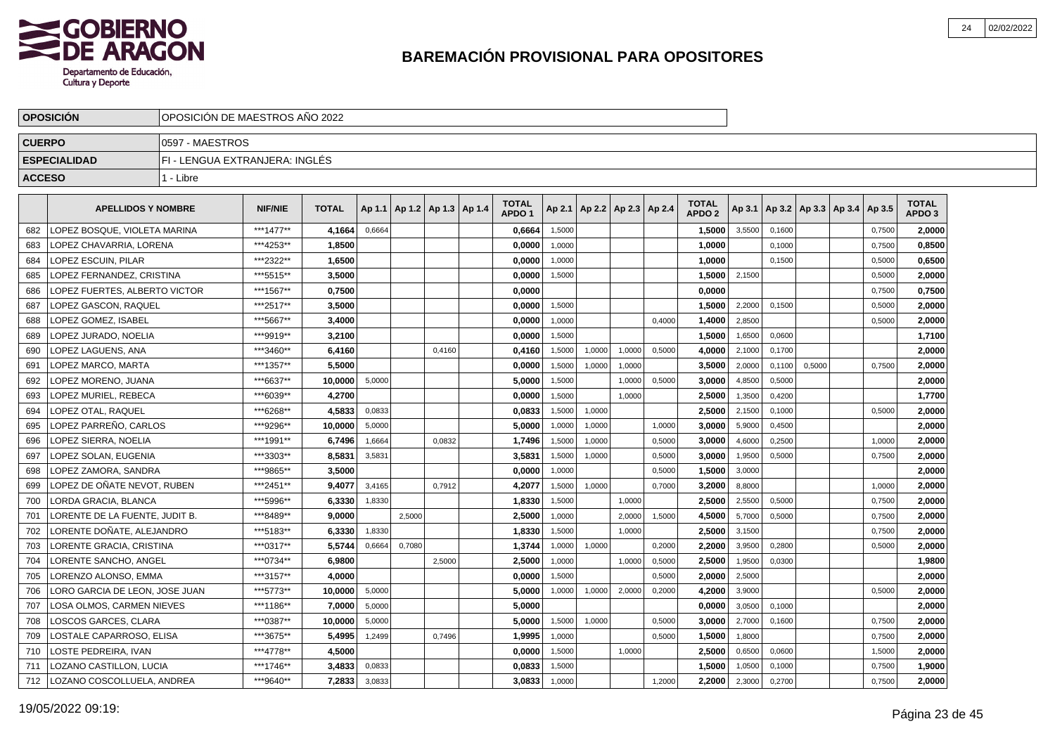

|               | <b>OPOSICIÓN</b>              |                                | OPOSICIÓN DE MAESTROS AÑO 2022 |              |        |        |                          |  |                                   |        |                          |        |        |                                   |        |        |        |                                   |        |                                   |  |
|---------------|-------------------------------|--------------------------------|--------------------------------|--------------|--------|--------|--------------------------|--|-----------------------------------|--------|--------------------------|--------|--------|-----------------------------------|--------|--------|--------|-----------------------------------|--------|-----------------------------------|--|
| <b>CUERPO</b> |                               | 0597 - MAESTROS                |                                |              |        |        |                          |  |                                   |        |                          |        |        |                                   |        |        |        |                                   |        |                                   |  |
|               | <b>ESPECIALIDAD</b>           | FI - LENGUA EXTRANJERA: INGLÉS |                                |              |        |        |                          |  |                                   |        |                          |        |        |                                   |        |        |        |                                   |        |                                   |  |
| <b>ACCESO</b> |                               | 1 - Libre                      |                                |              |        |        |                          |  |                                   |        |                          |        |        |                                   |        |        |        |                                   |        |                                   |  |
|               | <b>APELLIDOS Y NOMBRE</b>     |                                | <b>NIF/NIE</b>                 | <b>TOTAL</b> | Ap 1.1 |        | Ap 1.2   Ap 1.3   Ap 1.4 |  | <b>TOTAL</b><br>APDO <sub>1</sub> | Ap 2.1 | Ap 2.2   Ap 2.3   Ap 2.4 |        |        | <b>TOTAL</b><br>APDO <sub>2</sub> | Ap 3.1 |        |        | Ap 3.2   Ap 3.3   Ap 3.4   Ap 3.5 |        | <b>TOTAL</b><br>APDO <sub>3</sub> |  |
| 682           | LOPEZ BOSQUE, VIOLETA MARINA  |                                | ***1477**                      | 4,1664       | 0,6664 |        |                          |  | 0,6664                            | 1,5000 |                          |        |        | 1,5000                            | 3,5500 | 0,1600 |        |                                   | 0,7500 | 2,0000                            |  |
| 683           | OPEZ CHAVARRIA, LORENA        |                                | ***4253**                      | 1,8500       |        |        |                          |  | 0,0000                            | 1,0000 |                          |        |        | 1,0000                            |        | 0,1000 |        |                                   | 0,7500 | 0,8500                            |  |
| 684           | LOPEZ ESCUIN, PILAR           |                                | ***2322**                      | 1,6500       |        |        |                          |  | 0,0000                            | 1,0000 |                          |        |        | 1,0000                            |        | 0,1500 |        |                                   | 0,5000 | 0,6500                            |  |
| 685           | LOPEZ FERNANDEZ. CRISTINA     |                                | ***5515**                      | 3.5000       |        |        |                          |  | 0,0000                            | 1,5000 |                          |        |        | 1.5000                            | 2,1500 |        |        |                                   | 0,5000 | 2,0000                            |  |
| 686           | OPEZ FUERTES. ALBERTO VICTOR  |                                | ***1567**                      | 0.7500       |        |        |                          |  | 0,0000                            |        |                          |        |        | 0.0000                            |        |        |        |                                   | 0,7500 | 0,7500                            |  |
| 687           | OPEZ GASCON, RAQUEL           |                                | ***2517**                      | 3,5000       |        |        |                          |  | 0,0000                            | 1.5000 |                          |        |        | 1,5000                            | 2,2000 | 0.1500 |        |                                   | 0.5000 | 2,0000                            |  |
| 688           | OPEZ GOMEZ, ISABEL            |                                | ***5667**                      | 3,4000       |        |        |                          |  | 0,0000                            | 1.0000 |                          |        | 0.4000 | 1,4000                            | 2,8500 |        |        |                                   | 0,5000 | 2,0000                            |  |
| 689           | OPEZ JURADO, NOELIA           |                                | ***9919**                      | 3,2100       |        |        |                          |  | 0,0000                            | 1,5000 |                          |        |        | 1,5000                            | 1,6500 | 0,0600 |        |                                   |        | 1,7100                            |  |
| 690           | OPEZ LAGUENS, ANA             |                                | ***3460**                      | 6,4160       |        |        | 0,4160                   |  | 0,4160                            | 1,5000 | 1,0000                   | 1,0000 | 0,5000 | 4,0000                            | 2,1000 | 0,1700 |        |                                   |        | 2,0000                            |  |
| 691           | OPEZ MARCO, MARTA.            |                                | ***1357**                      | 5,5000       |        |        |                          |  | 0,0000                            | 1,5000 | 1,0000                   | 1.0000 |        | 3,5000                            | 2,0000 | 0,1100 | 0,5000 |                                   | 0,7500 | 2,0000                            |  |
| 692           | OPEZ MORENO, JUANA            |                                | ***6637**                      | 10,0000      | 5,0000 |        |                          |  | 5,0000                            | 1,5000 |                          | 1,0000 | 0,5000 | 3,0000                            | 4,8500 | 0,5000 |        |                                   |        | 2,0000                            |  |
| 693           | LOPEZ MURIEL, REBECA          |                                | ***6039**                      | 4,2700       |        |        |                          |  | 0,0000                            | 1,5000 |                          | 1,0000 |        | 2,5000                            | 1,3500 | 0,4200 |        |                                   |        | 1,7700                            |  |
| 694           | OPEZ OTAL, RAQUEL             |                                | ***6268**                      | 4,5833       | 0,0833 |        |                          |  | 0,0833                            | 1,5000 | 1,0000                   |        |        | 2,5000                            | 2,1500 | 0,1000 |        |                                   | 0,5000 | 2,0000                            |  |
| 695           | LOPEZ PARREÑO. CARLOS         |                                | ***9296**                      | 10.0000      | 5,0000 |        |                          |  | 5,0000                            | 1,0000 | 1,0000                   |        | 1,0000 | 3,0000                            | 5,9000 | 0,4500 |        |                                   |        | 2,0000                            |  |
| 696           | LOPEZ SIERRA. NOELIA          |                                | ***1991**                      | 6.7496       | 1,6664 |        | 0,0832                   |  | 1,7496                            | 1,5000 | 1,0000                   |        | 0,5000 | 3.0000                            | 4,6000 | 0,2500 |        |                                   | 1,0000 | 2,0000                            |  |
| 697           | LOPEZ SOLAN. EUGENIA          |                                | ***3303**                      | 8.5831       | 3,5831 |        |                          |  | 3,5831                            | 1,5000 | 1,0000                   |        | 0,5000 | 3.0000                            | 1,9500 | 0,5000 |        |                                   | 0,7500 | 2.0000                            |  |
| 698           | OPEZ ZAMORA, SANDRA           |                                | ***9865**                      | 3,5000       |        |        |                          |  | 0,0000                            | 1,0000 |                          |        | 0,5000 | 1,5000                            | 3,0000 |        |        |                                   |        | 2,0000                            |  |
| 699           | LOPEZ DE OÑATE NEVOT. RUBEN   |                                | ***2451**                      | 9,4077       | 3,4165 |        | 0,7912                   |  | 4,2077                            | 1,5000 | 1,0000                   |        | 0,7000 | 3,2000                            | 8,8000 |        |        |                                   | 1,0000 | 2,0000                            |  |
| 700           | LORDA GRACIA, BLANCA          |                                | ***5996**                      | 6,3330       | 1,8330 |        |                          |  | 1,8330                            | 1,5000 |                          | 1,0000 |        | 2,5000                            | 2,5500 | 0,5000 |        |                                   | 0,7500 | 2,0000                            |  |
| 701           | ORENTE DE LA FUENTE. JUDIT B. |                                | ***8489**                      | 9.0000       |        | 2,5000 |                          |  | 2,5000                            | 1,0000 |                          | 2,0000 | 1,5000 | 4,5000                            | 5,7000 | 0,5000 |        |                                   | 0,7500 | 2,0000                            |  |
| 702           | ORENTE DOÑATE. ALEJANDRO.     |                                | ***5183**                      | 6,3330       | 1,8330 |        |                          |  | 1,8330                            | 1.5000 |                          | 1.0000 |        | 2,5000                            | 3,1500 |        |        |                                   | 0,7500 | 2,0000                            |  |
| 703           | ORENTE GRACIA, CRISTINA       |                                | ***0317**                      | 5.5744       | 0,6664 | 0,7080 |                          |  | 1,3744                            | 1,0000 | 1,0000                   |        | 0,2000 | 2.2000                            | 3,9500 | 0,2800 |        |                                   | 0,5000 | 2,0000                            |  |
| 704           | ORENTE SANCHO, ANGEL          |                                | ***0734**                      | 6.9800       |        |        | 2,5000                   |  | 2,5000                            | 1,0000 |                          | 1.0000 | 0,5000 | 2.5000                            | 1,9500 | 0,0300 |        |                                   |        | 1.9800                            |  |
| 705           | ORENZO ALONSO. EMMA           |                                | ***3157**                      | 4.0000       |        |        |                          |  | 0,0000                            | 1.5000 |                          |        | 0,5000 | 2,0000                            | 2,5000 |        |        |                                   |        | 2.0000                            |  |
| 706           | ORO GARCIA DE LEON. JOSE JUAN |                                | ***5773**                      | 10.0000      | 5,0000 |        |                          |  | 5.0000                            | 1.0000 | 1.0000                   | 2,0000 | 0,2000 | 4,2000                            | 3.9000 |        |        |                                   | 0.5000 | 2.0000                            |  |
| 707           | OSA OLMOS, CARMEN NIEVES      |                                | ***1186**                      | 7,0000       | 5,0000 |        |                          |  | 5,0000                            |        |                          |        |        | 0,0000                            | 3,0500 | 0,1000 |        |                                   |        | 2,0000                            |  |
| 708           | LOSCOS GARCES, CLARA          |                                | ***0387**                      | 10,0000      | 5,0000 |        |                          |  | 5,0000                            | 1,5000 | 1,0000                   |        | 0,5000 | 3,0000                            | 2,7000 | 0,1600 |        |                                   | 0,7500 | 2,0000                            |  |
| 709           | OSTALE CAPARROSO, ELISA       |                                | ***3675**                      | 5,4995       | 1,2499 |        | 0,7496                   |  | 1,9995                            | 1,0000 |                          |        | 0,5000 | 1,5000                            | 1,8000 |        |        |                                   | 0,7500 | 2,0000                            |  |
| 710           | OSTE PEDREIRA, IVAN           |                                | ***4778**                      | 4,5000       |        |        |                          |  | 0,0000                            | 1,5000 |                          | 1,0000 |        | 2,5000                            | 0,6500 | 0,0600 |        |                                   | 1,5000 | 2,0000                            |  |
| 711           | OZANO CASTILLON, LUCIA        |                                | ***1746**                      | 3,4833       | 0,0833 |        |                          |  | 0,0833                            | 1,5000 |                          |        |        | 1,5000                            | 1,0500 | 0,1000 |        |                                   | 0,7500 | 1,9000                            |  |
| 712           | LOZANO COSCOLLUELA, ANDREA    |                                | ***9640**                      | 7,2833       | 3,0833 |        |                          |  | 3,0833                            | 1,0000 |                          |        | 1,2000 | 2,2000                            | 2,3000 | 0,2700 |        |                                   | 0,7500 | 2,0000                            |  |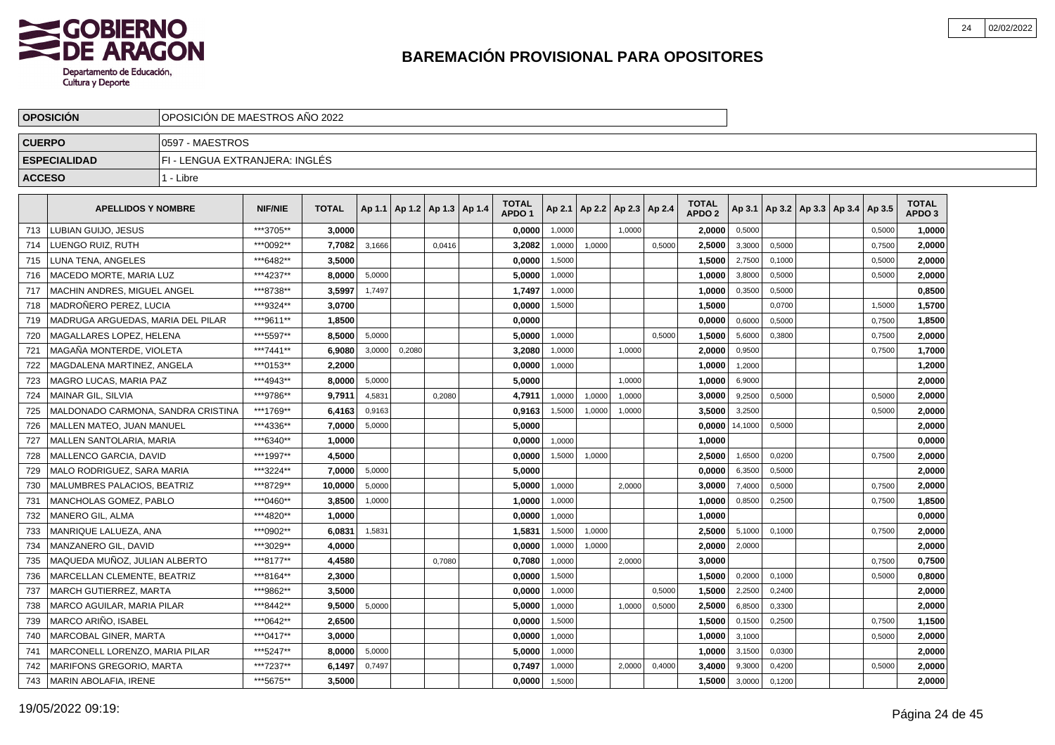

|               | <b>OPOSICION</b>                   |                                | OPOSICION DE MAESTROS ANO 2022 |              |        |        |                                   |  |                                   |        |                          |        |        |                                   |         |        |                          |        |                                   |  |
|---------------|------------------------------------|--------------------------------|--------------------------------|--------------|--------|--------|-----------------------------------|--|-----------------------------------|--------|--------------------------|--------|--------|-----------------------------------|---------|--------|--------------------------|--------|-----------------------------------|--|
| <b>CUERPO</b> |                                    | 0597 - MAESTROS                |                                |              |        |        |                                   |  |                                   |        |                          |        |        |                                   |         |        |                          |        |                                   |  |
|               | <b>ESPECIALIDAD</b>                | FI - LENGUA EXTRANJERA: INGLÉS |                                |              |        |        |                                   |  |                                   |        |                          |        |        |                                   |         |        |                          |        |                                   |  |
| <b>ACCESO</b> |                                    | 1 - Libre                      |                                |              |        |        |                                   |  |                                   |        |                          |        |        |                                   |         |        |                          |        |                                   |  |
|               | <b>APELLIDOS Y NOMBRE</b>          |                                | <b>NIF/NIE</b>                 | <b>TOTAL</b> |        |        | Ap 1.1   Ap 1.2   Ap 1.3   Ap 1.4 |  | <b>TOTAL</b><br>APDO <sub>1</sub> | Ap 2.1 | Ap 2.2   Ap 2.3   Ap 2.4 |        |        | <b>TOTAL</b><br>APDO <sub>2</sub> | Ap 3.1  |        | Ap 3.2   Ap 3.3   Ap 3.4 | Ap 3.5 | <b>TOTAL</b><br>APDO <sub>3</sub> |  |
| 713           | LUBIAN GUIJO. JESUS                |                                | ***3705**                      | 3.0000       |        |        |                                   |  | 0,0000                            | 1,0000 |                          | 1.0000 |        | 2.0000                            | 0,5000  |        |                          | 0,5000 | 1.0000                            |  |
| 714           | LUENGO RUIZ, RUTH                  |                                | ***0092**                      | 7,7082       | 3,1666 |        | 0,0416                            |  | 3,2082                            | 1,0000 | 1,0000                   |        | 0,5000 | 2,5000                            | 3,3000  | 0,5000 |                          | 0,7500 | 2,0000                            |  |
| 715           | LUNA TENA, ANGELES                 |                                | ***6482**                      | 3,5000       |        |        |                                   |  | 0,0000                            | 1,5000 |                          |        |        | 1,5000                            | 2,7500  | 0,1000 |                          | 0,5000 | 2,0000                            |  |
| 716           | MACEDO MORTE, MARIA LUZ            |                                | ***4237**                      | 8.0000       | 5,0000 |        |                                   |  | 5,0000                            | 1,0000 |                          |        |        | 1,0000                            | 3,8000  | 0,5000 |                          | 0,5000 | 2,0000                            |  |
| 717           | MACHIN ANDRES, MIGUEL ANGEL        |                                | ***8738**                      | 3,5997       | 1,7497 |        |                                   |  | 1,7497                            | 1,0000 |                          |        |        | 1,0000                            | 0,3500  | 0,5000 |                          |        | 0,8500                            |  |
| 718           | <b>MADROÑERO PEREZ, LUCIA</b>      |                                | ***9324**                      | 3.0700       |        |        |                                   |  | 0,0000                            | 1,5000 |                          |        |        | 1.5000                            |         | 0.0700 |                          | 1,5000 | 1,5700                            |  |
| 719           | MADRUGA ARGUEDAS, MARIA DEL PILAR  |                                | ***9611**                      | 1.8500       |        |        |                                   |  | 0,0000                            |        |                          |        |        | 0.0000                            | 0,6000  | 0,5000 |                          | 0,7500 | 1,8500                            |  |
| 720           | MAGALLARES LOPEZ. HELENA           |                                | ***5597**                      | 8,5000       | 5,0000 |        |                                   |  | 5,0000                            | 1,0000 |                          |        | 0,5000 | 1,5000                            | 5,6000  | 0.3800 |                          | 0,7500 | 2,0000                            |  |
| 721           | MAGAÑA MONTERDE. VIOLETA           |                                | ***7441**                      | 6,9080       | 3,0000 | 0,2080 |                                   |  | 3,2080                            | 1,0000 |                          | 1,0000 |        | 2,0000                            | 0,9500  |        |                          | 0,7500 | 1,7000                            |  |
| 722           | MAGDALENA MARTINEZ, ANGELA         |                                | ***0153**                      | 2,2000       |        |        |                                   |  | 0,0000                            | 1,0000 |                          |        |        | 1,0000                            | 1,2000  |        |                          |        | 1,2000                            |  |
| 723           | MAGRO LUCAS, MARIA PAZ             |                                | ***4943**                      | 8,0000       | 5,0000 |        |                                   |  | 5,0000                            |        |                          | 1,0000 |        | 1,0000                            | 6,9000  |        |                          |        | 2,0000                            |  |
| 724           | MAINAR GIL, SILVIA                 |                                | ***9786**                      | 9,7911       | 4,5831 |        | 0.2080                            |  | 4,7911                            | 1.0000 | 1,0000                   | 1.0000 |        | 3,0000                            | 9,2500  | 0.5000 |                          | 0.5000 | 2,0000                            |  |
| 725           | MALDONADO CARMONA, SANDRA CRISTINA |                                | ***1769**                      | 6.4163       | 0,9163 |        |                                   |  | 0,9163                            | 1,5000 | 1,0000                   | 1,0000 |        | 3.5000                            | 3,2500  |        |                          | 0,5000 | 2,0000                            |  |
| 726           | <b>MALLEN MATEO, JUAN MANUEL</b>   |                                | ***4336**                      | 7,0000       | 5,0000 |        |                                   |  | 5.0000                            |        |                          |        |        | 0,0000                            | 14,1000 | 0,5000 |                          |        | 2,0000                            |  |
| 727           | MALLEN SANTOLARIA, MARIA           |                                | ***6340**                      | 1,0000       |        |        |                                   |  | 0,0000                            | 1,0000 |                          |        |        | 1,0000                            |         |        |                          |        | 0,0000                            |  |
| 728           | MALLENCO GARCIA, DAVID             |                                | ***1997**                      | 4,5000       |        |        |                                   |  | 0,0000                            | 1,5000 | 1,0000                   |        |        | 2,5000                            | 1,6500  | 0,0200 |                          | 0,7500 | 2,0000                            |  |
| 729           | MALO RODRIGUEZ, SARA MARIA         |                                | ***3224**                      | 7,0000       | 5,0000 |        |                                   |  | 5,0000                            |        |                          |        |        | 0,0000                            | 6,3500  | 0,5000 |                          |        | 2,0000                            |  |
| 730           | MALUMBRES PALACIOS. BEATRIZ        |                                | ***8729**                      | 10.0000      | 5,0000 |        |                                   |  | 5.0000                            | 1,0000 |                          | 2.0000 |        | 3.0000                            | 7,4000  | 0.5000 |                          | 0.7500 | 2.0000                            |  |
| 731           | MANCHOLAS GOMEZ, PABLO             |                                | ***0460**                      | 3,8500       | 1,0000 |        |                                   |  | 1,0000                            | 1,0000 |                          |        |        | 1,0000                            | 0,8500  | 0,2500 |                          | 0,7500 | 1,8500                            |  |
| 732           | <b>MANERO GIL, ALMA</b>            |                                | ***4820**                      | 1.0000       |        |        |                                   |  | 0,0000                            | 1,0000 |                          |        |        | 1,0000                            |         |        |                          |        | 0,0000                            |  |
| 733           | MANRIQUE LALUEZA, ANA              |                                | ***0902**                      | 6,0831       | 1,5831 |        |                                   |  | 1,5831                            | 1,5000 | 1,0000                   |        |        | 2.5000                            | 5,1000  | 0,1000 |                          | 0,7500 | 2,0000                            |  |
| 734           | MANZANERO GIL, DAVID               |                                | ***3029**                      | 4,0000       |        |        |                                   |  | 0,0000                            | 1,0000 | 1,0000                   |        |        | 2,0000                            | 2,0000  |        |                          |        | 2,0000                            |  |
| 735           | MAQUEDA MUÑOZ, JULIAN ALBERTO      |                                | ***8177**                      | 4,4580       |        |        | 0,7080                            |  | 0,7080                            | 1,0000 |                          | 2,0000 |        | 3,0000                            |         |        |                          | 0,7500 | 0,7500                            |  |
| 736           | <b>MARCELLAN CLEMENTE, BEATRIZ</b> |                                | ***8164**                      | 2.3000       |        |        |                                   |  | 0.0000                            | 1,5000 |                          |        |        | 1.5000                            | 0,2000  | 0,1000 |                          | 0,5000 | 0.8000                            |  |
| 737           | <b>MARCH GUTIERREZ, MARTA</b>      |                                | ***9862**                      | 3.5000       |        |        |                                   |  | 0,0000                            | 1,0000 |                          |        | 0,5000 | 1.5000                            | 2,2500  | 0,2400 |                          |        | 2,0000                            |  |
| 738           | <b>MARCO AGUILAR, MARIA PILAR</b>  |                                | ***8442**                      | 9,5000       | 5,0000 |        |                                   |  | 5,0000                            | 1,0000 |                          | 1,0000 | 0,5000 | 2,5000                            | 6,8500  | 0,3300 |                          |        | 2.0000                            |  |
| 739           | MARCO ARIÑO, ISABEL                |                                | ***0642**                      | 2,6500       |        |        |                                   |  | 0,0000                            | 1,5000 |                          |        |        | 1,5000                            | 0,1500  | 0,2500 |                          | 0,7500 | 1,1500                            |  |
| 740           | MARCOBAL GINER, MARTA              |                                | ***0417**                      | 3,0000       |        |        |                                   |  | 0,0000                            | 1,0000 |                          |        |        | 1,0000                            | 3,1000  |        |                          | 0,5000 | 2,0000                            |  |
| 741           | MARCONELL LORENZO, MARIA PILAR     |                                | *** 5247**                     | 8,0000       | 5,0000 |        |                                   |  | 5,0000                            | 1,0000 |                          |        |        | 1,0000                            | 3,1500  | 0,0300 |                          |        | 2,0000                            |  |
| 742           | <b>MARIFONS GREGORIO, MARTA</b>    |                                | ***7237**                      | 6,1497       | 0,7497 |        |                                   |  | 0.7497                            | 1,0000 |                          | 2,0000 | 0,4000 | 3.4000                            | 9,3000  | 0,4200 |                          | 0,5000 | 2.0000                            |  |
| 743           | MARIN ABOLAFIA, IRENE              |                                | ***5675**                      | 3,5000       |        |        |                                   |  | 0,0000                            | 1,5000 |                          |        |        | 1,5000                            | 3,0000  | 0,1200 |                          |        | 2,0000                            |  |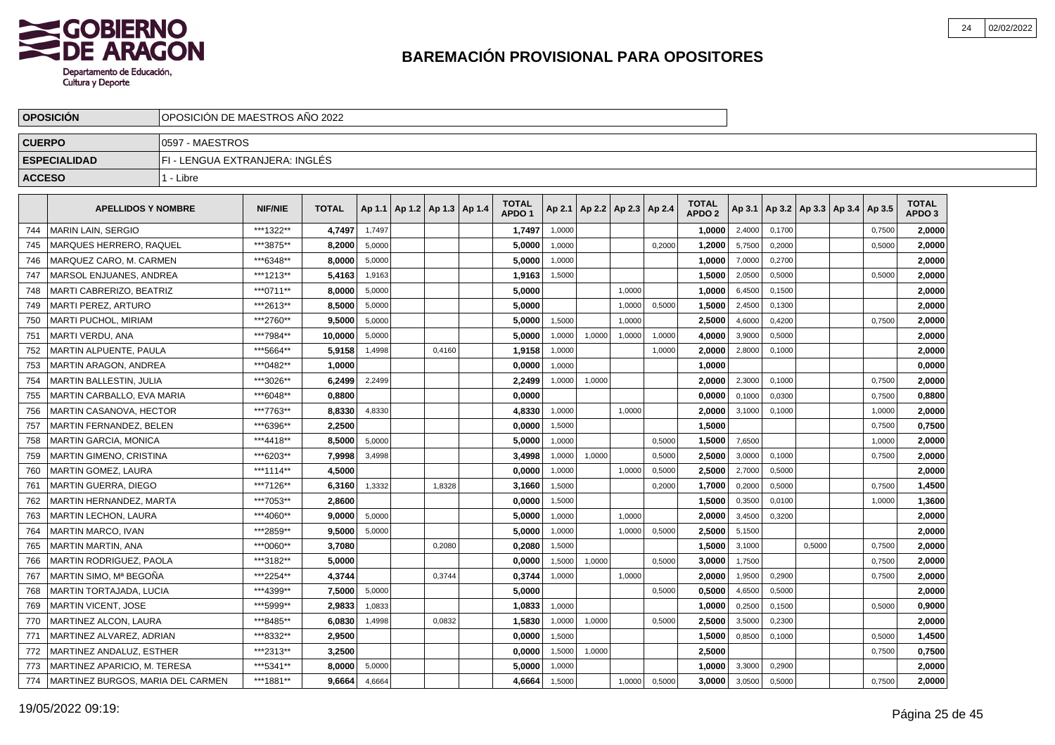

|               | <b>OPOSICION</b><br>OPOSICION DE MAESTROS ANO 2022 |                                |                |              |        |                              |        |  |                                   |        |                          |        |        |                                   |        |        |        |                                   |        |                                   |  |
|---------------|----------------------------------------------------|--------------------------------|----------------|--------------|--------|------------------------------|--------|--|-----------------------------------|--------|--------------------------|--------|--------|-----------------------------------|--------|--------|--------|-----------------------------------|--------|-----------------------------------|--|
| <b>CUERPO</b> |                                                    | 0597 - MAESTROS                |                |              |        |                              |        |  |                                   |        |                          |        |        |                                   |        |        |        |                                   |        |                                   |  |
|               | <b>ESPECIALIDAD</b>                                | FI - LENGUA EXTRANJERA: INGLÉS |                |              |        |                              |        |  |                                   |        |                          |        |        |                                   |        |        |        |                                   |        |                                   |  |
| <b>ACCESO</b> |                                                    | 1 - Libre                      |                |              |        |                              |        |  |                                   |        |                          |        |        |                                   |        |        |        |                                   |        |                                   |  |
|               | <b>APELLIDOS Y NOMBRE</b>                          |                                | <b>NIF/NIE</b> | <b>TOTAL</b> | Ap 1.1 | $ $ Ap 1.2   Ap 1.3   Ap 1.4 |        |  | <b>TOTAL</b><br>APDO <sub>1</sub> | Ap 2.1 | Ap 2.2   Ap 2.3   Ap 2.4 |        |        | <b>TOTAL</b><br>APDO <sub>2</sub> | Ap 3.1 |        |        | Ap 3.2   Ap 3.3   Ap 3.4   Ap 3.5 |        | <b>TOTAL</b><br>APDO <sub>3</sub> |  |
| 744           | <b>MARIN LAIN, SERGIO</b>                          |                                | ***1322**      | 4.7497       | 1,7497 |                              |        |  | 1,7497                            | 1,0000 |                          |        |        | 1.0000                            | 2,4000 | 0,1700 |        |                                   | 0,7500 | 2.0000                            |  |
| 745           | <b>MARQUES HERRERO, RAQUEL</b>                     |                                | ***3875**      | 8,2000       | 5,0000 |                              |        |  | 5,0000                            | 1,0000 |                          |        | 0.2000 | 1,2000                            | 5,7500 | 0,2000 |        |                                   | 0,5000 | 2,0000                            |  |
| 746           | MARQUEZ CARO. M. CARMEN                            |                                | ***6348**      | 8,0000       | 5.0000 |                              |        |  | 5.0000                            | 1.0000 |                          |        |        | 1,0000                            | 7,0000 | 0.2700 |        |                                   |        | 2,0000                            |  |
| 747           | MARSOL ENJUANES, ANDREA                            |                                | ***1213**      | 5.4163       | 1,9163 |                              |        |  | 1,9163                            | 1,5000 |                          |        |        | 1,5000                            | 2,0500 | 0,5000 |        |                                   | 0,5000 | 2,0000                            |  |
| 748           | MARTI CABRERIZO, BEATRIZ                           |                                | ***0711**      | 8,0000       | 5,0000 |                              |        |  | 5,0000                            |        |                          | 1,0000 |        | 1,0000                            | 6,4500 | 0,1500 |        |                                   |        | 2,0000                            |  |
| 749           | <b>MARTI PEREZ, ARTURO</b>                         |                                | ***2613**      | 8,5000       | 5,0000 |                              |        |  | 5,0000                            |        |                          | 1,0000 | 0,5000 | 1,5000                            | 2,4500 | 0,1300 |        |                                   |        | 2,0000                            |  |
| 750           | <b>MARTI PUCHOL, MIRIAM</b>                        |                                | ***2760**      | 9,5000       | 5,0000 |                              |        |  | 5,0000                            | 1,5000 |                          | 1,0000 |        | 2,5000                            | 4,6000 | 0,4200 |        |                                   | 0,7500 | 2,0000                            |  |
| 751           | <b>MARTI VERDU, ANA</b>                            |                                | ***7984**      | 10,0000      | 5.0000 |                              |        |  | 5.0000                            | 1,0000 | 1,0000                   | 1,0000 | 1,0000 | 4.0000                            | 3,9000 | 0.5000 |        |                                   |        | 2,0000                            |  |
| 752           | <b>MARTIN ALPUENTE, PAULA</b>                      |                                | ***5664**      | 5,9158       | 1,4998 |                              | 0,4160 |  | 1,9158                            | 1,0000 |                          |        | 1,0000 | 2,0000                            | 2,8000 | 0,1000 |        |                                   |        | 2,0000                            |  |
| 753           | <b>MARTIN ARAGON, ANDREA</b>                       |                                | ***0482**      | 1,0000       |        |                              |        |  | 0,0000                            | 1,0000 |                          |        |        | 1,0000                            |        |        |        |                                   |        | 0,0000                            |  |
| 754           | <b>MARTIN BALLESTIN, JULIA</b>                     |                                | ***3026**      | 6,2499       | 2,2499 |                              |        |  | 2,2499                            | 1,0000 | 1,0000                   |        |        | 2,0000                            | 2,3000 | 0,1000 |        |                                   | 0,7500 | 2,0000                            |  |
| 755           | MARTIN CARBALLO, EVA MARIA                         |                                | ***6048**      | 0,8800       |        |                              |        |  | 0,0000                            |        |                          |        |        | 0,0000                            | 0,1000 | 0,0300 |        |                                   | 0,7500 | 0,8800                            |  |
| 756           | MARTIN CASANOVA, HECTOR                            |                                | ***7763**      | 8,8330       | 4,8330 |                              |        |  | 4,8330                            | 1,0000 |                          | 1,0000 |        | 2,0000                            | 3,1000 | 0,1000 |        |                                   | 1,0000 | 2,0000                            |  |
| 757           | MARTIN FERNANDEZ, BELEN                            |                                | ***6396**      | 2,2500       |        |                              |        |  | 0,0000                            | 1,5000 |                          |        |        | 1,5000                            |        |        |        |                                   | 0,7500 | 0,7500                            |  |
| 758           | <b>MARTIN GARCIA, MONICA</b>                       |                                | ***4418**      | 8.5000       | 5,0000 |                              |        |  | 5.0000                            | 1,0000 |                          |        | 0,5000 | 1.5000                            | 7,6500 |        |        |                                   | 1,0000 | 2.0000                            |  |
| 759           | <b>MARTIN GIMENO, CRISTINA</b>                     |                                | ***6203**      | 7,9998       | 3,4998 |                              |        |  | 3,4998                            | 1,0000 | 1.0000                   |        | 0,5000 | 2.5000                            | 3,0000 | 0.1000 |        |                                   | 0.7500 | 2,0000                            |  |
| 760           | <b>MARTIN GOMEZ, LAURA</b>                         |                                | ***1114**      | 4,5000       |        |                              |        |  | 0.0000                            | 1.0000 |                          | 1,0000 | 0,5000 | 2.5000                            | 2,7000 | 0.5000 |        |                                   |        | 2,0000                            |  |
| 761           | <b>MARTIN GUERRA, DIEGO</b>                        |                                | ***7126**      | 6.3160       | 1,3332 |                              | 1,8328 |  | 3,1660                            | 1,5000 |                          |        | 0,2000 | 1,7000                            | 0,2000 | 0,5000 |        |                                   | 0,7500 | 1,4500                            |  |
| 762           | MARTIN HERNANDEZ, MARTA                            |                                | ***7053**      | 2,8600       |        |                              |        |  | 0,0000                            | 1,5000 |                          |        |        | 1,5000                            | 0,3500 | 0,0100 |        |                                   | 1,0000 | 1,3600                            |  |
| 763           | <b>MARTIN LECHON, LAURA</b>                        |                                | ***4060**      | 9.0000       | 5,0000 |                              |        |  | 5,0000                            | 1,0000 |                          | 1,0000 |        | 2,0000                            | 3,4500 | 0,3200 |        |                                   |        | 2,0000                            |  |
| 764           | MARTIN MARCO, IVAN                                 |                                | ***2859**      | 9,5000       | 5,0000 |                              |        |  | 5,0000                            | 1,0000 |                          | 1,0000 | 0,5000 | 2,5000                            | 5,1500 |        |        |                                   |        | 2,0000                            |  |
| 765           | <b>MARTIN MARTIN, ANA</b>                          |                                | ***0060**      | 3.7080       |        |                              | 0.2080 |  | 0.2080                            | 1.5000 |                          |        |        | 1.5000                            | 3,1000 |        | 0.5000 |                                   | 0.7500 | 2,0000                            |  |
| 766           | <b>MARTIN RODRIGUEZ, PAOLA</b>                     |                                | ***3182**      | 5.0000       |        |                              |        |  | 0.0000                            | 1,5000 | 1,0000                   |        | 0,5000 | 3.0000                            | 1,7500 |        |        |                                   | 0,7500 | 2,0000                            |  |
| 767           | MARTIN SIMO, Mª BEGOÑA                             |                                | ***2254**      | 4.3744       |        |                              | 0,3744 |  | 0,3744                            | 1,0000 |                          | 1,0000 |        | 2.0000                            | 1,9500 | 0,2900 |        |                                   | 0,7500 | 2,0000                            |  |
| 768           | MARTIN TORTAJADA, LUCIA                            |                                | ***4399**      | 7,5000       | 5,0000 |                              |        |  | 5,0000                            |        |                          |        | 0,5000 | 0,5000                            | 4,6500 | 0,5000 |        |                                   |        | 2,0000                            |  |
| 769           | <b>MARTIN VICENT, JOSE</b>                         |                                | *** 5999**     | 2,9833       | 1,0833 |                              |        |  | 1,0833                            | 1,0000 |                          |        |        | 1,0000                            | 0,2500 | 0,1500 |        |                                   | 0,5000 | 0,9000                            |  |
| 770           | <b>MARTINEZ ALCON, LAURA</b>                       |                                | ***8485**      | 6,0830       | 1,4998 |                              | 0,0832 |  | 1,5830                            | 1,0000 | 1,0000                   |        | 0,5000 | 2,5000                            | 3,5000 | 0,2300 |        |                                   |        | 2,0000                            |  |
| 771           | MARTINEZ ALVAREZ, ADRIAN                           |                                | ***8332**      | 2,9500       |        |                              |        |  | 0,0000                            | 1,5000 |                          |        |        | 1,5000                            | 0,8500 | 0,1000 |        |                                   | 0,5000 | 1,4500                            |  |
| 772           | MARTINEZ ANDALUZ, ESTHER                           |                                | ***2313**      | 3.2500       |        |                              |        |  | 0.0000                            | 1,5000 | 1,0000                   |        |        | 2,5000                            |        |        |        |                                   | 0,7500 | 0,7500                            |  |
| 773           | MARTINEZ APARICIO, M. TERESA                       |                                | ***5341**      | 8,0000       | 5,0000 |                              |        |  | 5,0000                            | 1,0000 |                          |        |        | 1.0000                            | 3,3000 | 0,2900 |        |                                   |        | 2,0000                            |  |
| 774           | MARTINEZ BURGOS, MARIA DEL CARMEN                  |                                | ***1881**      | 9.6664       | 4,6664 |                              |        |  | 4,6664                            | 1,5000 |                          | 1,0000 | 0,5000 | 3.0000                            | 3,0500 | 0,5000 |        |                                   | 0,7500 | 2,0000                            |  |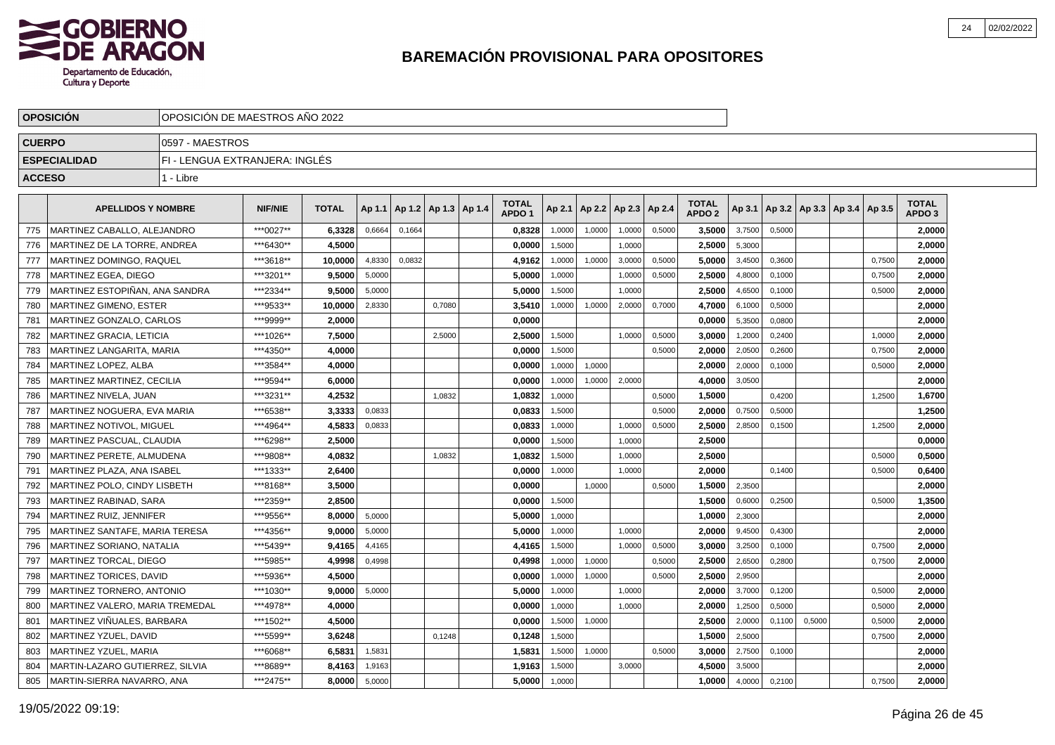

|               | <b>OPOSICION</b>                  | OPOSICION DE MAESTROS ANO 2022 |                |              |        |                          |        |  |                                   |        |        |                          |        |                                   |        |        |                                   |        |                                   |  |
|---------------|-----------------------------------|--------------------------------|----------------|--------------|--------|--------------------------|--------|--|-----------------------------------|--------|--------|--------------------------|--------|-----------------------------------|--------|--------|-----------------------------------|--------|-----------------------------------|--|
| <b>CUERPO</b> |                                   | 0597 - MAESTROS                |                |              |        |                          |        |  |                                   |        |        |                          |        |                                   |        |        |                                   |        |                                   |  |
|               | <b>ESPECIALIDAD</b>               | FI - LENGUA EXTRANJERA: INGLÉS |                |              |        |                          |        |  |                                   |        |        |                          |        |                                   |        |        |                                   |        |                                   |  |
| <b>ACCESO</b> |                                   | 1 - Libre                      |                |              |        |                          |        |  |                                   |        |        |                          |        |                                   |        |        |                                   |        |                                   |  |
|               | <b>APELLIDOS Y NOMBRE</b>         |                                | <b>NIF/NIE</b> | <b>TOTAL</b> | Ap 1.1 | Ap 1.2   Ap 1.3   Ap 1.4 |        |  | <b>TOTAL</b><br>APDO <sub>1</sub> | Ap 2.1 |        | Ap 2.2   Ap 2.3   Ap 2.4 |        | <b>TOTAL</b><br>APDO <sub>2</sub> | Ap 3.1 |        | Ap 3.2   Ap 3.3   Ap 3.4   Ap 3.5 |        | <b>TOTAL</b><br>APDO <sub>3</sub> |  |
| 775           | MARTINEZ CABALLO, ALEJANDRO       |                                | ***0027**      | 6.3328       | 0,6664 | 0,1664                   |        |  | 0,8328                            | 1,0000 | 1,0000 | 1,0000                   | 0,5000 | 3,5000                            | 3,7500 | 0,5000 |                                   |        | 2.0000                            |  |
| 776           | MARTINEZ DE LA TORRE, ANDREA      |                                | ***6430**      | 4,5000       |        |                          |        |  | 0,0000                            | 1.5000 |        | 1.0000                   |        | 2,5000                            | 5,3000 |        |                                   |        | 2,0000                            |  |
| 777           | MARTINEZ DOMINGO, RAQUEL          |                                | ***3618**      | 10,0000      | 4,8330 | 0,0832                   |        |  | 4,9162                            | 1,0000 | 1,0000 | 3,0000                   | 0,5000 | 5,0000                            | 3,4500 | 0,3600 |                                   | 0,7500 | 2,0000                            |  |
| 778           | MARTINEZ EGEA, DIEGO              |                                | ***3201**      | 9.5000       | 5,0000 |                          |        |  | 5,0000                            | 1,0000 |        | 1,0000                   | 0,5000 | 2,5000                            | 4,8000 | 0,1000 |                                   | 0,7500 | 2,0000                            |  |
| 779           | MARTINEZ ESTOPIÑAN, ANA SANDRA    |                                | ***2334**      | 9,5000       | 5,0000 |                          |        |  | 5,0000                            | 1,5000 |        | 1,0000                   |        | 2,5000                            | 4,6500 | 0,1000 |                                   | 0,5000 | 2,0000                            |  |
| 780           | <b>MARTINEZ GIMENO, ESTER</b>     |                                | ***9533**      | 10.0000      | 2,8330 |                          | 0.7080 |  | 3.5410                            | 1,0000 | 1,0000 | 2,0000                   | 0,7000 | 4.7000                            | 6,1000 | 0,5000 |                                   |        | 2,0000                            |  |
| 781           | MARTINEZ GONZALO, CARLOS          |                                | ***9999**      | 2,0000       |        |                          |        |  | 0,0000                            |        |        |                          |        | 0.0000                            | 5,3500 | 0,0800 |                                   |        | 2,0000                            |  |
| 782           | <b>MARTINEZ GRACIA, LETICIA</b>   |                                | ***1026**      | 7,5000       |        |                          | 2,5000 |  | 2,5000                            | 1,5000 |        | 1,0000                   | 0,5000 | 3,0000                            | 1,2000 | 0,2400 |                                   | 1,0000 | 2,0000                            |  |
| 783           | MARTINEZ LANGARITA, MARIA         |                                | ***4350**      | 4,0000       |        |                          |        |  | 0,0000                            | 1,5000 |        |                          | 0,5000 | 2,0000                            | 2,0500 | 0,2600 |                                   | 0,7500 | 2,0000                            |  |
| 784           | MARTINEZ LOPEZ, ALBA              |                                | ***3584**      | 4,0000       |        |                          |        |  | 0,0000                            | 1,0000 | 1,0000 |                          |        | 2,0000                            | 2,0000 | 0,1000 |                                   | 0,5000 | 2,0000                            |  |
| 785           | <b>MARTINEZ MARTINEZ, CECILIA</b> |                                | ***9594**      | 6,0000       |        |                          |        |  | 0,0000                            | 1,0000 | 1,0000 | 2,0000                   |        | 4,0000                            | 3,0500 |        |                                   |        | 2,0000                            |  |
| 786           | MARTINEZ NIVELA, JUAN             |                                | ***3231**      | 4,2532       |        |                          | 1.0832 |  | 1,0832                            | 1.0000 |        |                          | 0.5000 | 1,5000                            |        | 0,4200 |                                   | 1.2500 | 1,6700                            |  |
| 787           | MARTINEZ NOGUERA. EVA MARIA       |                                | ***6538**      | 3,3333       | 0,0833 |                          |        |  | 0.0833                            | 1,5000 |        |                          | 0,5000 | 2.0000                            | 0,7500 | 0,5000 |                                   |        | 1,2500                            |  |
| 788           | <b>MARTINEZ NOTIVOL. MIGUEL</b>   |                                | ***4964**      | 4,5833       | 0,0833 |                          |        |  | 0,0833                            | 1,0000 |        | 1,0000                   | 0,5000 | 2.5000                            | 2,8500 | 0,1500 |                                   | 1,2500 | 2,0000                            |  |
| 789           | MARTINEZ PASCUAL, CLAUDIA         |                                | ***6298**      | 2,5000       |        |                          |        |  | 0,0000                            | 1,5000 |        | 1,0000                   |        | 2,5000                            |        |        |                                   |        | 0,0000                            |  |
| 790           | MARTINEZ PERETE, ALMUDENA         |                                | ***9808**      | 4,0832       |        |                          | 1,0832 |  | 1,0832                            | 1,5000 |        | 1,0000                   |        | 2,5000                            |        |        |                                   | 0,5000 | 0,5000                            |  |
| 791           | MARTINEZ PLAZA. ANA ISABEL        |                                | ***1333**      | 2,6400       |        |                          |        |  | 0,0000                            | 1,0000 |        | 1,0000                   |        | 2,0000                            |        | 0,1400 |                                   | 0,5000 | 0,6400                            |  |
| 792           | MARTINEZ POLO, CINDY LISBETH      |                                | ***8168**      | 3.5000       |        |                          |        |  | 0.0000                            |        | 1,0000 |                          | 0,5000 | 1.5000                            | 2,3500 |        |                                   |        | 2,0000                            |  |
| 793           | MARTINEZ RABINAD, SARA            |                                | ***2359**      | 2.8500       |        |                          |        |  | 0.0000                            | 1,5000 |        |                          |        | 1.5000                            | 0,6000 | 0,2500 |                                   | 0,5000 | 1,3500                            |  |
| 794           | MARTINEZ RUIZ, JENNIFER           |                                | ***9556**      | 8.0000       | 5,0000 |                          |        |  | 5,0000                            | 1,0000 |        |                          |        | 1,0000                            | 2,3000 |        |                                   |        | 2,0000                            |  |
| 795           | MARTINEZ SANTAFE, MARIA TERESA    |                                | ***4356**      | 9,0000       | 5,0000 |                          |        |  | 5,0000                            | 1,0000 |        | 1,0000                   |        | 2,0000                            | 9,4500 | 0,4300 |                                   |        | 2,0000                            |  |
| 796           | MARTINEZ SORIANO, NATALIA         |                                | ***5439**      | 9,4165       | 4,4165 |                          |        |  | 4,4165                            | 1,5000 |        | 1,0000                   | 0,5000 | 3,0000                            | 3,2500 | 0,1000 |                                   | 0,7500 | 2,0000                            |  |
| 797           | MARTINEZ TORCAL, DIEGO            |                                | ***5985**      | 4,9998       | 0,4998 |                          |        |  | 0,4998                            | 1,0000 | 1,0000 |                          | 0,5000 | 2,5000                            | 2,6500 | 0,2800 |                                   | 0,7500 | 2,0000                            |  |
| 798           | <b>MARTINEZ TORICES, DAVID</b>    |                                | ***5936**      | 4.5000       |        |                          |        |  | 0.0000                            | 1,0000 | 1,0000 |                          | 0,5000 | 2.5000                            | 2,9500 |        |                                   |        | 2,0000                            |  |
| 799           | MARTINEZ TORNERO, ANTONIO         |                                | ***1030**      | 9.0000       | 5,0000 |                          |        |  | 5.0000                            | 1,0000 |        | 1,0000                   |        | 2.0000                            | 3,7000 | 0,1200 |                                   | 0,5000 | 2,0000                            |  |
| 800           | MARTINEZ VALERO. MARIA TREMEDAL   |                                | ***4978**      | 4,0000       |        |                          |        |  | 0,0000                            | 1,0000 |        | 1,0000                   |        | 2.0000                            | 1,2500 | 0,5000 |                                   | 0,5000 | 2,0000                            |  |
| 801           | MARTINEZ VIÑUALES, BARBARA        |                                | ***1502**      | 4,5000       |        |                          |        |  | 0,0000                            | 1,5000 | 1,0000 |                          |        | 2,5000                            | 2,0000 | 0,1100 | 0,5000                            | 0,5000 | 2,0000                            |  |
| 802           | MARTINEZ YZUEL, DAVID             |                                | *** 5599**     | 3,6248       |        |                          | 0,1248 |  | 0,1248                            | 1,5000 |        |                          |        | 1,5000                            | 2,5000 |        |                                   | 0,7500 | 2,0000                            |  |
| 803           | MARTINEZ YZUEL, MARIA             |                                | ***6068**      | 6,5831       | 1,5831 |                          |        |  | 1,5831                            | 1,5000 | 1,0000 |                          | 0,5000 | 3,0000                            | 2,7500 | 0,1000 |                                   |        | 2,0000                            |  |
| 804           | MARTIN-LAZARO GUTIERREZ, SILVIA   |                                | ***8689**      | 8,4163       | 1,9163 |                          |        |  | 1,9163                            | 1,5000 |        | 3,0000                   |        | 4.5000                            | 3,5000 |        |                                   |        | 2.0000                            |  |
| 805           | MARTIN-SIERRA NAVARRO, ANA        |                                | ***2475**      | 8,0000       | 5,0000 |                          |        |  | 5,0000                            | 1,0000 |        |                          |        | 1,0000                            | 4,0000 | 0,2100 |                                   | 0,7500 | 2,0000                            |  |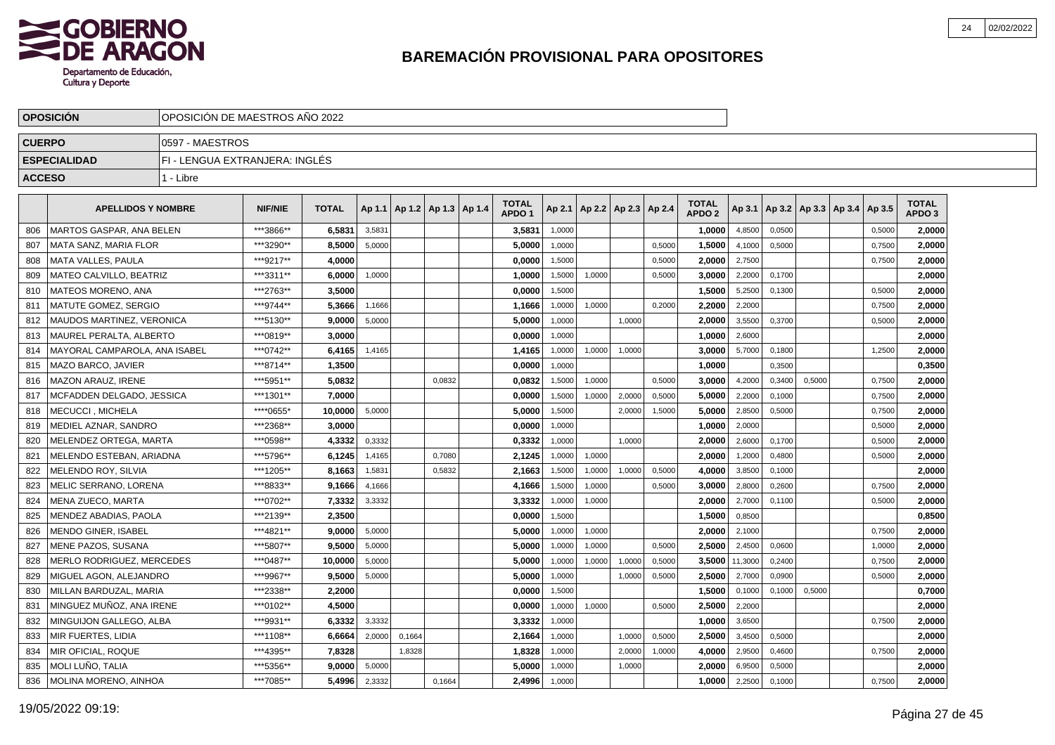

|               | <b>OPOSICION</b><br>OPOSICION DE MAESTROS ANO 2022 |                                |                |              |        |                          |        |  |                                   |        |                          |        |        |                                   |                |        |                                   |        |                                   |  |
|---------------|----------------------------------------------------|--------------------------------|----------------|--------------|--------|--------------------------|--------|--|-----------------------------------|--------|--------------------------|--------|--------|-----------------------------------|----------------|--------|-----------------------------------|--------|-----------------------------------|--|
| <b>CUERPO</b> |                                                    | 0597 - MAESTROS                |                |              |        |                          |        |  |                                   |        |                          |        |        |                                   |                |        |                                   |        |                                   |  |
|               | <b>ESPECIALIDAD</b>                                | FI - LENGUA EXTRANJERA: INGLÉS |                |              |        |                          |        |  |                                   |        |                          |        |        |                                   |                |        |                                   |        |                                   |  |
| <b>ACCESO</b> |                                                    | 1 - Libre                      |                |              |        |                          |        |  |                                   |        |                          |        |        |                                   |                |        |                                   |        |                                   |  |
|               | <b>APELLIDOS Y NOMBRE</b>                          |                                | <b>NIF/NIE</b> | <b>TOTAL</b> | Ap 1.1 | Ap 1.2   Ap 1.3   Ap 1.4 |        |  | <b>TOTAL</b><br>APDO <sub>1</sub> | Ap 2.1 | Ap 2.2   Ap 2.3   Ap 2.4 |        |        | <b>TOTAL</b><br>APDO <sub>2</sub> | Ap 3.1         |        | Ap 3.2   Ap 3.3   Ap 3.4   Ap 3.5 |        | <b>TOTAL</b><br>APDO <sub>3</sub> |  |
| 806           | MARTOS GASPAR. ANA BELEN                           |                                | ***3866**      | 6,5831       | 3,5831 |                          |        |  | 3,5831                            | 1,0000 |                          |        |        | 1,0000                            | 4,8500         | 0,0500 |                                   | 0,5000 | 2,0000                            |  |
| 807           | MATA SANZ, MARIA FLOR                              |                                | ***3290**      | 8,5000       | 5,0000 |                          |        |  | 5,0000                            | 1,0000 |                          |        | 0.5000 | 1,5000                            | 4,1000         | 0,5000 |                                   | 0,7500 | 2,0000                            |  |
| 808           | <b>MATA VALLES, PAULA</b>                          |                                | ***9217**      | 4,0000       |        |                          |        |  | 0,0000                            | 1,5000 |                          |        | 0,5000 | 2,0000                            | 2,7500         |        |                                   | 0,7500 | 2,0000                            |  |
| 809           | MATEO CALVILLO, BEATRIZ                            |                                | ***3311**      | 6,0000       | 1,0000 |                          |        |  | 1,0000                            | 1,5000 | 1,0000                   |        | 0,5000 | 3,0000                            | 2,2000         | 0,1700 |                                   |        | 2,0000                            |  |
| 810           | MATEOS MORENO, ANA                                 |                                | ***2763**      | 3,5000       |        |                          |        |  | 0,0000                            | 1,5000 |                          |        |        | 1,5000                            | 5,2500         | 0,1300 |                                   | 0,5000 | 2,0000                            |  |
| 811           | <b>MATUTE GOMEZ, SERGIO</b>                        |                                | ***9744**      | 5.3666       | 1,1666 |                          |        |  | 1,1666                            | 1,0000 | 1,0000                   |        | 0,2000 | 2.2000                            | 2,2000         |        |                                   | 0,7500 | 2,0000                            |  |
| 812           | MAUDOS MARTINEZ, VERONICA                          |                                | ***5130**      | 9,0000       | 5,0000 |                          |        |  | 5,0000                            | 1,0000 |                          | 1,0000 |        | 2.0000                            | 3,5500         | 0,3700 |                                   | 0,5000 | 2,0000                            |  |
| 813           | <b>MAUREL PERALTA, ALBERTO</b>                     |                                | ***0819**      | 3,0000       |        |                          |        |  | 0,0000                            | 1,0000 |                          |        |        | 1,0000                            | 2,6000         |        |                                   |        | 2,0000                            |  |
| 814           | MAYORAL CAMPAROLA, ANA ISABEL                      |                                | ***0742**      | 6,4165       | 1,4165 |                          |        |  | 1,4165                            | 1,0000 | 1,0000                   | 1,0000 |        | 3,0000                            | 5,7000         | 0,1800 |                                   | 1,2500 | 2,0000                            |  |
| 815           | MAZO BARCO, JAVIER                                 |                                | ***8714**      | 1,3500       |        |                          |        |  | 0,0000                            | 1,0000 |                          |        |        | 1,0000                            |                | 0,3500 |                                   |        | 0,3500                            |  |
| 816           | MAZON ARAUZ, IRENE                                 |                                | ***5951**      | 5,0832       |        |                          | 0,0832 |  | 0,0832                            | 1,5000 | 1,0000                   |        | 0,5000 | 3,0000                            | 4,2000         | 0,3400 | 0,5000                            | 0,7500 | 2,0000                            |  |
| 817           | MCFADDEN DELGADO. JESSICA                          |                                | ***1301**      | 7,0000       |        |                          |        |  | 0,0000                            | 1,5000 | 1,0000                   | 2.0000 | 0,5000 | 5.0000                            | 2,2000         | 0,1000 |                                   | 0,7500 | 2,0000                            |  |
| 818           | <b>MECUCCI. MICHELA</b>                            |                                | ****0655*      | 10,0000      | 5,0000 |                          |        |  | 5,0000                            | 1,5000 |                          | 2,0000 | 1,5000 | 5.0000                            | 2,8500         | 0,5000 |                                   | 0,7500 | 2,0000                            |  |
| 819           | <b>MEDIEL AZNAR, SANDRO</b>                        |                                | ***2368**      | 3.0000       |        |                          |        |  | 0,0000                            | 1,0000 |                          |        |        | 1.0000                            | 2,0000         |        |                                   | 0,5000 | 2,0000                            |  |
| 820           | MELENDEZ ORTEGA, MARTA                             |                                | ***0598**      | 4,3332       | 0,3332 |                          |        |  | 0,3332                            | 1,0000 |                          | 1,0000 |        | 2,0000                            | 2,6000         | 0,1700 |                                   | 0,5000 | 2,0000                            |  |
| 821           | MELENDO ESTEBAN, ARIADNA                           |                                | ***5796**      | 6,1245       | 1,4165 |                          | 0,7080 |  | 2,1245                            | 1,0000 | 1,0000                   |        |        | 2,0000                            | 1,2000         | 0,4800 |                                   | 0,5000 | 2,0000                            |  |
| 822           | MELENDO ROY, SILVIA                                |                                | ***1205**      | 8,1663       | 1,5831 |                          | 0,5832 |  | 2,1663                            | 1,5000 | 1,0000                   | 1,0000 | 0,5000 | 4,0000                            | 3,8500         | 0,1000 |                                   |        | 2,0000                            |  |
| 823           | MELIC SERRANO. LORENA                              |                                | ***8833**      | 9.1666       | 4,1666 |                          |        |  | 4.1666                            | 1,5000 | 1,0000                   |        | 0,5000 | 3.0000                            | 2,8000         | 0,2600 |                                   | 0.7500 | 2.0000                            |  |
| 824           | <b>MENA ZUECO, MARTA</b>                           |                                | ***0702**      | 7,3332       | 3,3332 |                          |        |  | 3,3332                            | 1,0000 | 1,0000                   |        |        | 2.0000                            | 2,7000         | 0,1100 |                                   | 0,5000 | 2,0000                            |  |
| 825           | MENDEZ ABADIAS, PAOLA                              |                                | ***2139**      | 2,3500       |        |                          |        |  | 0,0000                            | 1,5000 |                          |        |        | 1,5000                            | 0,8500         |        |                                   |        | 0,8500                            |  |
| 826           | MENDO GINER, ISABEL                                |                                | ***4821**      | 9.0000       | 5,0000 |                          |        |  | 5,0000                            | 1,0000 | 1,0000                   |        |        | 2,0000                            | 2,1000         |        |                                   | 0,7500 | 2,0000                            |  |
| 827           | MENE PAZOS, SUSANA                                 |                                | ***5807**      | 9,5000       | 5,0000 |                          |        |  | 5,0000                            | 1,0000 | 1,0000                   |        | 0,5000 | 2,5000                            | 2,4500         | 0,0600 |                                   | 1,0000 | 2,0000                            |  |
| 828           | MERLO RODRIGUEZ, MERCEDES                          |                                | ***0487**      | 10,0000      | 5,0000 |                          |        |  | 5,0000                            | 1,0000 | 1,0000                   | 1,0000 | 0,5000 |                                   | 3,5000 11,3000 | 0,2400 |                                   | 0,7500 | 2,0000                            |  |
| 829           | MIGUEL AGON, ALEJANDRO                             |                                | ***9967**      | 9.5000       | 5,0000 |                          |        |  | 5.0000                            | 1,0000 |                          | 1,0000 | 0,5000 | 2.5000                            | 2,7000         | 0.0900 |                                   | 0,5000 | 2,0000                            |  |
| 830           | MILLAN BARDUZAL, MARIA                             |                                | ***2338**      | 2.2000       |        |                          |        |  | 0,0000                            | 1,5000 |                          |        |        | 1.5000                            | 0,1000         | 0,1000 | 0,5000                            |        | 0,7000                            |  |
| 831           | MINGUEZ MUÑOZ. ANA IRENE                           |                                | ***0102**      | 4,5000       |        |                          |        |  | 0,0000                            | 1,0000 | 1,0000                   |        | 0,5000 | 2,5000                            | 2,2000         |        |                                   |        | 2,0000                            |  |
| 832           | MINGUIJON GALLEGO, ALBA                            |                                | ***9931**      | 6,3332       | 3,3332 |                          |        |  | 3,3332                            | 1,0000 |                          |        |        | 1,0000                            | 3,6500         |        |                                   | 0,7500 | 2,0000                            |  |
| 833           | MIR FUERTES, LIDIA                                 |                                | ***1108**      | 6,6664       | 2,0000 | 0,1664                   |        |  | 2,1664                            | 1,0000 |                          | 1,0000 | 0,5000 | 2,5000                            | 3,4500         | 0,5000 |                                   |        | 2,0000                            |  |
| 834           | MIR OFICIAL, ROQUE                                 |                                | ***4395**      | 7,8328       |        | 1,8328                   |        |  | 1,8328                            | 1,0000 |                          | 2,0000 | 1,0000 | 4,0000                            | 2,9500         | 0,4600 |                                   | 0,7500 | 2,0000                            |  |
| 835           | <b>MOLI LUÑO, TALIA</b>                            |                                | ***5356**      | 9,0000       | 5,0000 |                          |        |  | 5.0000                            | 1,0000 |                          | 1,0000 |        | 2.0000                            | 6,9500         | 0,5000 |                                   |        | 2,0000                            |  |
| 836           | I MOLINA MORENO. AINHOA                            |                                | ***7085**      | 5,4996       | 2,3332 |                          | 0,1664 |  | 2,4996                            | 1,0000 |                          |        |        | 1,0000                            | 2,2500         | 0,1000 |                                   | 0,7500 | 2,0000                            |  |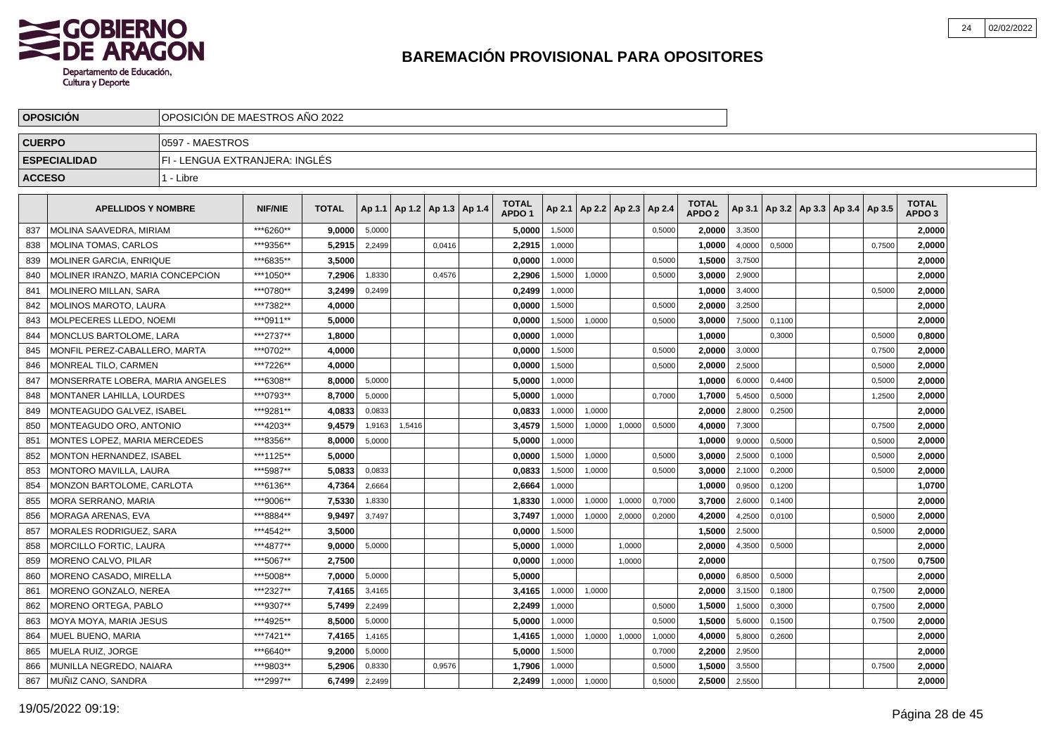

|               | <b>OPOSICION</b>                 | OPOSICION DE MAESTROS ANO 2022 |                |              |        |                                   |        |                                   |        |                          |        |        |                                   |        |        |                                   |        |                                   |  |
|---------------|----------------------------------|--------------------------------|----------------|--------------|--------|-----------------------------------|--------|-----------------------------------|--------|--------------------------|--------|--------|-----------------------------------|--------|--------|-----------------------------------|--------|-----------------------------------|--|
| <b>CUERPO</b> |                                  | 0597 - MAESTROS                |                |              |        |                                   |        |                                   |        |                          |        |        |                                   |        |        |                                   |        |                                   |  |
|               | <b>ESPECIALIDAD</b>              | FI - LENGUA EXTRANJERA: INGLÉS |                |              |        |                                   |        |                                   |        |                          |        |        |                                   |        |        |                                   |        |                                   |  |
| <b>ACCESO</b> |                                  | 1 - Libre                      |                |              |        |                                   |        |                                   |        |                          |        |        |                                   |        |        |                                   |        |                                   |  |
|               | <b>APELLIDOS Y NOMBRE</b>        |                                | <b>NIF/NIE</b> | <b>TOTAL</b> |        | Ap 1.1   Ap 1.2   Ap 1.3   Ap 1.4 |        | <b>TOTAL</b><br>APDO <sub>1</sub> | Ap 2.1 | Ap 2.2   Ap 2.3   Ap 2.4 |        |        | <b>TOTAL</b><br>APDO <sub>2</sub> | Ap 3.1 |        | Ap 3.2   Ap 3.3   Ap 3.4   Ap 3.5 |        | <b>TOTAL</b><br>APDO <sub>3</sub> |  |
| 837           | <b>MOLINA SAAVEDRA, MIRIAM</b>   |                                | ***6260**      | 9.0000       | 5,0000 |                                   |        | 5,0000                            | 1,5000 |                          |        | 0,5000 | 2.0000                            | 3,3500 |        |                                   |        | 2.0000                            |  |
| 838           | <b>MOLINA TOMAS, CARLOS</b>      |                                | ***9356**      | 5,2915       | 2.2499 |                                   | 0.0416 | 2,2915                            | 1,0000 |                          |        |        | 1.0000                            | 4,0000 | 0,5000 |                                   | 0.7500 | 2,0000                            |  |
| 839           | <b>MOLINER GARCIA, ENRIQUE</b>   |                                | ***6835**      | 3,5000       |        |                                   |        | 0.0000                            | 1,0000 |                          |        | 0,5000 | 1,5000                            | 3,7500 |        |                                   |        | 2.0000                            |  |
| 840           | MOLINER IRANZO, MARIA CONCEPCION |                                | ***1050**      | 7,2906       | 1,8330 |                                   | 0,4576 | 2,2906                            | 1,5000 | 1,0000                   |        | 0,5000 | 3,0000                            | 2,9000 |        |                                   |        | 2,0000                            |  |
| 841           | MOLINERO MILLAN, SARA            |                                | ***0780**      | 3,2499       | 0,2499 |                                   |        | 0,2499                            | 1,0000 |                          |        |        | 1,0000                            | 3,4000 |        |                                   | 0,5000 | 2,0000                            |  |
| 842           | <b>MOLINOS MAROTO, LAURA</b>     |                                | ***7382**      | 4.0000       |        |                                   |        | 0.0000                            | 1.5000 |                          |        | 0,5000 | 2.0000                            | 3,2500 |        |                                   |        | 2.0000                            |  |
| 843           | MOLPECERES LLEDO. NOEMI          |                                | *** 0911**     | 5.0000       |        |                                   |        | 0.0000                            | 1,5000 | 1,0000                   |        | 0,5000 | 3.0000                            | 7,5000 | 0.1100 |                                   |        | 2,0000                            |  |
| 844           | MONCLUS BARTOLOME. LARA          |                                | ***2737**      | 1,8000       |        |                                   |        | 0,0000                            | 1,0000 |                          |        |        | 1.0000                            |        | 0,3000 |                                   | 0,5000 | 0,8000                            |  |
| 845           | MONFIL PEREZ-CABALLERO. MARTA    |                                | ***0702**      | 4,0000       |        |                                   |        | 0.0000                            | 1,5000 |                          |        | 0,5000 | 2,0000                            | 3,0000 |        |                                   | 0,7500 | 2,0000                            |  |
| 846           | MONREAL TILO, CARMEN             |                                | ***7226**      | 4,0000       |        |                                   |        | 0,0000                            | 1,5000 |                          |        | 0,5000 | 2,0000                            | 2,5000 |        |                                   | 0,5000 | 2,0000                            |  |
| 847           | MONSERRATE LOBERA, MARIA ANGELES |                                | ***6308**      | 8,0000       | 5,0000 |                                   |        | 5,0000                            | 1,0000 |                          |        |        | 1,0000                            | 6,0000 | 0,4400 |                                   | 0,5000 | 2,0000                            |  |
| 848           | MONTANER LAHILLA, LOURDES        |                                | ***0793**      | 8,7000       | 5,0000 |                                   |        | 5.0000                            | 1.0000 |                          |        | 0,7000 | 1,7000                            | 5,4500 | 0,5000 |                                   | 1,2500 | 2,0000                            |  |
| 849           | MONTEAGUDO GALVEZ. ISABEL        |                                | ***9281**      | 4,0833       | 0.0833 |                                   |        | 0,0833                            | 1,0000 | 1.0000                   |        |        | 2,0000                            | 2,8000 | 0.2500 |                                   |        | 2,0000                            |  |
| 850           | MONTEAGUDO ORO, ANTONIO          |                                | ***4203**      | 9,4579       | 1,9163 | 1,5416                            |        | 3,4579                            | 1,5000 | 1,0000                   | 1,0000 | 0,5000 | 4,0000                            | 7,3000 |        |                                   | 0,7500 | 2,0000                            |  |
| 851           | MONTES LOPEZ. MARIA MERCEDES     |                                | ***8356**      | 8,0000       | 5,0000 |                                   |        | 5,0000                            | 1,0000 |                          |        |        | 1,0000                            | 9,0000 | 0,5000 |                                   | 0,5000 | 2,0000                            |  |
| 852           | MONTON HERNANDEZ, ISABEL         |                                | ***1125**      | 5,0000       |        |                                   |        | 0,0000                            | 1,5000 | 1,0000                   |        | 0,5000 | 3.0000                            | 2,5000 | 0,1000 |                                   | 0,5000 | 2,0000                            |  |
| 853           | MONTORO MAVILLA, LAURA           |                                | ***5987**      | 5,0833       | 0,0833 |                                   |        | 0,0833                            | 1,5000 | 1,0000                   |        | 0,5000 | 3,0000                            | 2,1000 | 0,2000 |                                   | 0,5000 | 2,0000                            |  |
| 854           | MONZON BARTOLOME. CARLOTA        |                                | ***6136**      | 4.7364       | 2.6664 |                                   |        | 2.6664                            | 1.0000 |                          |        |        | 1.0000                            | 0,9500 | 0.1200 |                                   |        | 1,0700                            |  |
| 855           | MORA SERRANO. MARIA              |                                | ***9006**      | 7,5330       | 1,8330 |                                   |        | 1,8330                            | 1,0000 | 1,0000                   | 1,0000 | 0,7000 | 3.7000                            | 2,6000 | 0,1400 |                                   |        | 2.0000                            |  |
| 856           | MORAGA ARENAS. EVA               |                                | ***8884**      | 9,9497       | 3,7497 |                                   |        | 3,7497                            | 1,0000 | 1,0000                   | 2,0000 | 0,2000 | 4,2000                            | 4,2500 | 0.0100 |                                   | 0,5000 | 2,0000                            |  |
| 857           | MORALES RODRIGUEZ, SARA          |                                | ***4542**      | 3,5000       |        |                                   |        | 0,0000                            | 1,5000 |                          |        |        | 1,5000                            | 2,5000 |        |                                   | 0,5000 | 2,0000                            |  |
| 858           | MORCILLO FORTIC, LAURA           |                                | ***4877**      | 9,0000       | 5,0000 |                                   |        | 5,0000                            | 1,0000 |                          | 1,0000 |        | 2,0000                            | 4,3500 | 0,5000 |                                   |        | 2,0000                            |  |
| 859           | MORENO CALVO, PILAR              |                                | ***5067**      | 2,7500       |        |                                   |        | 0,0000                            | 1,0000 |                          | 1,0000 |        | 2,0000                            |        |        |                                   | 0,7500 | 0,7500                            |  |
| 860           | MORENO CASADO, MIRELLA           |                                | ***5008**      | 7.0000       | 5,0000 |                                   |        | 5.0000                            |        |                          |        |        | 0.0000                            | 6,8500 | 0.5000 |                                   |        | 2.0000                            |  |
| 861           | MORENO GONZALO, NEREA            |                                | ***2327**      | 7.4165       | 3,4165 |                                   |        | 3,4165                            | 1,0000 | 1,0000                   |        |        | 2.0000                            | 3,1500 | 0,1800 |                                   | 0,7500 | 2.0000                            |  |
| 862           | <b>MORENO ORTEGA, PABLO</b>      |                                | ***9307**      | 5.7499       | 2,2499 |                                   |        | 2,2499                            | 1,0000 |                          |        | 0,5000 | 1.5000                            | 1,5000 | 0,3000 |                                   | 0,7500 | 2,0000                            |  |
| 863           | MOYA MOYA, MARIA JESUS           |                                | ***4925**      | 8,5000       | 5,0000 |                                   |        | 5,0000                            | 1,0000 |                          |        | 0,5000 | 1,5000                            | 5,6000 | 0,1500 |                                   | 0,7500 | 2,0000                            |  |
| 864           | MUEL BUENO, MARIA                |                                | ***7421**      | 7,4165       | 1,4165 |                                   |        | 1,4165                            | 1,0000 | 1,0000                   | 1,0000 | 1,0000 | 4,0000                            | 5,8000 | 0,2600 |                                   |        | 2,0000                            |  |
| 865           | MUELA RUIZ, JORGE                |                                | ***6640**      | 9,2000       | 5,0000 |                                   |        | 5,0000                            | 1,5000 |                          |        | 0,7000 | 2,2000                            | 2,9500 |        |                                   |        | 2,0000                            |  |
| 866           | MUNILLA NEGREDO, NAIARA          |                                | ***9803**      | 5,2906       | 0,8330 |                                   | 0,9576 | 1.7906                            | 1,0000 |                          |        | 0,5000 | 1.5000                            | 3,5500 |        |                                   | 0,7500 | 2.0000                            |  |
| 867           | MUÑIZ CANO, SANDRA               |                                | ***2997**      | 6,7499       | 2,2499 |                                   |        | 2,2499                            | 1,0000 | 1,0000                   |        | 0,5000 | 2,5000                            | 2,5500 |        |                                   |        | 2,0000                            |  |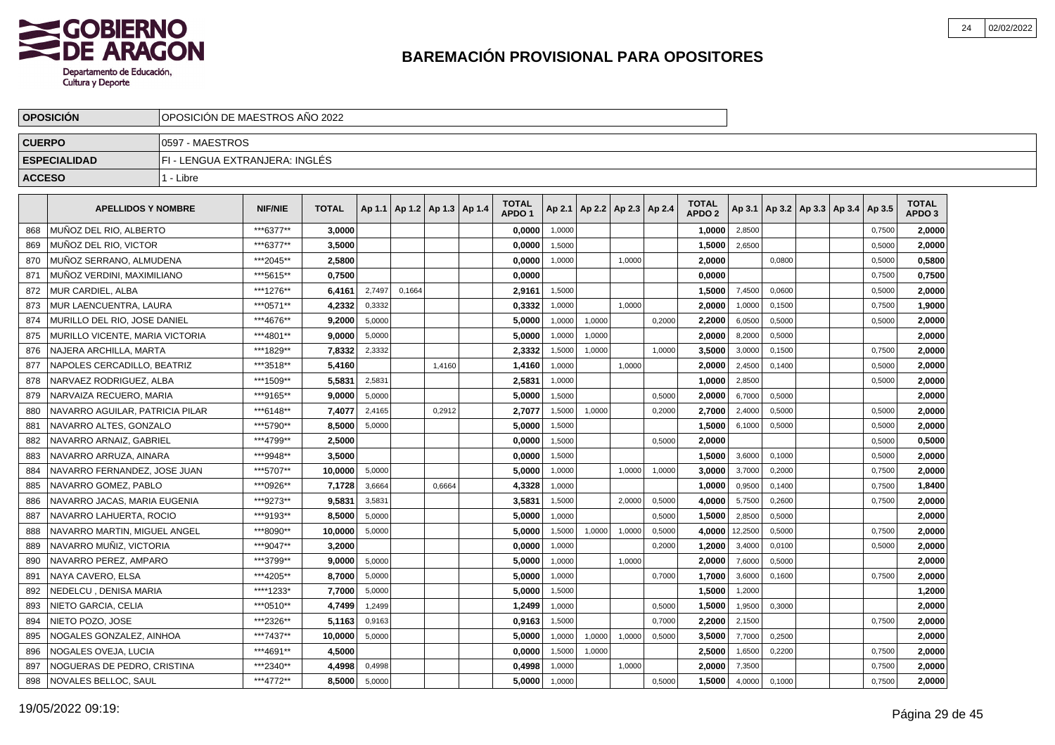

|               | <b>OPOSICION</b>                | OPOSICION DE MAESTROS ANO 2022 |                |              |        |        |                                   |  |                                   |        |                          |        |        |                                   |         |        |                          |            |                                   |  |
|---------------|---------------------------------|--------------------------------|----------------|--------------|--------|--------|-----------------------------------|--|-----------------------------------|--------|--------------------------|--------|--------|-----------------------------------|---------|--------|--------------------------|------------|-----------------------------------|--|
| <b>CUERPO</b> |                                 | 10597 - MAESTROS               |                |              |        |        |                                   |  |                                   |        |                          |        |        |                                   |         |        |                          |            |                                   |  |
|               | <b>ESPECIALIDAD</b>             | FI - LENGUA EXTRANJERA: INGLES |                |              |        |        |                                   |  |                                   |        |                          |        |        |                                   |         |        |                          |            |                                   |  |
| <b>ACCESO</b> |                                 | 1 - Libre                      |                |              |        |        |                                   |  |                                   |        |                          |        |        |                                   |         |        |                          |            |                                   |  |
|               | <b>APELLIDOS Y NOMBRE</b>       |                                | <b>NIF/NIE</b> | <b>TOTAL</b> |        |        | Ap 1.1   Ap 1.2   Ap 1.3   Ap 1.4 |  | <b>TOTAL</b><br>APDO <sub>1</sub> | Ap 2.1 | Ap 2.2   Ap 2.3   Ap 2.4 |        |        | <b>TOTAL</b><br>APDO <sub>2</sub> | Ap 3.1  |        | Ap 3.2   Ap 3.3   Ap 3.4 | $ $ Ap 3.5 | <b>TOTAL</b><br>APDO <sub>3</sub> |  |
| 868           | MUÑOZ DEL RIO, ALBERTO          |                                | ***6377**      | 3,0000       |        |        |                                   |  | 0,0000                            | 1,0000 |                          |        |        | 1,0000                            | 2,8500  |        |                          | 0,7500     | 2,0000                            |  |
| 869           | MUÑOZ DEL RIO. VICTOR           |                                | ***6377**      | 3.5000       |        |        |                                   |  | 0.0000                            | 1,5000 |                          |        |        | 1,5000                            | 2,6500  |        |                          | 0,5000     | 2.0000                            |  |
| 870           | MUNOZ SERRANO, ALMUDENA         |                                | ***2045**      | 2,5800       |        |        |                                   |  | 0,0000                            | 1,0000 |                          | 1.0000 |        | 2,0000                            |         | 0,0800 |                          | 0,5000     | 0,5800                            |  |
| 871           | MUNOZ VERDINI, MAXIMILIANO      |                                | ***5615**      | 0.7500       |        |        |                                   |  | 0.0000                            |        |                          |        |        | 0.0000                            |         |        |                          | 0,7500     | 0,7500                            |  |
| 872           | MUR CARDIEL, ALBA               |                                | ***1276**      | 6,4161       | 2,7497 | 0,1664 |                                   |  | 2,9161                            | 1,5000 |                          |        |        | 1,5000                            | 7,4500  | 0,0600 |                          | 0,5000     | 2,0000                            |  |
| 873           | MUR LAENCUENTRA, LAURA          |                                | ***0571**      | 4,2332       | 0,3332 |        |                                   |  | 0,3332                            | 1,0000 |                          | 1.0000 |        | 2.0000                            | 1,0000  | 0.1500 |                          | 0,7500     | 1,9000                            |  |
| 874           | MURILLO DEL RIO, JOSE DANIEL    |                                | ***4676**      | 9.2000       | 5,0000 |        |                                   |  | 5,0000                            | 1,0000 | 1,0000                   |        | 0,2000 | 2.2000                            | 6,0500  | 0,5000 |                          | 0,5000     | 2,0000                            |  |
| 875           | MURILLO VICENTE, MARIA VICTORIA |                                | ***4801**      | 9.0000       | 5,0000 |        |                                   |  | 5,0000                            | 1,0000 | 1,0000                   |        |        | 2.0000                            | 8,2000  | 0,5000 |                          |            | 2,0000                            |  |
| 876           | NAJERA ARCHILLA, MARTA          |                                | ***1829**      | 7,8332       | 2,3332 |        |                                   |  | 2,3332                            | 1,5000 | 1,0000                   |        | 1,0000 | 3,5000                            | 3,0000  | 0,1500 |                          | 0,7500     | 2,0000                            |  |
| 877           | NAPOLES CERCADILLO, BEATRIZ     |                                | ***3518**      | 5,4160       |        |        | 1.4160                            |  | 1,4160                            | 1,0000 |                          | 1.0000 |        | 2.0000                            | 2,4500  | 0.1400 |                          | 0,5000     | 2,0000                            |  |
| 878           | NARVAEZ RODRIGUEZ, ALBA         |                                | ***1509**      | 5,5831       | 2,5831 |        |                                   |  | 2,5831                            | 1,0000 |                          |        |        | 1,0000                            | 2,8500  |        |                          | 0,5000     | 2,0000                            |  |
| 879           | NARVAIZA RECUERO, MARIA         |                                | ***9165**      | 9,0000       | 5,0000 |        |                                   |  | 5,0000                            | 1,5000 |                          |        | 0,5000 | 2,0000                            | 6,7000  | 0,5000 |                          |            | 2,0000                            |  |
| 880           | NAVARRO AGUILAR, PATRICIA PILAR |                                | ***6148**      | 7,4077       | 2,4165 |        | 0,2912                            |  | 2,7077                            | 1,5000 | 1,0000                   |        | 0,2000 | 2,7000                            | 2,4000  | 0,5000 |                          | 0,5000     | 2,0000                            |  |
| 881           | NAVARRO ALTES, GONZALO          |                                | ***5790**      | 8,5000       | 5,0000 |        |                                   |  | 5,0000                            | 1.5000 |                          |        |        | 1,5000                            | 6,1000  | 0,5000 |                          | 0,5000     | 2,0000                            |  |
| 882           | NAVARRO ARNAIZ, GABRIEL         |                                | ***4799**      | 2,5000       |        |        |                                   |  | 0,0000                            | 1,5000 |                          |        | 0,5000 | 2.0000                            |         |        |                          | 0,5000     | 0,5000                            |  |
| 883           | NAVARRO ARRUZA, AINARA          |                                | ***9948**      | 3,5000       |        |        |                                   |  | 0,0000                            | 1,5000 |                          |        |        | 1,5000                            | 3,6000  | 0,1000 |                          | 0,5000     | 2,0000                            |  |
| 884           | NAVARRO FERNANDEZ, JOSE JUAN    |                                | ***5707**      | 10,0000      | 5,0000 |        |                                   |  | 5,0000                            | 1,0000 |                          | 1,0000 | 1,0000 | 3,0000                            | 3,7000  | 0,2000 |                          | 0,7500     | 2,0000                            |  |
| 885           | NAVARRO GOMEZ, PABLO            |                                | ***0926**      | 7.1728       | 3.6664 |        | 0.6664                            |  | 4.3328                            | 1,0000 |                          |        |        | 1.0000                            | 0,9500  | 0.1400 |                          | 0,7500     | 1.8400                            |  |
| 886           | NAVARRO JACAS, MARIA EUGENIA    |                                | ***9273**      | 9,5831       | 3,5831 |        |                                   |  | 3,5831                            | 1,5000 |                          | 2.0000 | 0,5000 | 4.0000                            | 5,7500  | 0.2600 |                          | 0,7500     | 2,0000                            |  |
| 887           | NAVARRO LAHUERTA, ROCIO         |                                | ***9193**      | 8,5000       | 5,0000 |        |                                   |  | 5.0000                            | 1,0000 |                          |        | 0,5000 | 1,5000                            | 2,8500  | 0,5000 |                          |            | 2,0000                            |  |
| 888           | NAVARRO MARTIN, MIGUEL ANGEL    |                                | ***8090**      | 10,0000      | 5,0000 |        |                                   |  | 5,0000                            | 1,5000 | 1,0000                   | 1,0000 | 0,5000 | 4,0000                            | 12,2500 | 0,5000 |                          | 0,7500     | 2,0000                            |  |
| 889           | NAVARRO MUÑIZ. VICTORIA         |                                | ***9047**      | 3.2000       |        |        |                                   |  | 0.0000                            | 1,0000 |                          |        | 0,2000 | 1.2000                            | 3,4000  | 0.0100 |                          | 0,5000     | 2,0000                            |  |
| 890           | NAVARRO PEREZ, AMPARO           |                                | ***3799**      | 9.0000       | 5,0000 |        |                                   |  | 5.0000                            | 1,0000 |                          | 1.0000 |        | 2.0000                            | 7,6000  | 0,5000 |                          |            | 2.0000                            |  |
| 891           | NAYA CAVERO, ELSA               |                                | ***4205**      | 8,7000       | 5,0000 |        |                                   |  | 5,0000                            | 1,0000 |                          |        | 0,7000 | 1,7000                            | 3,6000  | 0,1600 |                          | 0,7500     | 2.0000                            |  |
| 892           | NEDELCU, DENISA MARIA           |                                | ****1233*      | 7,7000       | 5,0000 |        |                                   |  | 5,0000                            | 1,5000 |                          |        |        | 1,5000                            | 1,2000  |        |                          |            | 1,2000                            |  |
| 893           | NIETO GARCIA, CELIA             |                                | ***0510**      | 4,7499       | 1.2499 |        |                                   |  | 1,2499                            | 1,0000 |                          |        | 0.5000 | 1,5000                            | 1,9500  | 0,3000 |                          |            | 2,0000                            |  |
| 894           | NIETO POZO. JOSE                |                                | ***2326**      | 5.1163       | 0,9163 |        |                                   |  | 0.9163                            | 1,5000 |                          |        | 0,7000 | 2.2000                            | 2,1500  |        |                          | 0,7500     | 2,0000                            |  |
| 895           | NOGALES GONZALEZ, AINHOA        |                                | ***7437**      | 10,0000      | 5,0000 |        |                                   |  | 5,0000                            | 1,0000 | 1,0000                   | 1,0000 | 0,5000 | 3,5000                            | 7,7000  | 0,2500 |                          |            | 2,0000                            |  |
| 896           | NOGALES OVEJA, LUCIA            |                                | ***4691**      | 4,5000       |        |        |                                   |  | 0,0000                            | 1,5000 | 1,0000                   |        |        | 2,5000                            | 1,6500  | 0,2200 |                          | 0,7500     | 2,0000                            |  |
| 897           | NOGUERAS DE PEDRO, CRISTINA     |                                | ***2340**      | 4,4998       | 0,4998 |        |                                   |  | 0,4998                            | 1,0000 |                          | 1,0000 |        | 2,0000                            | 7,3500  |        |                          | 0,7500     | 2,0000                            |  |
| 898           | NOVALES BELLOC, SAUL            |                                | ***4772**      | 8,5000       | 5,0000 |        |                                   |  | 5.0000                            | 1,0000 |                          |        | 0.5000 | 1.5000                            | 4,0000  | 0,1000 |                          | 0,7500     | 2,0000                            |  |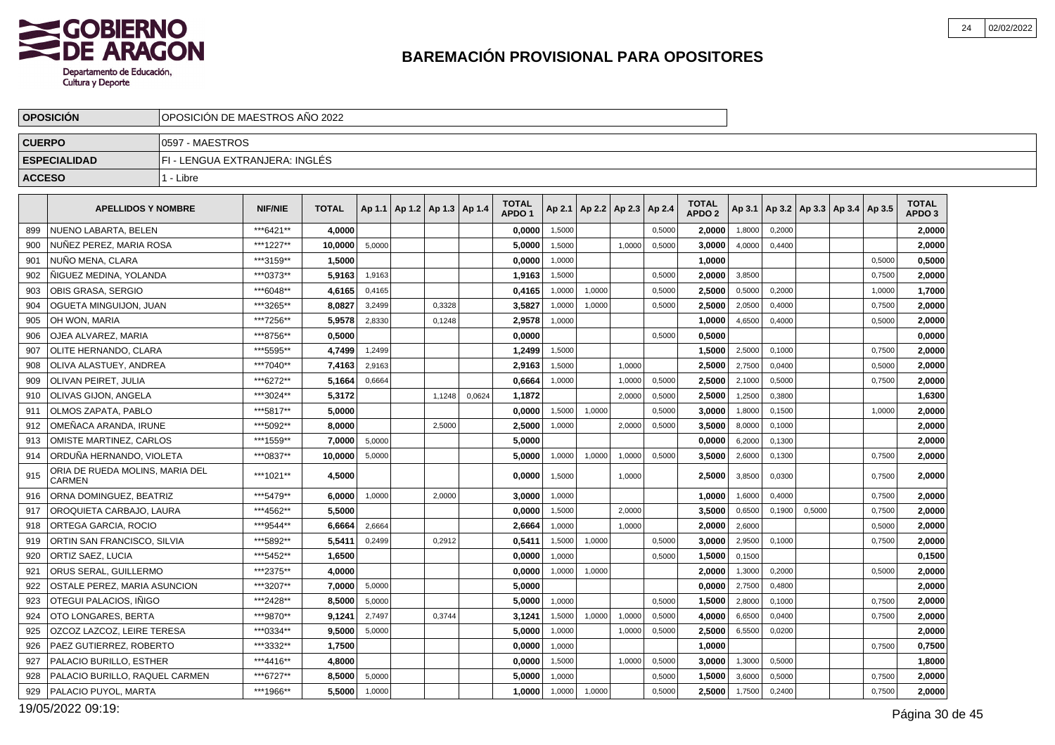

|               | <b>OPOSICION</b>                          | OPOSICION DE MAESTROS ANO 2022 |                |              |        |                                   |        |        |                                   |        |                                   |        |        |                                   |        |        |        |                                            |        |                                   |  |
|---------------|-------------------------------------------|--------------------------------|----------------|--------------|--------|-----------------------------------|--------|--------|-----------------------------------|--------|-----------------------------------|--------|--------|-----------------------------------|--------|--------|--------|--------------------------------------------|--------|-----------------------------------|--|
| <b>CUERPO</b> |                                           | I0597 - MAESTROS               |                |              |        |                                   |        |        |                                   |        |                                   |        |        |                                   |        |        |        |                                            |        |                                   |  |
|               | <b>ESPECIALIDAD</b>                       | FI - LENGUA EXTRANJERA: INGLES |                |              |        |                                   |        |        |                                   |        |                                   |        |        |                                   |        |        |        |                                            |        |                                   |  |
| <b>ACCESO</b> |                                           | 1 - Libre                      |                |              |        |                                   |        |        |                                   |        |                                   |        |        |                                   |        |        |        |                                            |        |                                   |  |
|               | <b>APELLIDOS Y NOMBRE</b>                 |                                | <b>NIF/NIE</b> | <b>TOTAL</b> |        | Ap 1.1   Ap 1.2   Ap 1.3   Ap 1.4 |        |        | <b>TOTAL</b><br>APDO <sub>1</sub> |        | Ap 2.1   Ap 2.2   Ap 2.3   Ap 2.4 |        |        | <b>TOTAL</b><br>APDO <sub>2</sub> |        |        |        | Ap 3.1   Ap 3.2   Ap 3.3   Ap 3.4   Ap 3.5 |        | <b>TOTAL</b><br>APDO <sub>3</sub> |  |
| 899           | NUENO LABARTA, BELEN                      |                                | ***6421**      | 4.0000       |        |                                   |        |        | 0.0000                            | 1,5000 |                                   |        | 0,5000 | 2.0000                            | 1,8000 | 0,2000 |        |                                            |        | 2.0000                            |  |
| 900           | NUÑEZ PEREZ, MARIA ROSA                   |                                | ***1227**      | 10,0000      | 5,0000 |                                   |        |        | 5,0000                            | 1,5000 |                                   | 1,0000 | 0,5000 | 3,0000                            | 4,0000 | 0,4400 |        |                                            |        | 2,0000                            |  |
| 901           | NUÑO MENA, CLARA                          |                                | ***3159**      | 1,5000       |        |                                   |        |        | 0.0000                            | 1,0000 |                                   |        |        | 1.0000                            |        |        |        |                                            | 0,5000 | 0,5000                            |  |
| 902           | ÑIGUEZ MEDINA, YOLANDA                    |                                | ***0373**      | 5,9163       | 1,9163 |                                   |        |        | 1,9163                            | 1,5000 |                                   |        | 0,5000 | 2,0000                            | 3,8500 |        |        |                                            | 0,7500 | 2,0000                            |  |
| 903           | OBIS GRASA, SERGIO                        |                                | ***6048**      | 4,6165       | 0,4165 |                                   |        |        | 0,4165                            | 1,0000 | 1,0000                            |        | 0,5000 | 2,5000                            | 0,5000 | 0.2000 |        |                                            | 1,0000 | 1,7000                            |  |
| 904           | OGUETA MINGUIJON. JUAN                    |                                | ***3265**      | 8.0827       | 3,2499 |                                   | 0,3328 |        | 3.5827                            | 1,0000 | 1,0000                            |        | 0,5000 | 2.5000                            | 2,0500 | 0,4000 |        |                                            | 0,7500 | 2,0000                            |  |
| 905           | OH WON, MARIA                             |                                | ***7256**      | 5,9578       | 2,8330 |                                   | 0,1248 |        | 2,9578                            | 1,0000 |                                   |        |        | 1,0000                            | 4,6500 | 0,4000 |        |                                            | 0,5000 | 2,0000                            |  |
| 906           | <b>OJEA ALVAREZ, MARIA</b>                |                                | ***8756**      | 0,5000       |        |                                   |        |        | 0.0000                            |        |                                   |        | 0,5000 | 0.5000                            |        |        |        |                                            |        | 0,0000                            |  |
| 907           | OLITE HERNANDO, CLARA                     |                                | ***5595**      | 4.7499       | 1,2499 |                                   |        |        | 1,2499                            | 1,5000 |                                   |        |        | 1,5000                            | 2,5000 | 0,1000 |        |                                            | 0,7500 | 2,0000                            |  |
| 908           | OLIVA ALASTUEY, ANDREA                    |                                | ***7040**      | 7,4163       | 2,9163 |                                   |        |        | 2,9163                            | 1,5000 |                                   | 1.0000 |        | 2,5000                            | 2,7500 | 0,0400 |        |                                            | 0,5000 | 2,0000                            |  |
| 909           | OLIVAN PEIRET, JULIA                      |                                | ***6272**      | 5,1664       | 0,6664 |                                   |        |        | 0.6664                            | 1,0000 |                                   | 1.0000 | 0,5000 | 2.5000                            | 2,1000 | 0,5000 |        |                                            | 0,7500 | 2,0000                            |  |
| 910           | <b> OLIVAS GIJON. ANGELA</b>              |                                | ***3024**      | 5.3172       |        |                                   | 1,1248 | 0,0624 | 1.1872                            |        |                                   | 2.0000 | 0,5000 | 2.5000                            | 1,2500 | 0,3800 |        |                                            |        | 1.6300                            |  |
| 911           | OLMOS ZAPATA, PABLO                       |                                | ***5817**      | 5,0000       |        |                                   |        |        | 0,0000                            | 1,5000 | 1,0000                            |        | 0,5000 | 3,0000                            | 1,8000 | 0,1500 |        |                                            | 1,0000 | 2,0000                            |  |
| 912           | OMEÑACA ARANDA. IRUNE                     |                                | ***5092**      | 8,0000       |        |                                   | 2.5000 |        | 2,5000                            | 1,0000 |                                   | 2,0000 | 0,5000 | 3,5000                            | 8,0000 | 0.1000 |        |                                            |        | 2,0000                            |  |
| 913           | OMISTE MARTINEZ, CARLOS                   |                                | ***1559**      | 7.0000       | 5,0000 |                                   |        |        | 5.0000                            |        |                                   |        |        | 0.0000                            | 6,2000 | 0,1300 |        |                                            |        | 2,0000                            |  |
| 914           | ORDUÑA HERNANDO, VIOLETA                  |                                | ***0837**      | 10,0000      | 5,0000 |                                   |        |        | 5,0000                            | 1,0000 | 1,0000                            | 1,0000 | 0,5000 | 3,5000                            | 2,6000 | 0,1300 |        |                                            | 0,7500 | 2,0000                            |  |
| 915           | ORIA DE RUEDA MOLINS, MARIA DEL<br>CARMEN |                                | ***1021**      | 4,5000       |        |                                   |        |        | 0,0000                            | 1,5000 |                                   | 1,0000 |        | 2,5000                            | 3,8500 | 0,0300 |        |                                            | 0,7500 | 2,0000                            |  |
| 916           | ORNA DOMINGUEZ, BEATRIZ                   |                                | ***5479**      | 6,0000       | 1,0000 |                                   | 2,0000 |        | 3.0000                            | 1,0000 |                                   |        |        | 1.0000                            | 1,6000 | 0.4000 |        |                                            | 0,7500 | 2,0000                            |  |
| 917           | OROQUIETA CARBAJO, LAURA                  |                                | ***4562**      | 5,5000       |        |                                   |        |        | 0,0000                            | 1,5000 |                                   | 2,0000 |        | 3,5000                            | 0,6500 | 0,1900 | 0,5000 |                                            | 0,7500 | 2,0000                            |  |
| 918           | <b>ORTEGA GARCIA, ROCIO</b>               |                                | ***9544**      | 6,6664       | 2,6664 |                                   |        |        | 2,6664                            | 1,0000 |                                   | 1.0000 |        | 2,0000                            | 2,6000 |        |        |                                            | 0,5000 | 2,0000                            |  |
| 919           | ORTIN SAN FRANCISCO, SILVIA               |                                | ***5892**      | 5.5411       | 0,2499 |                                   | 0.2912 |        | 0.5411                            | 1,5000 | 1,0000                            |        | 0.5000 | 3.0000                            | 2,9500 | 0,1000 |        |                                            | 0,7500 | 2,0000                            |  |
| 920           | ORTIZ SAEZ. LUCIA                         |                                | ***5452**      | 1,6500       |        |                                   |        |        | 0,0000                            | 1,0000 |                                   |        | 0,5000 | 1,5000                            | 0,1500 |        |        |                                            |        | 0,1500                            |  |
| 921           | ORUS SERAL, GUILLERMO                     |                                | ***2375**      | 4,0000       |        |                                   |        |        | 0.0000                            | 1,0000 | 1,0000                            |        |        | 2.0000                            | 1,3000 | 0,2000 |        |                                            | 0,5000 | 2,0000                            |  |
| 922           | OSTALE PEREZ, MARIA ASUNCION              |                                | ***3207**      | 7,0000       | 5,0000 |                                   |        |        | 5,0000                            |        |                                   |        |        | 0,0000                            | 2,7500 | 0.4800 |        |                                            |        | 2,0000                            |  |
| 923           | OTEGUI PALACIOS, IÑIGO                    |                                | ***2428**      | 8,5000       | 5,0000 |                                   |        |        | 5,0000                            | 1,0000 |                                   |        | 0,5000 | 1,5000                            | 2,8000 | 0,1000 |        |                                            | 0,7500 | 2.0000                            |  |
| 924           | OTO LONGARES, BERTA                       |                                | ***9870**      | 9.1241       | 2,7497 |                                   | 0.3744 |        | 3.1241                            | 1,5000 | 1,0000                            | 1,0000 | 0,5000 | 4.0000                            | 6,6500 | 0,0400 |        |                                            | 0,7500 | 2.0000                            |  |
| 925           | OZCOZ LAZCOZ, LEIRE TERESA                |                                | ***0334**      | 9,5000       | 5,0000 |                                   |        |        | 5,0000                            | 1,0000 |                                   | 1,0000 | 0,5000 | 2,5000                            | 6,5500 | 0,0200 |        |                                            |        | 2,0000                            |  |
| 926           | PAEZ GUTIERREZ, ROBERTO                   |                                | ***3332**      | 1,7500       |        |                                   |        |        | 0,0000                            | 1,0000 |                                   |        |        | 1,0000                            |        |        |        |                                            | 0,7500 | 0,7500                            |  |
| 927           | PALACIO BURILLO. ESTHER                   |                                | ***4416**      | 4,8000       |        |                                   |        |        | 0,0000                            | 1,5000 |                                   | 1,0000 | 0,5000 | 3.0000                            | 1,3000 | 0,5000 |        |                                            |        | 1,8000                            |  |
| 928           | PALACIO BURILLO, RAQUEL CARMEN            |                                | ***6727**      | 8,5000       | 5,0000 |                                   |        |        | 5,0000                            | 1,0000 |                                   |        | 0,5000 | 1,5000                            | 3,6000 | 0,5000 |        |                                            | 0,7500 | 2,0000                            |  |
| 929           | PALACIO PUYOL, MARTA                      |                                | ***1966**      | 5,5000       | 1,0000 |                                   |        |        | 1,0000                            | 1,0000 | 1,0000                            |        | 0,5000 | 2,5000                            | 1,7500 | 0,2400 |        |                                            | 0,7500 | 2,0000                            |  |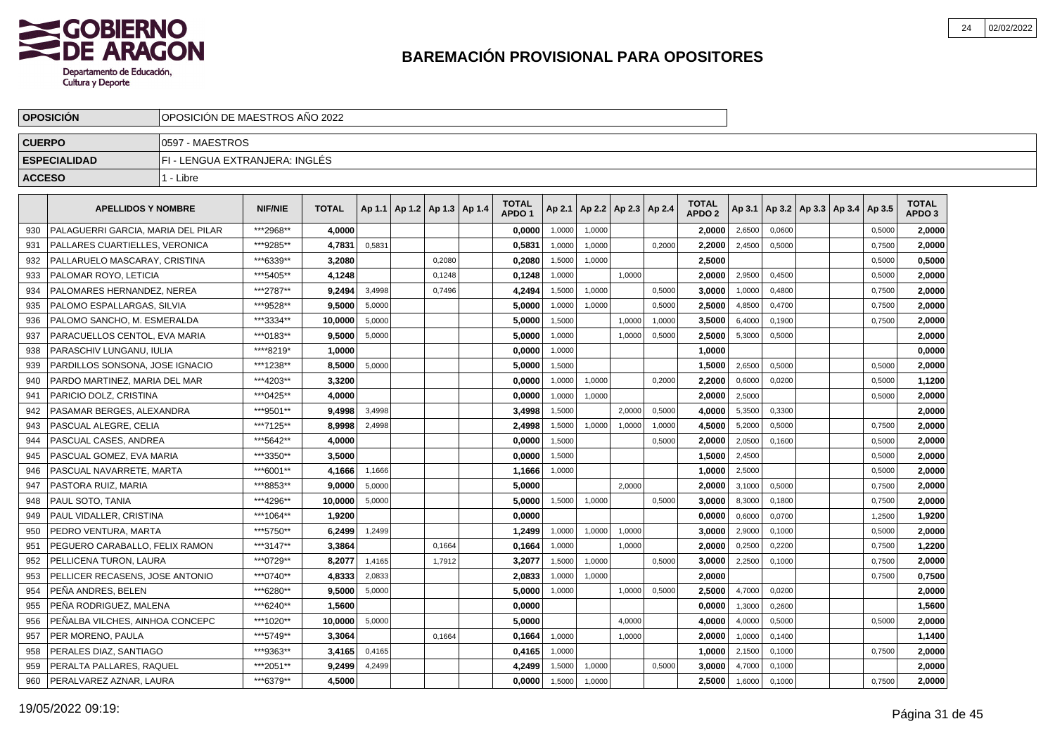

|               | <b>OPOSICION</b>                      | OPOSICION DE MAESTROS ANO 2022 |                |              |        |                          |        |                                   |        |                          |        |        |                                   |        |        |                             |        |                        |  |
|---------------|---------------------------------------|--------------------------------|----------------|--------------|--------|--------------------------|--------|-----------------------------------|--------|--------------------------|--------|--------|-----------------------------------|--------|--------|-----------------------------|--------|------------------------|--|
| <b>CUERPO</b> |                                       | 0597 - MAESTROS                |                |              |        |                          |        |                                   |        |                          |        |        |                                   |        |        |                             |        |                        |  |
|               | <b>ESPECIALIDAD</b>                   | FI - LENGUA EXTRANJERA: INGLÉS |                |              |        |                          |        |                                   |        |                          |        |        |                                   |        |        |                             |        |                        |  |
| <b>ACCESO</b> |                                       | 1 - Libre                      |                |              |        |                          |        |                                   |        |                          |        |        |                                   |        |        |                             |        |                        |  |
|               | <b>APELLIDOS Y NOMBRE</b>             |                                | <b>NIF/NIE</b> | <b>TOTAL</b> | Ap 1.1 | Ap 1.2   Ap 1.3   Ap 1.4 |        | <b>TOTAL</b><br>APDO <sub>1</sub> | Ap 2.1 | Ap 2.2   Ap 2.3   Ap 2.4 |        |        | <b>TOTAL</b><br>APDO <sub>2</sub> | Ap 3.1 |        | Ap 3.2 Ap 3.3 Ap 3.4 Ap 3.5 |        | <b>TOTAL</b><br>APDO 3 |  |
| 930           | PALAGUERRI GARCIA. MARIA DEL PILAR    |                                | ***2968**      | 4.0000       |        |                          |        | 0,0000                            | 1,0000 | 1,0000                   |        |        | 2.0000                            | 2,6500 | 0,0600 |                             | 0,5000 | 2,0000                 |  |
| 931           | <b>PALLARES CUARTIELLES, VERONICA</b> |                                | ***9285**      | 4,7831       | 0,5831 |                          |        | 0,5831                            | 1,0000 | 1,0000                   |        | 0,2000 | 2,2000                            | 2,4500 | 0,5000 |                             | 0,7500 | 2,0000                 |  |
| 932           | PALLARUELO MASCARAY, CRISTINA         |                                | ***6339**      | 3,2080       |        |                          | 0,2080 | 0,2080                            | 1,5000 | 1,0000                   |        |        | 2,5000                            |        |        |                             | 0,5000 | 0,5000                 |  |
| 933           | PALOMAR ROYO, LETICIA                 |                                | ***5405**      | 4,1248       |        |                          | 0,1248 | 0,1248                            | 1,0000 |                          | 1,0000 |        | 2,0000                            | 2,9500 | 0,4500 |                             | 0,5000 | 2,0000                 |  |
| 934           | PALOMARES HERNANDEZ, NEREA            |                                | ***2787**      | 9,2494       | 3,4998 |                          | 0,7496 | 4,2494                            | 1,5000 | 1,0000                   |        | 0,5000 | 3,0000                            | 1,0000 | 0,4800 |                             | 0,7500 | 2,0000                 |  |
| 935           | PALOMO ESPALLARGAS, SILVIA            |                                | ***9528**      | 9.5000       | 5,0000 |                          |        | 5.0000                            | 1,0000 | 1,0000                   |        | 0,5000 | 2.5000                            | 4,8500 | 0,4700 |                             | 0,7500 | 2.0000                 |  |
| 936           | PALOMO SANCHO, M. ESMERALDA           |                                | ***3334**      | 10.0000      | 5,0000 |                          |        | 5.0000                            | 1,5000 |                          | 1,0000 | 1,0000 | 3.5000                            | 6,4000 | 0,1900 |                             | 0,7500 | 2,0000                 |  |
| 937           | PARACUELLOS CENTOL. EVA MARIA         |                                | ***0183**      | 9,5000       | 5,0000 |                          |        | 5,0000                            | 1,0000 |                          | 1,0000 | 0,5000 | 2,5000                            | 5,3000 | 0,5000 |                             |        | 2,0000                 |  |
| 938           | PARASCHIV LUNGANU. IULIA              |                                | ****8219*      | 1,0000       |        |                          |        | 0,0000                            | 1,0000 |                          |        |        | 1,0000                            |        |        |                             |        | 0,0000                 |  |
| 939           | PARDILLOS SONSONA, JOSE IGNACIO       |                                | ***1238**      | 8,5000       | 5,0000 |                          |        | 5,0000                            | 1,5000 |                          |        |        | 1,5000                            | 2,6500 | 0,5000 |                             | 0,5000 | 2,0000                 |  |
| 940           | PARDO MARTINEZ, MARIA DEL MAR         |                                | ***4203**      | 3,3200       |        |                          |        | 0,0000                            | 1,0000 | 1,0000                   |        | 0,2000 | 2,2000                            | 0,6000 | 0,0200 |                             | 0,5000 | 1,1200                 |  |
| 941           | PARICIO DOLZ. CRISTINA                |                                | ***0425**      | 4.0000       |        |                          |        | 0.0000                            | 1,0000 | 1.0000                   |        |        | 2,0000                            | 2,5000 |        |                             | 0,5000 | 2,0000                 |  |
| 942           | PASAMAR BERGES, ALEXANDRA             |                                | ***9501**      | 9,4998       | 3.4998 |                          |        | 3,4998                            | 1,5000 |                          | 2.0000 | 0,5000 | 4,0000                            | 5,3500 | 0.3300 |                             |        | 2,0000                 |  |
| 943           | <b>PASCUAL ALEGRE. CELIA</b>          |                                | ***7125**      | 8,9998       | 2,4998 |                          |        | 2.4998                            | 1,5000 | 1,0000                   | 1,0000 | 1,0000 | 4,5000                            | 5,2000 | 0,5000 |                             | 0,7500 | 2,0000                 |  |
| 944           | PASCUAL CASES, ANDREA                 |                                | ***5642**      | 4,0000       |        |                          |        | 0,0000                            | 1,5000 |                          |        | 0,5000 | 2.0000                            | 2,0500 | 0,1600 |                             | 0,5000 | 2,0000                 |  |
| 945           | PASCUAL GOMEZ. EVA MARIA              |                                | ***3350**      | 3,5000       |        |                          |        | 0,0000                            | 1,5000 |                          |        |        | 1,5000                            | 2,4500 |        |                             | 0,5000 | 2,0000                 |  |
| 946           | PASCUAL NAVARRETE, MARTA              |                                | ***6001**      | 4,1666       | 1,1666 |                          |        | 1,1666                            | 1,0000 |                          |        |        | 1,0000                            | 2,5000 |        |                             | 0,5000 | 2,0000                 |  |
| 947           | PASTORA RUIZ, MARIA                   |                                | ***8853**      | 9.0000       | 5.0000 |                          |        | 5.0000                            |        |                          | 2.0000 |        | 2.0000                            | 3,1000 | 0.5000 |                             | 0.7500 | 2,0000                 |  |
| 948           | <b>PAUL SOTO, TANIA</b>               |                                | ***4296**      | 10.0000      | 5,0000 |                          |        | 5.0000                            | 1,5000 | 1,0000                   |        | 0,5000 | 3.0000                            | 8,3000 | 0,1800 |                             | 0,7500 | 2,0000                 |  |
| 949           | PAUL VIDALLER, CRISTINA               |                                | ***1064**      | 1.9200       |        |                          |        | 0.0000                            |        |                          |        |        | 0,0000                            | 0,6000 | 0,0700 |                             | 1,2500 | 1,9200                 |  |
| 950           | PEDRO VENTURA, MARTA                  |                                | ***5750**      | 6,2499       | 1,2499 |                          |        | 1,2499                            | 1,0000 | 1,0000                   | 1,0000 |        | 3,0000                            | 2,9000 | 0,1000 |                             | 0,5000 | 2,0000                 |  |
| 951           | PEGUERO CARABALLO, FELIX RAMON        |                                | ***3147**      | 3,3864       |        |                          | 0,1664 | 0,1664                            | 1,0000 |                          | 1,0000 |        | 2,0000                            | 0,2500 | 0,2200 |                             | 0,7500 | 1,2200                 |  |
| 952           | PELLICENA TURON, LAURA                |                                | ***0729**      | 8,2077       | 1,4165 |                          | 1,7912 | 3,2077                            | 1,5000 | 1,0000                   |        | 0,5000 | 3,0000                            | 2,2500 | 0,1000 |                             | 0,7500 | 2,0000                 |  |
| 953           | PELLICER RECASENS, JOSE ANTONIO       |                                | ***0740**      | 4.8333       | 2,0833 |                          |        | 2.0833                            | 1,0000 | 1,0000                   |        |        | 2.0000                            |        |        |                             | 0,7500 | 0,7500                 |  |
| 954           | PEÑA ANDRES. BELEN                    |                                | ***6280**      | 9.5000       | 5,0000 |                          |        | 5.0000                            | 1,0000 |                          | 1,0000 | 0,5000 | 2.5000                            | 4,7000 | 0,0200 |                             |        | 2,0000                 |  |
| 955           | PEÑA RODRIGUEZ. MALENA                |                                | ***6240**      | 1,5600       |        |                          |        | 0,0000                            |        |                          |        |        | 0,0000                            | 1,3000 | 0,2600 |                             |        | 1,5600                 |  |
| 956           | PEÑALBA VILCHES, AINHOA CONCEPC       |                                | ***1020**      | 10,0000      | 5,0000 |                          |        | 5,0000                            |        |                          | 4,0000 |        | 4,0000                            | 4,0000 | 0,5000 |                             | 0,5000 | 2,0000                 |  |
| 957           | PER MORENO, PAULA                     |                                | ***5749**      | 3,3064       |        |                          | 0,1664 | 0,1664                            | 1,0000 |                          | 1,0000 |        | 2,0000                            | 1,0000 | 0,1400 |                             |        | 1,1400                 |  |
| 958           | PERALES DIAZ, SANTIAGO                |                                | ***9363**      | 3,4165       | 0,4165 |                          |        | 0,4165                            | 1,0000 |                          |        |        | 1,0000                            | 2,1500 | 0,1000 |                             | 0,7500 | 2,0000                 |  |
| 959           | PERALTA PALLARES, RAQUEL              |                                | ***2051**      | 9.2499       | 4,2499 |                          |        | 4.2499                            | 1,5000 | 1,0000                   |        | 0,5000 | 3.0000                            | 4,7000 | 0,1000 |                             |        | 2.0000                 |  |
| 960           | PERALVAREZ AZNAR, LAURA               |                                | ***6379**      | 4.5000       |        |                          |        | 0.0000                            | 1,5000 | 1,0000                   |        |        | 2,5000                            | 1,6000 | 0,1000 |                             | 0,7500 | 2,0000                 |  |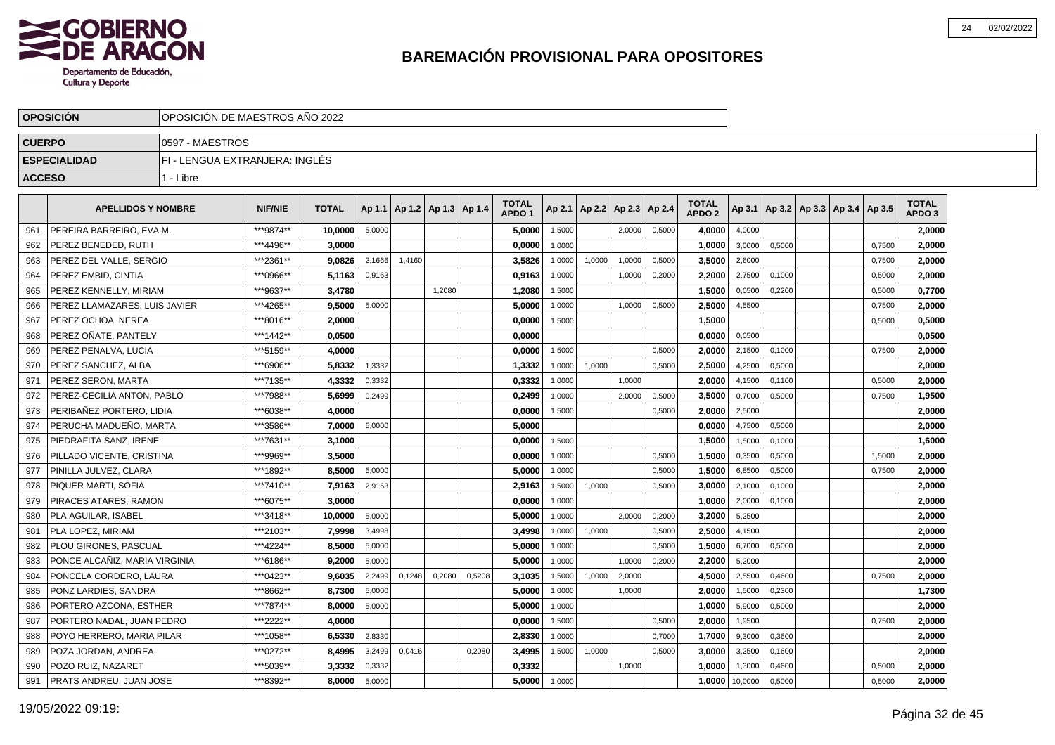

|               | <b>OPOSICIÓN</b>              |                                | OPOSICIÓN DE MAESTROS AÑO 2022 |              |        |        |                          |        |                                   |        |        |                 |        |                                   |         |        |                                            |        |                                   |  |
|---------------|-------------------------------|--------------------------------|--------------------------------|--------------|--------|--------|--------------------------|--------|-----------------------------------|--------|--------|-----------------|--------|-----------------------------------|---------|--------|--------------------------------------------|--------|-----------------------------------|--|
| <b>CUERPO</b> |                               | 0597 - MAESTROS                |                                |              |        |        |                          |        |                                   |        |        |                 |        |                                   |         |        |                                            |        |                                   |  |
|               | <b>ESPECIALIDAD</b>           | FI - LENGUA EXTRANJERA: INGLÉS |                                |              |        |        |                          |        |                                   |        |        |                 |        |                                   |         |        |                                            |        |                                   |  |
| <b>ACCESO</b> |                               | 1 - Libre                      |                                |              |        |        |                          |        |                                   |        |        |                 |        |                                   |         |        |                                            |        |                                   |  |
|               |                               |                                |                                |              |        |        |                          |        |                                   |        |        |                 |        |                                   |         |        |                                            |        |                                   |  |
|               | <b>APELLIDOS Y NOMBRE</b>     |                                | <b>NIF/NIE</b>                 | <b>TOTAL</b> | Ap 1.1 |        | Ap 1.2   Ap 1.3   Ap 1.4 |        | <b>TOTAL</b><br>APDO <sub>1</sub> | Ap 2.1 |        | Ap 2.2   Ap 2.3 | Ap 2.4 | <b>TOTAL</b><br>APDO <sub>2</sub> |         |        | Ap 3.1   Ap 3.2   Ap 3.3   Ap 3.4   Ap 3.5 |        | <b>TOTAL</b><br>APDO <sub>3</sub> |  |
| 961           | PEREIRA BARREIRO, EVA M.      |                                | ***9874**                      | 10,0000      | 5,0000 |        |                          |        | 5,0000                            | 1,5000 |        | 2,0000          | 0,5000 | 4,0000                            | 4,0000  |        |                                            |        | 2,0000                            |  |
| 962           | PEREZ BENEDED, RUTH           |                                | ***4496**                      | 3,0000       |        |        |                          |        | 0,0000                            | 1,0000 |        |                 |        | 1,0000                            | 3,0000  | 0,5000 |                                            | 0,7500 | 2,0000                            |  |
| 963           | PEREZ DEL VALLE. SERGIO       |                                | ***2361**                      | 9.0826       | 2,1666 | 1,4160 |                          |        | 3,5826                            | 1,0000 | 1,0000 | 1,0000          | 0,5000 | 3,5000                            | 2,6000  |        |                                            | 0,7500 | 2,0000                            |  |
| 964           | PEREZ EMBID, CINTIA           |                                | ***0966**                      | 5,1163       | 0,9163 |        |                          |        | 0,9163                            | 1,0000 |        | 1,0000          | 0,2000 | 2.2000                            | 2,7500  | 0,1000 |                                            | 0,5000 | 2,0000                            |  |
| 965           | PEREZ KENNELLY, MIRIAM        |                                | ***9637**                      | 3.4780       |        |        | 1,2080                   |        | 1,2080                            | 1,5000 |        |                 |        | 1.5000                            | 0,0500  | 0,2200 |                                            | 0,5000 | 0,7700                            |  |
| 966           | PEREZ LLAMAZARES. LUIS JAVIER |                                | ***4265**                      | 9.5000       | 5,0000 |        |                          |        | 5,0000                            | 1,0000 |        | 1,0000          | 0,5000 | 2.5000                            | 4,5500  |        |                                            | 0,7500 | 2,0000                            |  |
| 967           | PEREZ OCHOA, NEREA            |                                | ***8016**                      | 2.0000       |        |        |                          |        | 0,0000                            | 1.5000 |        |                 |        | 1,5000                            |         |        |                                            | 0,5000 | 0,5000                            |  |
| 968           | PEREZ OÑATE, PANTELY          |                                | ***1442**                      | 0,0500       |        |        |                          |        | 0,0000                            |        |        |                 |        | 0,0000                            | 0,0500  |        |                                            |        | 0,0500                            |  |
| 969           | PEREZ PENALVA, LUCIA          |                                | ***5159**                      | 4.0000       |        |        |                          |        | 0,0000                            | 1,5000 |        |                 | 0,5000 | 2.0000                            | 2,1500  | 0,1000 |                                            | 0,7500 | 2,0000                            |  |
| 970           | PEREZ SANCHEZ, ALBA           |                                | ***6906**                      | 5,8332       | 1,3332 |        |                          |        | 1,3332                            | 1,0000 | 1,0000 |                 | 0,5000 | 2,5000                            | 4,2500  | 0,5000 |                                            |        | 2,0000                            |  |
| 971           | PEREZ SERON, MARTA            |                                | ***7135**                      | 4,3332       | 0,3332 |        |                          |        | 0,3332                            | 1,0000 |        | 1,0000          |        | 2.0000                            | 4,1500  | 0,1100 |                                            | 0,5000 | 2,0000                            |  |
| 972           | PEREZ-CECILIA ANTON, PABLO    |                                | ***7988**                      | 5,6999       | 0,2499 |        |                          |        | 0,2499                            | 1,0000 |        | 2,0000          | 0,5000 | 3,5000                            | 0,7000  | 0,5000 |                                            | 0,7500 | 1,9500                            |  |
| 973           | PERIBAÑEZ PORTERO. LIDIA      |                                | ***6038**                      | 4.0000       |        |        |                          |        | 0,0000                            | 1,5000 |        |                 | 0,5000 | 2.0000                            | 2,5000  |        |                                            |        | 2,0000                            |  |
| 974           | PERUCHA MADUEÑO, MARTA        |                                | ***3586**                      | 7.0000       | 5,0000 |        |                          |        | 5,0000                            |        |        |                 |        | 0,0000                            | 4,7500  | 0,5000 |                                            |        | 2,0000                            |  |
| 975           | PIEDRAFITA SANZ. IRENE        |                                | ***7631**                      | 3,1000       |        |        |                          |        | 0,0000                            | 1,5000 |        |                 |        | 1,5000                            | 1,5000  | 0,1000 |                                            |        | 1,6000                            |  |
| 976           | PILLADO VICENTE, CRISTINA     |                                | ***9969**                      | 3.5000       |        |        |                          |        | 0.0000                            | 1,0000 |        |                 | 0,5000 | 1.5000                            | 0,3500  | 0,5000 |                                            | 1,5000 | 2,0000                            |  |
| 977           | PINILLA JULVEZ, CLARA         |                                | ***1892**                      | 8,5000       | 5,0000 |        |                          |        | 5,0000                            | 1,0000 |        |                 | 0,5000 | 1,5000                            | 6,8500  | 0,5000 |                                            | 0,7500 | 2,0000                            |  |
| 978           | PIQUER MARTI, SOFIA           |                                | ***7410**                      | 7,9163       | 2,9163 |        |                          |        | 2,9163                            | 1,5000 | 1,0000 |                 | 0,5000 | 3,0000                            | 2,1000  | 0,1000 |                                            |        | 2,0000                            |  |
| 979           | PIRACES ATARES, RAMON         |                                | ***6075**                      | 3,0000       |        |        |                          |        | 0,0000                            | 1,0000 |        |                 |        | 1,0000                            | 2,0000  | 0,1000 |                                            |        | 2,0000                            |  |
| 980           | PLA AGUILAR, ISABEL           |                                | ***3418**                      | 10.0000      | 5,0000 |        |                          |        | 5,0000                            | 1,0000 |        | 2,0000          | 0,2000 | 3.2000                            | 5,2500  |        |                                            |        | 2,0000                            |  |
| 981           | PLA LOPEZ. MIRIAM             |                                | ***2103**                      | 7,9998       | 3,4998 |        |                          |        | 3,4998                            | 1,0000 | 1,0000 |                 | 0,5000 | 2,5000                            | 4,1500  |        |                                            |        | 2,0000                            |  |
| 982           | PLOU GIRONES. PASCUAL         |                                | ***4224**                      | 8.5000       | 5,0000 |        |                          |        | 5,0000                            | 1,0000 |        |                 | 0,5000 | 1,5000                            | 6,7000  | 0,5000 |                                            |        | 2,0000                            |  |
| 983           | PONCE ALCAÑIZ. MARIA VIRGINIA |                                | ***6186**                      | 9.2000       | 5,0000 |        |                          |        | 5.0000                            | 1,0000 |        | 1,0000          | 0,2000 | 2.2000                            | 5,2000  |        |                                            |        | 2,0000                            |  |
| 984           | PONCELA CORDERO, LAURA        |                                | ***0423**                      | 9.6035       | 2.2499 | 0.1248 | 0,2080                   | 0,5208 | 3,1035                            | 1,5000 | 1,0000 | 2,0000          |        | 4,5000                            | 2,5500  | 0,4600 |                                            | 0,7500 | 2,0000                            |  |
| 985           | PONZ LARDIES, SANDRA          |                                | ***8662**                      | 8.7300       | 5,0000 |        |                          |        | 5.0000                            | 1.0000 |        | 1.0000          |        | 2.0000                            | 1,5000  | 0.2300 |                                            |        | 1,7300                            |  |
| 986           | PORTERO AZCONA, ESTHER        |                                | ***7874**                      | 8,0000       | 5,0000 |        |                          |        | 5,0000                            | 1,0000 |        |                 |        | 1,0000                            | 5,9000  | 0,5000 |                                            |        | 2,0000                            |  |
| 987           | PORTERO NADAL, JUAN PEDRO     |                                | ***2222**                      | 4,0000       |        |        |                          |        | 0,0000                            | 1,5000 |        |                 | 0,5000 | 2,0000                            | 1,9500  |        |                                            | 0,7500 | 2,0000                            |  |
| 988           | POYO HERRERO, MARIA PILAR     |                                | ***1058**                      | 6,5330       | 2,8330 |        |                          |        | 2,8330                            | 1,0000 |        |                 | 0,7000 | 1,7000                            | 9,3000  | 0,3600 |                                            |        | 2,0000                            |  |
| 989           | POZA JORDAN, ANDREA           |                                | ***0272**                      | 8,4995       | 3,2499 | 0,0416 |                          | 0,2080 | 3,4995                            | 1,5000 | 1,0000 |                 | 0,5000 | 3,0000                            | 3,2500  | 0,1600 |                                            |        | 2,0000                            |  |
| 990           | POZO RUIZ, NAZARET            |                                | ***5039**                      | 3,3332       | 0,3332 |        |                          |        | 0,3332                            |        |        | 1,0000          |        | 1,0000                            | 1,3000  | 0,4600 |                                            | 0,5000 | 2,0000                            |  |
| 991           | PRATS ANDREU, JUAN JOSE       |                                | ***8392**                      | 8.0000       | 5,0000 |        |                          |        | 5,0000                            | 1,0000 |        |                 |        | 1,0000                            | 10,0000 | 0,5000 |                                            | 0,5000 | 2,0000                            |  |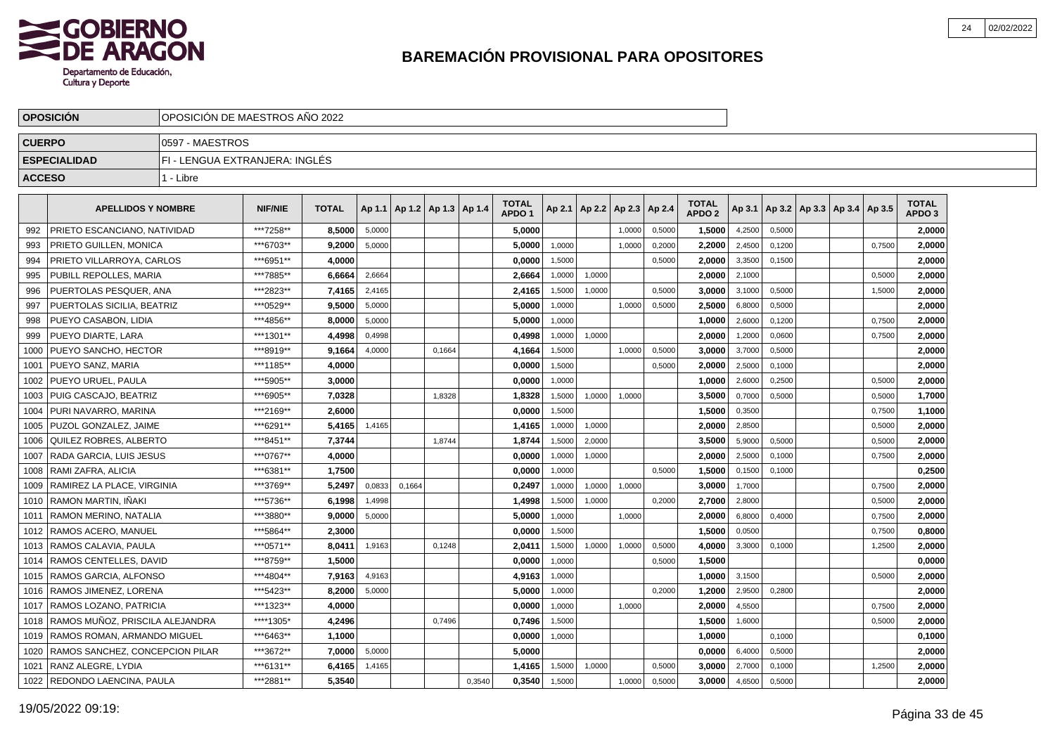

|               | <b>OPOSICION</b>                       | OPOSICION DE MAESTROS ANO 2022 |                |              |        |                          |        |        |                                   |        |                 |        |        |                                   |        |        |                                   |        |                                   |  |
|---------------|----------------------------------------|--------------------------------|----------------|--------------|--------|--------------------------|--------|--------|-----------------------------------|--------|-----------------|--------|--------|-----------------------------------|--------|--------|-----------------------------------|--------|-----------------------------------|--|
| <b>CUERPO</b> |                                        | 0597 - MAESTROS                |                |              |        |                          |        |        |                                   |        |                 |        |        |                                   |        |        |                                   |        |                                   |  |
|               | <b>ESPECIALIDAD</b>                    | FI - LENGUA EXTRANJERA: INGLÉS |                |              |        |                          |        |        |                                   |        |                 |        |        |                                   |        |        |                                   |        |                                   |  |
| <b>ACCESO</b> |                                        | 1 - Libre                      |                |              |        |                          |        |        |                                   |        |                 |        |        |                                   |        |        |                                   |        |                                   |  |
|               | <b>APELLIDOS Y NOMBRE</b>              |                                | <b>NIF/NIE</b> | <b>TOTAL</b> | Ap 1.1 | Ap 1.2   Ap 1.3   Ap 1.4 |        |        | <b>TOTAL</b><br>APDO <sub>1</sub> | Ap 2.1 | Ap 2.2   Ap 2.3 |        | Ap 2.4 | <b>TOTAL</b><br>APDO <sub>2</sub> | Ap 3.1 |        | Ap 3.2   Ap 3.3   Ap 3.4   Ap 3.5 |        | <b>TOTAL</b><br>APDO <sub>3</sub> |  |
| 992           | PRIETO ESCANCIANO, NATIVIDAD           |                                | ***7258**      | 8.5000       | 5,0000 |                          |        |        | 5.0000                            |        |                 | 1,0000 | 0,5000 | 1,5000                            | 4,2500 | 0,5000 |                                   |        | 2,0000                            |  |
| 993           | PRIETO GUILLEN, MONICA                 |                                | ***6703**      | 9,2000       | 5,0000 |                          |        |        | 5,0000                            | 1,0000 |                 | 1.0000 | 0,2000 | 2,2000                            | 2,4500 | 0,1200 |                                   | 0,7500 | 2,0000                            |  |
| 994           | PRIETO VILLARROYA, CARLOS              |                                | ***6951**      | 4,0000       |        |                          |        |        | 0,0000                            | 1,5000 |                 |        | 0,5000 | 2,0000                            | 3,3500 | 0,1500 |                                   |        | 2,0000                            |  |
| 995           | PUBILL REPOLLES, MARIA                 |                                | ***7885**      | 6,6664       | 2,6664 |                          |        |        | 2,6664                            | 1,0000 | 1,0000          |        |        | 2.0000                            | 2,1000 |        |                                   | 0,5000 | 2,0000                            |  |
| 996           | PUERTOLAS PESQUER, ANA                 |                                | ***2823**      | 7,4165       | 2,4165 |                          |        |        | 2,4165                            | 1,5000 | 1,0000          |        | 0,5000 | 3,0000                            | 3,1000 | 0,5000 |                                   | 1,5000 | 2,0000                            |  |
| 997           | PUERTOLAS SICILIA, BEATRIZ             |                                | ***0529**      | 9.5000       | 5,0000 |                          |        |        | 5.0000                            | 1,0000 |                 | 1,0000 | 0,5000 | 2.5000                            | 6,8000 | 0,5000 |                                   |        | 2,0000                            |  |
| 998           | PUEYO CASABON, LIDIA                   |                                | ***4856**      | 8,0000       | 5,0000 |                          |        |        | 5,0000                            | 1.0000 |                 |        |        | 1.0000                            | 2,6000 | 0,1200 |                                   | 0,7500 | 2,0000                            |  |
| 999           | PUEYO DIARTE, LARA                     |                                | ***1301**      | 4,4998       | 0,4998 |                          |        |        | 0,4998                            | 1,0000 | 1,0000          |        |        | 2.0000                            | 1,2000 | 0,0600 |                                   | 0,7500 | 2,0000                            |  |
| 1000          | PUEYO SANCHO, HECTOR                   |                                | ***8919**      | 9,1664       | 4,0000 |                          | 0,1664 |        | 4,1664                            | 1,5000 |                 | 1,0000 | 0,5000 | 3,0000                            | 3,7000 | 0,5000 |                                   |        | 2,0000                            |  |
| 1001          | PUEYO SANZ, MARIA                      |                                | ***1185**      | 4,0000       |        |                          |        |        | 0,0000                            | 1,5000 |                 |        | 0,5000 | 2,0000                            | 2,5000 | 0,1000 |                                   |        | 2,0000                            |  |
| 1002          | PUEYO URUEL, PAULA                     |                                | ***5905**      | 3,0000       |        |                          |        |        | 0,0000                            | 1,0000 |                 |        |        | 1,0000                            | 2,6000 | 0,2500 |                                   | 0,5000 | 2,0000                            |  |
| 1003          | PUIG CASCAJO, BEATRIZ                  |                                | ***6905**      | 7,0328       |        |                          | 1.8328 |        | 1,8328                            | 1,5000 | 1,0000          | 1.0000 |        | 3,5000                            | 0,7000 | 0,5000 |                                   | 0,5000 | 1,7000                            |  |
| 1004          | PURI NAVARRO. MARINA                   |                                | ***2169**      | 2.6000       |        |                          |        |        | 0.0000                            | 1,5000 |                 |        |        | 1,5000                            | 0,3500 |        |                                   | 0,7500 | 1,1000                            |  |
| 1005          | PUZOL GONZALEZ. JAIME                  |                                | ***6291**      | 5,4165       | 1,4165 |                          |        |        | 1,4165                            | 1,0000 | 1,0000          |        |        | 2.0000                            | 2,8500 |        |                                   | 0,5000 | 2,0000                            |  |
| 1006          | QUILEZ ROBRES, ALBERTO                 |                                | ***8451**      | 7,3744       |        |                          | 1,8744 |        | 1,8744                            | 1,5000 | 2,0000          |        |        | 3,5000                            | 5,9000 | 0,5000 |                                   | 0,5000 | 2,0000                            |  |
| 1007          | RADA GARCIA, LUIS JESUS                |                                | ***0767**      | 4,0000       |        |                          |        |        | 0,0000                            | 1,0000 | 1,0000          |        |        | 2.0000                            | 2,5000 | 0,1000 |                                   | 0,7500 | 2,0000                            |  |
| 1008          | RAMI ZAFRA, ALICIA                     |                                | ***6381**      | 1,7500       |        |                          |        |        | 0,0000                            | 1,0000 |                 |        | 0,5000 | 1,5000                            | 0,1500 | 0,1000 |                                   |        | 0,2500                            |  |
| 1009          | RAMIREZ LA PLACE, VIRGINIA             |                                | ***3769**      | 5.2497       | 0.0833 | 0.1664                   |        |        | 0.2497                            | 1.0000 | 1,0000          | 1.0000 |        | 3.0000                            | 1,7000 |        |                                   | 0.7500 | 2.0000                            |  |
| 1010          | l RAMON MARTIN. IÑAKI                  |                                | ***5736**      | 6.1998       | 1,4998 |                          |        |        | 1,4998                            | 1,5000 | 1,0000          |        | 0,2000 | 2,7000                            | 2,8000 |        |                                   | 0,5000 | 2,0000                            |  |
| 1011          | RAMON MERINO, NATALIA                  |                                | ***3880**      | 9,0000       | 5,0000 |                          |        |        | 5,0000                            | 1,0000 |                 | 1,0000 |        | 2,0000                            | 6,8000 | 0,4000 |                                   | 0,7500 | 2,0000                            |  |
| 1012          | RAMOS ACERO, MANUEL                    |                                | ***5864**      | 2,3000       |        |                          |        |        | 0,0000                            | 1,5000 |                 |        |        | 1,5000                            | 0,0500 |        |                                   | 0,7500 | 0,8000                            |  |
| 1013          | RAMOS CALAVIA, PAULA                   |                                | ***0571**      | 8,0411       | 1,9163 |                          | 0,1248 |        | 2,0411                            | 1,5000 | 1,0000          | 1,0000 | 0,5000 | 4,0000                            | 3,3000 | 0,1000 |                                   | 1,2500 | 2,0000                            |  |
| 1014          | RAMOS CENTELLES, DAVID                 |                                | ***8759**      | 1,5000       |        |                          |        |        | 0,0000                            | 1,0000 |                 |        | 0,5000 | 1,5000                            |        |        |                                   |        | 0,0000                            |  |
| 1015          | RAMOS GARCIA, ALFONSO                  |                                | ***4804**      | 7.9163       | 4,9163 |                          |        |        | 4.9163                            | 1,0000 |                 |        |        | 1.0000                            | 3,1500 |        |                                   | 0,5000 | 2,0000                            |  |
| 1016          | RAMOS JIMENEZ, LORENA                  |                                | ***5423**      | 8.2000       | 5,0000 |                          |        |        | 5.0000                            | 1,0000 |                 |        | 0,2000 | 1.2000                            | 2,9500 | 0,2800 |                                   |        | 2,0000                            |  |
|               | 1017   RAMOS LOZANO, PATRICIA          |                                | ***1323**      | 4,0000       |        |                          |        |        | 0,0000                            | 1,0000 |                 | 1,0000 |        | 2,0000                            | 4,5500 |        |                                   | 0,7500 | 2,0000                            |  |
|               | 1018   RAMOS MUÑOZ, PRISCILA ALEJANDRA |                                | ****1305*      | 4,2496       |        |                          | 0,7496 |        | 0,7496                            | 1,5000 |                 |        |        | 1,5000                            | 1,6000 |        |                                   | 0,5000 | 2,0000                            |  |
| 1019          | RAMOS ROMAN. ARMANDO MIGUEL            |                                | ***6463**      | 1,1000       |        |                          |        |        | 0,0000                            | 1,0000 |                 |        |        | 1,0000                            |        | 0,1000 |                                   |        | 0,1000                            |  |
| 1020          | RAMOS SANCHEZ, CONCEPCION PILAR        |                                | ***3672**      | 7,0000       | 5,0000 |                          |        |        | 5,0000                            |        |                 |        |        | 0,0000                            | 6,4000 | 0,5000 |                                   |        | 2,0000                            |  |
|               | 1021 RANZ ALEGRE, LYDIA                |                                | ***6131**      | 6,4165       | 1,4165 |                          |        |        | 1.4165                            | 1,5000 | 1,0000          |        | 0,5000 | 3.0000                            | 2,7000 | 0,1000 |                                   | 1,2500 | 2,0000                            |  |
| 1022          | REDONDO LAENCINA, PAULA                |                                | ***2881**      | 5.3540       |        |                          |        | 0,3540 | 0,3540                            | 1,5000 |                 | 1,0000 | 0,5000 | 3,0000                            | 4,6500 | 0,5000 |                                   |        | 2,0000                            |  |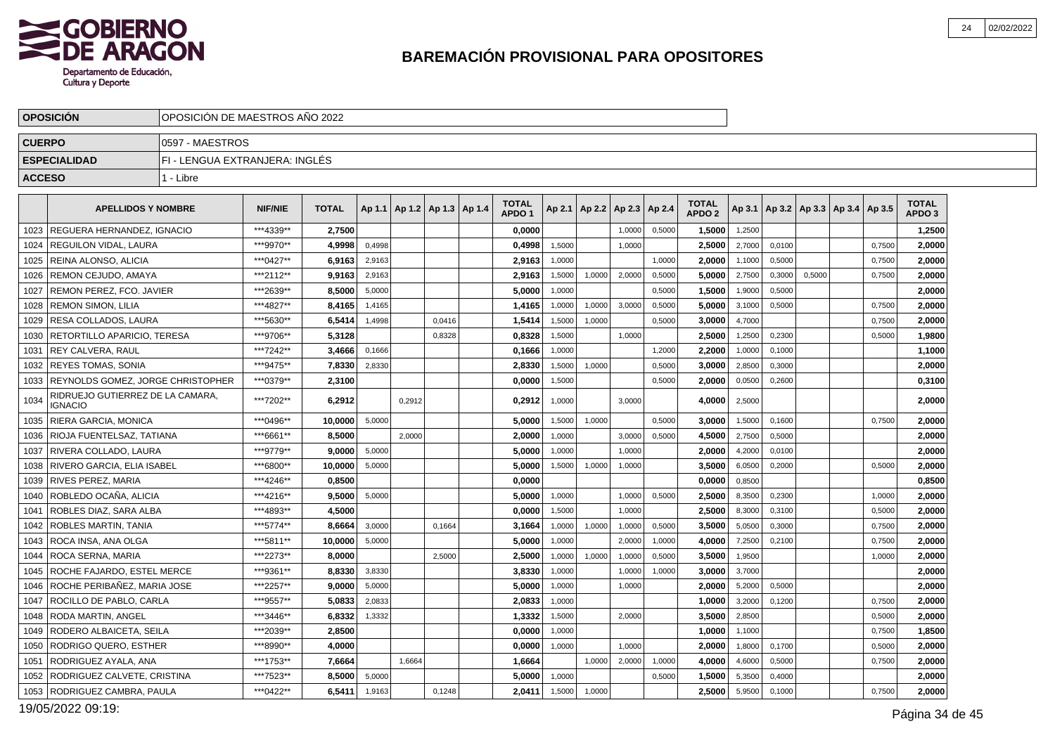

|               | <b>OPOSICION</b>                            | OPOSICION DE MAESTROS ANO 2022 |                |              |        |                                   |        |                                   |        |                                   |        |        |                                   |        |                                            |        |        |                                   |  |
|---------------|---------------------------------------------|--------------------------------|----------------|--------------|--------|-----------------------------------|--------|-----------------------------------|--------|-----------------------------------|--------|--------|-----------------------------------|--------|--------------------------------------------|--------|--------|-----------------------------------|--|
| <b>CUERPO</b> |                                             | 10597 - MAESTROS               |                |              |        |                                   |        |                                   |        |                                   |        |        |                                   |        |                                            |        |        |                                   |  |
|               | <b>ESPECIALIDAD</b>                         | FI - LENGUA EXTRANJERA: INGLES |                |              |        |                                   |        |                                   |        |                                   |        |        |                                   |        |                                            |        |        |                                   |  |
| <b>ACCESO</b> |                                             | 1 - Libre                      |                |              |        |                                   |        |                                   |        |                                   |        |        |                                   |        |                                            |        |        |                                   |  |
|               | <b>APELLIDOS Y NOMBRE</b>                   |                                | <b>NIF/NIE</b> | <b>TOTAL</b> |        | Ap 1.1   Ap 1.2   Ap 1.3   Ap 1.4 |        | <b>TOTAL</b><br>APDO <sub>1</sub> |        | Ap 2.1   Ap 2.2   Ap 2.3   Ap 2.4 |        |        | <b>TOTAL</b><br>APDO <sub>2</sub> |        | Ap 3.1   Ap 3.2   Ap 3.3   Ap 3.4   Ap 3.5 |        |        | <b>TOTAL</b><br>APDO <sub>3</sub> |  |
|               | 1023   REGUERA HERNANDEZ. IGNACIO           |                                | ***4339**      | 2.7500       |        |                                   |        | 0.0000                            |        |                                   | 1,0000 | 0,5000 | 1.5000                            | 1,2500 |                                            |        |        | 1.2500                            |  |
|               | 1024   REGUILON VIDAL, LAURA                |                                | ***9970**      | 4,9998       | 0,4998 |                                   |        | 0,4998                            | 1,5000 |                                   | 1,0000 |        | 2,5000                            | 2,7000 | 0,0100                                     |        | 0,7500 | 2,0000                            |  |
| 1025          | I REINA ALONSO. ALICIA                      |                                | ***0427**      | 6,9163       | 2,9163 |                                   |        | 2,9163                            | 1,0000 |                                   |        | 1,0000 | 2.0000                            | 1,1000 | 0,5000                                     |        | 0,7500 | 2,0000                            |  |
| 1026          | REMON CEJUDO, AMAYA                         |                                | ***2112**      | 9,9163       | 2,9163 |                                   |        | 2,9163                            | 1,5000 | 1,0000                            | 2,0000 | 0,5000 | 5,0000                            | 2,7500 | 0,3000                                     | 0,5000 | 0,7500 | 2,0000                            |  |
| 1027          | <b>REMON PEREZ, FCO, JAVIER</b>             |                                | ***2639**      | 8,5000       | 5,0000 |                                   |        | 5,0000                            | 1,0000 |                                   |        | 0,5000 | 1,5000                            | 1,9000 | 0,5000                                     |        |        | 2,0000                            |  |
| 1028          | <b>REMON SIMON, LILIA</b>                   |                                | ***4827**      | 8,4165       | 1,4165 |                                   |        | 1,4165                            | 1,0000 | 1,0000                            | 3,0000 | 0,5000 | 5.0000                            | 3,1000 | 0,5000                                     |        | 0,7500 | 2,0000                            |  |
| 1029          | RESA COLLADOS, LAURA                        |                                | ***5630**      | 6,5414       | 1,4998 |                                   | 0,0416 | 1,5414                            | 1,5000 | 1,0000                            |        | 0,5000 | 3,0000                            | 4,7000 |                                            |        | 0,7500 | 2,0000                            |  |
| 1030          | RETORTILLO APARICIO. TERESA                 |                                | ***9706**      | 5,3128       |        |                                   | 0,8328 | 0,8328                            | 1,5000 |                                   | 1,0000 |        | 2,5000                            | 1,2500 | 0,2300                                     |        | 0,5000 | 1,9800                            |  |
| 1031          | <b>REY CALVERA, RAUL</b>                    |                                | ***7242**      | 3.4666       | 0,1666 |                                   |        | 0.1666                            | 1,0000 |                                   |        | 1,2000 | 2.2000                            | 1,0000 | 0,1000                                     |        |        | 1,1000                            |  |
| 1032          | <b>REYES TOMAS, SONIA</b>                   |                                | ***9475**      | 7,8330       | 2,8330 |                                   |        | 2,8330                            | 1,5000 | 1,0000                            |        | 0,5000 | 3,0000                            | 2,8500 | 0,3000                                     |        |        | 2,0000                            |  |
| 1033          | <b>REYNOLDS GOMEZ, JORGE CHRISTOPHER</b>    |                                | ***0379**      | 2,3100       |        |                                   |        | 0,0000                            | 1,5000 |                                   |        | 0,5000 | 2,0000                            | 0,0500 | 0,2600                                     |        |        | 0,3100                            |  |
| 1034          | RIDRUEJO GUTIERREZ DE LA CAMARA.<br>IGNACIO |                                | ***7202**      | 6,2912       |        | 0,2912                            |        | 0,2912                            | 1,0000 |                                   | 3,0000 |        | 4,0000                            | 2,5000 |                                            |        |        | 2,0000                            |  |
| 1035          | RIERA GARCIA, MONICA                        |                                | ***0496**      | 10,0000      | 5,0000 |                                   |        | 5,0000                            | 1,5000 | 1,0000                            |        | 0,5000 | 3,0000                            | 1,5000 | 0,1600                                     |        | 0,7500 | 2,0000                            |  |
| 1036          | RIOJA FUENTELSAZ, TATIANA                   |                                | ***6661**      | 8,5000       |        | 2.0000                            |        | 2,0000                            | 1,0000 |                                   | 3,0000 | 0,5000 | 4,5000                            | 2,7500 | 0,5000                                     |        |        | 2,0000                            |  |
| 1037          | RIVERA COLLADO. LAURA                       |                                | ***9779**      | 9.0000       | 5,0000 |                                   |        | 5.0000                            | 1,0000 |                                   | 1,0000 |        | 2.0000                            | 4,2000 | 0,0100                                     |        |        | 2,0000                            |  |
|               | 1038   RIVERO GARCIA, ELIA ISABEL           |                                | ***6800**      | 10,0000      | 5,0000 |                                   |        | 5,0000                            | 1,5000 | 1,0000                            | 1,0000 |        | 3,5000                            | 6,0500 | 0,2000                                     |        | 0,5000 | 2,0000                            |  |
|               | 1039   RIVES PEREZ, MARIA                   |                                | ***4246**      | 0,8500       |        |                                   |        | 0,0000                            |        |                                   |        |        | 0,0000                            | 0,8500 |                                            |        |        | 0,8500                            |  |
| 1040          | ROBLEDO OCAÑA. ALICIA                       |                                | ***4216**      | 9,5000       | 5,0000 |                                   |        | 5.0000                            | 1,0000 |                                   | 1,0000 | 0,5000 | 2.5000                            | 8,3500 | 0,2300                                     |        | 1,0000 | 2,0000                            |  |
| 1041          | ROBLES DIAZ, SARA ALBA                      |                                | ***4893**      | 4,5000       |        |                                   |        | 0,0000                            | 1,5000 |                                   | 1,0000 |        | 2,5000                            | 8,3000 | 0,3100                                     |        | 0,5000 | 2,0000                            |  |
| 1042          | <b>ROBLES MARTIN, TANIA</b>                 |                                | ***5774**      | 8,6664       | 3,0000 |                                   | 0.1664 | 3,1664                            | 1,0000 | 1,0000                            | 1,0000 | 0,5000 | 3,5000                            | 5,0500 | 0,3000                                     |        | 0,7500 | 2,0000                            |  |
| 1043          | ROCA INSA, ANA OLGA                         |                                | ***5811**      | 10.0000      | 5,0000 |                                   |        | 5.0000                            | 1,0000 |                                   | 2,0000 | 1,0000 | 4.0000                            | 7,2500 | 0,2100                                     |        | 0,7500 | 2,0000                            |  |
| 1044          | ROCA SERNA, MARIA                           |                                | ***2273**      | 8,0000       |        |                                   | 2,5000 | 2,5000                            | 1,0000 | 1,0000                            | 1,0000 | 0,5000 | 3,5000                            | 1,9500 |                                            |        | 1,0000 | 2,0000                            |  |
| 1045          | ROCHE FAJARDO. ESTEL MERCE                  |                                | ***9361**      | 8,8330       | 3,8330 |                                   |        | 3,8330                            | 1,0000 |                                   | 1,0000 | 1,0000 | 3.0000                            | 3,7000 |                                            |        |        | 2,0000                            |  |
| 1046          | ROCHE PERIBAÑEZ, MARIA JOSE                 |                                | ***2257**      | 9,0000       | 5,0000 |                                   |        | 5,0000                            | 1,0000 |                                   | 1,0000 |        | 2,0000                            | 5,2000 | 0.5000                                     |        |        | 2,0000                            |  |
| 1047          | ROCILLO DE PABLO, CARLA                     |                                | ***9557**      | 5,0833       | 2,0833 |                                   |        | 2,0833                            | 1,0000 |                                   |        |        | 1,0000                            | 3,2000 | 0,1200                                     |        | 0,7500 | 2,0000                            |  |
| 1048          | RODA MARTIN, ANGEL                          |                                | ***3446**      | 6,8332       | 1,3332 |                                   |        | 1,3332                            | 1,5000 |                                   | 2,0000 |        | 3.5000                            | 2,8500 |                                            |        | 0,5000 | 2,0000                            |  |
| 1049          | RODERO ALBAICETA, SEILA                     |                                | ***2039**      | 2,8500       |        |                                   |        | 0,0000                            | 1,0000 |                                   |        |        | 1,0000                            | 1,1000 |                                            |        | 0,7500 | 1,8500                            |  |
| 1050          | <b>RODRIGO QUERO, ESTHER</b>                |                                | ***8990**      | 4,0000       |        |                                   |        | 0,0000                            | 1,0000 |                                   | 1,0000 |        | 2,0000                            | 1,8000 | 0,1700                                     |        | 0,5000 | 2,0000                            |  |
| 1051          | l RODRIGUEZ AYALA. ANA                      |                                | ***1753**      | 7,6664       |        | 1.6664                            |        | 1,6664                            |        | 1,0000                            | 2,0000 | 1,0000 | 4.0000                            | 4,6000 | 0,5000                                     |        | 0,7500 | 2,0000                            |  |
| 1052          | RODRIGUEZ CALVETE, CRISTINA                 |                                | ***7523**      | 8,5000       | 5,0000 |                                   |        | 5,0000                            | 1,0000 |                                   |        | 0,5000 | 1,5000                            | 5,3500 | 0,4000                                     |        |        | 2,0000                            |  |
|               | 1053   RODRIGUEZ CAMBRA, PAULA              |                                | ***0422**      | 6,5411       | 1,9163 |                                   | 0,1248 | 2.0411                            | 1,5000 | 1,0000                            |        |        | 2,5000                            | 5,9500 | 0,1000                                     |        | 0,7500 | 2,0000                            |  |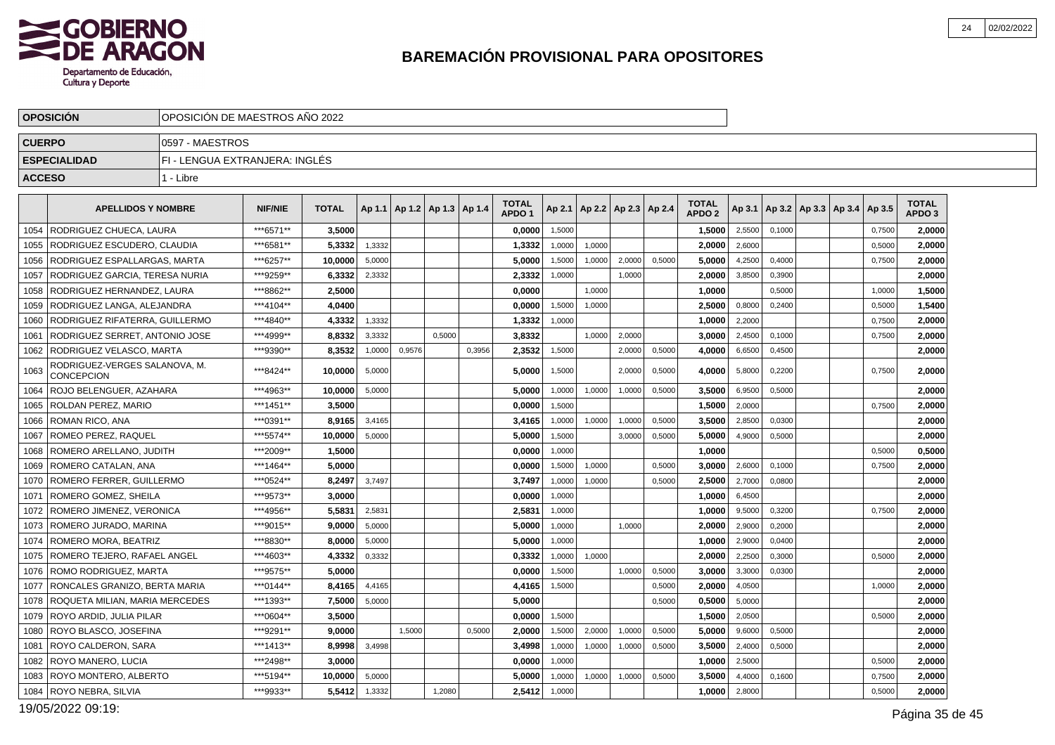

|               | <b>OPOSICION</b>                            | OPOSICION DE MAESTROS ANO 2022 |                |              |        |        |                                   |        |                                   |        |                          |        |        |                                   |        |        |                                            |        |                                   |  |
|---------------|---------------------------------------------|--------------------------------|----------------|--------------|--------|--------|-----------------------------------|--------|-----------------------------------|--------|--------------------------|--------|--------|-----------------------------------|--------|--------|--------------------------------------------|--------|-----------------------------------|--|
| <b>CUERPO</b> |                                             | 0597 - MAESTROS                |                |              |        |        |                                   |        |                                   |        |                          |        |        |                                   |        |        |                                            |        |                                   |  |
|               | <b>ESPECIALIDAD</b>                         | FI - LENGUA EXTRANJERA: INGLES |                |              |        |        |                                   |        |                                   |        |                          |        |        |                                   |        |        |                                            |        |                                   |  |
| <b>ACCESO</b> |                                             | 1 - Libre                      |                |              |        |        |                                   |        |                                   |        |                          |        |        |                                   |        |        |                                            |        |                                   |  |
|               | <b>APELLIDOS Y NOMBRE</b>                   |                                | <b>NIF/NIE</b> | <b>TOTAL</b> |        |        | Ap 1.1   Ap 1.2   Ap 1.3   Ap 1.4 |        | <b>TOTAL</b><br>APDO <sub>1</sub> | Ap 2.1 | Ap 2.2   Ap 2.3   Ap 2.4 |        |        | <b>TOTAL</b><br>APDO <sub>2</sub> |        |        | Ap 3.1   Ap 3.2   Ap 3.3   Ap 3.4   Ap 3.5 |        | <b>TOTAL</b><br>APDO <sub>3</sub> |  |
|               | 1054   RODRIGUEZ CHUECA. LAURA              |                                | ***6571**      | 3.5000       |        |        |                                   |        | 0.0000                            | 1,5000 |                          |        |        | 1.5000                            | 2,5500 | 0,1000 |                                            | 0,7500 | 2.0000                            |  |
|               | 1055   RODRIGUEZ ESCUDERO, CLAUDIA          |                                | ***6581**      | 5,3332       | 1,3332 |        |                                   |        | 1,3332                            | 1,0000 | 1,0000                   |        |        | 2,0000                            | 2,6000 |        |                                            | 0,5000 | 2,0000                            |  |
| 1056          | RODRIGUEZ ESPALLARGAS, MARTA                |                                | ***6257**      | 10,0000      | 5,0000 |        |                                   |        | 5,0000                            | 1,5000 | 1,0000                   | 2,0000 | 0,5000 | 5.0000                            | 4,2500 | 0,4000 |                                            | 0,7500 | 2,0000                            |  |
| 1057          | <b>RODRIGUEZ GARCIA, TERESA NURIA</b>       |                                | ***9259**      | 6,3332       | 2,3332 |        |                                   |        | 2,3332                            | 1,0000 |                          | 1,0000 |        | 2,0000                            | 3,8500 | 0,3900 |                                            |        | 2,0000                            |  |
| 1058          | RODRIGUEZ HERNANDEZ, LAURA                  |                                | ***8862**      | 2,5000       |        |        |                                   |        | 0,0000                            |        | 1,0000                   |        |        | 1,0000                            |        | 0,5000 |                                            | 1,0000 | 1,5000                            |  |
| 1059          | RODRIGUEZ LANGA. ALEJANDRA                  |                                | ***4104**      | 4.0400       |        |        |                                   |        | 0.0000                            | 1,5000 | 1,0000                   |        |        | 2.5000                            | 0,8000 | 0,2400 |                                            | 0,5000 | 1,5400                            |  |
| 1060          | RODRIGUEZ RIFATERRA, GUILLERMO              |                                | ***4840**      | 4,3332       | 1,3332 |        |                                   |        | 1,3332                            | 1,0000 |                          |        |        | 1,0000                            | 2,2000 |        |                                            | 0,7500 | 2,0000                            |  |
| 1061          | RODRIGUEZ SERRET. ANTONIO JOSE              |                                | ***4999**      | 8,8332       | 3,3332 |        | 0.5000                            |        | 3,8332                            |        | 1,0000                   | 2,0000 |        | 3,0000                            | 2,4500 | 0,1000 |                                            | 0,7500 | 2,0000                            |  |
| 1062          | <b>RODRIGUEZ VELASCO, MARTA</b>             |                                | ***9390**      | 8,3532       | 1,0000 | 0,9576 |                                   | 0.3956 | 2,3532                            | 1,5000 |                          | 2,0000 | 0,5000 | 4.0000                            | 6,6500 | 0,4500 |                                            |        | 2,0000                            |  |
| 1063          | RODRIGUEZ-VERGES SALANOVA, M.<br>CONCEPCION |                                | ***8424**      | 10.0000      | 5,0000 |        |                                   |        | 5,0000                            | 1,5000 |                          | 2.0000 | 0,5000 | 4,0000                            | 5,8000 | 0,2200 |                                            | 0,7500 | 2,0000                            |  |
| 1064          | ROJO BELENGUER. AZAHARA                     |                                | ***4963**      | 10,0000      | 5,0000 |        |                                   |        | 5,0000                            | 1,0000 | 1,0000                   | 1,0000 | 0,5000 | 3.5000                            | 6,9500 | 0,5000 |                                            |        | 2,0000                            |  |
| 1065          | <b>ROLDAN PEREZ, MARIO</b>                  |                                | ***1451**      | 3.5000       |        |        |                                   |        | 0.0000                            | 1,5000 |                          |        |        | 1.5000                            | 2,0000 |        |                                            | 0,7500 | 2,0000                            |  |
| 1066          | ROMAN RICO, ANA                             |                                | ***0391**      | 8,9165       | 3,4165 |        |                                   |        | 3,4165                            | 1,0000 | 1,0000                   | 1,0000 | 0,5000 | 3,5000                            | 2,8500 | 0,0300 |                                            |        | 2,0000                            |  |
| 1067          | <b>ROMEO PEREZ, RAQUEL</b>                  |                                | ***5574**      | 10.0000      | 5,0000 |        |                                   |        | 5,0000                            | 1,5000 |                          | 3,0000 | 0,5000 | 5,0000                            | 4,9000 | 0,5000 |                                            |        | 2,0000                            |  |
| 1068          | ROMERO ARELLANO, JUDITH                     |                                | ***2009**      | 1.5000       |        |        |                                   |        | 0.0000                            | 1,0000 |                          |        |        | 1.0000                            |        |        |                                            | 0,5000 | 0,5000                            |  |
| 1069          | ROMERO CATALAN, ANA                         |                                | ***1464**      | 5,0000       |        |        |                                   |        | 0,0000                            | 1,5000 | 1,0000                   |        | 0,5000 | 3,0000                            | 2,6000 | 0,1000 |                                            | 0,7500 | 2,0000                            |  |
|               | 1070   ROMERO FERRER, GUILLERMO             |                                | ***0524**      | 8,2497       | 3,7497 |        |                                   |        | 3,7497                            | 1,0000 | 1,0000                   |        | 0,5000 | 2,5000                            | 2,7000 | 0,0800 |                                            |        | 2,0000                            |  |
|               | 1071   ROMERO GOMEZ, SHEILA                 |                                | ***9573**      | 3.0000       |        |        |                                   |        | 0.0000                            | 1,0000 |                          |        |        | 1,0000                            | 6,4500 |        |                                            |        | 2,0000                            |  |
|               | 1072   ROMERO JIMENEZ, VERONICA             |                                | ***4956**      | 5,5831       | 2,5831 |        |                                   |        | 2,5831                            | 1,0000 |                          |        |        | 1,0000                            | 9,5000 | 0,3200 |                                            | 0,7500 | 2,0000                            |  |
|               | 1073   ROMERO JURADO, MARINA                |                                | ***9015**      | 9.0000       | 5,0000 |        |                                   |        | 5,0000                            | 1,0000 |                          | 1.0000 |        | 2,0000                            | 2,9000 | 0,2000 |                                            |        | 2,0000                            |  |
| 1074          | <b>ROMERO MORA, BEATRIZ</b>                 |                                | ***8830**      | 8.0000       | 5,0000 |        |                                   |        | 5.0000                            | 1,0000 |                          |        |        | 1.0000                            | 2,9000 | 0,0400 |                                            |        | 2,0000                            |  |
| 1075          | ROMERO TEJERO, RAFAEL ANGEL                 |                                | ***4603**      | 4,3332       | 0,3332 |        |                                   |        | 0,3332                            | 1,0000 | 1,0000                   |        |        | 2,0000                            | 2,2500 | 0,3000 |                                            | 0,5000 | 2,0000                            |  |
| 1076          | ROMO RODRIGUEZ, MARTA                       |                                | ***9575**      | 5.0000       |        |        |                                   |        | 0.0000                            | 1.5000 |                          | 1.0000 | 0,5000 | 3.0000                            | 3,3000 | 0.0300 |                                            |        | 2,0000                            |  |
| 1077          | RONCALES GRANIZO, BERTA MARIA               |                                | ***0144**      | 8,4165       | 4,4165 |        |                                   |        | 4,4165                            | 1,5000 |                          |        | 0,5000 | 2,0000                            | 4,0500 |        |                                            | 1.0000 | 2,0000                            |  |
| 1078          | ROQUETA MILIAN, MARIA MERCEDES              |                                | ***1393**      | 7,5000       | 5,0000 |        |                                   |        | 5,0000                            |        |                          |        | 0,5000 | 0,5000                            | 5,0000 |        |                                            |        | 2,0000                            |  |
| 1079          | ROYO ARDID, JULIA PILAR                     |                                | ***0604**      | 3.5000       |        |        |                                   |        | 0.0000                            | 1,5000 |                          |        |        | 1.5000                            | 2,0500 |        |                                            | 0,5000 | 2,0000                            |  |
| 1080          | ROYO BLASCO, JOSEFINA                       |                                | ***9291**      | 9,0000       |        | 1,5000 |                                   | 0,5000 | 2,0000                            | 1,5000 | 2,0000                   | 1,0000 | 0,5000 | 5,0000                            | 9,6000 | 0,5000 |                                            |        | 2,0000                            |  |
| 1081          | <b>ROYO CALDERON, SARA</b>                  |                                | ***1413**      | 8,9998       | 3,4998 |        |                                   |        | 3,4998                            | 1,0000 | 1,0000                   | 1,0000 | 0,5000 | 3,5000                            | 2,4000 | 0,5000 |                                            |        | 2,0000                            |  |
|               | 1082   ROYO MANERO, LUCIA                   |                                | ***2498**      | 3,0000       |        |        |                                   |        | 0,0000                            | 1,0000 |                          |        |        | 1,0000                            | 2,5000 |        |                                            | 0,5000 | 2,0000                            |  |
| 1083          | ROYO MONTERO, ALBERTO                       |                                | ***5194**      | 10,0000      | 5,0000 |        |                                   |        | 5,0000                            | 1,0000 | 1,0000                   | 1,0000 | 0,5000 | 3,5000                            | 4,4000 | 0,1600 |                                            | 0,7500 | 2,0000                            |  |
|               | 1084   ROYO NEBRA, SILVIA                   |                                | ***9933**      | 5,5412       | 1,3332 |        | 1,2080                            |        | 2,5412                            | 1,0000 |                          |        |        | 1,0000                            | 2,8000 |        |                                            | 0,5000 | 2,0000                            |  |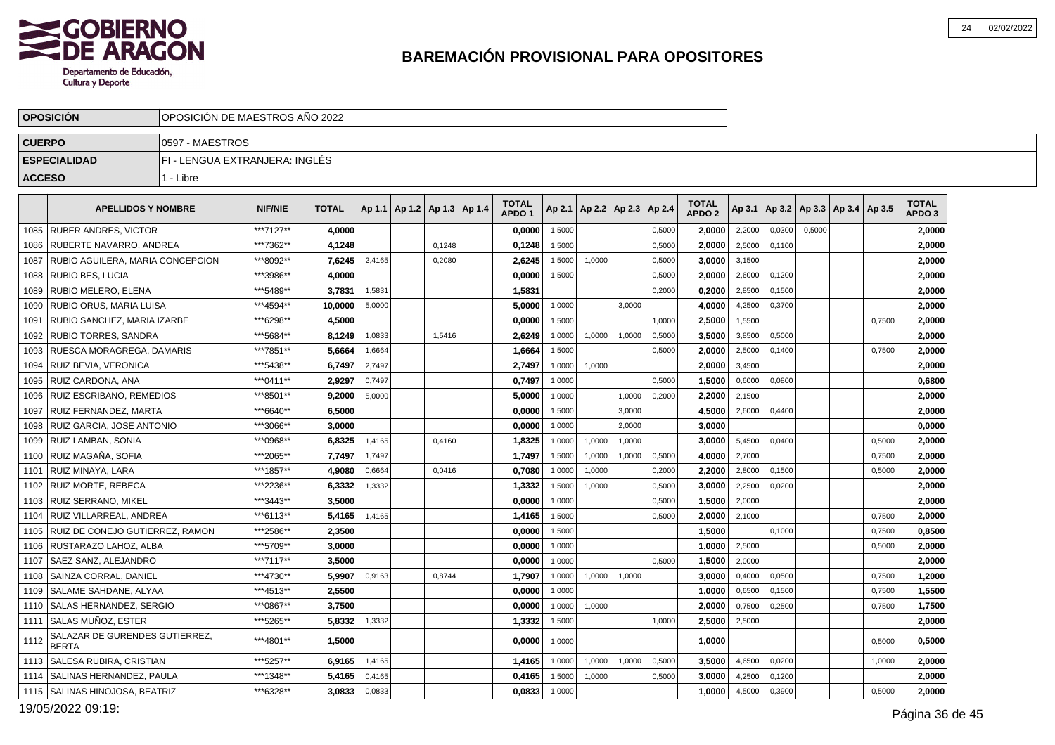

|               | <b>OPOSICION</b>                               | OPOSICIÓN DE MAESTROS AÑO 2022 |                |              |        |                                   |        |                                   |        |                          |        |        |                                   |        |                                            |        |        |                                   |  |
|---------------|------------------------------------------------|--------------------------------|----------------|--------------|--------|-----------------------------------|--------|-----------------------------------|--------|--------------------------|--------|--------|-----------------------------------|--------|--------------------------------------------|--------|--------|-----------------------------------|--|
| <b>CUERPO</b> |                                                | 10597 - MAESTROS               |                |              |        |                                   |        |                                   |        |                          |        |        |                                   |        |                                            |        |        |                                   |  |
|               | <b>ESPECIALIDAD</b>                            | FI - LENGUA EXTRANJERA: INGLÉS |                |              |        |                                   |        |                                   |        |                          |        |        |                                   |        |                                            |        |        |                                   |  |
| <b>ACCESO</b> |                                                | 1 - Libre                      |                |              |        |                                   |        |                                   |        |                          |        |        |                                   |        |                                            |        |        |                                   |  |
|               | <b>APELLIDOS Y NOMBRE</b>                      |                                | <b>NIF/NIE</b> | <b>TOTAL</b> |        | Ap 1.1   Ap 1.2   Ap 1.3   Ap 1.4 |        | <b>TOTAL</b><br>APDO <sub>1</sub> | Ap 2.1 | Ap 2.2   Ap 2.3   Ap 2.4 |        |        | <b>TOTAL</b><br>APDO <sub>2</sub> |        | Ap 3.1   Ap 3.2   Ap 3.3   Ap 3.4   Ap 3.5 |        |        | <b>TOTAL</b><br>APDO <sub>3</sub> |  |
|               | 1085 RUBER ANDRES. VICTOR                      |                                | ***7127**      | 4.0000       |        |                                   |        | 0,0000                            | 1,5000 |                          |        | 0,5000 | 2.0000                            | 2,2000 | 0,0300                                     | 0,5000 |        | 2,0000                            |  |
| 1086          | RUBERTE NAVARRO, ANDREA                        |                                | ***7362**      | 4,1248       |        |                                   | 0,1248 | 0,1248                            | 1,5000 |                          |        | 0,5000 | 2,0000                            | 2,5000 | 0,1100                                     |        |        | 2,0000                            |  |
|               | 1087 RUBIO AGUILERA, MARIA CONCEPCION          |                                | ***8092**      | 7,6245       | 2,4165 |                                   | 0,2080 | 2,6245                            | 1,5000 | 1,0000                   |        | 0,5000 | 3,0000                            | 3,1500 |                                            |        |        | 2,0000                            |  |
| 1088          | I RUBIO BES. LUCIA                             |                                | ***3986**      | 4,0000       |        |                                   |        | 0,0000                            | 1,5000 |                          |        | 0,5000 | 2.0000                            | 2,6000 | 0,1200                                     |        |        | 2,0000                            |  |
| 1089          | RUBIO MELERO, ELENA                            |                                | ***5489**      | 3,7831       | 1,5831 |                                   |        | 1,5831                            |        |                          |        | 0,2000 | 0,2000                            | 2,8500 | 0,1500                                     |        |        | 2,0000                            |  |
| 1090          | <b>RUBIO ORUS, MARIA LUISA</b>                 |                                | ***4594**      | 10,0000      | 5,0000 |                                   |        | 5,0000                            | 1,0000 |                          | 3,0000 |        | 4.0000                            | 4,2500 | 0,3700                                     |        |        | 2,0000                            |  |
| 1091          | RUBIO SANCHEZ, MARIA IZARBE                    |                                | ***6298**      | 4.5000       |        |                                   |        | 0.0000                            | 1,5000 |                          |        | 1,0000 | 2.5000                            | 1,5500 |                                            |        | 0.7500 | 2,0000                            |  |
| 1092          | <b>RUBIO TORRES, SANDRA</b>                    |                                | ***5684**      | 8,1249       | 1,0833 |                                   | 1,5416 | 2,6249                            | 1,0000 | 1,0000                   | 1,0000 | 0,5000 | 3,5000                            | 3,8500 | 0,5000                                     |        |        | 2,0000                            |  |
| 1093          | RUESCA MORAGREGA, DAMARIS                      |                                | ***7851**      | 5,6664       | 1,6664 |                                   |        | 1,6664                            | 1,5000 |                          |        | 0,5000 | 2.0000                            | 2,5000 | 0,1400                                     |        | 0,7500 | 2,0000                            |  |
| 1094          | RUIZ BEVIA, VERONICA                           |                                | ***5438**      | 6.7497       | 2,7497 |                                   |        | 2.7497                            | 1,0000 | 1,0000                   |        |        | 2.0000                            | 3,4500 |                                            |        |        | 2.0000                            |  |
| 1095          | RUIZ CARDONA, ANA                              |                                | ***0411**      | 2,9297       | 0,7497 |                                   |        | 0,7497                            | 1,0000 |                          |        | 0,5000 | 1,5000                            | 0,6000 | 0,0800                                     |        |        | 0,6800                            |  |
| 1096          | RUIZ ESCRIBANO, REMEDIOS                       |                                | ***8501**      | 9.2000       | 5,0000 |                                   |        | 5,0000                            | 1,0000 |                          | 1,0000 | 0,2000 | 2,2000                            | 2,1500 |                                            |        |        | 2,0000                            |  |
| 1097          | RUIZ FERNANDEZ, MARTA                          |                                | ***6640**      | 6.5000       |        |                                   |        | 0.0000                            | 1,5000 |                          | 3,0000 |        | 4.5000                            | 2,6000 | 0,4400                                     |        |        | 2,0000                            |  |
| 1098          | RUIZ GARCIA, JOSE ANTONIO                      |                                | ***3066**      | 3,0000       |        |                                   |        | 0,0000                            | 1,0000 |                          | 2,0000 |        | 3,0000                            |        |                                            |        |        | 0,0000                            |  |
| 1099          | RUIZ LAMBAN. SONIA                             |                                | ***0968**      | 6,8325       | 1,4165 |                                   | 0,4160 | 1,8325                            | 1,0000 | 1,0000                   | 1,0000 |        | 3.0000                            | 5,4500 | 0,0400                                     |        | 0,5000 | 2,0000                            |  |
| 1100          | RUIZ MAGAÑA. SOFIA                             |                                | ***2065**      | 7,7497       | 1,7497 |                                   |        | 1,7497                            | 1,5000 | 1,0000                   | 1,0000 | 0,5000 | 4.0000                            | 2,7000 |                                            |        | 0,7500 | 2,0000                            |  |
| 1101          | RUIZ MINAYA, LARA                              |                                | ***1857**      | 4,9080       | 0,6664 |                                   | 0,0416 | 0,7080                            | 1,0000 | 1,0000                   |        | 0,2000 | 2,2000                            | 2,8000 | 0,1500                                     |        | 0,5000 | 2,0000                            |  |
| 1102          | <b>RUIZ MORTE, REBECA</b>                      |                                | ***2236**      | 6,3332       | 1,3332 |                                   |        | 1,3332                            | 1,5000 | 1,0000                   |        | 0,5000 | 3.0000                            | 2,2500 | 0,0200                                     |        |        | 2,0000                            |  |
| 1103          | <b>RUIZ SERRANO, MIKEL</b>                     |                                | ***3443**      | 3.5000       |        |                                   |        | 0,0000                            | 1,0000 |                          |        | 0,5000 | 1.5000                            | 2,0000 |                                            |        |        | 2,0000                            |  |
| 1104          | RUIZ VILLARREAL, ANDREA                        |                                | ***6113**      | 5,4165       | 1,4165 |                                   |        | 1,4165                            | 1,5000 |                          |        | 0,5000 | 2,0000                            | 2,1000 |                                            |        | 0,7500 | 2,0000                            |  |
| 1105          | RUIZ DE CONEJO GUTIERREZ. RAMON                |                                | ***2586**      | 2,3500       |        |                                   |        | 0,0000                            | 1,5000 |                          |        |        | 1,5000                            |        | 0,1000                                     |        | 0,7500 | 0,8500                            |  |
| 1106          | RUSTARAZO LAHOZ, ALBA                          |                                | ***5709**      | 3.0000       |        |                                   |        | 0,0000                            | 1,0000 |                          |        |        | 1,0000                            | 2,5000 |                                            |        | 0,5000 | 2,0000                            |  |
| 1107          | SAEZ SANZ, ALEJANDRO                           |                                | ***7117**      | 3,5000       |        |                                   |        | 0,0000                            | 1.0000 |                          |        | 0.5000 | 1,5000                            | 2.0000 |                                            |        |        | 2,0000                            |  |
| 1108          | SAINZA CORRAL, DANIEL                          |                                | ***4730**      | 5.9907       | 0,9163 |                                   | 0,8744 | 1,7907                            | 1,0000 | 1,0000                   | 1,0000 |        | 3.0000                            | 0,4000 | 0,0500                                     |        | 0,7500 | 1,2000                            |  |
| 1109          | lSALAME SAHDANE. ALYAA                         |                                | ***4513**      | 2.5500       |        |                                   |        | 0,0000                            | 1,0000 |                          |        |        | 1.0000                            | 0,6500 | 0,1500                                     |        | 0,7500 | 1,5500                            |  |
|               | 1110   SALAS HERNANDEZ, SERGIO                 |                                | ***0867**      | 3,7500       |        |                                   |        | 0,0000                            | 1,0000 | 1,0000                   |        |        | 2,0000                            | 0,7500 | 0,2500                                     |        | 0,7500 | 1,7500                            |  |
|               | 1111 SALAS MUÑOZ. ESTER                        |                                | ***5265**      | 5,8332       | 1,3332 |                                   |        | 1,3332                            | 1,5000 |                          |        | 1,0000 | 2,5000                            | 2,5000 |                                            |        |        | 2,0000                            |  |
| 1112          | SALAZAR DE GURENDES GUTIERREZ,<br><b>BERTA</b> |                                | ***4801**      | 1,5000       |        |                                   |        | 0,0000                            | 1,0000 |                          |        |        | 1,0000                            |        |                                            |        | 0,5000 | 0,5000                            |  |
|               | 1113   SALESA RUBIRA, CRISTIAN                 |                                | ***5257**      | 6.9165       | 1,4165 |                                   |        | 1,4165                            | 1,0000 | 1,0000                   | 1,0000 | 0,5000 | 3.5000                            | 4,6500 | 0,0200                                     |        | 1,0000 | 2,0000                            |  |
| 1114          | SALINAS HERNANDEZ, PAULA                       |                                | ***1348**      | 5,4165       | 0,4165 |                                   |        | 0,4165                            | 1,5000 | 1,0000                   |        | 0,5000 | 3,0000                            | 4,2500 | 0,1200                                     |        |        | 2,0000                            |  |
|               | 1115   SALINAS HINOJOSA, BEATRIZ               |                                | ***6328**      | 3,0833       | 0,0833 |                                   |        | 0,0833                            | 1,0000 |                          |        |        | 1,0000                            | 4,5000 | 0,3900                                     |        | 0,5000 | 2,0000                            |  |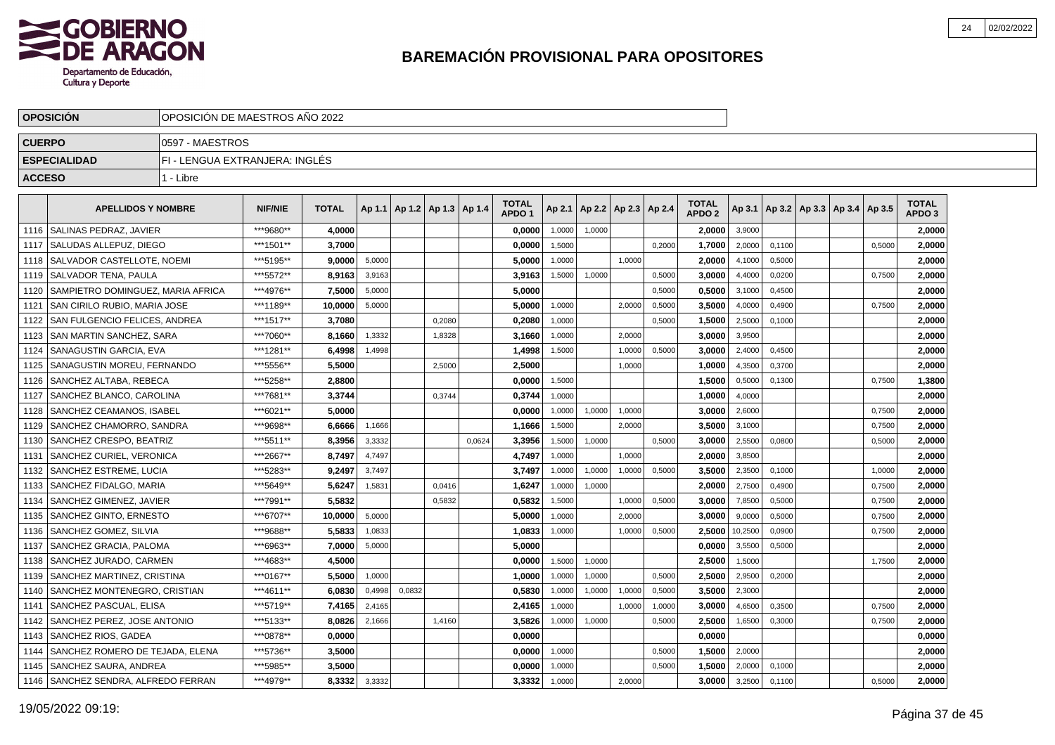

|               | <b>OPOSICION</b>                    | OPOSICION DE MAESTROS ANO 2022 |                |              |        |                                   |        |        |                                   |        |        |                          |        |                                   |         |        |                                   |        |                                   |  |
|---------------|-------------------------------------|--------------------------------|----------------|--------------|--------|-----------------------------------|--------|--------|-----------------------------------|--------|--------|--------------------------|--------|-----------------------------------|---------|--------|-----------------------------------|--------|-----------------------------------|--|
| <b>CUERPO</b> |                                     | 0597 - MAESTROS                |                |              |        |                                   |        |        |                                   |        |        |                          |        |                                   |         |        |                                   |        |                                   |  |
|               | <b>ESPECIALIDAD</b>                 | FI - LENGUA EXTRANJERA: INGLÉS |                |              |        |                                   |        |        |                                   |        |        |                          |        |                                   |         |        |                                   |        |                                   |  |
| <b>ACCESO</b> |                                     | 1 - Libre                      |                |              |        |                                   |        |        |                                   |        |        |                          |        |                                   |         |        |                                   |        |                                   |  |
|               | <b>APELLIDOS Y NOMBRE</b>           |                                | <b>NIF/NIE</b> | <b>TOTAL</b> |        | Ap 1.1   Ap 1.2   Ap 1.3   Ap 1.4 |        |        | <b>TOTAL</b><br>APDO <sub>1</sub> | Ap 2.1 |        | Ap 2.2   Ap 2.3   Ap 2.4 |        | <b>TOTAL</b><br>APDO <sub>2</sub> | Ap 3.1  |        | Ap 3.2   Ap 3.3   Ap 3.4   Ap 3.5 |        | <b>TOTAL</b><br>APDO <sub>3</sub> |  |
| 1116          | SALINAS PEDRAZ. JAVIER              |                                | ***9680**      | 4.0000       |        |                                   |        |        | 0.0000                            | 1.0000 | 1,0000 |                          |        | 2.0000                            | 3,9000  |        |                                   |        | 2.0000                            |  |
| 1117          | l SALUDAS ALLEPUZ. DIEGO            |                                | ***1501**      | 3.7000       |        |                                   |        |        | 0.0000                            | 1,5000 |        |                          | 0,2000 | 1,7000                            | 2,0000  | 0,1100 |                                   | 0.5000 | 2.0000                            |  |
| 1118          | l SALVADOR CASTELLOTE. NOEMI        |                                | ***5195**      | 9.0000       | 5,0000 |                                   |        |        | 5,0000                            | 1.0000 |        | 1.0000                   |        | 2.0000                            | 4,1000  | 0,5000 |                                   |        | 2.0000                            |  |
| 1119          | l SALVADOR TENA. PAULA              |                                | ***5572**      | 8.9163       | 3,9163 |                                   |        |        | 3,9163                            | 1,5000 | 1,0000 |                          | 0,5000 | 3,0000                            | 4,4000  | 0,0200 |                                   | 0,7500 | 2.0000                            |  |
| 1120          | SAMPIETRO DOMINGUEZ, MARIA AFRICA   |                                | ***4976**      | 7,5000       | 5,0000 |                                   |        |        | 5,0000                            |        |        |                          | 0,5000 | 0,5000                            | 3,1000  | 0,4500 |                                   |        | 2,0000                            |  |
|               | 1121   SAN CIRILO RUBIO, MARIA JOSE |                                | ***1189**      | 10.0000      | 5,0000 |                                   |        |        | 5,0000                            | 1,0000 |        | 2,0000                   | 0,5000 | 3,5000                            | 4,0000  | 0,4900 |                                   | 0,7500 | 2,0000                            |  |
| 1122          | SAN FULGENCIO FELICES, ANDREA       |                                | ***1517**      | 3,7080       |        |                                   | 0,2080 |        | 0,2080                            | 1,0000 |        |                          | 0,5000 | 1,5000                            | 2,5000  | 0,1000 |                                   |        | 2,0000                            |  |
| 1123          | SAN MARTIN SANCHEZ, SARA            |                                | ***7060**      | 8.1660       | 1,3332 |                                   | 1,8328 |        | 3,1660                            | 1.0000 |        | 2.0000                   |        | 3.0000                            | 3,9500  |        |                                   |        | 2.0000                            |  |
|               | 1124 SANAGUSTIN GARCIA, EVA         |                                | ***1281**      | 6,4998       | 1,4998 |                                   |        |        | 1,4998                            | 1,5000 |        | 1,0000                   | 0,5000 | 3.0000                            | 2,4000  | 0,4500 |                                   |        | 2,0000                            |  |
| 1125          | I SANAGUSTIN MOREU. FERNANDO        |                                | ***5556**      | 5,5000       |        |                                   | 2,5000 |        | 2,5000                            |        |        | 1,0000                   |        | 1,0000                            | 4,3500  | 0,3700 |                                   |        | 2,0000                            |  |
| 1126          | SANCHEZ ALTABA, REBECA              |                                | ***5258**      | 2,8800       |        |                                   |        |        | 0,0000                            | 1,5000 |        |                          |        | 1,5000                            | 0,5000  | 0,1300 |                                   | 0,7500 | 1,3800                            |  |
| 1127          | SANCHEZ BLANCO. CAROLINA            |                                | ***7681**      | 3,3744       |        |                                   | 0,3744 |        | 0,3744                            | 1,0000 |        |                          |        | 1,0000                            | 4,0000  |        |                                   |        | 2,0000                            |  |
| 1128          | SANCHEZ CEAMANOS. ISABEL            |                                | ***6021**      | 5.0000       |        |                                   |        |        | 0,0000                            | 1,0000 | 1,0000 | 1,0000                   |        | 3,0000                            | 2,6000  |        |                                   | 0,7500 | 2,0000                            |  |
| 1129          | SANCHEZ CHAMORRO, SANDRA            |                                | ***9698**      | 6,6666       | 1,1666 |                                   |        |        | 1,1666                            | 1,5000 |        | 2,0000                   |        | 3,5000                            | 3,1000  |        |                                   | 0,7500 | 2,0000                            |  |
| 1130          | SANCHEZ CRESPO. BEATRIZ             |                                | ***5511**      | 8.3956       | 3,3332 |                                   |        | 0.0624 | 3.3956                            | 1,5000 | 1,0000 |                          | 0.5000 | 3.0000                            | 2.5500  | 0.0800 |                                   | 0.5000 | 2.0000                            |  |
| 1131          | SANCHEZ CURIEL, VERONICA            |                                | ***2667**      | 8.7497       | 4,7497 |                                   |        |        | 4,7497                            | 1.0000 |        | 1.0000                   |        | 2.0000                            | 3,8500  |        |                                   |        | 2,0000                            |  |
| 1132          | SANCHEZ ESTREME, LUCIA              |                                | ***5283**      | 9.2497       | 3,7497 |                                   |        |        | 3.7497                            | 1,0000 | 1,0000 | 1,0000                   | 0,5000 | 3.5000                            | 2,3500  | 0,1000 |                                   | 1,0000 | 2.0000                            |  |
| 1133          | SANCHEZ FIDALGO, MARIA              |                                | ***5649**      | 5.6247       | 1,5831 |                                   | 0,0416 |        | 1,6247                            | 1,0000 | 1,0000 |                          |        | 2.0000                            | 2,7500  | 0,4900 |                                   | 0,7500 | 2.0000                            |  |
| 1134          | SANCHEZ GIMENEZ, JAVIER             |                                | ***7991**      | 5,5832       |        |                                   | 0,5832 |        | 0,5832                            | 1,5000 |        | 1,0000                   | 0,5000 | 3,0000                            | 7,8500  | 0,5000 |                                   | 0,7500 | 2,0000                            |  |
| 1135          | SANCHEZ GINTO, ERNESTO              |                                | ***6707**      | 10,0000      | 5,0000 |                                   |        |        | 5,0000                            | 1,0000 |        | 2,0000                   |        | 3.0000                            | 9,0000  | 0,5000 |                                   | 0,7500 | 2,0000                            |  |
| 1136          | SANCHEZ GOMEZ, SILVIA               |                                | ***9688**      | 5,5833       | 1,0833 |                                   |        |        | 1,0833                            | 1,0000 |        | 1,0000                   | 0,5000 | 2,5000                            | 10,2500 | 0,0900 |                                   | 0,7500 | 2,0000                            |  |
| 1137          | l SANCHEZ GRACIA. PALOMA            |                                | ***6963**      | 7.0000       | 5,0000 |                                   |        |        | 5.0000                            |        |        |                          |        | 0.0000                            | 3,5500  | 0.5000 |                                   |        | 2.0000                            |  |
| 1138          | SANCHEZ JURADO, CARMEN              |                                | ***4683**      | 4.5000       |        |                                   |        |        | 0.0000                            | 1,5000 | 1,0000 |                          |        | 2.5000                            | 1,5000  |        |                                   | 1,7500 | 2.0000                            |  |
| 1139          | SANCHEZ MARTINEZ, CRISTINA          |                                | ***0167**      | 5.5000       | 1,0000 |                                   |        |        | 1,0000                            | 1,0000 | 1,0000 |                          | 0,5000 | 2.5000                            | 2,9500  | 0,2000 |                                   |        | 2,0000                            |  |
| 1140          | SANCHEZ MONTENEGRO, CRISTIAN        |                                | ***4611**      | 6.0830       | 0,4998 | 0,0832                            |        |        | 0,5830                            | 1,0000 | 1,0000 | 1,0000                   | 0,5000 | 3,5000                            | 2,3000  |        |                                   |        | 2,0000                            |  |
| 1141          | SANCHEZ PASCUAL, ELISA              |                                | ***5719**      | 7,4165       | 2,4165 |                                   |        |        | 2,4165                            | 1,0000 |        | 1,0000                   | 1,0000 | 3,0000                            | 4,6500  | 0,3500 |                                   | 0,7500 | 2,0000                            |  |
| 1142          | SANCHEZ PEREZ, JOSE ANTONIO         |                                | ***5133**      | 8,0826       | 2,1666 |                                   | 1,4160 |        | 3,5826                            | 1,0000 | 1,0000 |                          | 0,5000 | 2,5000                            | 1,6500  | 0,3000 |                                   | 0,7500 | 2,0000                            |  |
| 1143          | SANCHEZ RIOS, GADEA                 |                                | ***0878**      | 0,0000       |        |                                   |        |        | 0,0000                            |        |        |                          |        | 0,0000                            |         |        |                                   |        | 0,0000                            |  |
| 1144          | SANCHEZ ROMERO DE TEJADA. ELENA     |                                | ***5736**      | 3,5000       |        |                                   |        |        | 0.0000                            | 1,0000 |        |                          | 0,5000 | 1.5000                            | 2,0000  |        |                                   |        | 2,0000                            |  |
| 1145          | SANCHEZ SAURA, ANDREA               |                                | ***5985**      | 3,5000       |        |                                   |        |        | 0,0000                            | 1,0000 |        |                          | 0.5000 | 1,5000                            | 2,0000  | 0.1000 |                                   |        | 2,0000                            |  |
| 1146          | SANCHEZ SENDRA, ALFREDO FERRAN      |                                | ***4979**      | 8,3332       | 3,3332 |                                   |        |        | 3,3332                            | 1,0000 |        | 2,0000                   |        | 3.0000                            | 3,2500  | 0,1100 |                                   | 0,5000 | 2.0000                            |  |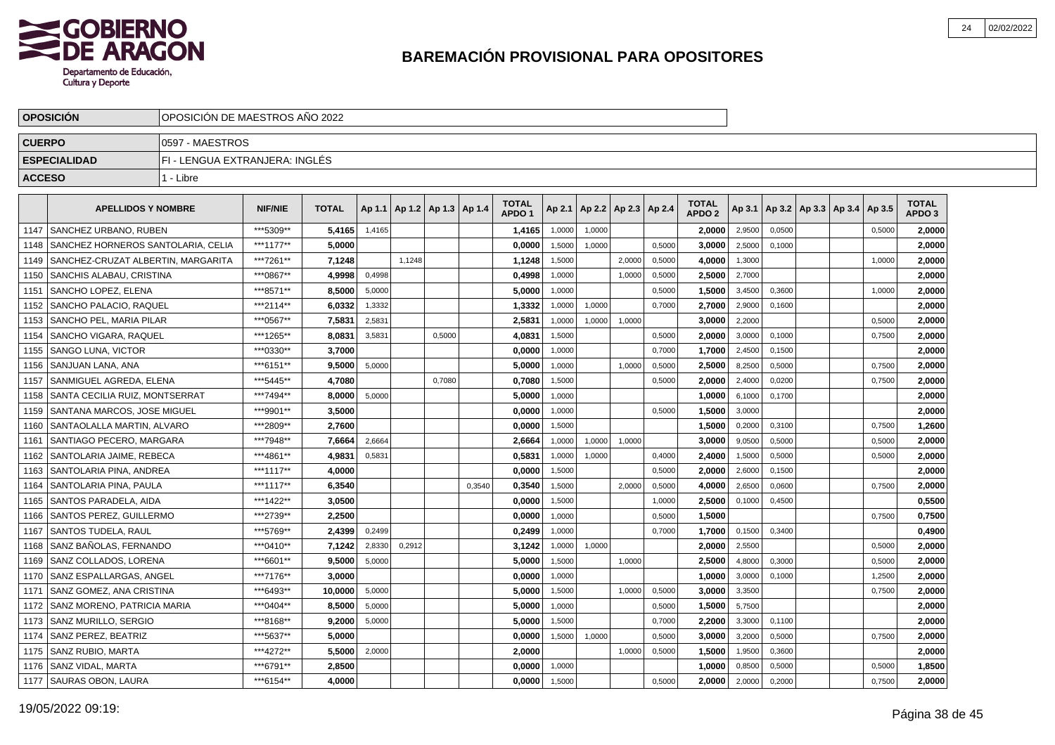

|               | <b>OPOSICION</b>                   | OPOSICION DE MAESTROS ANO 2022 |                |              |        |        |                          |        |                                   |        |                          |        |        |                                   |        |        |                          |        |                                   |  |
|---------------|------------------------------------|--------------------------------|----------------|--------------|--------|--------|--------------------------|--------|-----------------------------------|--------|--------------------------|--------|--------|-----------------------------------|--------|--------|--------------------------|--------|-----------------------------------|--|
| <b>CUERPO</b> |                                    | 0597 - MAESTROS                |                |              |        |        |                          |        |                                   |        |                          |        |        |                                   |        |        |                          |        |                                   |  |
|               | <b>ESPECIALIDAD</b>                | FI - LENGUA EXTRANJERA: INGLÉS |                |              |        |        |                          |        |                                   |        |                          |        |        |                                   |        |        |                          |        |                                   |  |
| <b>ACCESO</b> |                                    | 1 - Libre                      |                |              |        |        |                          |        |                                   |        |                          |        |        |                                   |        |        |                          |        |                                   |  |
|               | <b>APELLIDOS Y NOMBRE</b>          |                                | <b>NIF/NIE</b> | <b>TOTAL</b> | Ap 1.1 |        | Ap 1.2   Ap 1.3   Ap 1.4 |        | <b>TOTAL</b><br>APDO <sub>1</sub> | Ap 2.1 | Ap 2.2   Ap 2.3   Ap 2.4 |        |        | <b>TOTAL</b><br>APDO <sub>2</sub> | Ap 3.1 |        | Ap 3.2   Ap 3.3   Ap 3.4 | Ap 3.5 | <b>TOTAL</b><br>APDO <sub>3</sub> |  |
| 1147          | SANCHEZ URBANO. RUBEN              |                                | ***5309**      | 5,4165       | 1,4165 |        |                          |        | 1,4165                            | 1,0000 | 1,0000                   |        |        | 2.0000                            | 2,9500 | 0,0500 |                          | 0,5000 | 2.0000                            |  |
| 1148          | SANCHEZ HORNEROS SANTOLARIA, CELIA |                                | ***1177**      | 5.0000       |        |        |                          |        | 0,0000                            | 1,5000 | 1.0000                   |        | 0,5000 | 3,0000                            | 2,5000 | 0.1000 |                          |        | 2.0000                            |  |
| 1149          | SANCHEZ-CRUZAT ALBERTIN, MARGARITA |                                | ***7261**      | 7,1248       |        | 1,1248 |                          |        | 1,1248                            | 1,5000 |                          | 2,0000 | 0,5000 | 4,0000                            | 1,3000 |        |                          | 1,0000 | 2,0000                            |  |
| 1150          | SANCHIS ALABAU, CRISTINA           |                                | ***0867**      | 4,9998       | 0,4998 |        |                          |        | 0,4998                            | 1,0000 |                          | 1,0000 | 0,5000 | 2,5000                            | 2,7000 |        |                          |        | 2,0000                            |  |
| 1151          | SANCHO LOPEZ, ELENA                |                                | ***8571**      | 8,5000       | 5,0000 |        |                          |        | 5,0000                            | 1,0000 |                          |        | 0,5000 | 1,5000                            | 3,4500 | 0,3600 |                          | 1,0000 | 2,0000                            |  |
| 1152          | SANCHO PALACIO. RAQUEL             |                                | ***2114**      | 6.0332       | 1,3332 |        |                          |        | 1.3332                            | 1,0000 | 1,0000                   |        | 0,7000 | 2.7000                            | 2,9000 | 0.1600 |                          |        | 2.0000                            |  |
|               | 1153 SANCHO PEL. MARIA PILAR       |                                | ***0567**      | 7,5831       | 2,5831 |        |                          |        | 2,5831                            | 1,0000 | 1,0000                   | 1,0000 |        | 3.0000                            | 2,2000 |        |                          | 0,5000 | 2,0000                            |  |
| 1154          | <b>SANCHO VIGARA, RAQUEL</b>       |                                | ***1265**      | 8,0831       | 3,5831 |        | 0,5000                   |        | 4,0831                            | 1,5000 |                          |        | 0,5000 | 2,0000                            | 3,0000 | 0,1000 |                          | 0,7500 | 2,0000                            |  |
|               | 1155 SANGO LUNA, VICTOR            |                                | ***0330**      | 3,7000       |        |        |                          |        | 0,0000                            | 1,0000 |                          |        | 0,7000 | 1,7000                            | 2,4500 | 0,1500 |                          |        | 2,0000                            |  |
| 1156          | SANJUAN LANA, ANA                  |                                | ***6151**      | 9,5000       | 5,0000 |        |                          |        | 5,0000                            | 1,0000 |                          | 1,0000 | 0,5000 | 2,5000                            | 8,2500 | 0,5000 |                          | 0,7500 | 2,0000                            |  |
|               | 1157   SANMIGUEL AGREDA, ELENA     |                                | ***5445**      | 4,7080       |        |        | 0,7080                   |        | 0,7080                            | 1,5000 |                          |        | 0,5000 | 2,0000                            | 2,4000 | 0,0200 |                          | 0,7500 | 2,0000                            |  |
| 1158          | Í SANTA CECILIA RUIZ. MONTSERRAT   |                                | ***7494**      | 8,0000       | 5.0000 |        |                          |        | 5,0000                            | 1.0000 |                          |        |        | 1,0000                            | 6,1000 | 0.1700 |                          |        | 2,0000                            |  |
| 1159          | l SANTANA MARCOS. JOSE MIGUEL      |                                | ***9901**      | 3,5000       |        |        |                          |        | 0.0000                            | 1,0000 |                          |        | 0,5000 | 1.5000                            | 3,0000 |        |                          |        | 2,0000                            |  |
| 1160          | <b>SANTAOLALLA MARTIN, ALVARO</b>  |                                | ***2809**      | 2,7600       |        |        |                          |        | 0.0000                            | 1,5000 |                          |        |        | 1,5000                            | 0,2000 | 0,3100 |                          | 0,7500 | 1,2600                            |  |
| 1161          | SANTIAGO PECERO, MARGARA           |                                | ***7948**      | 7,6664       | 2,6664 |        |                          |        | 2,6664                            | 1,0000 | 1,0000                   | 1,0000 |        | 3,0000                            | 9,0500 | 0,5000 |                          | 0,5000 | 2,0000                            |  |
| 1162          | SANTOLARIA JAIME, REBECA           |                                | ***4861**      | 4,9831       | 0,5831 |        |                          |        | 0,5831                            | 1,0000 | 1,0000                   |        | 0,4000 | 2,4000                            | 1,5000 | 0,5000 |                          | 0,5000 | 2,0000                            |  |
| 1163          | SANTOLARIA PINA, ANDREA            |                                | ***1117**      | 4,0000       |        |        |                          |        | 0,0000                            | 1,5000 |                          |        | 0,5000 | 2,0000                            | 2,6000 | 0,1500 |                          |        | 2,0000                            |  |
| 1164          | SANTOLARIA PINA, PAULA             |                                | ***1117**      | 6.3540       |        |        |                          | 0.3540 | 0.3540                            | 1,5000 |                          | 2.0000 | 0,5000 | 4.0000                            | 2,6500 | 0.0600 |                          | 0,7500 | 2.0000                            |  |
| 1165          | SANTOS PARADELA, AIDA              |                                | ***1422**      | 3.0500       |        |        |                          |        | 0.0000                            | 1,5000 |                          |        | 1,0000 | 2,5000                            | 0,1000 | 0,4500 |                          |        | 0,5500                            |  |
| 1166          | SANTOS PEREZ, GUILLERMO            |                                | ***2739**      | 2,2500       |        |        |                          |        | 0,0000                            | 1,0000 |                          |        | 0,5000 | 1,5000                            |        |        |                          | 0,7500 | 0,7500                            |  |
| 1167          | SANTOS TUDELA, RAUL                |                                | ***5769**      | 2.4399       | 0,2499 |        |                          |        | 0,2499                            | 1,0000 |                          |        | 0,7000 | 1,7000                            | 0,1500 | 0,3400 |                          |        | 0,4900                            |  |
| 1168          | SANZ BAÑOLAS, FERNANDO             |                                | ***0410**      | 7,1242       | 2,8330 | 0,2912 |                          |        | 3,1242                            | 1,0000 | 1,0000                   |        |        | 2,0000                            | 2,5500 |        |                          | 0,5000 | 2,0000                            |  |
| 1169          | SANZ COLLADOS, LORENA              |                                | ***6601**      | 9,5000       | 5,0000 |        |                          |        | 5,0000                            | 1,5000 |                          | 1,0000 |        | 2,5000                            | 4,8000 | 0,3000 |                          | 0,5000 | 2,0000                            |  |
|               | 1170 SANZ ESPALLARGAS, ANGEL       |                                | ***7176**      | 3.0000       |        |        |                          |        | 0.0000                            | 1,0000 |                          |        |        | 1.0000                            | 3,0000 | 0.1000 |                          | 1,2500 | 2.0000                            |  |
| 1171          | SANZ GOMEZ. ANA CRISTINA           |                                | ***6493**      | 10.0000      | 5,0000 |        |                          |        | 5.0000                            | 1,5000 |                          | 1,0000 | 0,5000 | 3.0000                            | 3,3500 |        |                          | 0,7500 | 2,0000                            |  |
|               | 1172   SANZ MORENO, PATRICIA MARIA | ***0404**<br>8,5000            |                |              | 5,0000 |        |                          |        | 5.0000                            | 1,0000 |                          |        | 0,5000 | 1,5000                            | 5,7500 |        |                          |        | 2,0000                            |  |
|               | 1173 SANZ MURILLO, SERGIO          | ***8168**<br>9,2000            |                |              | 5,0000 |        |                          |        | 5,0000                            | 1,5000 |                          |        | 0,7000 | 2,2000                            | 3,3000 | 0,1100 |                          |        | 2,0000                            |  |
|               | 1174   SANZ PEREZ, BEATRIZ         |                                | ***5637**      | 5,0000       |        |        |                          |        | 0,0000                            | 1,5000 | 1,0000                   |        | 0,5000 | 3,0000                            | 3,2000 | 0,5000 |                          | 0,7500 | 2,0000                            |  |
|               | 1175   SANZ RUBIO, MARTA           |                                | ***4272**      | 5,5000       | 2,0000 |        |                          |        | 2,0000                            |        |                          | 1,0000 | 0,5000 | 1,5000                            | 1,9500 | 0,3600 |                          |        | 2,0000                            |  |
| 1176          | SANZ VIDAL. MARTA                  |                                | ***6791**      | 2.8500       |        |        |                          |        | 0.0000                            | 1,0000 |                          |        |        | 1.0000                            | 0,8500 | 0,5000 |                          | 0,5000 | 1,8500                            |  |
|               | 1177 SAURAS OBON, LAURA            |                                | ***6154**      | 4.0000       |        |        |                          |        | 0,0000                            | 1,5000 |                          |        | 0,5000 | 2,0000                            | 2,0000 | 0,2000 |                          | 0,7500 | 2,0000                            |  |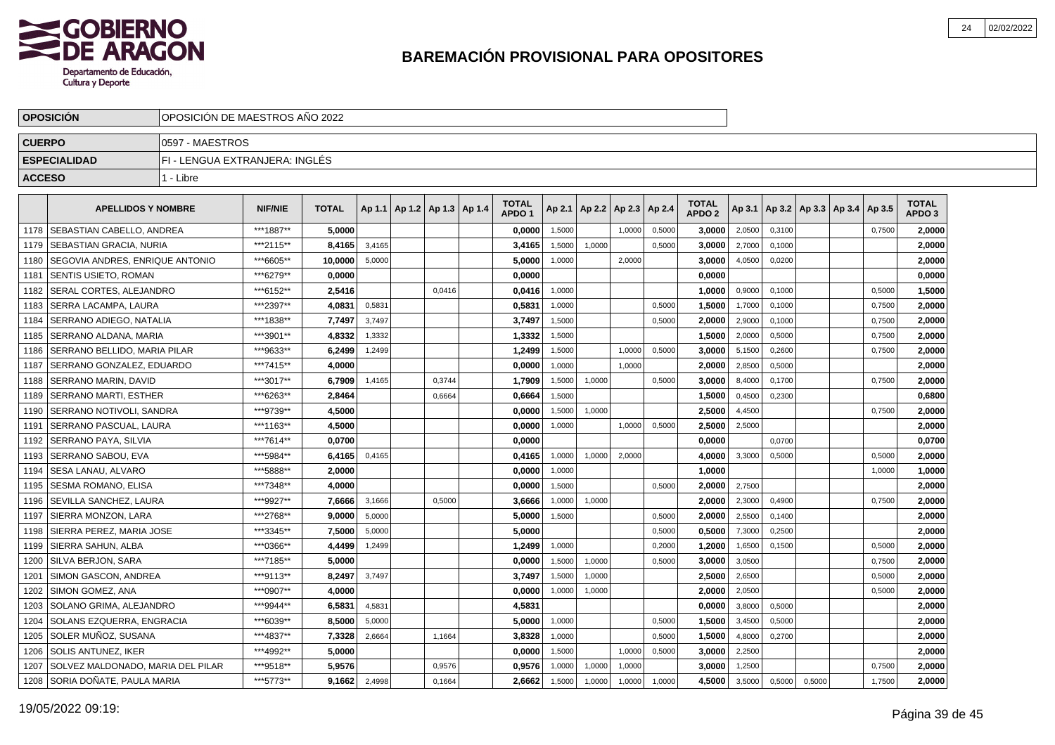

|               | <b>OPOSICION</b>                    | OPOSICION DE MAESTROS ANO 2022 |                |              |        |                                   |        |                                   |        |                          |        |        |                                   |        |        |        |                                   |        |                                   |  |
|---------------|-------------------------------------|--------------------------------|----------------|--------------|--------|-----------------------------------|--------|-----------------------------------|--------|--------------------------|--------|--------|-----------------------------------|--------|--------|--------|-----------------------------------|--------|-----------------------------------|--|
| <b>CUERPO</b> |                                     | 0597 - MAESTROS                |                |              |        |                                   |        |                                   |        |                          |        |        |                                   |        |        |        |                                   |        |                                   |  |
|               | <b>ESPECIALIDAD</b>                 | FI - LENGUA EXTRANJERA: INGLÉS |                |              |        |                                   |        |                                   |        |                          |        |        |                                   |        |        |        |                                   |        |                                   |  |
| <b>ACCESO</b> |                                     | 1 - Libre                      |                |              |        |                                   |        |                                   |        |                          |        |        |                                   |        |        |        |                                   |        |                                   |  |
|               | <b>APELLIDOS Y NOMBRE</b>           |                                | <b>NIF/NIE</b> | <b>TOTAL</b> |        | Ap 1.1   Ap 1.2   Ap 1.3   Ap 1.4 |        | <b>TOTAL</b><br>APDO <sub>1</sub> | Ap 2.1 | Ap 2.2   Ap 2.3   Ap 2.4 |        |        | <b>TOTAL</b><br>APDO <sub>2</sub> | Ap 3.1 |        |        | Ap 3.2   Ap 3.3   Ap 3.4   Ap 3.5 |        | <b>TOTAL</b><br>APDO <sub>3</sub> |  |
| 1178          | SEBASTIAN CABELLO, ANDREA           |                                | ***1887**      | 5,0000       |        |                                   |        | 0,0000                            | 1,5000 |                          | 1.0000 | 0,5000 | 3.0000                            | 2,0500 | 0,3100 |        |                                   | 0,7500 | 2,0000                            |  |
| 1179          | SEBASTIAN GRACIA, NURIA             |                                | ***2115**      | 8,4165       | 3,4165 |                                   |        | 3,4165                            | 1,5000 | 1,0000                   |        | 0,5000 | 3,0000                            | 2,7000 | 0,1000 |        |                                   |        | 2,0000                            |  |
| 1180          | SEGOVIA ANDRES, ENRIQUE ANTONIO     |                                | ***6605**      | 10,0000      | 5,0000 |                                   |        | 5,0000                            | 1,0000 |                          | 2,0000 |        | 3,0000                            | 4,0500 | 0,0200 |        |                                   |        | 2,0000                            |  |
| 1181          | <b>SENTIS USIETO, ROMAN</b>         |                                | ***6279**      | 0.0000       |        |                                   |        | 0.0000                            |        |                          |        |        | 0,0000                            |        |        |        |                                   |        | 0,0000                            |  |
| 1182          | SERAL CORTES, ALEJANDRO             |                                | ***6152**      | 2,5416       |        |                                   | 0,0416 | 0,0416                            | 1,0000 |                          |        |        | 1,0000                            | 0,9000 | 0,1000 |        |                                   | 0,5000 | 1,5000                            |  |
| 1183          | l SERRA LACAMPA. LAURA              |                                | ***2397**      | 4.0831       | 0,5831 |                                   |        | 0.5831                            | 1,0000 |                          |        | 0,5000 | 1.5000                            | 1,7000 | 0.1000 |        |                                   | 0,7500 | 2.0000                            |  |
| 1184          | SERRANO ADIEGO. NATALIA             |                                | ***1838**      | 7.7497       | 3,7497 |                                   |        | 3,7497                            | 1,5000 |                          |        | 0,5000 | 2.0000                            | 2,9000 | 0,1000 |        |                                   | 0,7500 | 2,0000                            |  |
| 1185          | SERRANO ALDANA. MARIA               |                                | ***3901**      | 4,8332       | 1,3332 |                                   |        | 1,3332                            | 1,5000 |                          |        |        | 1,5000                            | 2,0000 | 0,5000 |        |                                   | 0,7500 | 2,0000                            |  |
| 1186          | <b>SERRANO BELLIDO, MARIA PILAR</b> |                                | ***9633**      | 6,2499       | 1,2499 |                                   |        | 1,2499                            | 1,5000 |                          | 1,0000 | 0,5000 | 3,0000                            | 5,1500 | 0,2600 |        |                                   | 0,7500 | 2,0000                            |  |
| 1187          | SERRANO GONZALEZ, EDUARDO           |                                | ***7415**      | 4,0000       |        |                                   |        | 0,0000                            | 1,0000 |                          | 1,0000 |        | 2,0000                            | 2,8500 | 0,5000 |        |                                   |        | 2,0000                            |  |
| 1188          | <b>SERRANO MARIN, DAVID</b>         |                                | ***3017**      | 6,7909       | 1,4165 |                                   | 0,3744 | 1,7909                            | 1,5000 | 1,0000                   |        | 0,5000 | 3,0000                            | 8,4000 | 0,1700 |        |                                   | 0,7500 | 2,0000                            |  |
| 1189          | l SERRANO MARTI. ESTHER             |                                | ***6263**      | 2,8464       |        |                                   | 0,6664 | 0,6664                            | 1.5000 |                          |        |        | 1,5000                            | 0,4500 | 0,2300 |        |                                   |        | 0,6800                            |  |
| 1190          | SERRANO NOTIVOLI, SANDRA            |                                | ***9739**      | 4,5000       |        |                                   |        | 0,0000                            | 1,5000 | 1.0000                   |        |        | 2,5000                            | 4,4500 |        |        |                                   | 0.7500 | 2,0000                            |  |
| 1191          | <b>SERRANO PASCUAL, LAURA</b>       |                                | ***1163**      | 4,5000       |        |                                   |        | 0,0000                            | 1,0000 |                          | 1,0000 | 0,5000 | 2,5000                            | 2,5000 |        |        |                                   |        | 2,0000                            |  |
| 1192          | SERRANO PAYA, SILVIA                |                                | ***7614**      | 0,0700       |        |                                   |        | 0,0000                            |        |                          |        |        | 0,0000                            |        | 0,0700 |        |                                   |        | 0,0700                            |  |
| 1193          | SERRANO SABOU, EVA                  |                                | ***5984**      | 6,4165       | 0,4165 |                                   |        | 0,4165                            | 1,0000 | 1,0000                   | 2,0000 |        | 4,0000                            | 3,3000 | 0,5000 |        |                                   | 0,5000 | 2,0000                            |  |
| 1194          | SESA LANAU, ALVARO                  |                                | ***5888**      | 2,0000       |        |                                   |        | 0,0000                            | 1,0000 |                          |        |        | 1,0000                            |        |        |        |                                   | 1,0000 | 1,0000                            |  |
| 1195          | SESMA ROMANO. ELISA                 |                                | ***7348**      | 4,0000       |        |                                   |        | 0.0000                            | 1.5000 |                          |        | 0.5000 | 2.0000                            | 2,7500 |        |        |                                   |        | 2,0000                            |  |
| 1196          | SEVILLA SANCHEZ. LAURA              |                                | ***9927**      | 7,6666       | 3,1666 |                                   | 0,5000 | 3.6666                            | 1,0000 | 1,0000                   |        |        | 2.0000                            | 2,3000 | 0,4900 |        |                                   | 0,7500 | 2,0000                            |  |
| 1197          | SIERRA MONZON, LARA                 |                                | ***2768**      | 9,0000       | 5,0000 |                                   |        | 5,0000                            | 1,5000 |                          |        | 0,5000 | 2,0000                            | 2,5500 | 0,1400 |        |                                   |        | 2,0000                            |  |
| 1198          | SIERRA PEREZ, MARIA JOSE            |                                | ***3345**      | 7,5000       | 5,0000 |                                   |        | 5,0000                            |        |                          |        | 0,5000 | 0,5000                            | 7,3000 | 0,2500 |        |                                   |        | 2,0000                            |  |
| 1199          | SIERRA SAHUN, ALBA                  |                                | ***0366**      | 4,4499       | 1,2499 |                                   |        | 1,2499                            | 1,0000 |                          |        | 0,2000 | 1,2000                            | 1,6500 | 0,1500 |        |                                   | 0,5000 | 2,0000                            |  |
| 1200          | SILVA BERJON, SARA                  |                                | ***7185**      | 5,0000       |        |                                   |        | 0,0000                            | 1,5000 | 1,0000                   |        | 0,5000 | 3,0000                            | 3,0500 |        |        |                                   | 0,7500 | 2,0000                            |  |
| 1201          | I SIMON GASCON. ANDREA              |                                | ***9113**      | 8.2497       | 3,7497 |                                   |        | 3.7497                            | 1,5000 | 1,0000                   |        |        | 2.5000                            | 2,6500 |        |        |                                   | 0,5000 | 2.0000                            |  |
| 1202          | SIMON GOMEZ, ANA                    |                                | ***0907**      | 4,0000       |        |                                   |        | 0,0000                            | 1,0000 | 1,0000                   |        |        | 2.0000                            | 2,0500 |        |        |                                   | 0,5000 | 2,0000                            |  |
| 1203          | SOLANO GRIMA. ALEJANDRO             |                                | ***9944**      | 6,5831       | 4,5831 |                                   |        | 4,5831                            |        |                          |        |        | 0.0000                            | 3,8000 | 0,5000 |        |                                   |        | 2,0000                            |  |
| 1204          | SOLANS EZQUERRA, ENGRACIA           | ***6039**                      | 8,5000         | 5,0000       |        |                                   | 5,0000 | 1,0000                            |        |                          | 0,5000 | 1,5000 | 3,4500                            | 0,5000 |        |        |                                   | 2,0000 |                                   |  |
| 1205          | SOLER MUÑOZ, SUSANA                 |                                | ***4837**      | 7,3328       | 2,6664 |                                   | 1,1664 | 3,8328                            | 1,0000 |                          |        | 0,5000 | 1,5000                            | 4,8000 | 0,2700 |        |                                   |        | 2,0000                            |  |
| 1206          | <b>SOLIS ANTUNEZ, IKER</b>          |                                | ***4992**      | 5,0000       |        |                                   |        | 0,0000                            | 1,5000 |                          | 1,0000 | 0,5000 | 3,0000                            | 2,2500 |        |        |                                   |        | 2,0000                            |  |
| 1207          | SOLVEZ MALDONADO. MARIA DEL PILAR   |                                | ***9518**      | 5,9576       |        |                                   | 0,9576 | 0,9576                            | 1,0000 | 1,0000                   | 1,0000 |        | 3.0000                            | 1,2500 |        |        |                                   | 0,7500 | 2.0000                            |  |
| 1208          | SORIA DOÑATE, PAULA MARIA           |                                | ***5773**      | 9,1662       | 2,4998 |                                   | 0,1664 | 2,6662                            | 1,5000 | 1,0000                   | 1,0000 | 1,0000 | 4,5000                            | 3,5000 | 0,5000 | 0,5000 |                                   | 1,7500 | 2,0000                            |  |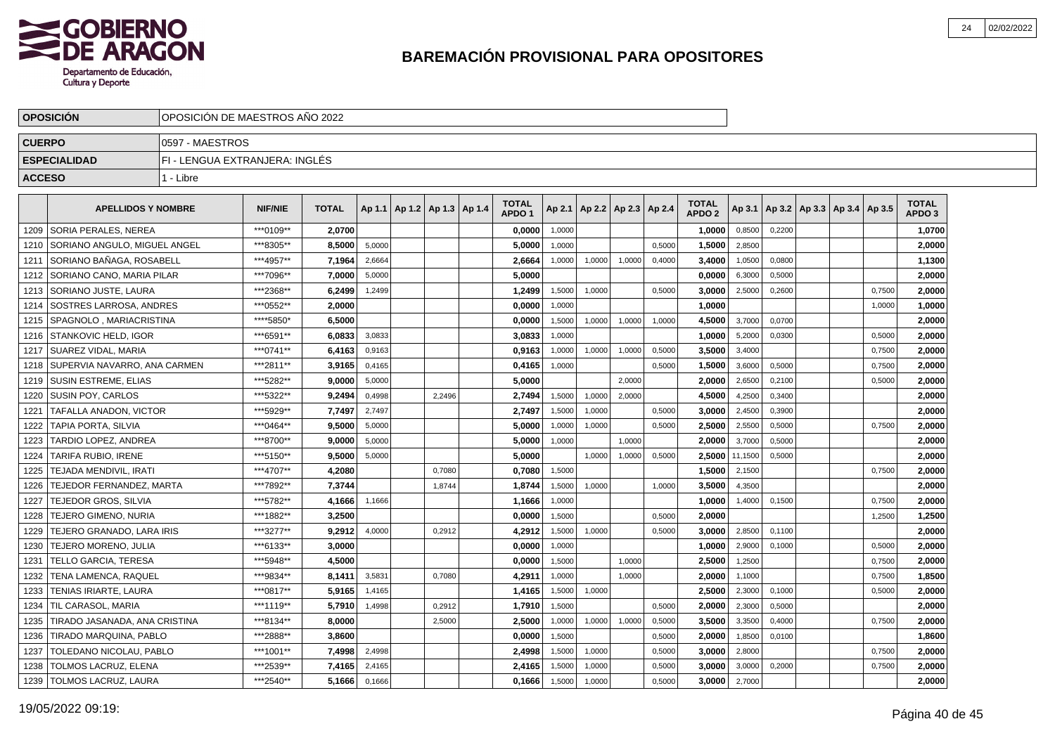

|               | <b>OPOSICION</b>               | OPOSICION DE MAESTROS ANO 2022 |                |              |        |                                   |        |                                   |        |        |                          |        |                                   |         |        |                                   |        |                                   |  |
|---------------|--------------------------------|--------------------------------|----------------|--------------|--------|-----------------------------------|--------|-----------------------------------|--------|--------|--------------------------|--------|-----------------------------------|---------|--------|-----------------------------------|--------|-----------------------------------|--|
| <b>CUERPO</b> |                                | 0597 - MAESTROS                |                |              |        |                                   |        |                                   |        |        |                          |        |                                   |         |        |                                   |        |                                   |  |
|               | <b>ESPECIALIDAD</b>            | FI - LENGUA EXTRANJERA: INGLÉS |                |              |        |                                   |        |                                   |        |        |                          |        |                                   |         |        |                                   |        |                                   |  |
| <b>ACCESO</b> |                                | 1 - Libre                      |                |              |        |                                   |        |                                   |        |        |                          |        |                                   |         |        |                                   |        |                                   |  |
|               | <b>APELLIDOS Y NOMBRE</b>      |                                | <b>NIF/NIE</b> | <b>TOTAL</b> |        | Ap 1.1   Ap 1.2   Ap 1.3   Ap 1.4 |        | <b>TOTAL</b><br>APDO <sub>1</sub> | Ap 2.1 |        | Ap 2.2   Ap 2.3   Ap 2.4 |        | <b>TOTAL</b><br>APDO <sub>2</sub> | Ap 3.1  |        | Ap 3.2   Ap 3.3   Ap 3.4   Ap 3.5 |        | <b>TOTAL</b><br>APDO <sub>3</sub> |  |
| 1209          | l SORIA PERALES. NEREA         |                                | ***0109**      | 2.0700       |        |                                   |        | 0,0000                            | 1,0000 |        |                          |        | 1,0000                            | 0,8500  | 0,2200 |                                   |        | 1,0700                            |  |
| 1210          | l SORIANO ANGULO. MIGUEL ANGEL |                                | ***8305**      | 8,5000       | 5,0000 |                                   |        | 5,0000                            | 1,0000 |        |                          | 0,5000 | 1,5000                            | 2,8500  |        |                                   |        | 2,0000                            |  |
| 1211          | SORIANO BAÑAGA, ROSABELL       |                                | ***4957**      | 7,1964       | 2,6664 |                                   |        | 2,6664                            | 1,0000 | 1,0000 | 1,0000                   | 0,4000 | 3,4000                            | 1,0500  | 0,0800 |                                   |        | 1,1300                            |  |
| 1212          | SORIANO CANO, MARIA PILAR      |                                | ***7096**      | 7.0000       | 5,0000 |                                   |        | 5.0000                            |        |        |                          |        | 0.0000                            | 6,3000  | 0,5000 |                                   |        | 2,0000                            |  |
| 1213          | SORIANO JUSTE, LAURA           |                                | ***2368**      | 6,2499       | 1,2499 |                                   |        | 1,2499                            | 1,5000 | 1,0000 |                          | 0,5000 | 3,0000                            | 2,5000  | 0,2600 |                                   | 0,7500 | 2,0000                            |  |
| 1214          | l SOSTRES LARROSA. ANDRES      |                                | ***0552**      | 2.0000       |        |                                   |        | 0.0000                            | 1.0000 |        |                          |        | 1.0000                            |         |        |                                   | 1,0000 | 1,0000                            |  |
| 1215          | SPAGNOLO . MARIACRISTINA       |                                | ****5850*      | 6.5000       |        |                                   |        | 0,0000                            | 1,5000 | 1,0000 | 1,0000                   | 1,0000 | 4,5000                            | 3,7000  | 0,0700 |                                   |        | 2,0000                            |  |
| 1216          | <b>STANKOVIC HELD. IGOR</b>    |                                | ***6591**      | 6,0833       | 3,0833 |                                   |        | 3,0833                            | 1.0000 |        |                          |        | 1,0000                            | 5,2000  | 0.0300 |                                   | 0,5000 | 2,0000                            |  |
| 1217          | <b>SUAREZ VIDAL, MARIA</b>     |                                | ***0741**      | 6,4163       | 0,9163 |                                   |        | 0,9163                            | 1,0000 | 1,0000 | 1,0000                   | 0,5000 | 3,5000                            | 3,4000  |        |                                   | 0,7500 | 2,0000                            |  |
| 1218          | SUPERVIA NAVARRO, ANA CARMEN   |                                | ***2811**      | 3,9165       | 0,4165 |                                   |        | 0,4165                            | 1,0000 |        |                          | 0,5000 | 1,5000                            | 3,6000  | 0,5000 |                                   | 0,7500 | 2,0000                            |  |
| 1219          | <b>SUSIN ESTREME, ELIAS</b>    |                                | ***5282**      | 9,0000       | 5,0000 |                                   |        | 5,0000                            |        |        | 2,0000                   |        | 2,0000                            | 2,6500  | 0,2100 |                                   | 0,5000 | 2,0000                            |  |
|               | 1220   SUSIN POY, CARLOS       |                                | ***5322**      | 9,2494       | 0,4998 |                                   | 2.2496 | 2,7494                            | 1,5000 | 1,0000 | 2.0000                   |        | 4.5000                            | 4,2500  | 0,3400 |                                   |        | 2,0000                            |  |
| 1221          | <b>TAFALLA ANADON. VICTOR</b>  |                                | ***5929**      | 7,7497       | 2.7497 |                                   |        | 2,7497                            | 1,5000 | 1,0000 |                          | 0.5000 | 3.0000                            | 2,4500  | 0,3900 |                                   |        | 2,0000                            |  |
| 1222          | TAPIA PORTA. SILVIA            |                                | ***0464**      | 9.5000       | 5,0000 |                                   |        | 5.0000                            | 1,0000 | 1,0000 |                          | 0,5000 | 2.5000                            | 2,5500  | 0,5000 |                                   | 0,7500 | 2,0000                            |  |
| 1223          | <b>TARDIO LOPEZ, ANDREA</b>    |                                | ***8700**      | 9.0000       | 5,0000 |                                   |        | 5,0000                            | 1,0000 |        | 1,0000                   |        | 2.0000                            | 3,7000  | 0,5000 |                                   |        | 2,0000                            |  |
| 1224          | TARIFA RUBIO. IRENE            |                                | ***5150**      | 9,5000       | 5,0000 |                                   |        | 5,0000                            |        | 1,0000 | 1,0000                   | 0,5000 | 2.5000                            | 11,1500 | 0,5000 |                                   |        | 2,0000                            |  |
| 1225          | TEJADA MENDIVIL, IRATI         |                                | ***4707**      | 4,2080       |        |                                   | 0,7080 | 0,7080                            | 1,5000 |        |                          |        | 1,5000                            | 2,1500  |        |                                   | 0,7500 | 2,0000                            |  |
| 1226          | TEJEDOR FERNANDEZ, MARTA       |                                | ***7892**      | 7,3744       |        |                                   | 1.8744 | 1,8744                            | 1.5000 | 1.0000 |                          | 1.0000 | 3.5000                            | 4.3500  |        |                                   |        | 2,0000                            |  |
| 1227          | <b>TEJEDOR GROS, SILVIA</b>    |                                | ***5782**      | 4,1666       | 1,1666 |                                   |        | 1,1666                            | 1,0000 |        |                          |        | 1.0000                            | 1,4000  | 0,1500 |                                   | 0,7500 | 2,0000                            |  |
| 1228          | <b>TEJERO GIMENO, NURIA</b>    |                                | ***1882**      | 3,2500       |        |                                   |        | 0,0000                            | 1,5000 |        |                          | 0,5000 | 2.0000                            |         |        |                                   | 1,2500 | 1,2500                            |  |
| 1229          | TEJERO GRANADO, LARA IRIS      |                                | ***3277**      | 9.2912       | 4,0000 |                                   | 0,2912 | 4,2912                            | 1,5000 | 1,0000 |                          | 0,5000 | 3.0000                            | 2,8500  | 0,1100 |                                   |        | 2,0000                            |  |
| 1230          | TEJERO MORENO, JULIA           |                                | ***6133**      | 3,0000       |        |                                   |        | 0,0000                            | 1,0000 |        |                          |        | 1,0000                            | 2,9000  | 0,1000 |                                   | 0,5000 | 2,0000                            |  |
| 1231          | <b>TELLO GARCIA, TERESA</b>    |                                | ***5948**      | 4,5000       |        |                                   |        | 0,0000                            | 1,5000 |        | 1,0000                   |        | 2,5000                            | 1,2500  |        |                                   | 0,7500 | 2,0000                            |  |
| 1232          | <b>TENA LAMENCA, RAQUEL</b>    |                                | ***9834**      | 8.1411       | 3,5831 |                                   | 0.7080 | 4,2911                            | 1,0000 |        | 1,0000                   |        | 2.0000                            | 1,1000  |        |                                   | 0,7500 | 1.8500                            |  |
| 1233          | TENIAS IRIARTE, LAURA          |                                | ***0817**      | 5.9165       | 1,4165 |                                   |        | 1,4165                            | 1,5000 | 1,0000 |                          |        | 2.5000                            | 2,3000  | 0,1000 |                                   | 0,5000 | 2,0000                            |  |
|               | 1234   TIL CARASOL, MARIA      |                                | ***1119**      | 5.7910       | 1,4998 |                                   | 0,2912 | 1,7910                            | 1,5000 |        |                          | 0,5000 | 2.0000                            | 2,3000  | 0,5000 |                                   |        | 2,0000                            |  |
| 1235          | TIRADO JASANADA, ANA CRISTINA  |                                | ***8134**      | 8,0000       |        |                                   | 2,5000 | 2,5000                            | 1,0000 | 1,0000 | 1,0000                   | 0,5000 | 3,5000                            | 3,3500  | 0,4000 |                                   | 0,7500 | 2,0000                            |  |
| 1236          | <b>TIRADO MARQUINA, PABLO</b>  |                                | ***2888**      | 3,8600       |        |                                   |        | 0,0000                            | 1,5000 |        |                          | 0,5000 | 2,0000                            | 1,8500  | 0,0100 |                                   |        | 1,8600                            |  |
| 1237          | TOLEDANO NICOLAU, PABLO        |                                | ***1001**      | 7,4998       | 2,4998 |                                   |        | 2,4998                            | 1,5000 | 1,0000 |                          | 0,5000 | 3,0000                            | 2,8000  |        |                                   | 0,7500 | 2,0000                            |  |
| 1238          | <b>TOLMOS LACRUZ, ELENA</b>    |                                | ***2539**      | 7,4165       | 2,4165 |                                   |        | 2.4165                            | 1,5000 | 1,0000 |                          | 0,5000 | 3.0000                            | 3,0000  | 0,2000 |                                   | 0,7500 | 2,0000                            |  |
| 1239          | TOLMOS LACRUZ, LAURA           |                                | ***2540**      | 5,1666       | 0,1666 |                                   |        | 0,1666                            | 1,5000 | 1,0000 |                          | 0,5000 | 3,0000                            | 2,7000  |        |                                   |        | 2,0000                            |  |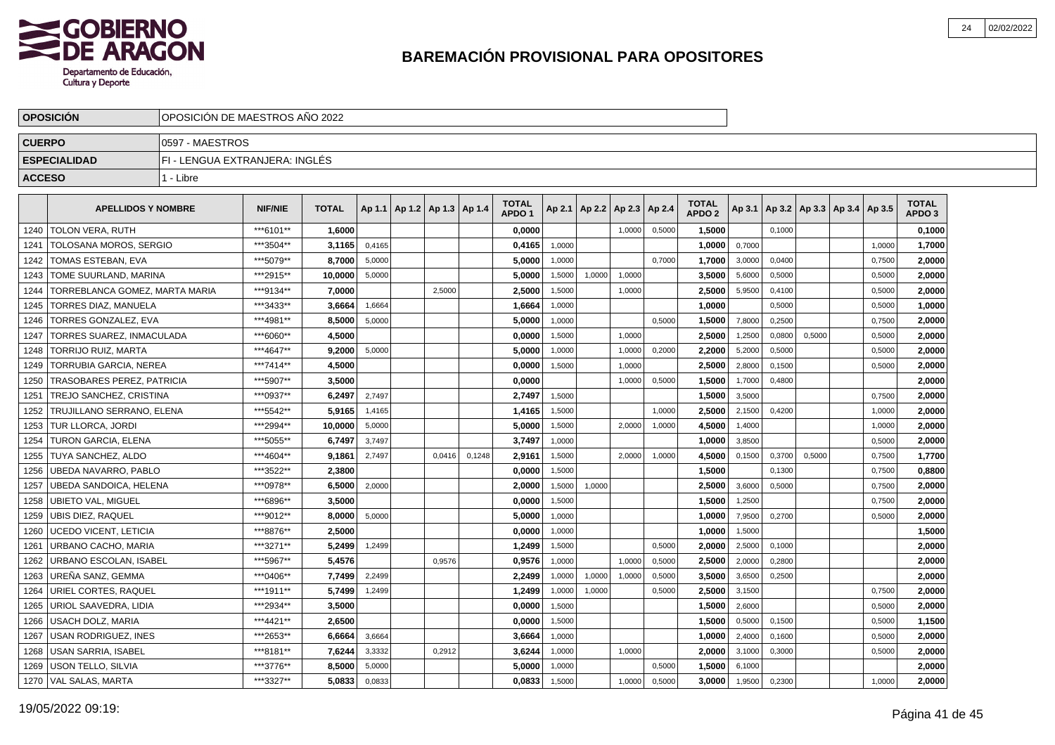

| <b>OPOSICION</b><br>OPOSICION DE MAESTROS ANO 2022 |                                   |                                |                |              |        |                                   |        |        |                                   |        |        |                          |        |                                   |        |        |                                   |        |                                   |  |
|----------------------------------------------------|-----------------------------------|--------------------------------|----------------|--------------|--------|-----------------------------------|--------|--------|-----------------------------------|--------|--------|--------------------------|--------|-----------------------------------|--------|--------|-----------------------------------|--------|-----------------------------------|--|
| <b>CUERPO</b>                                      |                                   | 0597 - MAESTROS                |                |              |        |                                   |        |        |                                   |        |        |                          |        |                                   |        |        |                                   |        |                                   |  |
|                                                    | <b>ESPECIALIDAD</b>               | FI - LENGUA EXTRANJERA: INGLÉS |                |              |        |                                   |        |        |                                   |        |        |                          |        |                                   |        |        |                                   |        |                                   |  |
| <b>ACCESO</b>                                      |                                   | 1 - Libre                      |                |              |        |                                   |        |        |                                   |        |        |                          |        |                                   |        |        |                                   |        |                                   |  |
|                                                    | <b>APELLIDOS Y NOMBRE</b>         |                                | <b>NIF/NIE</b> | <b>TOTAL</b> |        | Ap 1.1   Ap 1.2   Ap 1.3   Ap 1.4 |        |        | <b>TOTAL</b><br>APDO <sub>1</sub> | Ap 2.1 |        | Ap 2.2   Ap 2.3   Ap 2.4 |        | <b>TOTAL</b><br>APDO <sub>2</sub> | Ap 3.1 |        | Ap 3.2   Ap 3.3   Ap 3.4   Ap 3.5 |        | <b>TOTAL</b><br>APDO <sub>3</sub> |  |
| 1240                                               | <b>TOLON VERA, RUTH</b>           |                                | ***6101**      | 1.6000       |        |                                   |        |        | 0.0000                            |        |        | 1,0000                   | 0,5000 | 1,5000                            |        | 0,1000 |                                   |        | 0,1000                            |  |
| 1241                                               | TOLOSANA MOROS, SERGIO            |                                | ***3504**      | 3,1165       | 0,4165 |                                   |        |        | 0,4165                            | 1,0000 |        |                          |        | 1,0000                            | 0,7000 |        |                                   | 1,0000 | 1,7000                            |  |
| 1242                                               | TOMAS ESTEBAN, EVA                |                                | ***5079**      | 8,7000       | 5,0000 |                                   |        |        | 5,0000                            | 1,0000 |        |                          | 0,7000 | 1,7000                            | 3,0000 | 0,0400 |                                   | 0,7500 | 2,0000                            |  |
| 1243                                               | TOME SUURLAND, MARINA             |                                | ***2915**      | 10,0000      | 5,0000 |                                   |        |        | 5,0000                            | 1,5000 | 1,0000 | 1,0000                   |        | 3,5000                            | 5,6000 | 0,5000 |                                   | 0,5000 | 2,0000                            |  |
| 1244                                               | TORREBLANCA GOMEZ, MARTA MARIA    |                                | ***9134**      | 7,0000       |        |                                   | 2,5000 |        | 2,5000                            | 1,5000 |        | 1,0000                   |        | 2,5000                            | 5,9500 | 0,4100 |                                   | 0,5000 | 2,0000                            |  |
| 1245                                               | <b>TORRES DIAZ. MANUELA</b>       |                                | ***3433**      | 3.6664       | 1,6664 |                                   |        |        | 1.6664                            | 1,0000 |        |                          |        | 1.0000                            |        | 0,5000 |                                   | 0,5000 | 1,0000                            |  |
| 1246                                               | TORRES GONZALEZ, EVA              |                                | ***4981**      | 8,5000       | 5,0000 |                                   |        |        | 5,0000                            | 1,0000 |        |                          | 0,5000 | 1,5000                            | 7,8000 | 0.2500 |                                   | 0,7500 | 2,0000                            |  |
| 1247                                               | <b>TORRES SUAREZ. INMACULADA</b>  |                                | ***6060**      | 4,5000       |        |                                   |        |        | 0,0000                            | 1,5000 |        | 1,0000                   |        | 2,5000                            | 1,2500 | 0,0800 | 0,5000                            | 0,5000 | 2,0000                            |  |
| 1248                                               | <b>TORRIJO RUIZ, MARTA</b>        |                                | ***4647**      | 9,2000       | 5,0000 |                                   |        |        | 5.0000                            | 1,0000 |        | 1,0000                   | 0,2000 | 2,2000                            | 5,2000 | 0,5000 |                                   | 0,5000 | 2,0000                            |  |
| 1249                                               | TORRUBIA GARCIA, NEREA            |                                | ***7414**      | 4,5000       |        |                                   |        |        | 0,0000                            | 1,5000 |        | 1,0000                   |        | 2,5000                            | 2,8000 | 0,1500 |                                   | 0,5000 | 2,0000                            |  |
| 1250                                               | <b>TRASOBARES PEREZ, PATRICIA</b> |                                | ***5907**      | 3,5000       |        |                                   |        |        | 0,0000                            |        |        | 1,0000                   | 0,5000 | 1,5000                            | 1,7000 | 0,4800 |                                   |        | 2,0000                            |  |
| 1251                                               | <b>TREJO SANCHEZ, CRISTINA</b>    |                                | ***0937**      | 6,2497       | 2.7497 |                                   |        |        | 2,7497                            | 1.5000 |        |                          |        | 1,5000                            | 3,5000 |        |                                   | 0,7500 | 2,0000                            |  |
| 1252                                               | TRUJILLANO SERRANO. ELENA         |                                | ***5542**      | 5,9165       | 1,4165 |                                   |        |        | 1,4165                            | 1,5000 |        |                          | 1,0000 | 2.5000                            | 2,1500 | 0,4200 |                                   | 1,0000 | 2,0000                            |  |
| 1253                                               | <b>TUR LLORCA, JORDI</b>          |                                | ***2994**      | 10,0000      | 5,0000 |                                   |        |        | 5,0000                            | 1,5000 |        | 2,0000                   | 1,0000 | 4.5000                            | 1,4000 |        |                                   | 1,0000 | 2,0000                            |  |
| 1254                                               | TURON GARCIA, ELENA               |                                | ***5055**      | 6,7497       | 3,7497 |                                   |        |        | 3,7497                            | 1,0000 |        |                          |        | 1.0000                            | 3,8500 |        |                                   | 0,5000 | 2,0000                            |  |
| 1255                                               | TUYA SANCHEZ, ALDO                |                                | ***4604**      | 9,1861       | 2,7497 |                                   | 0.0416 | 0,1248 | 2,9161                            | 1,5000 |        | 2,0000                   | 1,0000 | 4,5000                            | 0,1500 | 0,3700 | 0,5000                            | 0,7500 | 1,7700                            |  |
| 1256                                               | UBEDA NAVARRO, PABLO              |                                | ***3522**      | 2,3800       |        |                                   |        |        | 0,0000                            | 1,5000 |        |                          |        | 1,5000                            |        | 0,1300 |                                   | 0,7500 | 0,8800                            |  |
| 1257                                               | UBEDA SANDOICA. HELENA            |                                | ***0978**      | 6.5000       | 2,0000 |                                   |        |        | 2.0000                            | 1,5000 | 1,0000 |                          |        | 2.5000                            | 3,6000 | 0.5000 |                                   | 0,7500 | 2,0000                            |  |
| 1258                                               | <b>UBIETO VAL. MIGUEL</b>         |                                | ***6896**      | 3.5000       |        |                                   |        |        | 0.0000                            | 1,5000 |        |                          |        | 1,5000                            | 1,2500 |        |                                   | 0,7500 | 2,0000                            |  |
| 1259                                               | <b>UBIS DIEZ, RAQUEL</b>          |                                | ***9012**      | 8,0000       | 5,0000 |                                   |        |        | 5,0000                            | 1,0000 |        |                          |        | 1,0000                            | 7,9500 | 0,2700 |                                   | 0,5000 | 2,0000                            |  |
| 1260                                               | <b>UCEDO VICENT, LETICIA</b>      |                                | ***8876**      | 2,5000       |        |                                   |        |        | 0,0000                            | 1,0000 |        |                          |        | 1,0000                            | 1,5000 |        |                                   |        | 1,5000                            |  |
| 1261                                               | URBANO CACHO, MARIA               |                                | ***3271**      | 5,2499       | 1,2499 |                                   |        |        | 1,2499                            | 1,5000 |        |                          | 0,5000 | 2,0000                            | 2,5000 | 0,1000 |                                   |        | 2,0000                            |  |
| 1262                                               | URBANO ESCOLAN, ISABEL            |                                | ***5967**      | 5,4576       |        |                                   | 0,9576 |        | 0,9576                            | 1,0000 |        | 1,0000                   | 0,5000 | 2,5000                            | 2,0000 | 0,2800 |                                   |        | 2,0000                            |  |
| 1263                                               | l UREÑA SANZ. GEMMA               |                                | ***0406**      | 7.7499       | 2,2499 |                                   |        |        | 2.2499                            | 1,0000 | 1,0000 | 1,0000                   | 0,5000 | 3.5000                            | 3,6500 | 0.2500 |                                   |        | 2,0000                            |  |
| 1264                                               | URIEL CORTES, RAQUEL              |                                | ***1911**      | 5.7499       | 1,2499 |                                   |        |        | 1.2499                            | 1,0000 | 1,0000 |                          | 0,5000 | 2,5000                            | 3,1500 |        |                                   | 0,7500 | 2,0000                            |  |
| 1265                                               | <b>URIOL SAAVEDRA, LIDIA</b>      |                                | ***2934**      | 3,5000       |        |                                   |        |        | 0,0000                            | 1,5000 |        |                          |        | 1,5000                            | 2,6000 |        |                                   | 0,5000 | 2,0000                            |  |
| 1266                                               | USACH DOLZ, MARIA                 |                                | ***4421**      | 2,6500       |        |                                   |        |        | 0,0000                            | 1,5000 |        |                          |        | 1,5000                            | 0,5000 | 0,1500 |                                   | 0,5000 | 1,1500                            |  |
| 1267                                               | <b>USAN RODRIGUEZ, INES</b>       |                                | ***2653**      | 6,6664       | 3,6664 |                                   |        |        | 3,6664                            | 1,0000 |        |                          |        | 1,0000                            | 2,4000 | 0,1600 |                                   | 0,5000 | 2,0000                            |  |
| 1268                                               | USAN SARRIA, ISABEL               |                                | ***8181**      | 7,6244       | 3,3332 |                                   | 0,2912 |        | 3,6244                            | 1,0000 |        | 1,0000                   |        | 2,0000                            | 3,1000 | 0,3000 |                                   | 0,5000 | 2,0000                            |  |
| 1269                                               | <b>USON TELLO, SILVIA</b>         |                                | ***3776**      | 8,5000       | 5,0000 |                                   |        |        | 5.0000                            | 1,0000 |        |                          | 0,5000 | 1.5000                            | 6,1000 |        |                                   |        | 2,0000                            |  |
|                                                    | 1270 VAL SALAS, MARTA             |                                | ***3327**      | 5,0833       | 0,0833 |                                   |        |        | 0,0833                            | 1,5000 |        | 1,0000                   | 0,5000 | 3,0000                            | 1,9500 | 0,2300 |                                   | 1,0000 | 2,0000                            |  |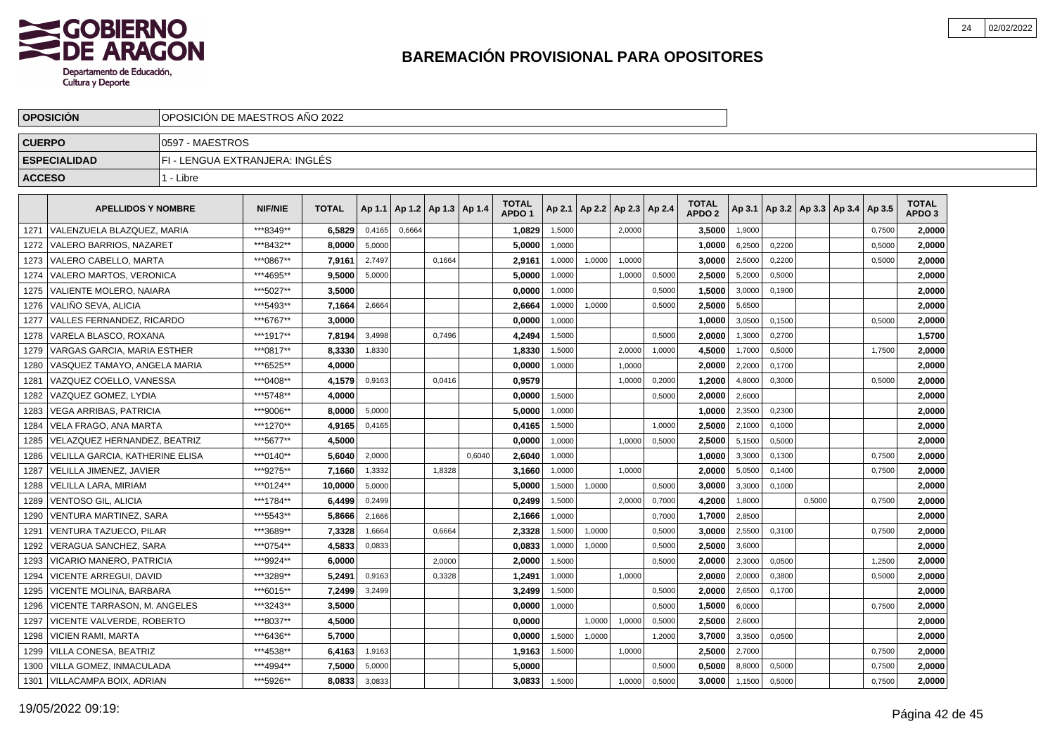

|               | <b>OPOSICION</b>                       | OPOSICION DE MAESTROS ANO 2022             |                |              |        |        |                          |        |                                   |        |                          |        |        |                                   |        |        |                                   |        |                                   |  |
|---------------|----------------------------------------|--------------------------------------------|----------------|--------------|--------|--------|--------------------------|--------|-----------------------------------|--------|--------------------------|--------|--------|-----------------------------------|--------|--------|-----------------------------------|--------|-----------------------------------|--|
| <b>CUERPO</b> |                                        | 0597 - MAESTROS                            |                |              |        |        |                          |        |                                   |        |                          |        |        |                                   |        |        |                                   |        |                                   |  |
|               | <b>ESPECIALIDAD</b>                    | FI - LENGUA EXTRANJERA: INGLÉS             |                |              |        |        |                          |        |                                   |        |                          |        |        |                                   |        |        |                                   |        |                                   |  |
| <b>ACCESO</b> |                                        | 1 - Libre                                  |                |              |        |        |                          |        |                                   |        |                          |        |        |                                   |        |        |                                   |        |                                   |  |
|               | <b>APELLIDOS Y NOMBRE</b>              |                                            | <b>NIF/NIE</b> | <b>TOTAL</b> | Ap 1.1 |        | Ap 1.2   Ap 1.3   Ap 1.4 |        | <b>TOTAL</b><br>APDO <sub>1</sub> | Ap 2.1 | Ap 2.2   Ap 2.3   Ap 2.4 |        |        | <b>TOTAL</b><br>APDO <sub>2</sub> | Ap 3.1 |        | Ap 3.2   Ap 3.3   Ap 3.4   Ap 3.5 |        | <b>TOTAL</b><br>APDO <sub>3</sub> |  |
| 1271          | VALENZUELA BLAZQUEZ. MARIA             |                                            | ***8349**      | 6.5829       | 0,4165 | 0,6664 |                          |        | 1,0829                            | 1,5000 |                          | 2.0000 |        | 3.5000                            | 1,9000 |        |                                   | 0,7500 | 2.0000                            |  |
| 1272          | VALERO BARRIOS, NAZARET                |                                            | ***8432**      | 8.0000       | 5,0000 |        |                          |        | 5.0000                            | 1.0000 |                          |        |        | 1,0000                            | 6,2500 | 0,2200 |                                   | 0,5000 | 2,0000                            |  |
| 1273          | VALERO CABELLO, MARTA                  |                                            | ***0867**      | 7,9161       | 2,7497 |        | 0.1664                   |        | 2,9161                            | 1,0000 | 1.0000                   | 1.0000 |        | 3.0000                            | 2,5000 | 0.2200 |                                   | 0,5000 | 2,0000                            |  |
| 1274          | VALERO MARTOS, VERONICA                |                                            | ***4695**      | 9.5000       | 5,0000 |        |                          |        | 5.0000                            | 1,0000 |                          | 1,0000 | 0,5000 | 2,5000                            | 5,2000 | 0,5000 |                                   |        | 2,0000                            |  |
|               | 1275   VALIENTE MOLERO, NAIARA         |                                            | ***5027**      | 3,5000       |        |        |                          |        | 0,0000                            | 1,0000 |                          |        | 0,5000 | 1,5000                            | 3,0000 | 0,1900 |                                   |        | 2,0000                            |  |
|               | 1276 VALIÑO SEVA, ALICIA               |                                            | ***5493**      | 7,1664       | 2,6664 |        |                          |        | 2,6664                            | 1,0000 | 1,0000                   |        | 0,5000 | 2,5000                            | 5,6500 |        |                                   |        | 2,0000                            |  |
| 1277          | VALLES FERNANDEZ, RICARDO              |                                            | ***6767**      | 3,0000       |        |        |                          |        | 0,0000                            | 1,0000 |                          |        |        | 1,0000                            | 3,0500 | 0,1500 |                                   | 0,5000 | 2,0000                            |  |
| 1278          | l VARELA BLASCO. ROXANA                |                                            | ***1917**      | 7.8194       | 3.4998 |        | 0.7496                   |        | 4,2494                            | 1.5000 |                          |        | 0.5000 | 2.0000                            | 1,3000 | 0.2700 |                                   |        | 1,5700                            |  |
| 1279          |                                        | ***0817**<br>l VARGAS GARCIA. MARIA ESTHER |                |              |        |        |                          |        | 1,8330                            | 1,5000 |                          | 2,0000 | 1,0000 | 4,5000                            | 1,7000 | 0,5000 |                                   | 1,7500 | 2,0000                            |  |
| 1280          | VASQUEZ TAMAYO, ANGELA MARIA           |                                            | ***6525**      | 4.0000       |        |        |                          |        | 0,0000                            | 1,0000 |                          | 1,0000 |        | 2.0000                            | 2,2000 | 0,1700 |                                   |        | 2,0000                            |  |
| 1281          | VAZQUEZ COELLO, VANESSA                |                                            | ***0408**      | 4,1579       | 0,9163 |        | 0,0416                   |        | 0,9579                            |        |                          | 1,0000 | 0,2000 | 1,2000                            | 4,8000 | 0,3000 |                                   | 0,5000 | 2,0000                            |  |
| 1282          | VAZQUEZ GOMEZ, LYDIA                   |                                            | ***5748**      | 4,0000       |        |        |                          |        | 0,0000                            | 1,5000 |                          |        | 0,5000 | 2,0000                            | 2,6000 |        |                                   |        | 2,0000                            |  |
| 1283          | <b>VEGA ARRIBAS, PATRICIA</b>          |                                            | ***9006**      | 8,0000       | 5,0000 |        |                          |        | 5,0000                            | 1,0000 |                          |        |        | 1,0000                            | 2,3500 | 0,2300 |                                   |        | 2,0000                            |  |
| 1284          | VELA FRAGO, ANA MARTA                  |                                            | ***1270**      | 4,9165       | 0,4165 |        |                          |        | 0,4165                            | 1,5000 |                          |        | 1,0000 | 2,5000                            | 2,1000 | 0,1000 |                                   |        | 2,0000                            |  |
| 1285          | <b>VELAZQUEZ HERNANDEZ, BEATRIZ</b>    |                                            | ***5677**      | 4.5000       |        |        |                          |        | 0.0000                            | 1,0000 |                          | 1.0000 | 0,5000 | 2.5000                            | 5,1500 | 0,5000 |                                   |        | 2.0000                            |  |
| 1286          | <b>VELILLA GARCIA, KATHERINE ELISA</b> |                                            | ***0140**      | 5.6040       | 2,0000 |        |                          | 0.6040 | 2.6040                            | 1,0000 |                          |        |        | 1.0000                            | 3,3000 | 0.1300 |                                   | 0.7500 | 2,0000                            |  |
| 1287          | <b>VELILLA JIMENEZ, JAVIER</b>         |                                            | ***9275**      | 7,1660       | 1,3332 |        | 1,8328                   |        | 3,1660                            | 1.0000 |                          | 1.0000 |        | 2.0000                            | 5,0500 | 0.1400 |                                   | 0,7500 | 2,0000                            |  |
| 1288          | VELILLA LARA. MIRIAM                   |                                            | ***0124**      | 10.0000      | 5,0000 |        |                          |        | 5.0000                            | 1,5000 | 1,0000                   |        | 0,5000 | 3.0000                            | 3,3000 | 0,1000 |                                   |        | 2,0000                            |  |
| 1289          | VENTOSO GIL, ALICIA                    |                                            | ***1784**      | 6,4499       | 0,2499 |        |                          |        | 0,2499                            | 1,5000 |                          | 2,0000 | 0,7000 | 4,2000                            | 1,8000 |        | 0,5000                            | 0,7500 | 2,0000                            |  |
| 1290          | VENTURA MARTINEZ, SARA                 |                                            | ***5543**      | 5,8666       | 2,1666 |        |                          |        | 2,1666                            | 1,0000 |                          |        | 0,7000 | 1,7000                            | 2,8500 |        |                                   |        | 2,0000                            |  |
| 1291          | VENTURA TAZUECO, PILAR                 |                                            | ***3689**      | 7,3328       | 1,6664 |        | 0,6664                   |        | 2,3328                            | 1,5000 | 1,0000                   |        | 0,5000 | 3,0000                            | 2,5500 | 0,3100 |                                   | 0,7500 | 2,0000                            |  |
| 1292          | VERAGUA SANCHEZ. SARA                  |                                            | ***0754**      | 4.5833       | 0.0833 |        |                          |        | 0.0833                            | 1.0000 | 1,0000                   |        | 0,5000 | 2.5000                            | 3,6000 |        |                                   |        | 2.0000                            |  |
| 1293          | VICARIO MANERO, PATRICIA               |                                            | ***9924**      | 6.0000       |        |        | 2,0000                   |        | 2.0000                            | 1,5000 |                          |        | 0,5000 | 2.0000                            | 2,3000 | 0,0500 |                                   | 1,2500 | 2,0000                            |  |
| 1294          | <b>VICENTE ARREGUI, DAVID</b>          |                                            | ***3289**      | 5.2491       | 0,9163 |        | 0,3328                   |        | 1.2491                            | 1,0000 |                          | 1,0000 |        | 2.0000                            | 2,0000 | 0,3800 |                                   | 0,5000 | 2,0000                            |  |
| 1295          | <b>VICENTE MOLINA, BARBARA</b>         |                                            | ***6015**      | 7,2499       | 3,2499 |        |                          |        | 3,2499                            | 1,5000 |                          |        | 0,5000 | 2,0000                            | 2,6500 | 0,1700 |                                   |        | 2,0000                            |  |
| 1296          | <b>VICENTE TARRASON, M. ANGELES</b>    |                                            | ***3243**      | 3,5000       |        |        |                          |        | 0,0000                            | 1,0000 |                          |        | 0,5000 | 1,5000                            | 6,0000 |        |                                   | 0,7500 | 2,0000                            |  |
| 1297          | ***8037**<br>VICENTE VALVERDE, ROBERTO |                                            |                | 4,5000       |        |        |                          |        | 0,0000                            |        | 1,0000                   | 1,0000 | 0,5000 | 2,5000                            | 2,6000 |        |                                   |        | 2,0000                            |  |
| 1298          | VICIEN RAMI, MARTA                     |                                            | ***6436**      | 5,7000       |        |        |                          |        | 0,0000                            | 1,5000 | 1,0000                   |        | 1,2000 | 3,7000                            | 3,3500 | 0,0500 |                                   |        | 2,0000                            |  |
| 1299          | VILLA CONESA. BEATRIZ                  | ***4538**                                  | 6,4163         | 1,9163       |        |        |                          | 1,9163 | 1,5000                            |        | 1.0000                   |        | 2,5000 | 2,7000                            |        |        | 0,7500                            | 2,0000 |                                   |  |
| 1300          | VILLA GOMEZ, INMACULADA                |                                            | ***4994**      | 7,5000       | 5,0000 |        |                          |        | 5,0000                            |        |                          |        | 0.5000 | 0,5000                            | 8,8000 | 0,5000 |                                   | 0,7500 | 2,0000                            |  |
|               | 1301   VILLACAMPA BOIX, ADRIAN         |                                            | ***5926**      | 8.0833       | 3,0833 |        |                          |        | 3,0833                            | 1,5000 |                          | 1,0000 | 0,5000 | 3,0000                            | 1,1500 | 0,5000 |                                   | 0,7500 | 2,0000                            |  |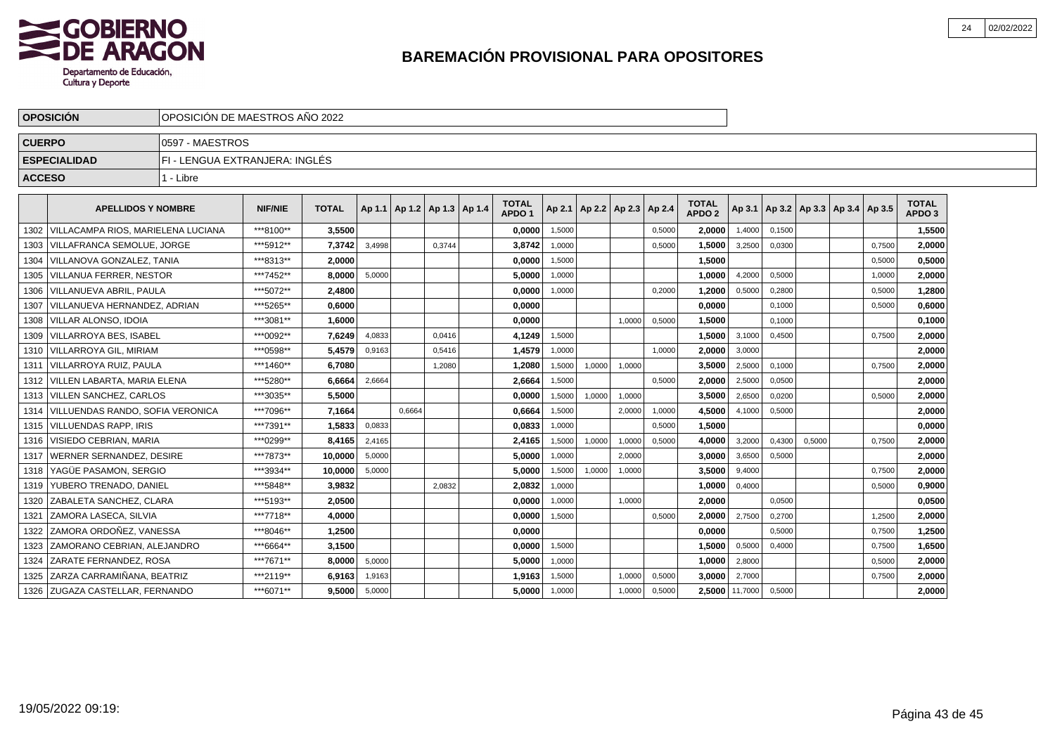

|               | <b>OPOSICIÓN</b>                        | IOPOSICIÓN DE MAESTROS AÑO 2022 |                |              |        |                                   |        |                                   |        |        |                                   |        |                               |                |        |        |                                            |        |                                   |  |
|---------------|-----------------------------------------|---------------------------------|----------------|--------------|--------|-----------------------------------|--------|-----------------------------------|--------|--------|-----------------------------------|--------|-------------------------------|----------------|--------|--------|--------------------------------------------|--------|-----------------------------------|--|
| <b>CUERPO</b> |                                         | 10597 - MAESTROS                |                |              |        |                                   |        |                                   |        |        |                                   |        |                               |                |        |        |                                            |        |                                   |  |
|               | <b>ESPECIALIDAD</b>                     | FI - LENGUA EXTRANJERA: INGLÉS  |                |              |        |                                   |        |                                   |        |        |                                   |        |                               |                |        |        |                                            |        |                                   |  |
| <b>ACCESO</b> |                                         | 1 - Libre                       |                |              |        |                                   |        |                                   |        |        |                                   |        |                               |                |        |        |                                            |        |                                   |  |
|               | <b>APELLIDOS Y NOMBRE</b>               |                                 | <b>NIF/NIE</b> | <b>TOTAL</b> |        | Ap 1.1   Ap 1.2   Ap 1.3   Ap 1.4 |        | <b>TOTAL</b><br>APDO <sub>1</sub> |        |        | Ap 2.1   Ap 2.2   Ap 2.3   Ap 2.4 |        | <b>TOTAL</b><br><b>APDO 2</b> |                |        |        | Ap 3.1   Ap 3.2   Ap 3.3   Ap 3.4   Ap 3.5 |        | <b>TOTAL</b><br>APDO <sub>3</sub> |  |
|               | 1302 VILLACAMPA RIOS, MARIELENA LUCIANA |                                 | ***8100**      | 3.5500       |        |                                   |        | 0,0000                            | 1,5000 |        |                                   | 0,5000 | 2.0000                        | 1,4000         | 0,1500 |        |                                            |        | 1,5500                            |  |
|               | 1303   VILLAFRANCA SEMOLUE, JORGE       |                                 | ***5912**      | 7,3742       | 3,4998 |                                   | 0,3744 | 3,8742                            | 1,0000 |        |                                   | 0,5000 | 1,5000                        | 3,2500         | 0,0300 |        |                                            | 0,7500 | 2,0000                            |  |
|               | 1304   VILLANOVA GONZALEZ, TANIA        |                                 | ***8313**      | 2.0000       |        |                                   |        | 0,0000                            | 1,5000 |        |                                   |        | 1,5000                        |                |        |        |                                            | 0,5000 | 0,5000                            |  |
|               | 1305   VILLANUA FERRER, NESTOR          |                                 | ***7452**      | 8.0000       | 5.0000 |                                   |        | 5.0000                            | 1,0000 |        |                                   |        | 1.0000                        | 4,2000         | 0.5000 |        |                                            | 1,0000 | 2,0000                            |  |
|               | 1306 VILLANUEVA ABRIL. PAULA            |                                 | ***5072**      | 2.4800       |        |                                   |        | 0,0000                            | 1,0000 |        |                                   | 0.2000 | 1.2000                        | 0,5000         | 0,2800 |        |                                            | 0.5000 | 1,2800                            |  |
|               | 1307 VILLANUEVA HERNANDEZ, ADRIAN       |                                 | ***5265**      | 0.6000       |        |                                   |        | 0.0000                            |        |        |                                   |        | 0.0000                        |                | 0,1000 |        |                                            | 0,5000 | 0,6000                            |  |
|               | 1308   VILLAR ALONSO, IDOIA             |                                 | ***3081**      | 1,6000       |        |                                   |        | 0,0000                            |        |        | 1,0000                            | 0,5000 | 1,5000                        |                | 0,1000 |        |                                            |        | 0,1000                            |  |
|               | 1309   VILLARROYA BES. ISABEL           |                                 | ***0092**      | 7,6249       | 4,0833 |                                   | 0,0416 | 4,1249                            | 1,5000 |        |                                   |        | 1,5000                        | 3,1000         | 0,4500 |        |                                            | 0,7500 | 2,0000                            |  |
|               | 1310   VILLARROYA GIL, MIRIAM           |                                 | ***0598**      | 5.4579       | 0,9163 |                                   | 0,5416 | 1,4579                            | 1,0000 |        |                                   | 1.0000 | 2,0000                        | 3,0000         |        |        |                                            |        | 2,0000                            |  |
|               | 1311   VILLARROYA RUIZ, PAULA           |                                 | ***1460**      | 6.7080       |        |                                   | 1,2080 | 1,2080                            | 1,5000 | 1,0000 | 1,0000                            |        | 3,5000                        | 2,5000         | 0.1000 |        |                                            | 0,7500 | 2,0000                            |  |
|               | 1312   VILLEN LABARTA, MARIA ELENA      |                                 | ***5280**      | 6,6664       | 2,6664 |                                   |        | 2,6664                            | 1,5000 |        |                                   | 0,5000 | 2,0000                        | 2,5000         | 0,0500 |        |                                            |        | 2,0000                            |  |
|               | 1313   VILLEN SANCHEZ, CARLOS           |                                 | ***3035**      | 5,5000       |        |                                   |        | 0,0000                            | 1,5000 | 1,0000 | 1,0000                            |        | 3,5000                        | 2,6500         | 0,0200 |        |                                            | 0,5000 | 2,0000                            |  |
|               | 1314   VILLUENDAS RANDO, SOFIA VERONICA |                                 | ***7096**      | 7.1664       |        | 0.6664                            |        | 0,6664                            | 1,5000 |        | 2,0000                            | 1,0000 | 4,5000                        | 4,1000         | 0,5000 |        |                                            |        | 2,0000                            |  |
|               | 1315 VILLUENDAS RAPP. IRIS              |                                 | ***7391**      | 1.5833       | 0,0833 |                                   |        | 0.0833                            | 1,0000 |        |                                   | 0,5000 | 1.5000                        |                |        |        |                                            |        | 0.0000                            |  |
|               | 1316   VISIEDO CEBRIAN, MARIA           |                                 | ***0299**      | 8.4165       | 2,4165 |                                   |        | 2,4165                            | 1,5000 | 1,0000 | 1,0000                            | 0,5000 | 4.0000                        | 3,2000         | 0,4300 | 0,5000 |                                            | 0,7500 | 2,0000                            |  |
|               | 1317   WERNER SERNANDEZ, DESIRE         |                                 | ***7873**      | 10,0000      | 5,0000 |                                   |        | 5,0000                            | 1,0000 |        | 2,0000                            |        | 3,0000                        | 3,6500         | 0,5000 |        |                                            |        | 2,0000                            |  |
|               | 1318   YAGÜE PASAMON, SERGIO            |                                 | ***3934**      | 10,0000      | 5,0000 |                                   |        | 5,0000                            | 1,5000 | 1,0000 | 1,0000                            |        | 3,5000                        | 9,4000         |        |        |                                            | 0,7500 | 2,0000                            |  |
|               | 1319   YUBERO TRENADO, DANIEL           |                                 | ***5848**      | 3.9832       |        |                                   | 2,0832 | 2,0832                            | 1,0000 |        |                                   |        | 1,0000                        | 0,4000         |        |        |                                            | 0.5000 | 0,9000                            |  |
| 1320          | IZABALETA SANCHEZ. CLARA                |                                 | ***5193**      | 2.0500       |        |                                   |        | 0.0000                            | 1,0000 |        | 1.0000                            |        | 2.0000                        |                | 0.0500 |        |                                            |        | 0,0500                            |  |
|               | 1321   ZAMORA LASECA, SILVIA            |                                 | ***7718**      | 4,0000       |        |                                   |        | 0,0000                            | 1,5000 |        |                                   | 0,5000 | 2,0000                        | 2,7500         | 0,2700 |        |                                            | 1,2500 | 2,0000                            |  |
| 1322          | ZAMORA ORDOÑEZ, VANESSA                 |                                 | ***8046**      | 1,2500       |        |                                   |        | 0,0000                            |        |        |                                   |        | 0,0000                        |                | 0,5000 |        |                                            | 0,7500 | 1,2500                            |  |
|               | 1323 ZAMORANO CEBRIAN, ALEJANDRO        |                                 | ***6664**      | 3,1500       |        |                                   |        | 0.0000                            | 1,5000 |        |                                   |        | 1,5000                        | 0,5000         | 0,4000 |        |                                            | 0,7500 | 1,6500                            |  |
|               | 1324 ZARATE FERNANDEZ, ROSA             |                                 | ***7671**      | 8,0000       | 5,0000 |                                   |        | 5,0000                            | 1,0000 |        |                                   |        | 1,0000                        | 2,8000         |        |        |                                            | 0,5000 | 2,0000                            |  |
|               | 1325 ZARZA CARRAMIÑANA. BEATRIZ         |                                 | ***2119**      | 6.9163       | 1,9163 |                                   |        | 1.9163                            | 1,5000 |        | 1,0000                            | 0,5000 | 3.0000                        | 2,7000         |        |        |                                            | 0,7500 | 2.0000                            |  |
|               | 1326 ZUGAZA CASTELLAR, FERNANDO         |                                 | ***6071**      | 9.5000       | 5,0000 |                                   |        | 5,0000                            | 1,0000 |        | 1,0000                            | 0,5000 |                               | 2,5000 11,7000 | 0,5000 |        |                                            |        | 2,0000                            |  |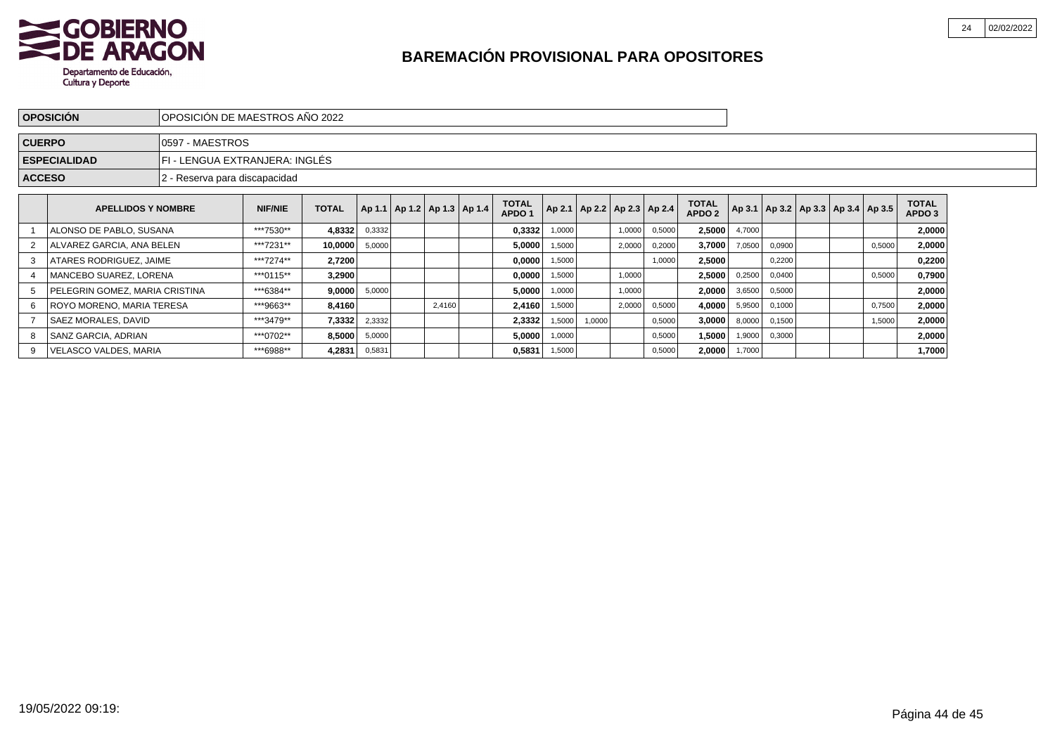

|               | <b>OPOSICIÓN</b>                                                                     | IOPOSICIÓN DE MAESTROS AÑO 2022                                       |                                                                                 |              |        |                                   |  |        |                                   |        |                                   |        |        |                                   |        |        |                                            |        |                        |  |
|---------------|--------------------------------------------------------------------------------------|-----------------------------------------------------------------------|---------------------------------------------------------------------------------|--------------|--------|-----------------------------------|--|--------|-----------------------------------|--------|-----------------------------------|--------|--------|-----------------------------------|--------|--------|--------------------------------------------|--------|------------------------|--|
| <b>CUERPO</b> |                                                                                      | 0597 - MAESTROS                                                       |                                                                                 |              |        |                                   |  |        |                                   |        |                                   |        |        |                                   |        |        |                                            |        |                        |  |
|               | <b>ESPECIALIDAD</b>                                                                  | FI - LENGUA EXTRANJERA: INGLÉS                                        |                                                                                 |              |        |                                   |  |        |                                   |        |                                   |        |        |                                   |        |        |                                            |        |                        |  |
| <b>ACCESO</b> |                                                                                      | 2 - Reserva para discapacidad                                         |                                                                                 |              |        |                                   |  |        |                                   |        |                                   |        |        |                                   |        |        |                                            |        |                        |  |
|               | <b>APELLIDOS Y NOMBRE</b>                                                            |                                                                       | <b>NIF/NIE</b>                                                                  | <b>TOTAL</b> |        | Ap 1.1   Ap 1.2   Ap 1.3   Ap 1.4 |  |        | <b>TOTAL</b><br>APDO <sub>1</sub> |        | Ap 2.1   Ap 2.2   Ap 2.3   Ap 2.4 |        |        | <b>TOTAL</b><br>APDO <sub>2</sub> |        |        | Ap 3.1   Ap 3.2   Ap 3.3   Ap 3.4   Ap 3.5 |        | <b>TOTAL</b><br>APDO 3 |  |
|               | ALONSO DE PABLO, SUSANA                                                              |                                                                       | ***7530**<br>4,8332<br>0,3332<br>2,5000<br>0,3332<br>0,5000<br>1,0000<br>1,0000 |              |        |                                   |  |        |                                   |        |                                   |        |        |                                   |        |        |                                            |        | 2,0000                 |  |
| 2             | ALVAREZ GARCIA, ANA BELEN                                                            |                                                                       | ***7231**                                                                       | 10,0000      | 5,0000 |                                   |  |        | 5,0000                            | 1,5000 |                                   | 2,0000 | 0,2000 | 3,7000                            | 7,0500 | 0,0900 |                                            | 0,5000 | 2,0000                 |  |
|               | ATARES RODRIGUEZ, JAIME                                                              |                                                                       | ***7274**                                                                       | 2,7200       |        |                                   |  |        | 0,0000                            | 1,5000 |                                   |        | 1,0000 | 2,5000                            |        | 0,2200 |                                            |        | 0,2200                 |  |
|               | MANCEBO SUAREZ, LORENA                                                               |                                                                       | ***0115**                                                                       | 3,2900       |        |                                   |  |        | 0,0000                            | 1,5000 |                                   | 1,0000 |        | 2,5000                            | 0,2500 | 0,0400 |                                            | 0,5000 | 0,7900                 |  |
|               | PELEGRIN GOMEZ, MARIA CRISTINA                                                       |                                                                       | ***6384**<br>9,0000<br>5,0000<br>5,0000<br>1,0000<br>1,0000                     |              |        |                                   |  |        |                                   |        |                                   |        |        | 2,0000                            | 3,6500 | 0,5000 |                                            |        | 2,0000                 |  |
| 6             | ROYO MORENO, MARIA TERESA                                                            |                                                                       | ***9663**<br>8.4160<br>2,4160<br>2,4160<br>2,0000<br>0,5000<br>1,5000           |              |        |                                   |  |        |                                   |        |                                   |        |        | 4,0000                            | 5,9500 | 0,1000 |                                            | 0,7500 | 2,0000                 |  |
|               | <b>SAEZ MORALES, DAVID</b>                                                           | ***3479**<br>7,3332<br>2,3332<br>2,3332<br>1,5000<br>1,0000<br>0,5000 |                                                                                 |              |        |                                   |  |        |                                   |        |                                   |        | 3,0000 | 8,0000                            | 0,1500 |        | 1,5000                                     | 2,0000 |                        |  |
|               | SANZ GARCIA, ADRIAN                                                                  | ***0702**                                                             | 8,5000                                                                          | 5,0000       |        |                                   |  | 5,0000 | 1,0000                            |        |                                   | 0,5000 | 1,5000 | 1,9000                            | 0,3000 |        |                                            | 2,0000 |                        |  |
| 9             | VELASCO VALDES, MARIA<br>***6988**<br>4,2831<br>0,5831<br>0,5831<br>1,5000<br>0,5000 |                                                                       |                                                                                 |              |        |                                   |  |        |                                   |        |                                   | 2,0000 | 1,7000 |                                   |        |        | 1,7000                                     |        |                        |  |